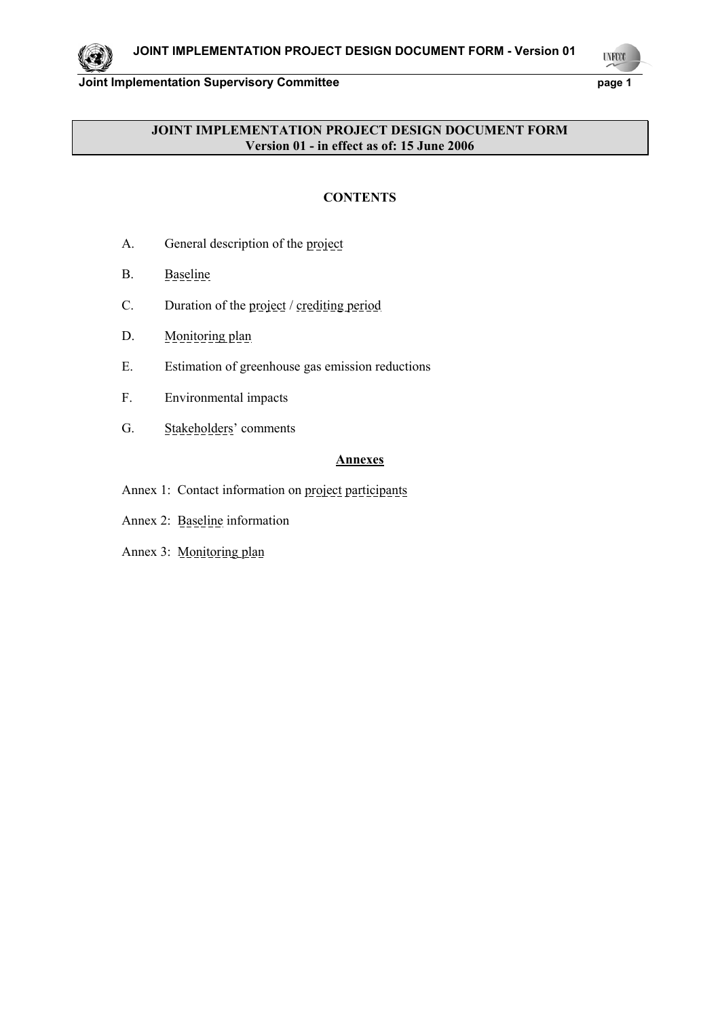**UYECCO** 

1

# **JOINT IMPLEMENTATION PROJECT DESIGN DOCUMENT FORM Version 01 - in effect as of: 15 June 2006**

## **CONTENTS**

- A. General description of the project
- B. Baseline
- C. Duration of the project / crediting period
- D. Monitoring plan
- E. Estimation of greenhouse gas emission reductions
- F. Environmental impacts
- G. Stakeholders' comments

### **Annexes**

- Annex 1: Contact information on project participants
- Annex 2: Baseline information
- Annex 3: Monitoring plan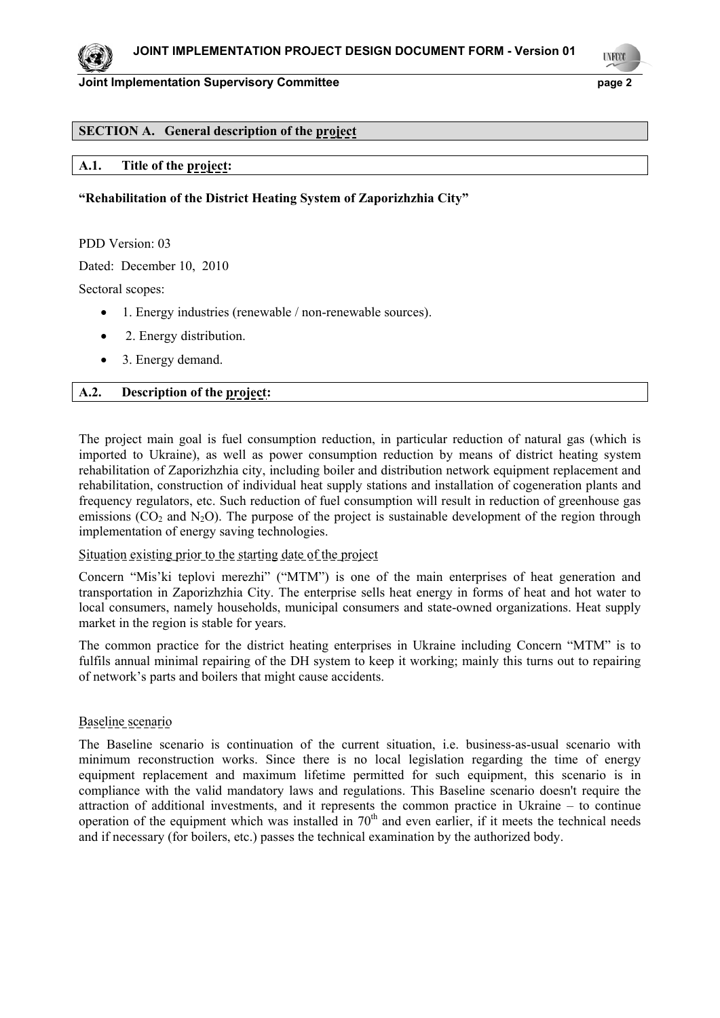**LYFCO** 

2

### **SECTION A. General description of the project**

### **A.1. Title of the project:**

### **"Rehabilitation of the District Heating System of Zaporizhzhia City"**

PDD Version: 03

Dated: December 10, 2010

Sectoral scopes:

- 1. Energy industries (renewable / non-renewable sources).
- 2. Energy distribution.
- 3. Energy demand.

### **A.2. Description of the project:**

The project main goal is fuel consumption reduction, in particular reduction of natural gas (which is imported to Ukraine), as well as power consumption reduction by means of district heating system rehabilitation of Zaporizhzhia city, including boiler and distribution network equipment replacement and rehabilitation, construction of individual heat supply stations and installation of cogeneration plants and frequency regulators, etc. Such reduction of fuel consumption will result in reduction of greenhouse gas emissions ( $CO<sub>2</sub>$  and N<sub>2</sub>O). The purpose of the project is sustainable development of the region through implementation of energy saving technologies.

### Situation existing prior to the starting date of the project

Concern "Mis'ki teplovi merezhi" ("MTM") is one of the main enterprises of heat generation and transportation in Zaporizhzhia City. The enterprise sells heat energy in forms of heat and hot water to local consumers, namely households, municipal consumers and state-owned organizations. Heat supply market in the region is stable for years.

The common practice for the district heating enterprises in Ukraine including Concern "MTM" is to fulfils annual minimal repairing of the DH system to keep it working; mainly this turns out to repairing of network's parts and boilers that might cause accidents.

### Baseline scenario

The Baseline scenario is continuation of the current situation, i.e. business-as-usual scenario with minimum reconstruction works. Since there is no local legislation regarding the time of energy equipment replacement and maximum lifetime permitted for such equipment, this scenario is in compliance with the valid mandatory laws and regulations. This Baseline scenario doesn't require the attraction of additional investments, and it represents the common practice in Ukraine – to continue operation of the equipment which was installed in  $70<sup>th</sup>$  and even earlier, if it meets the technical needs and if necessary (for boilers, etc.) passes the technical examination by the authorized body.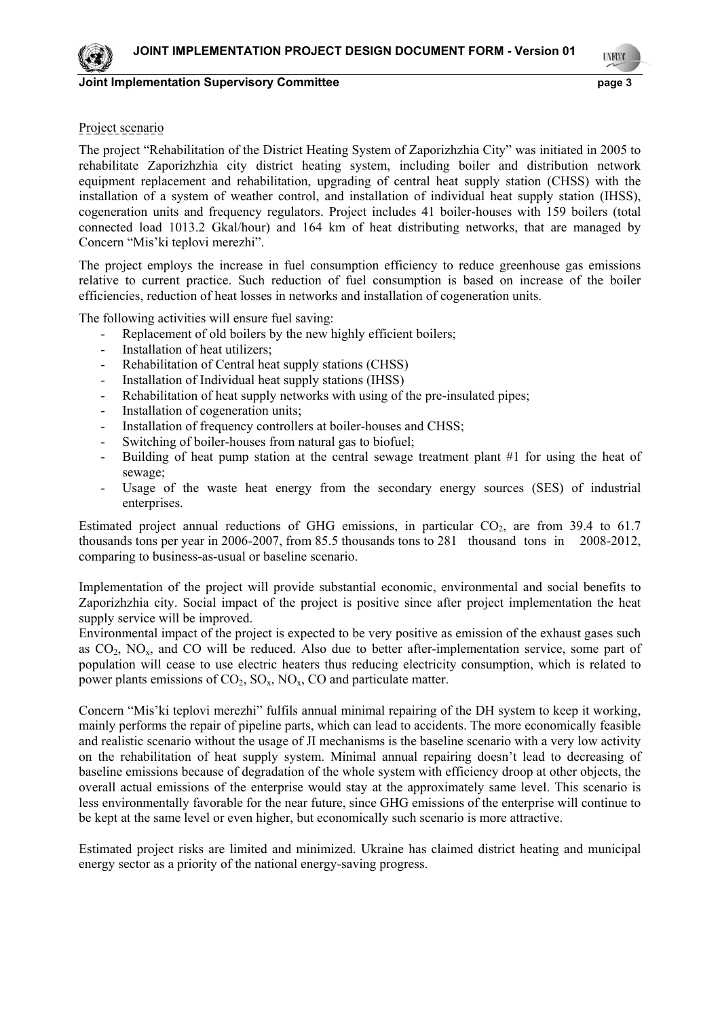**LYFOO** 

3

## Project scenario

The project "Rehabilitation of the District Heating System of Zaporizhzhia City" was initiated in 2005 to rehabilitate Zaporizhzhia city district heating system, including boiler and distribution network equipment replacement and rehabilitation, upgrading of central heat supply station (CHSS) with the installation of a system of weather control, and installation of individual heat supply station (IHSS), cogeneration units and frequency regulators. Project includes 41 boiler-houses with 159 boilers (total connected load 1013.2 Gkal/hour) and 164 km of heat distributing networks, that are managed by Concern "Mis'ki teplovi merezhi".

The project employs the increase in fuel consumption efficiency to reduce greenhouse gas emissions relative to current practice. Such reduction of fuel consumption is based on increase of the boiler efficiencies, reduction of heat losses in networks and installation of cogeneration units.

The following activities will ensure fuel saving:

- Replacement of old boilers by the new highly efficient boilers;
- Installation of heat utilizers:
- Rehabilitation of Central heat supply stations (CHSS)
- Installation of Individual heat supply stations (IHSS)
- Rehabilitation of heat supply networks with using of the pre-insulated pipes;
- Installation of cogeneration units;
- Installation of frequency controllers at boiler-houses and CHSS;
- Switching of boiler-houses from natural gas to biofuel;
- Building of heat pump station at the central sewage treatment plant #1 for using the heat of sewage;
- Usage of the waste heat energy from the secondary energy sources (SES) of industrial enterprises.

Estimated project annual reductions of GHG emissions, in particular  $CO<sub>2</sub>$ , are from 39.4 to 61.7 thousands tons per year in 2006-2007, from 85.5 thousands tons to 281 thousand tons in 2008-2012, comparing to business-as-usual or baseline scenario.

Implementation of the project will provide substantial economic, environmental and social benefits to Zaporizhzhia city. Social impact of the project is positive since after project implementation the heat supply service will be improved.

Environmental impact of the project is expected to be very positive as emission of the exhaust gases such as CO<sub>2</sub>, NO<sub>x</sub>, and CO will be reduced. Also due to better after-implementation service, some part of population will cease to use electric heaters thus reducing electricity consumption, which is related to power plants emissions of  $CO_2$ ,  $SO_x$ ,  $NO_x$ ,  $CO$  and particulate matter.

Concern "Mis'ki teplovi merezhi" fulfils annual minimal repairing of the DH system to keep it working, mainly performs the repair of pipeline parts, which can lead to accidents. The more economically feasible and realistic scenario without the usage of JI mechanisms is the baseline scenario with a very low activity on the rehabilitation of heat supply system. Minimal annual repairing doesn't lead to decreasing of baseline emissions because of degradation of the whole system with efficiency droop at other objects, the overall actual emissions of the enterprise would stay at the approximately same level. This scenario is less environmentally favorable for the near future, since GHG emissions of the enterprise will continue to be kept at the same level or even higher, but economically such scenario is more attractive.

Estimated project risks are limited and minimized. Ukraine has claimed district heating and municipal energy sector as a priority of the national energy-saving progress.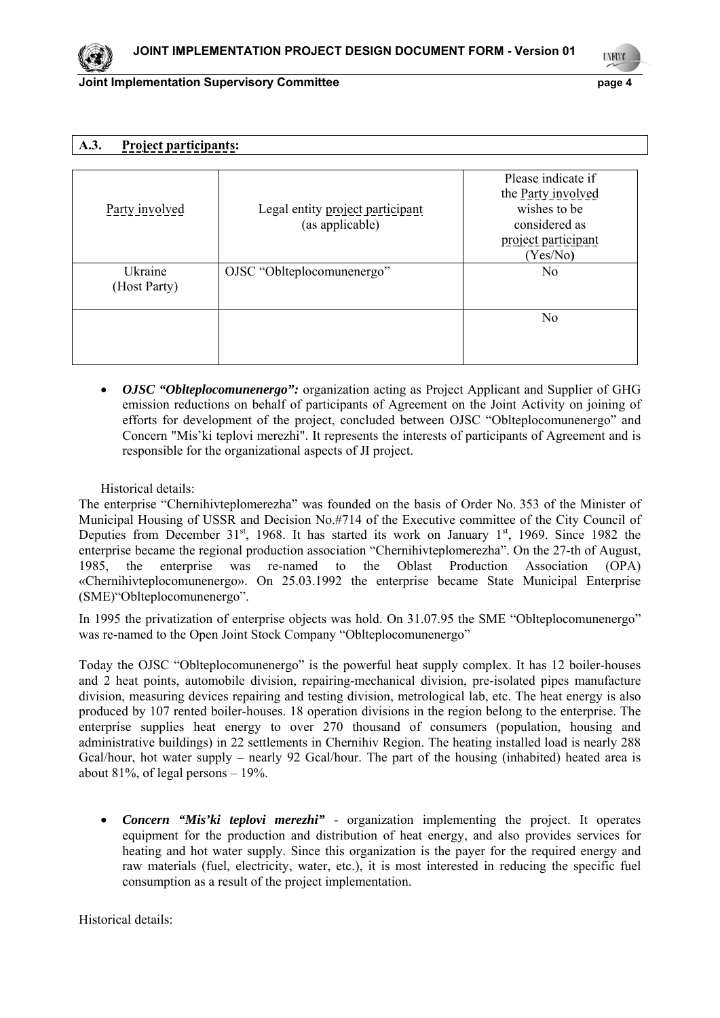**LYFCO** 

4

# **A.3. Project participants:**

| Party involved          | Legal entity project participant<br>(as applicable) | Please indicate if<br>the Party involved<br>wishes to be<br>considered as<br>project participant<br>(Yes/No) |
|-------------------------|-----------------------------------------------------|--------------------------------------------------------------------------------------------------------------|
| Ukraine<br>(Host Party) | OJSC "Oblteplocomunenergo"                          | N <sub>0</sub>                                                                                               |
|                         |                                                     | N <sub>o</sub>                                                                                               |

• *OJSC "Oblteplocomunenergo":* organization acting as Project Applicant and Supplier of GHG emission reductions on behalf of participants of Agreement on the Joint Activity on joining of efforts for development of the project, concluded between OJSC "Oblteplocomunenergo" and Concern "Mis'ki teplovi merezhi". It represents the interests of participants of Agreement and is responsible for the organizational aspects of JI project.

Historical details:

The enterprise "Chernihivteplomerezha" was founded on the basis of Order No. 353 of the Minister of Municipal Housing of USSR and Decision No.#714 of the Executive committee of the City Council of Deputies from December  $31^{st}$ , 1968. It has started its work on January  $1^{st}$ , 1969. Since 1982 the enterprise became the regional production association "Chernihivteplomerezha". On the 27-th of August, 1985, the enterprise was re-named to the Oblast Production Association (OPA) «Chernihivteplocomunenergo». On 25.03.1992 the enterprise became State Municipal Enterprise (SME)"Oblteplocomunenergo".

In 1995 the privatization of enterprise objects was hold. On 31.07.95 the SME "Oblteplocomunenergo" was re-named to the Open Joint Stock Company "Oblteplocomunenergo"

Today the OJSC "Oblteplocomunenergo" is the powerful heat supply complex. It has 12 boiler-houses and 2 heat points, automobile division, repairing-mechanical division, pre-isolated pipes manufacture division, measuring devices repairing and testing division, metrological lab, etc. The heat energy is also produced by 107 rented boiler-houses. 18 operation divisions in the region belong to the enterprise. The enterprise supplies heat energy to over 270 thousand of consumers (population, housing and administrative buildings) in 22 settlements in Chernihiv Region. The heating installed load is nearly 288 Gcal/hour, hot water supply – nearly 92 Gcal/hour. The part of the housing (inhabited) heated area is about 81%, of legal persons – 19%.

• *Concern "Mis'ki teplovi merezhi"* - organization implementing the project. It operates equipment for the production and distribution of heat energy, and also provides services for heating and hot water supply. Since this organization is the payer for the required energy and raw materials (fuel, electricity, water, etc.), it is most interested in reducing the specific fuel consumption as a result of the project implementation.

Historical details:

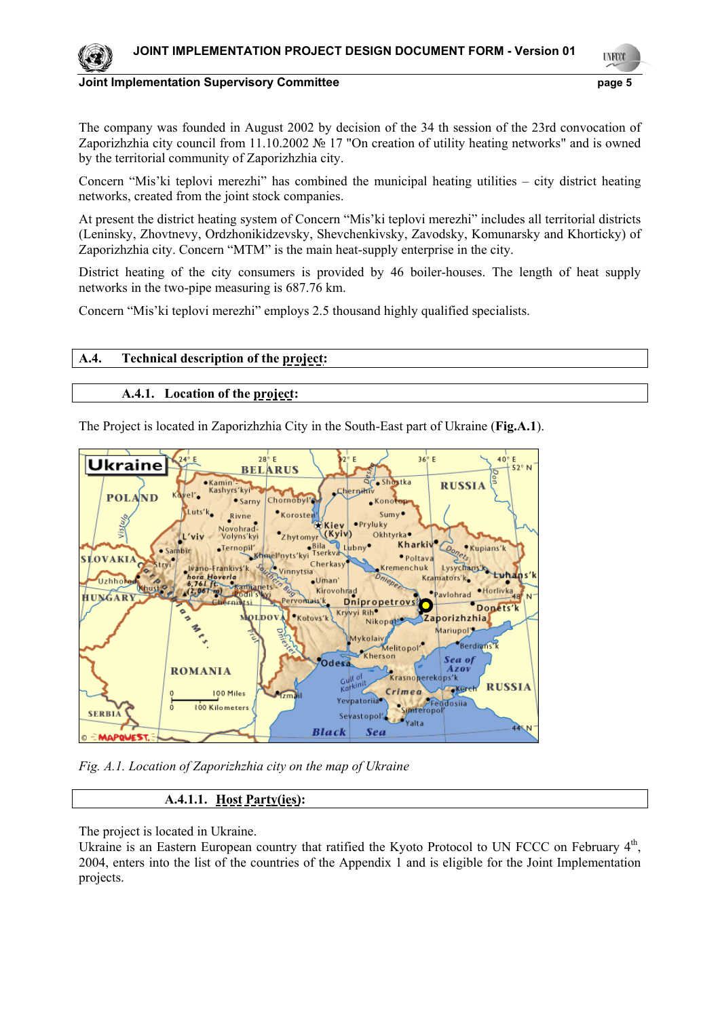

5 **UNFOOL** 

#### **Joint Implementation Supervisory Committee** *page 5* **page 5**

The company was founded in August 2002 by decision of the 34 th session of the 23rd convocation of Zaporizhzhia city council from 11.10.2002 № 17 "On creation of utility heating networks" and is owned by the territorial community of Zaporizhzhia city.

Concern "Mis'ki teplovi merezhi" has combined the municipal heating utilities – city district heating networks, created from the joint stock companies.

At present the district heating system of Concern "Mis'ki teplovi merezhi" includes all territorial districts (Leninsky, Zhovtnevy, Ordzhonikidzevsky, Shevchenkivsky, Zavodsky, Komunarsky and Khorticky) of Zaporizhzhia city. Concern "MTM" is the main heat-supply enterprise in the city.

District heating of the city consumers is provided by 46 boiler-houses. The length of heat supply networks in the two-pipe measuring is 687.76 km.

Concern "Mis'ki teplovi merezhi" employs 2.5 thousand highly qualified specialists.

# **A.4. Technical description of the project:**

# **A.4.1. Location of the project:**

The Project is located in Zaporizhzhia City in the South-East part of Ukraine (**Fig.A.1**).



*Fig. A.1. Location of Zaporizhzhia city on the map of Ukraine*

# **A.4.1.1. Host Party(ies):**

The project is located in Ukraine.

Ukraine is an Eastern European country that ratified the Kyoto Protocol to UN FCCC on February  $4<sup>th</sup>$ , 2004, enters into the list of the countries of the Appendix 1 and is eligible for the Joint Implementation projects.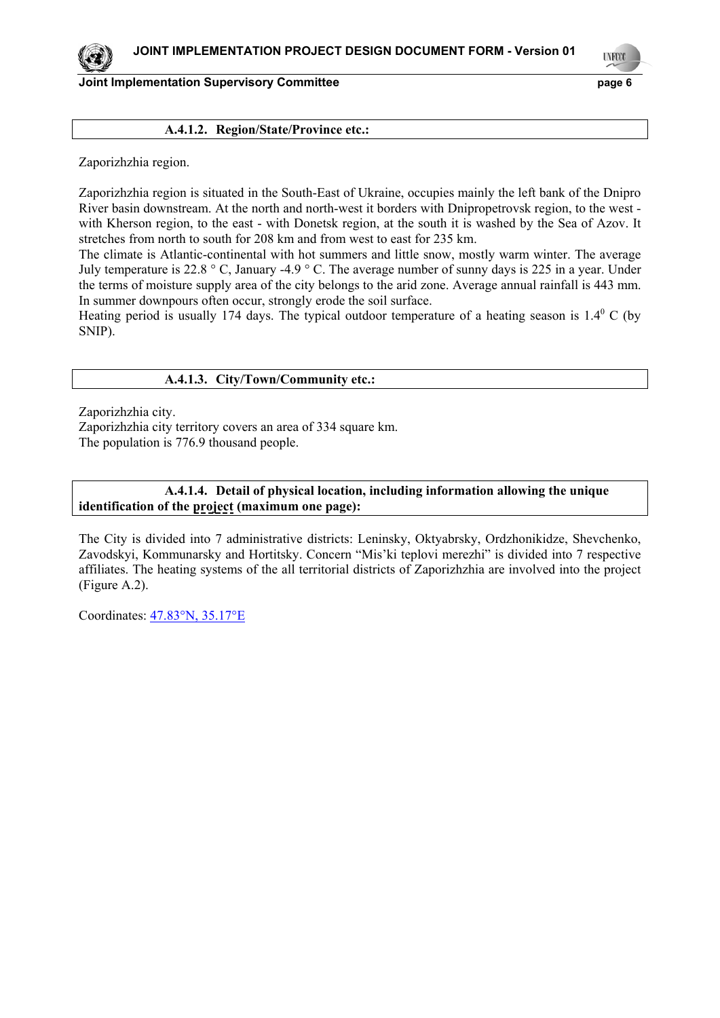### **A.4.1.2. Region/State/Province etc.:**

Zaporizhzhia region.

Zaporizhzhia region is situated in the South-East of Ukraine, occupies mainly the left bank of the Dnipro River basin downstream. At the north and north-west it borders with Dnipropetrovsk region, to the west with Kherson region, to the east - with Donetsk region, at the south it is washed by the Sea of Azov. It stretches from north to south for 208 km and from west to east for 235 km.

The climate is Atlantic-continental with hot summers and little snow, mostly warm winter. The average July temperature is 22.8 ° C, January -4.9 ° C. The average number of sunny days is 225 in a year. Under the terms of moisture supply area of the city belongs to the arid zone. Average annual rainfall is 443 mm. In summer downpours often occur, strongly erode the soil surface.

Heating period is usually 174 days. The typical outdoor temperature of a heating season is  $1.4^{\circ}$  C (by SNIP).

### **A.4.1.3. City/Town/Community etc.:**

Zaporizhzhia city.

Zaporizhzhia city territory covers an area of 334 square km. The population is 776.9 thousand people.

### **A.4.1.4. Detail of physical location, including information allowing the unique identification of the project (maximum one page):**

The City is divided into 7 administrative districts: Leninsky, Oktyabrsky, Ordzhonikidze, Shevchenko, Zavodskyi, Kommunarsky and Hortitsky. Concern "Mis'ki teplovi merezhi" is divided into 7 respective affiliates. The heating systems of the all territorial districts of Zaporizhzhia are involved into the project (Figure A.2).

Coordinates: 47.83°N, 35.17°E



**UNFCO**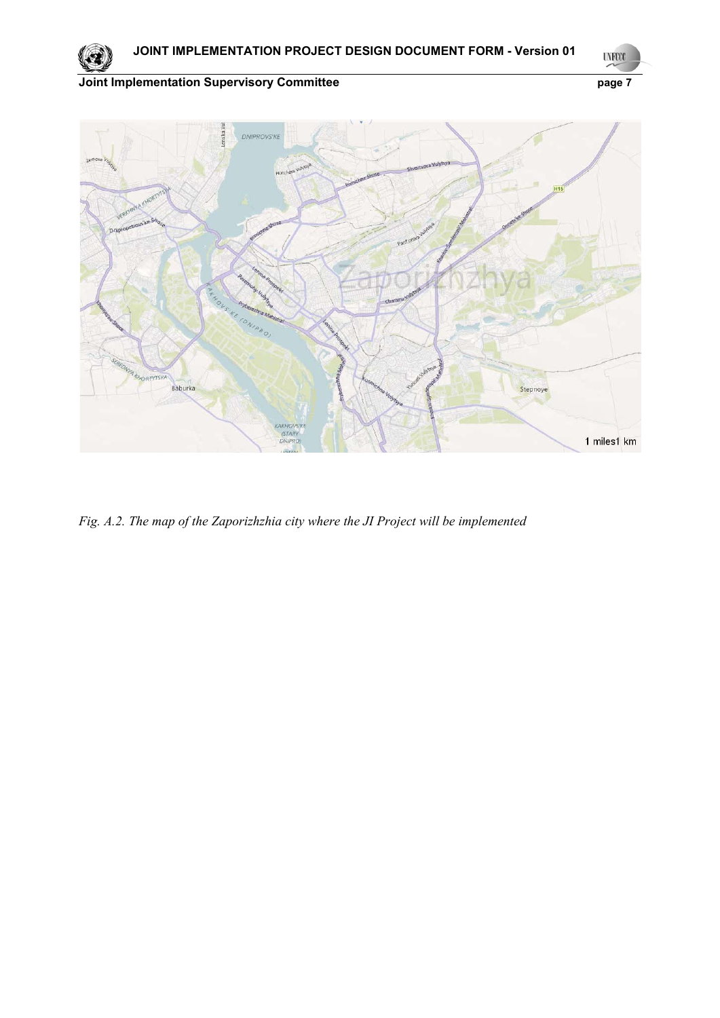7 **UNFCCC** 

**Joint Implementation Supervisory Committee Page 7** page 7



*Fig. A.2. The map of the Zaporizhzhia city where the JI Project will be implemented*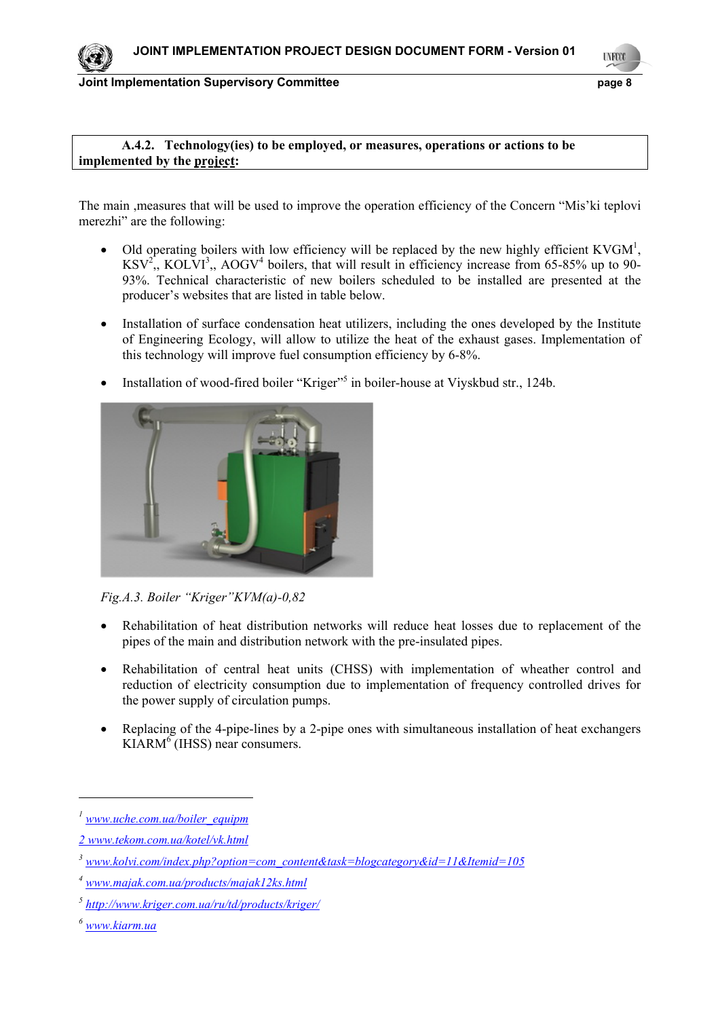

**UNFOO** 

8

### **A.4.2. Technology(ies) to be employed, or measures, operations or actions to be implemented by the project:**

The main ,measures that will be used to improve the operation efficiency of the Concern "Mis'ki teplovi merezhi" are the following:

- Old operating boilers with low efficiency will be replaced by the new highly efficient KVGM<sup>1</sup>,  $KSV<sup>2</sup>$ ,,  $KOLVI<sup>3</sup>$ ,,  $AOGV<sup>4</sup>$  boilers, that will result in efficiency increase from 65-85% up to 90-93%. Technical characteristic of new boilers scheduled to be installed are presented at the producer's websites that are listed in table below.
- Installation of surface condensation heat utilizers, including the ones developed by the Institute of Engineering Ecology, will allow to utilize the heat of the exhaust gases. Implementation of this technology will improve fuel consumption efficiency by 6-8%.
- Installation of wood-fired boiler "Kriger"<sup>5</sup> in boiler-house at Viyskbud str., 124b.



*Fig.A.3. Boiler "Kriger"KVM(a)-0,82*

- Rehabilitation of heat distribution networks will reduce heat losses due to replacement of the pipes of the main and distribution network with the pre-insulated pipes.
- Rehabilitation of central heat units (CHSS) with implementation of wheather control and reduction of electricity consumption due to implementation of frequency controlled drives for the power supply of circulation pumps.
- Replacing of the 4-pipe-lines by a 2-pipe ones with simultaneous installation of heat exchangers KIARM<sup>6</sup> (IHSS) near consumers.

*<sup>1</sup> www.uche.com.ua/boiler\_equipm*

*<sup>2</sup> www.tekom.com.ua/kotel/vk.html*

*<sup>3</sup> www.kolvi.com/index.php?option=com\_content&task=blogcategory&id=11&Itemid=105*

*<sup>4</sup> www.majak.com.ua/products/majak12ks.html*

*<sup>5</sup> http://www.kriger.com.ua/ru/td/products/kriger/*

*<sup>6</sup> www.kiarm.ua*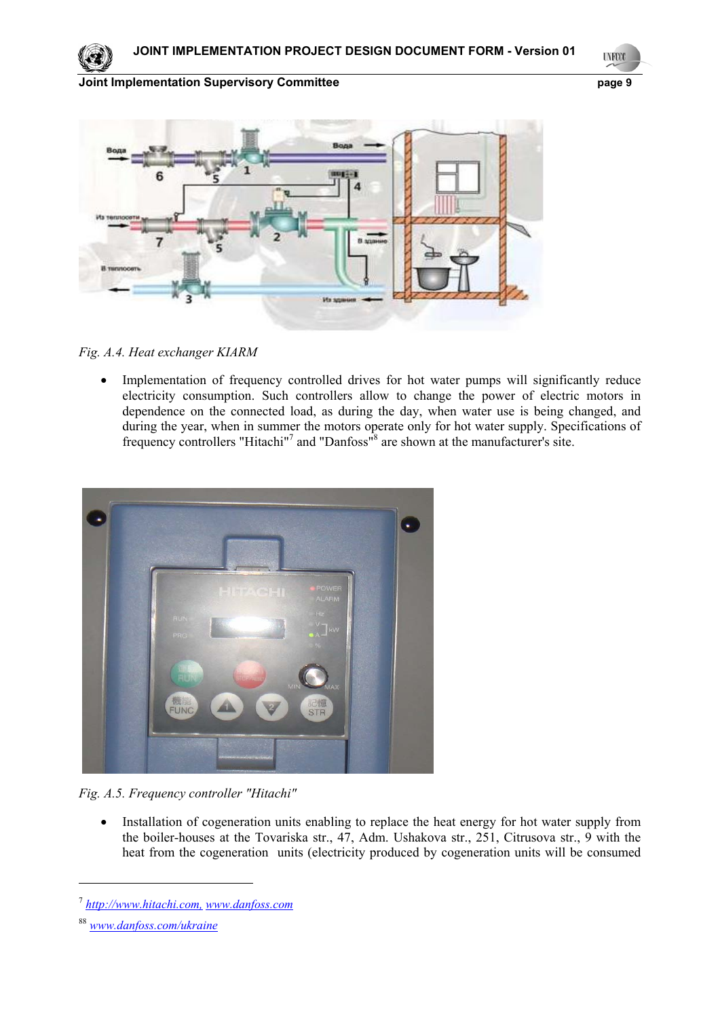**UNFCCC** 

9

# **Joint Implementation Supervisory Committee** *page* **9**





*Fig. A.4. Heat exchanger KIARM* 

• Implementation of frequency controlled drives for hot water pumps will significantly reduce electricity consumption. Such controllers allow to change the power of electric motors in dependence on the connected load, as during the day, when water use is being changed, and during the year, when in summer the motors operate only for hot water supply. Specifications of frequency controllers "Hitachi"<sup>7</sup> and "Danfoss"<sup>8</sup> are shown at the manufacturer's site.



*Fig. A.5. Frequency controller "Hitachi"* 

• Installation of cogeneration units enabling to replace the heat energy for hot water supply from the boiler-houses at the Tovariska str., 47, Adm. Ushakova str., 251, Citrusova str., 9 with the heat from the cogeneration units (electricity produced by cogeneration units will be consumed

<sup>7</sup> *http://www.hitachi.com, www.danfoss.com*

<sup>88</sup> *www.danfoss.com/ukraine*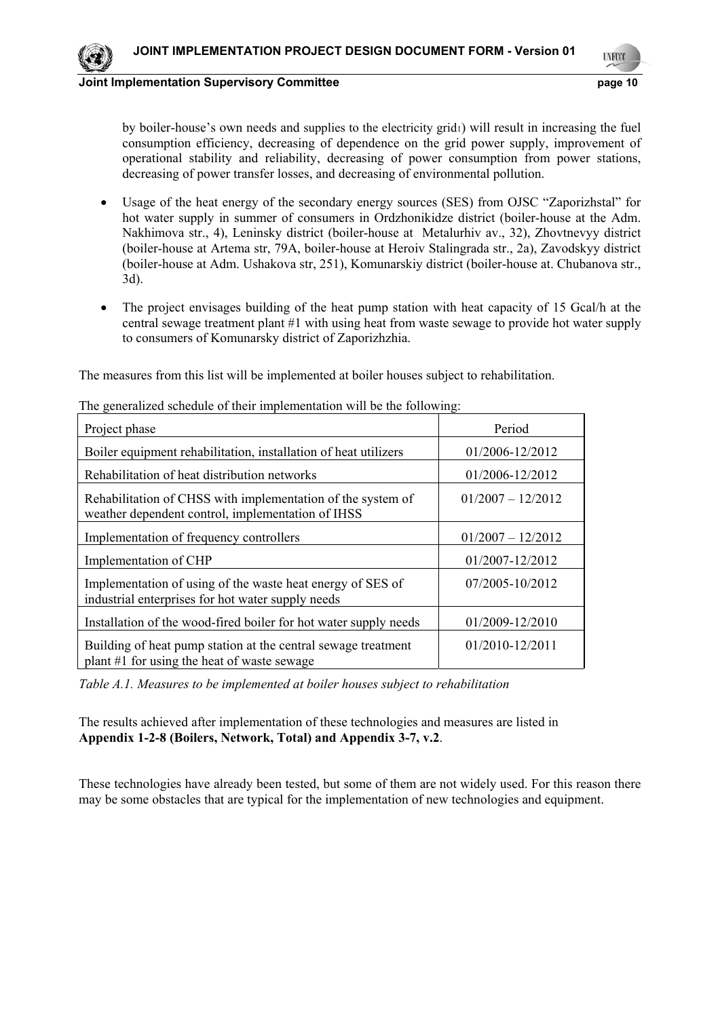

10 **LYFCO** 

**Joint Implementation Supervisory Committee**  page 10

by boiler-house's own needs and supplies to the electricity grid1) will result in increasing the fuel consumption efficiency, decreasing of dependence on the grid power supply, improvement of operational stability and reliability, decreasing of power consumption from power stations, decreasing of power transfer losses, and decreasing of environmental pollution.

- Usage of the heat energy of the secondary energy sources (SES) from OJSC "Zaporizhstal" for hot water supply in summer of consumers in Ordzhonikidze district (boiler-house at the Adm. Nakhimova str., 4), Leninsky district (boiler-house at Metalurhiv av., 32), Zhovtnevyy district (boiler-house at Artema str, 79A, boiler-house at Heroiv Stalingrada str., 2a), Zavodskyy district (boiler-house at Adm. Ushakova str, 251), Komunarskiy district (boiler-house at. Chubanova str., 3d).
- The project envisages building of the heat pump station with heat capacity of 15 Gcal/h at the central sewage treatment plant #1 with using heat from waste sewage to provide hot water supply to consumers of Komunarsky district of Zaporizhzhia.

The measures from this list will be implemented at boiler houses subject to rehabilitation.

| Project phase                                                                                                    | Period              |
|------------------------------------------------------------------------------------------------------------------|---------------------|
| Boiler equipment rehabilitation, installation of heat utilizers                                                  | 01/2006-12/2012     |
| Rehabilitation of heat distribution networks                                                                     | 01/2006-12/2012     |
| Rehabilitation of CHSS with implementation of the system of<br>weather dependent control, implementation of IHSS | $01/2007 - 12/2012$ |
| Implementation of frequency controllers                                                                          | $01/2007 - 12/2012$ |
| Implementation of CHP                                                                                            | 01/2007-12/2012     |
| Implementation of using of the waste heat energy of SES of<br>industrial enterprises for hot water supply needs  | 07/2005-10/2012     |
| Installation of the wood-fired boiler for hot water supply needs                                                 | 01/2009-12/2010     |
| Building of heat pump station at the central sewage treatment<br>plant #1 for using the heat of waste sewage     | 01/2010-12/2011     |

The generalized schedule of their implementation will be the following:

*Table А.1. Measures to be implemented at boiler houses subject to rehabilitation* 

The results achieved after implementation of these technologies and measures are listed in **Appendix 1-2-8 (Boilers, Network, Total) and Appendix 3-7, v.2**.

These technologies have already been tested, but some of them are not widely used. For this reason there may be some obstacles that are typical for the implementation of new technologies and equipment.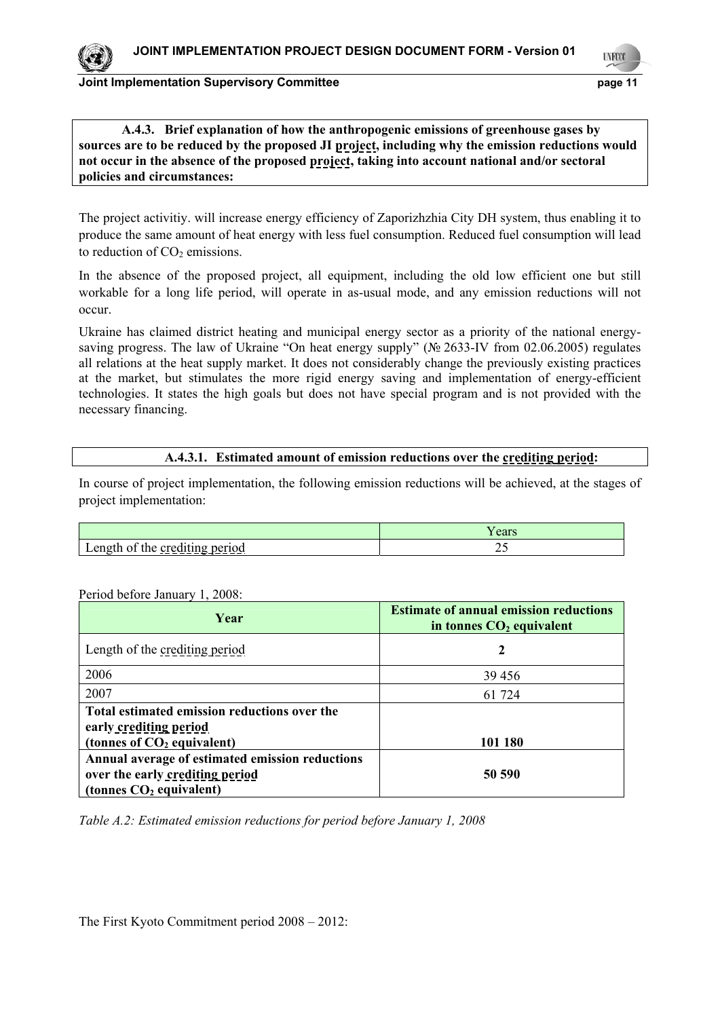**LYFCO** 

11

# **A.4.3. Brief explanation of how the anthropogenic emissions of greenhouse gases by sources are to be reduced by the proposed JI project, including why the emission reductions would not occur in the absence of the proposed project, taking into account national and/or sectoral policies and circumstances:**

The project activitiy. will increase energy efficiency of Zaporizhzhia City DH system, thus enabling it to produce the same amount of heat energy with less fuel consumption. Reduced fuel consumption will lead to reduction of  $CO<sub>2</sub>$  emissions.

In the absence of the proposed project, all equipment, including the old low efficient one but still workable for a long life period, will operate in as-usual mode, and any emission reductions will not occur.

Ukraine has claimed district heating and municipal energy sector as a priority of the national energysaving progress. The law of Ukraine "On heat energy supply" (№ 2633-IV from 02.06.2005) regulates all relations at the heat supply market. It does not considerably change the previously existing practices at the market, but stimulates the more rigid energy saving and implementation of energy-efficient technologies. It states the high goals but does not have special program and is not provided with the necessary financing.

# **A.4.3.1. Estimated amount of emission reductions over the crediting period:**

In course of project implementation, the following emission reductions will be achieved, at the stages of project implementation:

|                                                    | ears |
|----------------------------------------------------|------|
| $\alpha$ n<br><u>crequing period</u><br>᠂<br>ັ<br> | ∼    |

### Period before January 1, 2008:

| Year                                                                                                            | <b>Estimate of annual emission reductions</b><br>in tonnes $CO2$ equivalent |
|-----------------------------------------------------------------------------------------------------------------|-----------------------------------------------------------------------------|
| Length of the crediting period                                                                                  |                                                                             |
| 2006                                                                                                            | 39 45 6                                                                     |
| 2007                                                                                                            | 61 724                                                                      |
| Total estimated emission reductions over the<br>early crediting period<br>(tonnes of $CO2$ equivalent)          | 101 180                                                                     |
| Annual average of estimated emission reductions<br>over the early crediting period<br>(tonnes $CO2$ equivalent) | 50 590                                                                      |

*Table A.2: Estimated emission reductions for period before January 1, 2008*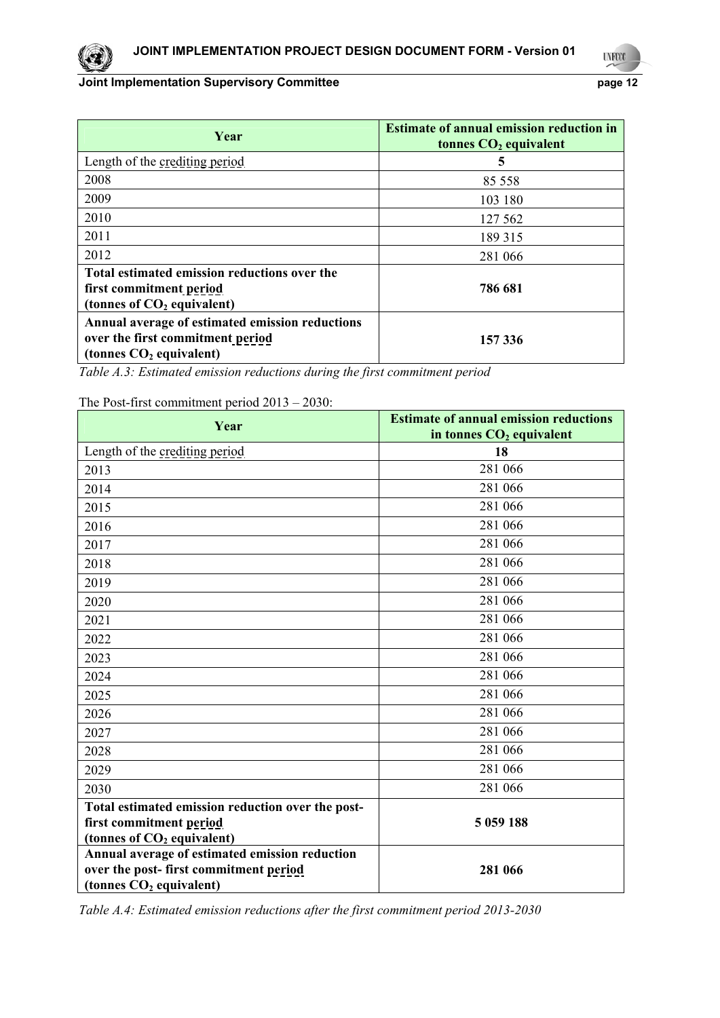| Year                                                                                                             | <b>Estimate of annual emission reduction in</b><br>tonnes $CO2$ equivalent |
|------------------------------------------------------------------------------------------------------------------|----------------------------------------------------------------------------|
| Length of the crediting period                                                                                   | 5                                                                          |
| 2008                                                                                                             | 85 558                                                                     |
| 2009                                                                                                             | 103 180                                                                    |
| 2010                                                                                                             | 127 562                                                                    |
| 2011                                                                                                             | 189 315                                                                    |
| 2012                                                                                                             | 281 066                                                                    |
| Total estimated emission reductions over the<br>first commitment period<br>(tonnes of $CO2$ equivalent)          | 786 681                                                                    |
| Annual average of estimated emission reductions<br>over the first commitment period<br>(tonnes $CO2$ equivalent) | 157 336                                                                    |

*Table A.3: Estimated emission reductions during the first commitment period* 

The Post-first commitment period 2013 – 2030:

| Year                                                                                                                                                                                      | <b>Estimate of annual emission reductions</b><br>in tonnes $CO2$ equivalent |
|-------------------------------------------------------------------------------------------------------------------------------------------------------------------------------------------|-----------------------------------------------------------------------------|
| Length of the crediting period                                                                                                                                                            | 18                                                                          |
| 2013                                                                                                                                                                                      | 281 066                                                                     |
| 2014                                                                                                                                                                                      | 281 066                                                                     |
| 2015                                                                                                                                                                                      | 281 066                                                                     |
| 2016                                                                                                                                                                                      | 281 066                                                                     |
| 2017                                                                                                                                                                                      | 281 066                                                                     |
| 2018                                                                                                                                                                                      | 281 066                                                                     |
| 2019                                                                                                                                                                                      | 281 066                                                                     |
| 2020                                                                                                                                                                                      | 281 066                                                                     |
| 2021                                                                                                                                                                                      | 281 066                                                                     |
| 2022                                                                                                                                                                                      | 281 066                                                                     |
| 2023                                                                                                                                                                                      | 281 066                                                                     |
| 2024                                                                                                                                                                                      | 281 066                                                                     |
| 2025                                                                                                                                                                                      | 281 066                                                                     |
| 2026                                                                                                                                                                                      | 281 066                                                                     |
| 2027                                                                                                                                                                                      | 281 066                                                                     |
| 2028                                                                                                                                                                                      | 281 066                                                                     |
| 2029                                                                                                                                                                                      | 281 066                                                                     |
| 2030                                                                                                                                                                                      | 281 066                                                                     |
| Total estimated emission reduction over the post-                                                                                                                                         |                                                                             |
|                                                                                                                                                                                           | 5 059 188                                                                   |
|                                                                                                                                                                                           |                                                                             |
|                                                                                                                                                                                           |                                                                             |
|                                                                                                                                                                                           |                                                                             |
| first commitment period<br>(tonnes of CO <sub>2</sub> equivalent)<br>Annual average of estimated emission reduction<br>over the post-first commitment period<br>(tonnes $CO2$ equivalent) | 281 066                                                                     |

*Table A.4: Estimated emission reductions after the first commitment period 2013-2030*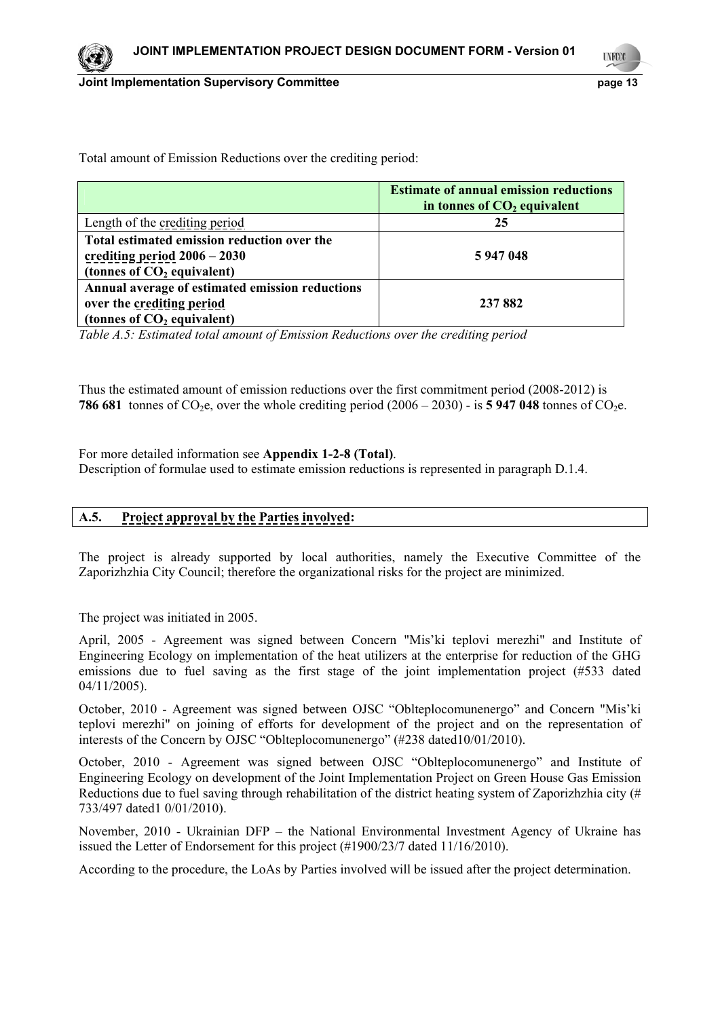13

Total amount of Emission Reductions over the crediting period:

|                                                                                                               | <b>Estimate of annual emission reductions</b><br>in tonnes of $CO2$ equivalent |
|---------------------------------------------------------------------------------------------------------------|--------------------------------------------------------------------------------|
| Length of the crediting period                                                                                | 25                                                                             |
| Total estimated emission reduction over the<br>crediting period $2006 - 2030$<br>(tonnes of $CO2$ equivalent) | 5947048                                                                        |
| Annual average of estimated emission reductions<br>over the crediting period<br>(tonnes of $CO2$ equivalent)  | 237 882                                                                        |

*Table A.5: Estimated total amount of Emission Reductions over the crediting period* 

Thus the estimated amount of emission reductions over the first commitment period (2008-2012) is **786 681** tonnes of CO<sub>2</sub>e, over the whole crediting period  $(2006 - 2030)$  - is **5 947 048** tonnes of CO<sub>2</sub>e.

For more detailed information see **Appendix 1-2-8 (Total)**.

Description of formulae used to estimate emission reductions is represented in paragraph D.1.4.

| A.5. | <b>Project approval by the Parties involved:</b> |
|------|--------------------------------------------------|
|      |                                                  |

The project is already supported by local authorities, namely the Executive Committee of the Zaporizhzhia City Council; therefore the organizational risks for the project are minimized.

The project was initiated in 2005.

April, 2005 - Agreement was signed between Concern "Mis'ki teplovi merezhi" and Institute of Engineering Ecology on implementation of the heat utilizers at the enterprise for reduction of the GHG emissions due to fuel saving as the first stage of the joint implementation project (#533 dated 04/11/2005).

October, 2010 - Agreement was signed between OJSC "Oblteplocomunenergo" and Concern "Mis'ki teplovi merezhi" on joining of efforts for development of the project and on the representation of interests of the Concern by OJSC "Oblteplocomunenergo" (#238 dated10/01/2010).

October, 2010 - Agreement was signed between OJSC "Oblteplocomunenergo" and Institute of Engineering Ecology on development of the Joint Implementation Project on Green House Gas Emission Reductions due to fuel saving through rehabilitation of the district heating system of Zaporizhzhia city (# 733/497 dated1 0/01/2010).

November, 2010 - Ukrainian DFP – the National Environmental Investment Agency of Ukraine has issued the Letter of Endorsement for this project (#1900/23/7 dated 11/16/2010).

According to the procedure, the LoAs by Parties involved will be issued after the project determination.



**LYFCO**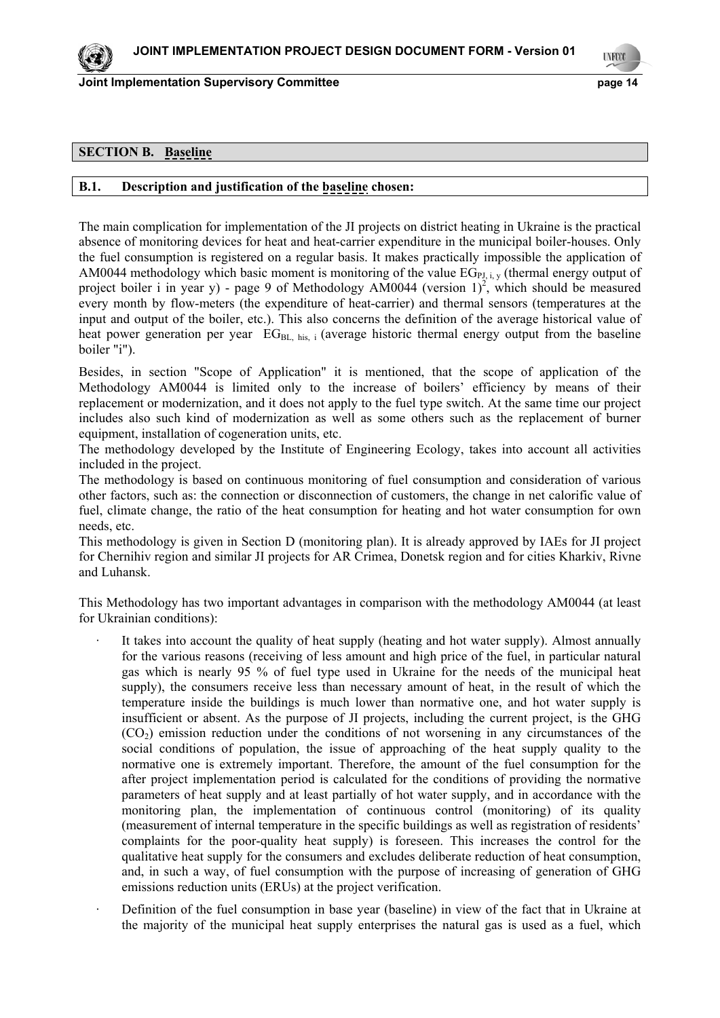**Joint Implementation Supervisory Committee Example 2018 14** Page 14

**LYFOO** 

14

# **SECTION B. Baseline**

### **B.1. Description and justification of the baseline chosen:**

The main complication for implementation of the JI projects on district heating in Ukraine is the practical absence of monitoring devices for heat and heat-carrier expenditure in the municipal boiler-houses. Only the fuel consumption is registered on a regular basis. It makes practically impossible the application of AM0044 methodology which basic moment is monitoring of the value  $EG_{PL, i, v}$  (thermal energy output of project boiler i in year y) - page 9 of Methodology AM0044 (version  $1)^2$ , which should be measured every month by flow-meters (the expenditure of heat-carrier) and thermal sensors (temperatures at the input and output of the boiler, etc.). This also concerns the definition of the average historical value of heat power generation per year  $EG_{BL, his, i}$  (average historic thermal energy output from the baseline boiler "i").

Besides, in section "Scope of Application" it is mentioned, that the scope of application of the Methodology АМ0044 is limited only to the increase of boilers' efficiency by means of their replacement or modernization, and it does not apply to the fuel type switch. At the same time our project includes also such kind of modernization as well as some others such as the replacement of burner equipment, installation of cogeneration units, etc.

The methodology developed by the Institute of Engineering Ecology, takes into account all activities included in the project.

The methodology is based on continuous monitoring of fuel consumption and consideration of various other factors, such as: the connection or disconnection of customers, the change in net calorific value of fuel, climate change, the ratio of the heat consumption for heating and hot water consumption for own needs, etc.

This methodology is given in Section D (monitoring plan). It is already approved by IAEs for JI project for Chernihiv region and similar JI projects for AR Crimea, Donetsk region and for cities Kharkiv, Rivne and Luhansk.

This Methodology has two important advantages in comparison with the methodology АМ0044 (at least for Ukrainian conditions):

- It takes into account the quality of heat supply (heating and hot water supply). Almost annually for the various reasons (receiving of less amount and high price of the fuel, in particular natural gas which is nearly 95 % of fuel type used in Ukraine for the needs of the municipal heat supply), the consumers receive less than necessary amount of heat, in the result of which the temperature inside the buildings is much lower than normative one, and hot water supply is insufficient or absent. As the purpose of JI projects, including the current project, is the GHG (СО2) emission reduction under the conditions of not worsening in any circumstances of the social conditions of population, the issue of approaching of the heat supply quality to the normative one is extremely important. Therefore, the amount of the fuel consumption for the after project implementation period is calculated for the conditions of providing the normative parameters of heat supply and at least partially of hot water supply, and in accordance with the monitoring plan, the implementation of continuous control (monitoring) of its quality (measurement of internal temperature in the specific buildings as well as registration of residents' complaints for the poor-quality heat supply) is foreseen. This increases the control for the qualitative heat supply for the consumers and excludes deliberate reduction of heat consumption, and, in such a way, of fuel consumption with the purpose of increasing of generation of GHG emissions reduction units (ERUs) at the project verification.
- Definition of the fuel consumption in base year (baseline) in view of the fact that in Ukraine at the majority of the municipal heat supply enterprises the natural gas is used as a fuel, which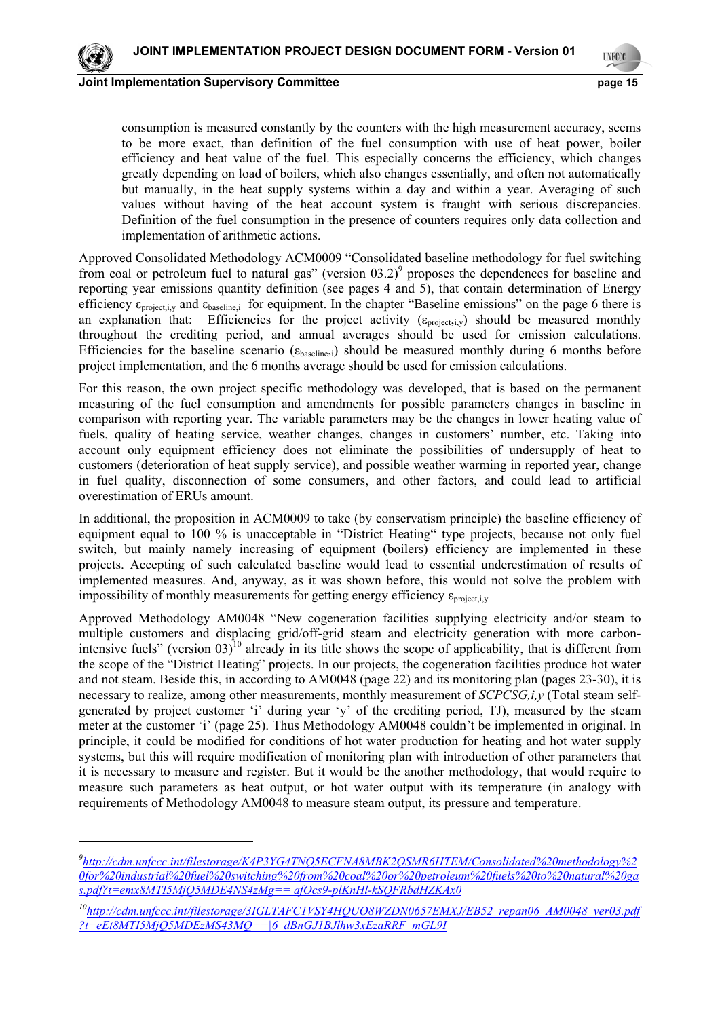

-

15

**Joint Implementation Supervisory Committee page 15**

**LYFOO** 

consumption is measured constantly by the counters with the high measurement accuracy, seems to be more exact, than definition of the fuel consumption with use of heat power, boiler efficiency and heat value of the fuel. This especially concerns the efficiency, which changes greatly depending on load of boilers, which also changes essentially, and often not automatically but manually, in the heat supply systems within a day and within a year. Averaging of such values without having of the heat account system is fraught with serious discrepancies. Definition of the fuel consumption in the presence of counters requires only data collection and implementation of arithmetic actions.

Approved Consolidated Methodology ACM0009 "Consolidated baseline methodology for fuel switching from coal or petroleum fuel to natural gas" (version  $03.2$ )<sup>9</sup> proposes the dependences for baseline and reporting year emissions quantity definition (see pages 4 and 5), that contain determination of Energy efficiency  $\varepsilon_{\text{project,i,v}}$  and  $\varepsilon_{\text{baseline,i}}$  for equipment. In the chapter "Baseline emissions" on the page 6 there is an explanation that: Efficiencies for the project activity  $(\varepsilon_{\text{project,i,y}})$  should be measured monthly throughout the crediting period, and annual averages should be used for emission calculations. Efficiencies for the baseline scenario ( $\varepsilon_{\text{baseline},i}$ ) should be measured monthly during 6 months before project implementation, and the 6 months average should be used for emission calculations.

For this reason, the own project specific methodology was developed, that is based on the permanent measuring of the fuel consumption and amendments for possible parameters changes in baseline in comparison with reporting year. The variable parameters may be the changes in lower heating value of fuels, quality of heating service, weather changes, changes in customers' number, etc. Taking into account only equipment efficiency does not eliminate the possibilities of undersupply of heat to customers (deterioration of heat supply service), and possible weather warming in reported year, change in fuel quality, disconnection of some consumers, and other factors, and could lead to artificial overestimation of ERUs amount.

In additional, the proposition in ACM0009 to take (by conservatism principle) the baseline efficiency of equipment equal to 100 % is unacceptable in "District Heating" type projects, because not only fuel switch, but mainly namely increasing of equipment (boilers) efficiency are implemented in these projects. Accepting of such calculated baseline would lead to essential underestimation of results of implemented measures. And, anyway, as it was shown before, this would not solve the problem with impossibility of monthly measurements for getting energy efficiency  $\varepsilon_{\text{project,i,v}}$ .

Approved Methodology AM0048 "New cogeneration facilities supplying electricity and/or steam to multiple customers and displacing grid/off-grid steam and electricity generation with more carbonintensive fuels" (version  $03)$ <sup>10</sup> already in its title shows the scope of applicability, that is different from the scope of the "District Heating" projects. In our projects, the cogeneration facilities produce hot water and not steam. Beside this, in according to AM0048 (page 22) and its monitoring plan (pages 23-30), it is necessary to realize, among other measurements, monthly measurement of *SCPCSG,i,y* (Total steam selfgenerated by project customer 'i' during year 'y' of the crediting period, TJ), measured by the steam meter at the customer 'i' (page 25). Thus Methodology AM0048 couldn't be implemented in original. In principle, it could be modified for conditions of hot water production for heating and hot water supply systems, but this will require modification of monitoring plan with introduction of other parameters that it is necessary to measure and register. But it would be the another methodology, that would require to measure such parameters as heat output, or hot water output with its temperature (in analogy with requirements of Methodology AM0048 to measure steam output, its pressure and temperature.

*<sup>9</sup> http://cdm.unfccc.int/filestorage/K4P3YG4TNQ5ECFNA8MBK2QSMR6HTEM/Consolidated%20methodology%2 0for%20industrial%20fuel%20switching%20from%20coal%20or%20petroleum%20fuels%20to%20natural%20ga s.pdf?t=emx8MTI5MjQ5MDE4NS4zMg==|afOcs9-plKnHl-kSQFRbdHZKAx0*

*<sup>10</sup>http://cdm.unfccc.int/filestorage/3IGLTAFC1VSY4HQUO8WZDN0657EMXJ/EB52\_repan06\_AM0048\_ver03.pdf ?t=eEt8MTI5MjQ5MDEzMS43MQ==|6\_dBnGJ1BJlhw3xEzaRRF\_mGL9I*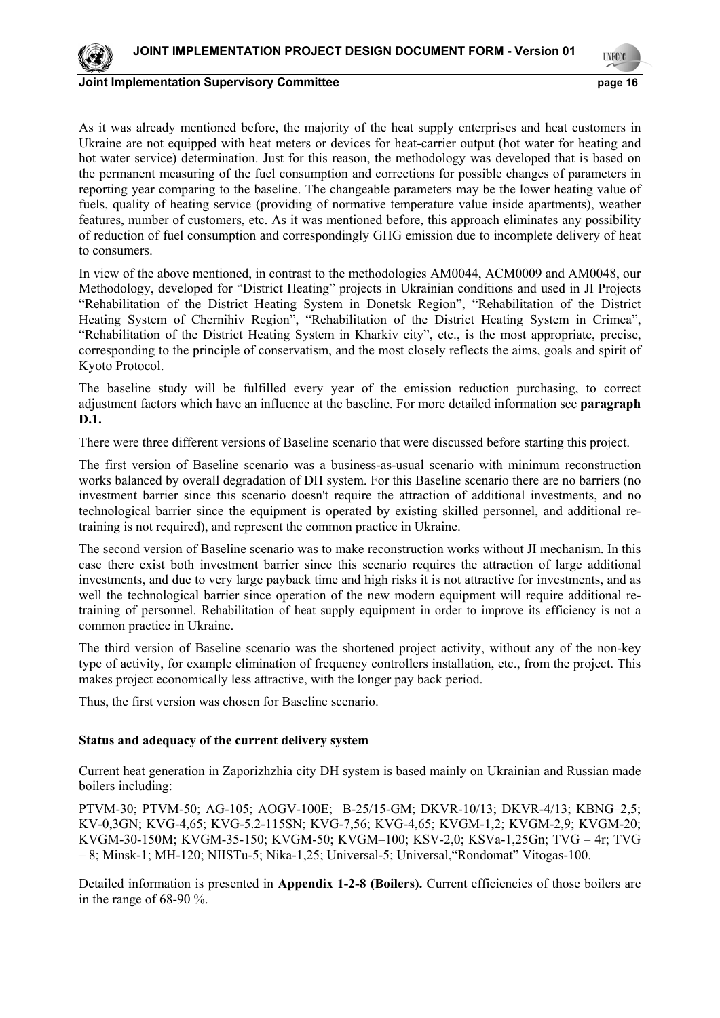

**LYFOO** 

16

**Joint Implementation Supervisory Committee and Community Community Community Community Community Community Community Community Community Community Community Community Community Community Community Community Community Comm** 

As it was already mentioned before, the majority of the heat supply enterprises and heat customers in Ukraine are not equipped with heat meters or devices for heat-carrier output (hot water for heating and hot water service) determination. Just for this reason, the methodology was developed that is based on the permanent measuring of the fuel consumption and corrections for possible changes of parameters in reporting year comparing to the baseline. The changeable parameters may be the lower heating value of fuels, quality of heating service (providing of normative temperature value inside apartments), weather features, number of customers, etc. As it was mentioned before, this approach eliminates any possibility of reduction of fuel consumption and correspondingly GHG emission due to incomplete delivery of heat to consumers.

In view of the above mentioned, in contrast to the methodologies AM0044, ACM0009 and AM0048, our Methodology, developed for "District Heating" projects in Ukrainian conditions and used in JI Projects "Rehabilitation of the District Heating System in Donetsk Region", "Rehabilitation of the District Heating System of Chernihiv Region", "Rehabilitation of the District Heating System in Crimea", "Rehabilitation of the District Heating System in Kharkiv city", etc., is the most appropriate, precise, corresponding to the principle of conservatism, and the most closely reflects the aims, goals and spirit of Kyoto Protocol.

The baseline study will be fulfilled every year of the emission reduction purchasing, to correct adjustment factors which have an influence at the baseline. For more detailed information see **paragraph D.1.** 

There were three different versions of Baseline scenario that were discussed before starting this project.

The first version of Baseline scenario was a business-as-usual scenario with minimum reconstruction works balanced by overall degradation of DH system. For this Baseline scenario there are no barriers (no investment barrier since this scenario doesn't require the attraction of additional investments, and no technological barrier since the equipment is operated by existing skilled personnel, and additional retraining is not required), and represent the common practice in Ukraine.

The second version of Baseline scenario was to make reconstruction works without JI mechanism. In this case there exist both investment barrier since this scenario requires the attraction of large additional investments, and due to very large payback time and high risks it is not attractive for investments, and as well the technological barrier since operation of the new modern equipment will require additional retraining of personnel. Rehabilitation of heat supply equipment in order to improve its efficiency is not a common practice in Ukraine.

The third version of Baseline scenario was the shortened project activity, without any of the non-key type of activity, for example elimination of frequency controllers installation, etc., from the project. This makes project economically less attractive, with the longer pay back period.

Thus, the first version was chosen for Baseline scenario.

### **Status and adequacy of the current delivery system**

Current heat generation in Zaporizhzhia city DH system is based mainly on Ukrainian and Russian made boilers including:

PTVM-30; PTVM-50; AG-105; AOGV-100E; B-25/15-GM; DKVR-10/13; DKVR-4/13; KBNG–2,5; KV-0,3GN; KVG-4,65; KVG-5.2-115SN; KVG-7,56; KVG-4,65; KVGM-1,2; KVGM-2,9; KVGM-20; KVGM-30-150M; KVGM-35-150; KVGM-50; KVGM–100; KSV-2,0; KSVa-1,25Gn; TVG – 4r; TVG – 8; Minsk-1; MH-120; NIISTu-5; Nika-1,25; Universal-5; Universal,"Rоndomat" Vitogas-100.

Detailed information is presented in **Appendix 1-2-8 (Boilers).** Current efficiencies of those boilers are in the range of 68-90 %.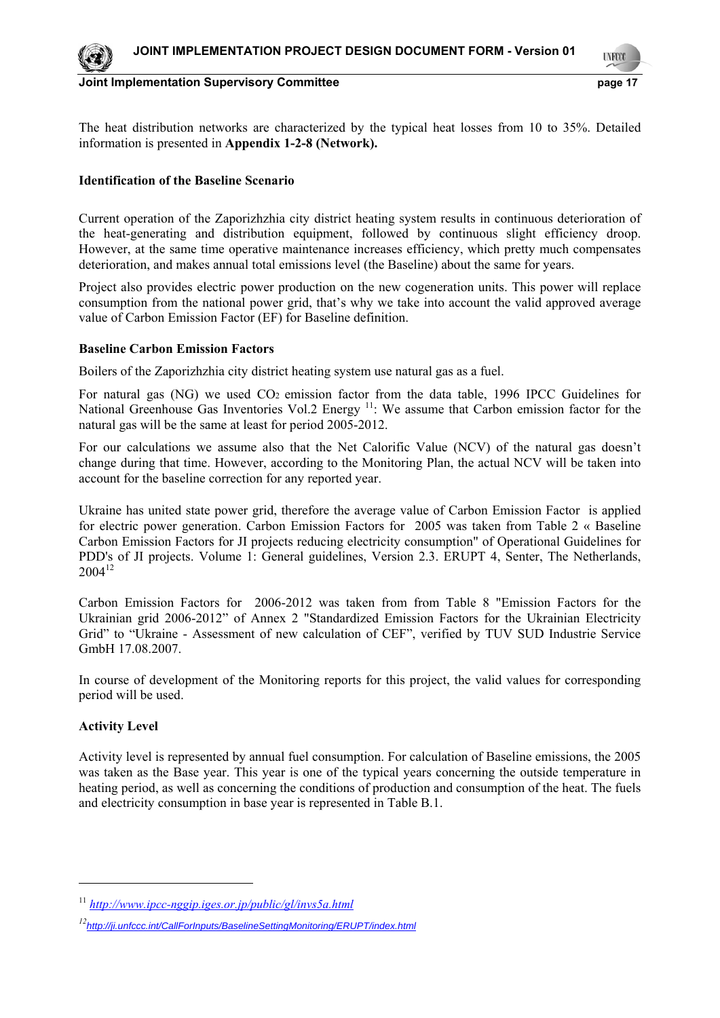

**LYFCO** 

17

The heat distribution networks are characterized by the typical heat losses from 10 to 35%. Detailed information is presented in **Appendix 1-2-8 (Network).** 

## **Identification of the Baseline Scenario**

Current operation of the Zaporizhzhia city district heating system results in continuous deterioration of the heat-generating and distribution equipment, followed by continuous slight efficiency droop. However, at the same time operative maintenance increases efficiency, which pretty much compensates deterioration, and makes annual total emissions level (the Baseline) about the same for years.

Project also provides electric power production on the new cogeneration units. This power will replace consumption from the national power grid, that's why we take into account the valid approved average value of Carbon Emission Factor (EF) for Baseline definition.

# **Baseline Carbon Emission Factors**

Boilers of the Zaporizhzhia city district heating system use natural gas as a fuel.

For natural gas (NG) we used CO<sub>2</sub> emission factor from the data table, 1996 IPCC Guidelines for National Greenhouse Gas Inventories Vol.2 Energy <sup>11</sup>: We assume that Carbon emission factor for the natural gas will be the same at least for period 2005-2012.

For our calculations we assume also that the Net Calorific Value (NCV) of the natural gas doesn't change during that time. However, according to the Monitoring Plan, the actual NCV will be taken into account for the baseline correction for any reported year.

Ukraine has united state power grid, therefore the average value of Carbon Emission Factor is applied for electric power generation. Carbon Emission Factors for 2005 was taken from Table 2 « Baseline Carbon Emission Factors for JI projects reducing electricity consumption" of Operational Guidelines for PDD's of JI projects. Volume 1: General guidelines, Version 2.3. ERUPT 4, Senter, The Netherlands,  $2004^{12}$ 

Carbon Emission Factors for 2006-2012 was taken from from Table 8 "Emission Factors for the Ukrainian grid 2006-2012" of Annex 2 "Standardized Emission Factors for the Ukrainian Electricity Grid" to "Ukraine - Assessment of new calculation of CEF", verified by TUV SUD Industrie Service GmbH 17.08.2007.

In course of development of the Monitoring reports for this project, the valid values for corresponding period will be used.

# **Activity Level**

1

Activity level is represented by annual fuel consumption. For calculation of Baseline emissions, the 2005 was taken as the Base year. This year is one of the typical years concerning the outside temperature in heating period, as well as concerning the conditions of production and consumption of the heat. The fuels and electricity consumption in base year is represented in Table В.1.

<sup>11</sup> *http://www.ipcc-nggip.iges.or.jp/public/gl/invs5a.html*

*<sup>12</sup>http://ji.unfccc.int/CallForInputs/BaselineSettingMonitoring/ERUPT/index.html*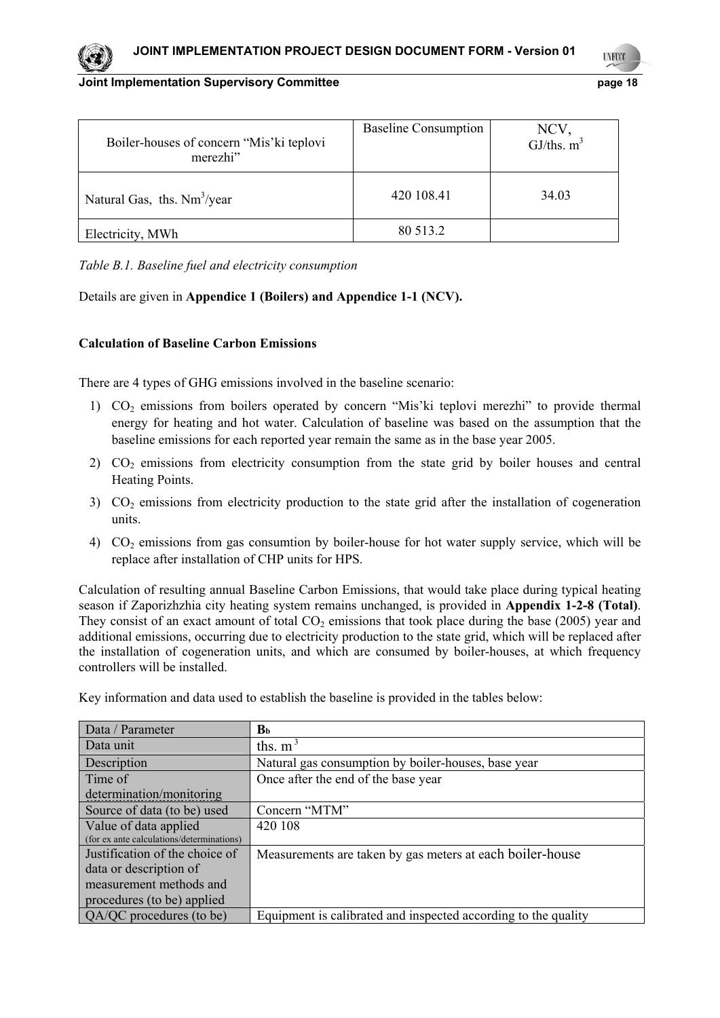| Boiler-houses of concern "Mis' ki teplovi<br>merezhi" | <b>Baseline Consumption</b> | NCV,<br>GJ/ths. $m^3$ |
|-------------------------------------------------------|-----------------------------|-----------------------|
| Natural Gas, ths. $Nm^3$ /year                        | 420 108.41                  | 34.03                 |
| Electricity, MWh                                      | 80 513.2                    |                       |

*Table B.1. Baseline fuel and electricity consumption* 

# Details are given in **Appendice 1 (Boilers) and Appendice 1-1 (NCV).**

# **Calculation of Baseline Carbon Emissions**

There are 4 types of GHG emissions involved in the baseline scenario:

- 1) CO2 emissions from boilers operated by concern "Mis'ki teplovi merezhi" to provide thermal energy for heating and hot water. Calculation of baseline was based on the assumption that the baseline emissions for each reported year remain the same as in the base year 2005.
- 2) CO<sub>2</sub> emissions from electricity consumption from the state grid by boiler houses and central Heating Points.
- $3)$  CO<sub>2</sub> emissions from electricity production to the state grid after the installation of cogeneration units.
- 4) CO2 emissions from gas consumtion by boiler-house for hot water supply service, which will be replace after installation of CHP units for HPS.

Calculation of resulting annual Baseline Carbon Emissions, that would take place during typical heating season if Zaporizhzhia city heating system remains unchanged, is provided in **Appendix 1-2-8 (Total)**. They consist of an exact amount of total  $CO<sub>2</sub>$  emissions that took place during the base (2005) year and additional emissions, occurring due to electricity production to the state grid, which will be replaced after the installation of cogeneration units, and which are consumed by boiler-houses, at which frequency controllers will be installed.

| Key information and data used to establish the baseline is provided in the tables below: |
|------------------------------------------------------------------------------------------|
|------------------------------------------------------------------------------------------|

| Data / Parameter                          | $\mathbf{B}_{\mathbf{b}}$                                      |
|-------------------------------------------|----------------------------------------------------------------|
| Data unit                                 | ths. $m3$                                                      |
| Description                               | Natural gas consumption by boiler-houses, base year            |
| Time of                                   | Once after the end of the base year                            |
| determination/monitoring                  |                                                                |
| Source of data (to be) used               | Concern "MTM"                                                  |
| Value of data applied                     | 420 108                                                        |
| (for ex ante calculations/determinations) |                                                                |
| Justification of the choice of            | Measurements are taken by gas meters at each boiler-house      |
| data or description of                    |                                                                |
| measurement methods and                   |                                                                |
| procedures (to be) applied                |                                                                |
| QA/QC procedures (to be)                  | Equipment is calibrated and inspected according to the quality |

18 **INFOC**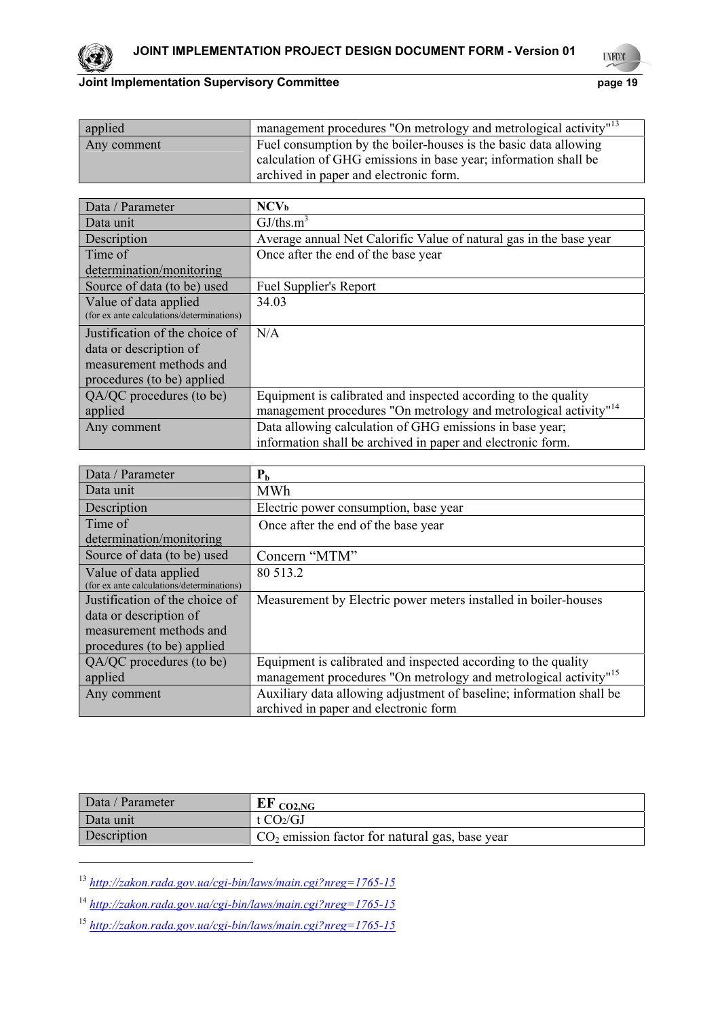

**UNFOCO** 

19

| applied     | management procedures "On metrology and metrological activity" <sup>13</sup> |
|-------------|------------------------------------------------------------------------------|
| Any comment | Fuel consumption by the boiler-houses is the basic data allowing             |
|             | calculation of GHG emissions in base year; information shall be              |
|             | archived in paper and electronic form.                                       |

| Data / Parameter                          | NCV <sub>b</sub>                                                             |  |
|-------------------------------------------|------------------------------------------------------------------------------|--|
| Data unit                                 | GJ/ths.m <sup>3</sup>                                                        |  |
| Description                               | Average annual Net Calorific Value of natural gas in the base year           |  |
| Time of                                   | Once after the end of the base year                                          |  |
| determination/monitoring                  |                                                                              |  |
| Source of data (to be) used               | Fuel Supplier's Report                                                       |  |
| Value of data applied                     | 34.03                                                                        |  |
| (for ex ante calculations/determinations) |                                                                              |  |
| Justification of the choice of            | N/A                                                                          |  |
| data or description of                    |                                                                              |  |
| measurement methods and                   |                                                                              |  |
| procedures (to be) applied                |                                                                              |  |
| QA/QC procedures (to be)                  | Equipment is calibrated and inspected according to the quality               |  |
| applied                                   | management procedures "On metrology and metrological activity" <sup>14</sup> |  |
| Any comment                               | Data allowing calculation of GHG emissions in base year;                     |  |
|                                           | information shall be archived in paper and electronic form.                  |  |

| Data / Parameter                          | P <sub>b</sub>                                                               |  |  |
|-------------------------------------------|------------------------------------------------------------------------------|--|--|
| Data unit                                 | <b>MWh</b>                                                                   |  |  |
| Description                               | Electric power consumption, base year                                        |  |  |
| Time of                                   | Once after the end of the base year                                          |  |  |
| determination/monitoring                  |                                                                              |  |  |
| Source of data (to be) used               | Concern "MTM"                                                                |  |  |
| Value of data applied                     | 80 513.2                                                                     |  |  |
| (for ex ante calculations/determinations) |                                                                              |  |  |
| Justification of the choice of            | Measurement by Electric power meters installed in boiler-houses              |  |  |
| data or description of                    |                                                                              |  |  |
| measurement methods and                   |                                                                              |  |  |
| procedures (to be) applied                |                                                                              |  |  |
| QA/QC procedures (to be)                  | Equipment is calibrated and inspected according to the quality               |  |  |
| applied                                   | management procedures "On metrology and metrological activity" <sup>15</sup> |  |  |
| Any comment                               | Auxiliary data allowing adjustment of baseline; information shall be         |  |  |
|                                           | archived in paper and electronic form                                        |  |  |

| Data / Parameter | $EF_{CO2,NG}$                                    |
|------------------|--------------------------------------------------|
| Data unit        | t $CO2/GI$                                       |
| Description      | $CO2$ emission factor for natural gas, base year |

<sup>13</sup> *http://zakon.rada.gov.ua/cgi-bin/laws/main.cgi?nreg=1765-15*

<sup>14</sup> *http://zakon.rada.gov.ua/cgi-bin/laws/main.cgi?nreg=1765-15*

<sup>15</sup> *http://zakon.rada.gov.ua/cgi-bin/laws/main.cgi?nreg=1765-15*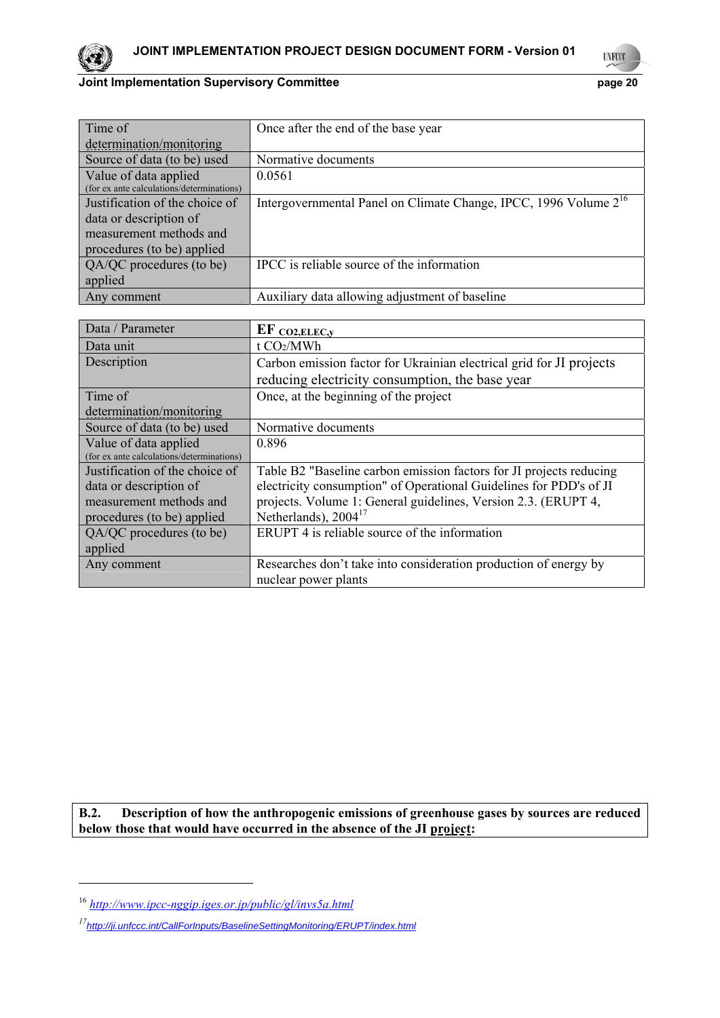#### 20 **UNFOCO**

# **Joint Implementation Supervisory Committee Properties and Properties Accord Properties Accord Properties Accord Properties Accord Properties Accord Properties Accord Properties Accord Properties Accord Properties Accord P**

| Time of                                   | Once after the end of the base year                                          |
|-------------------------------------------|------------------------------------------------------------------------------|
| determination/monitoring                  |                                                                              |
| Source of data (to be) used               | Normative documents                                                          |
| Value of data applied                     | 0.0561                                                                       |
| (for ex ante calculations/determinations) |                                                                              |
| Justification of the choice of            | Intergovernmental Panel on Climate Change, IPCC, 1996 Volume 2 <sup>16</sup> |
| data or description of                    |                                                                              |
| measurement methods and                   |                                                                              |
| procedures (to be) applied                |                                                                              |
| QA/QC procedures (to be)                  | IPCC is reliable source of the information                                   |
| applied                                   |                                                                              |
| Any comment                               | Auxiliary data allowing adjustment of baseline                               |
|                                           |                                                                              |
| Data / Parameter                          | $EF_{CO2, ELEC, y}$                                                          |
| Data unit                                 | t CO2/MWh                                                                    |
| Description                               | Carbon emission factor for Ukrainian electrical grid for JI projects         |
|                                           | reducing electricity consumption, the base year                              |
| Time of                                   | Once, at the beginning of the project                                        |
| determination/monitoring                  |                                                                              |
| Source of data (to be) used               | Normative documents                                                          |
| Value of data applied                     | 0.896                                                                        |
| (for ex ante calculations/determinations) |                                                                              |
| Justification of the choice of            | Table B2 "Baseline carbon emission factors for JI projects reducing          |
| data or description of                    | electricity consumption" of Operational Guidelines for PDD's of JI           |
| measurement methods and                   | projects. Volume 1: General guidelines, Version 2.3. (ERUPT 4,               |
| procedures (to be) applied                | Netherlands), $2004^{17}$                                                    |
| QA/QC procedures (to be)                  | ERUPT 4 is reliable source of the information                                |
| applied                                   |                                                                              |
| Any comment                               | Researches don't take into consideration production of energy by             |
|                                           | nuclear power plants                                                         |

**B.2. Description of how the anthropogenic emissions of greenhouse gases by sources are reduced below those that would have occurred in the absence of the JI project:**

<sup>16</sup> *http://www.ipcc-nggip.iges.or.jp/public/gl/invs5a.html*

*<sup>17</sup>http://ji.unfccc.int/CallForInputs/BaselineSettingMonitoring/ERUPT/index.html*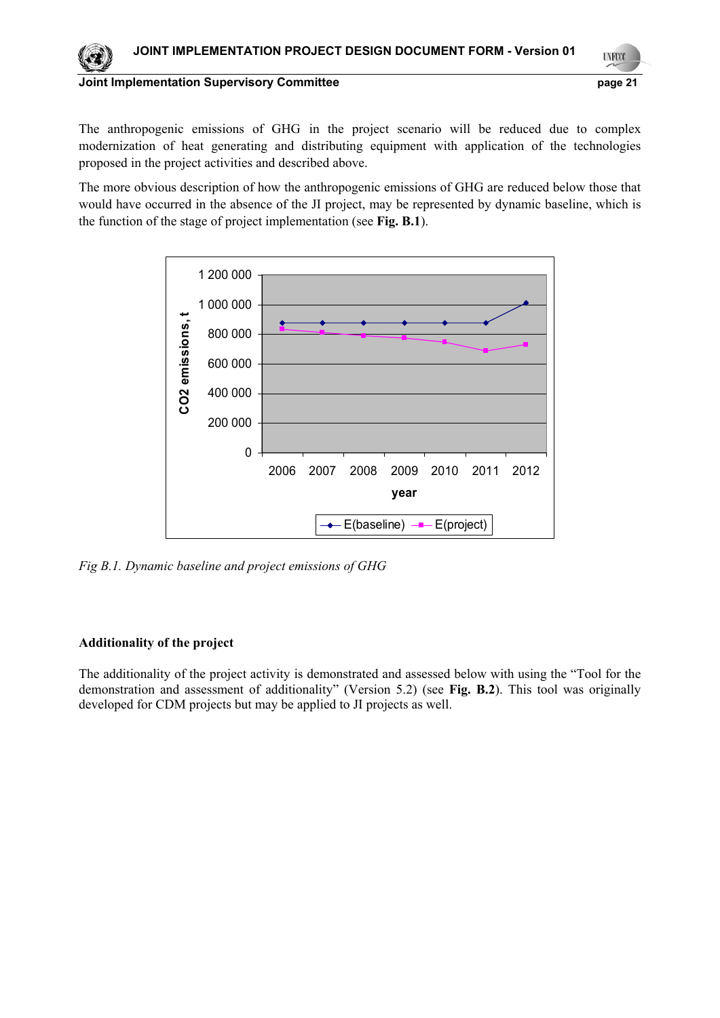

The anthropogenic emissions of GHG in the project scenario will be reduced due to complex modernization of heat generating and distributing equipment with application of the technologies proposed in the project activities and described above.

The more obvious description of how the anthropogenic emissions of GHG are reduced below those that would have occurred in the absence of the JI project, may be represented by dynamic baseline, which is the function of the stage of project implementation (see **Fig. B.1**).



*Fig B.1. Dynamic baseline and project emissions of GHG* 

# **Additionality of the project**

The additionality of the project activity is demonstrated and assessed below with using the "Tool for the demonstration and assessment of additionality" (Version 5.2) (see **Fig. B.2**). This tool was originally developed for CDM projects but may be applied to JI projects as well.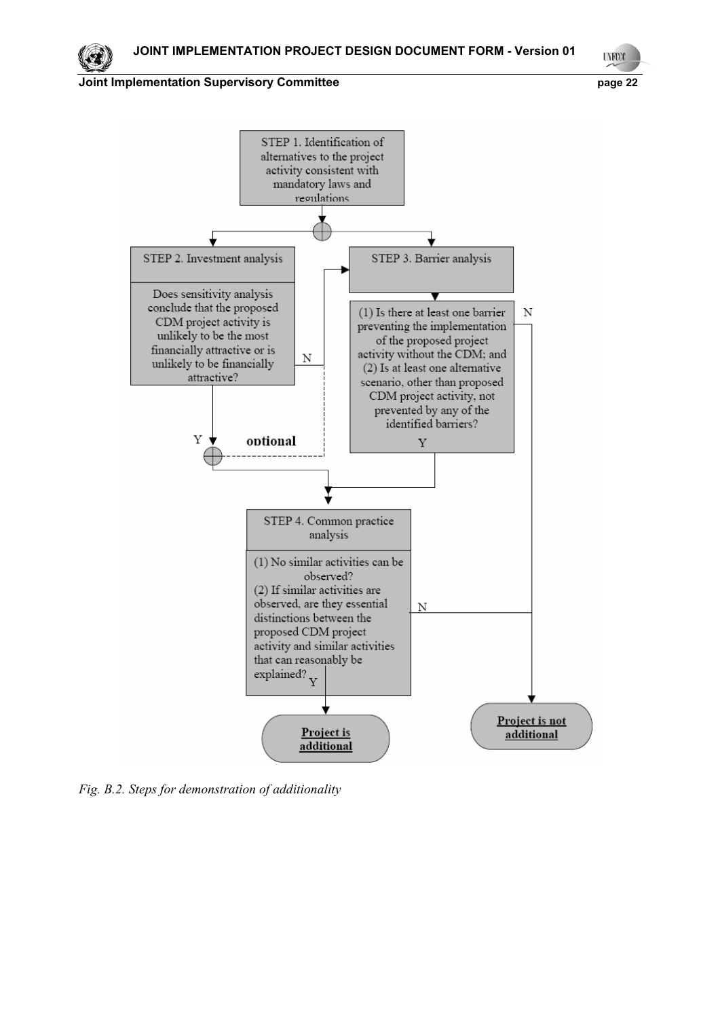**UNFCCC** 



*Fig. B.2. Steps for demonstration of additionality*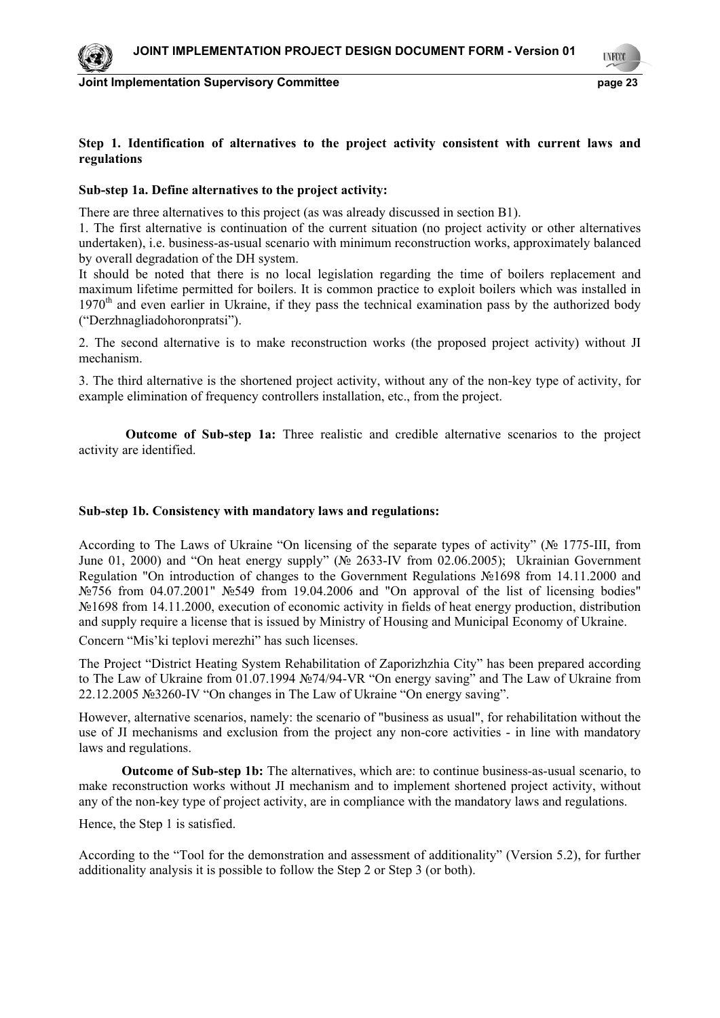

**LYFCO** 

23

### **Step 1. Identification of alternatives to the project activity consistent with current laws and regulations**

### **Sub-step 1a. Define alternatives to the project activity:**

There are three alternatives to this project (as was already discussed in section B1).

1. The first alternative is continuation of the current situation (no project activity or other alternatives undertaken), i.e. business-as-usual scenario with minimum reconstruction works, approximately balanced by overall degradation of the DH system.

It should be noted that there is no local legislation regarding the time of boilers replacement and maximum lifetime permitted for boilers. It is common practice to exploit boilers which was installed in 1970<sup>th</sup> and even earlier in Ukraine, if they pass the technical examination pass by the authorized body ("Derzhnagliadohoronpratsi").

2. The second alternative is to make reconstruction works (the proposed project activity) without JI mechanism.

3. The third alternative is the shortened project activity, without any of the non-key type of activity, for example elimination of frequency controllers installation, etc., from the project.

 **Outcome of Sub-step 1a:** Three realistic and credible alternative scenarios to the project activity are identified.

### **Sub-step 1b. Consistency with mandatory laws and regulations:**

According to The Laws of Ukraine "On licensing of the separate types of activity" ( $\mathcal{N}_{2}$  1775-III, from June 01, 2000) and "On heat energy supply" (№ 2633-IV from 02.06.2005); Ukrainian Government Regulation "On introduction of changes to the Government Regulations №1698 from 14.11.2000 and №756 from 04.07.2001" №549 from 19.04.2006 and "On approval of the list of licensing bodies" №1698 from 14.11.2000, execution of economic activity in fields of heat energy production, distribution and supply require a license that is issued by Ministry of Housing and Municipal Economy of Ukraine. Concern "Mis'ki teplovi merezhi" has such licenses.

The Project "District Heating System Rehabilitation of Zaporizhzhia City" has been prepared according

to The Law of Ukraine from 01.07.1994 №74/94-VR "On energy saving" and The Law of Ukraine from 22.12.2005 №3260-IV "On changes in The Law of Ukraine "On energy saving".

However, alternative scenarios, namely: the scenario of "business as usual", for rehabilitation without the use of JI mechanisms and exclusion from the project any non-core activities - in line with mandatory laws and regulations.

**Outcome of Sub-step 1b:** The alternatives, which are: to continue business-as-usual scenario, to make reconstruction works without JI mechanism and to implement shortened project activity, without any of the non-key type of project activity, are in compliance with the mandatory laws and regulations.

Hence, the Step 1 is satisfied.

According to the "Tool for the demonstration and assessment of additionality" (Version 5.2), for further additionality analysis it is possible to follow the Step 2 or Step 3 (or both).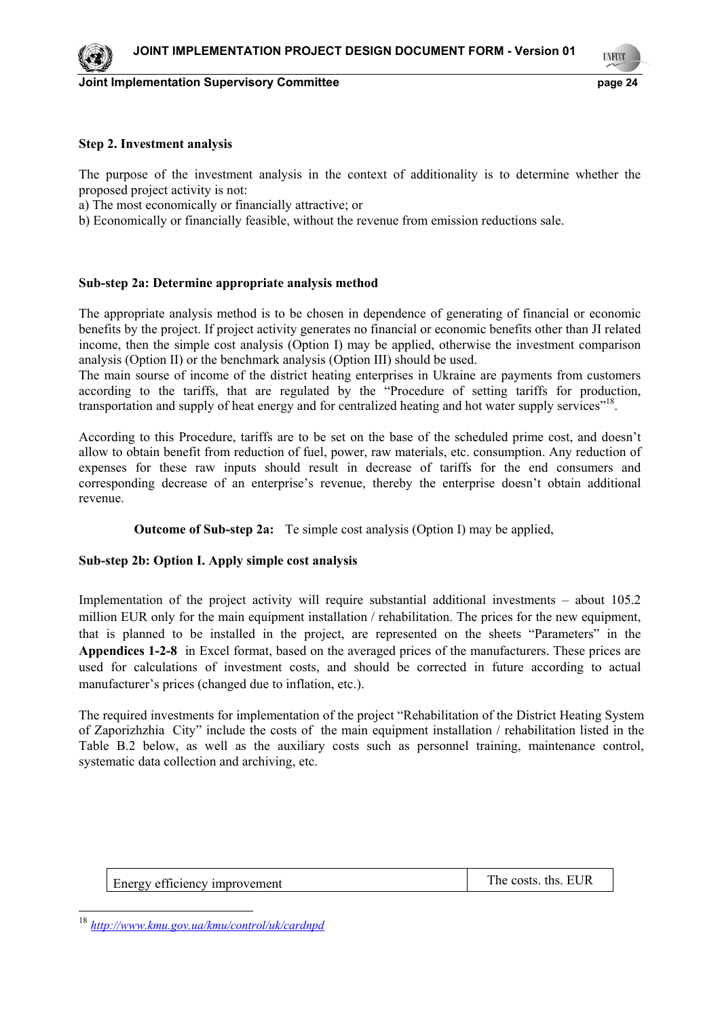### **Step 2. Investment analysis**

The purpose of the investment analysis in the context of additionality is to determine whether the proposed project activity is not:

a) The most economically or financially attractive; or

b) Economically or financially feasible, without the revenue from emission reductions sale.

### **Sub-step 2a: Determine appropriate analysis method**

The appropriate analysis method is to be chosen in dependence of generating of financial or economic benefits by the project. If project activity generates no financial or economic benefits other than JI related income, then the simple cost analysis (Option I) may be applied, otherwise the investment comparison analysis (Option II) or the benchmark analysis (Option III) should be used.

The main sourse of income of the district heating enterprises in Ukraine are payments from customers according to the tariffs, that are regulated by the "Procedure of setting tariffs for production, transportation and supply of heat energy and for centralized heating and hot water supply services"<sup>18</sup>.

According to this Procedure, tariffs are to be set on the base of the scheduled prime cost, and doesn't allow to obtain benefit from reduction of fuel, power, raw materials, etc. consumption. Any reduction of expenses for these raw inputs should result in decrease of tariffs for the end consumers and corresponding decrease of an enterprise's revenue, thereby the enterprise doesn't obtain additional revenue.

**Outcome of Sub-step 2а:** Te simple cost analysis (Option I) may be applied,

### **Sub-step 2b: Option I. Apply simple cost analysis**

Implementation of the project activity will require substantial additional investments – about 105.2 million EUR only for the main equipment installation / rehabilitation. The prices for the new equipment, that is planned to be installed in the project, are represented on the sheets "Parameters" in the **Appendices 1-2-8** in Excel format, based on the averaged prices of the manufacturers. These prices are used for calculations of investment costs, and should be corrected in future according to actual manufacturer's prices (changed due to inflation, etc.).

The required investments for implementation of the project "Rehabilitation of the District Heating System of Zaporizhzhia City" include the costs of the main equipment installation / rehabilitation listed in the Table B.2 below, as well as the auxiliary costs such as personnel training, maintenance control, systematic data collection and archiving, etc.

Energy efficiency improvement The costs. ths. EUR

<sup>18</sup> *http://www.kmu.gov.ua/kmu/control/uk/cardnpd*

-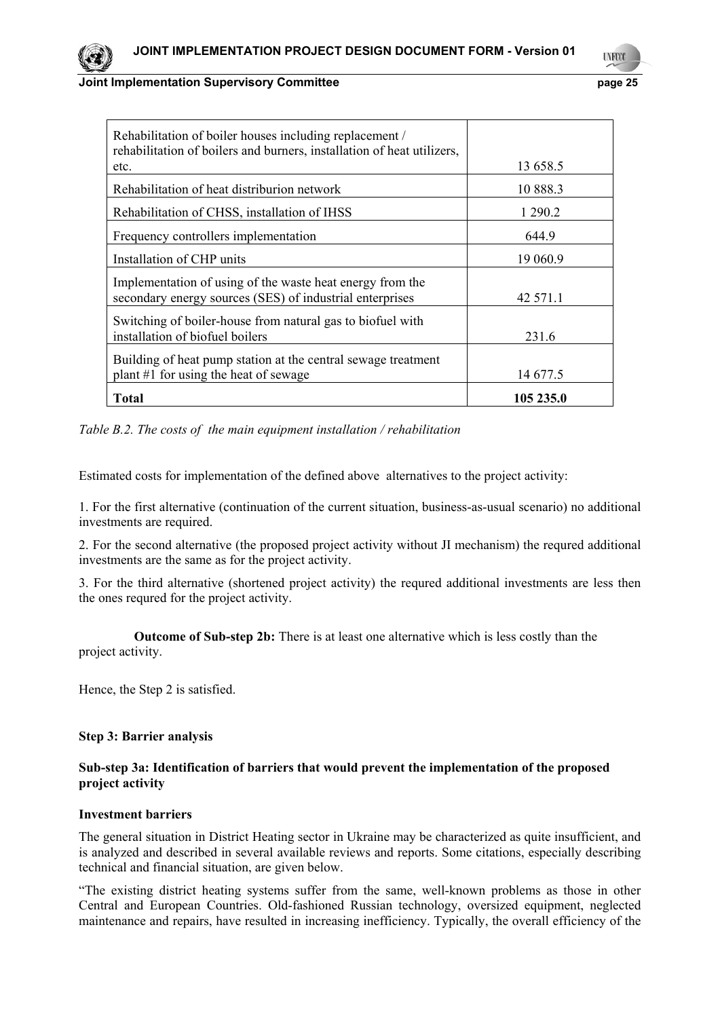| Rehabilitation of boiler houses including replacement /<br>rehabilitation of boilers and burners, installation of heat utilizers, |           |
|-----------------------------------------------------------------------------------------------------------------------------------|-----------|
| etc.                                                                                                                              | 13 658.5  |
| Rehabilitation of heat distriburion network                                                                                       | 10 888.3  |
| Rehabilitation of CHSS, installation of IHSS                                                                                      | 1 290.2   |
| Frequency controllers implementation                                                                                              | 644.9     |
| Installation of CHP units                                                                                                         | 19 060.9  |
| Implementation of using of the waste heat energy from the<br>secondary energy sources (SES) of industrial enterprises             | 42 571.1  |
|                                                                                                                                   |           |
| Switching of boiler-house from natural gas to biofuel with<br>installation of biofuel boilers                                     | 231.6     |
|                                                                                                                                   |           |
| Building of heat pump station at the central sewage treatment                                                                     |           |
| plant #1 for using the heat of sewage                                                                                             | 14 677.5  |
| <b>Total</b>                                                                                                                      | 105 235.0 |

*Table B.2. The costs of the main equipment installation / rehabilitation* 

Estimated costs for implementation of the defined above alternatives to the project activity:

1. For the first alternative (continuation of the current situation, business-as-usual scenario) no additional investments are required.

2. For the second alternative (the proposed project activity without JI mechanism) the requred additional investments are the same as for the project activity.

3. For the third alternative (shortened project activity) the requred additional investments are less then the ones requred for the project activity.

 **Outcome of Sub-step 2b:** There is at least one alternative which is less costly than the project activity.

Hence, the Step 2 is satisfied.

### **Step 3: Barrier analysis**

### **Sub-step 3a: Identification of barriers that would prevent the implementation of the proposed project activity**

# **Investment barriers**

The general situation in District Heating sector in Ukraine may be characterized as quite insufficient, and is analyzed and described in several available reviews and reports. Some citations, especially describing technical and financial situation, are given below.

"The existing district heating systems suffer from the same, well-known problems as those in other Central and European Countries. Old-fashioned Russian technology, oversized equipment, neglected maintenance and repairs, have resulted in increasing inefficiency. Typically, the overall efficiency of the

25 **LYFO**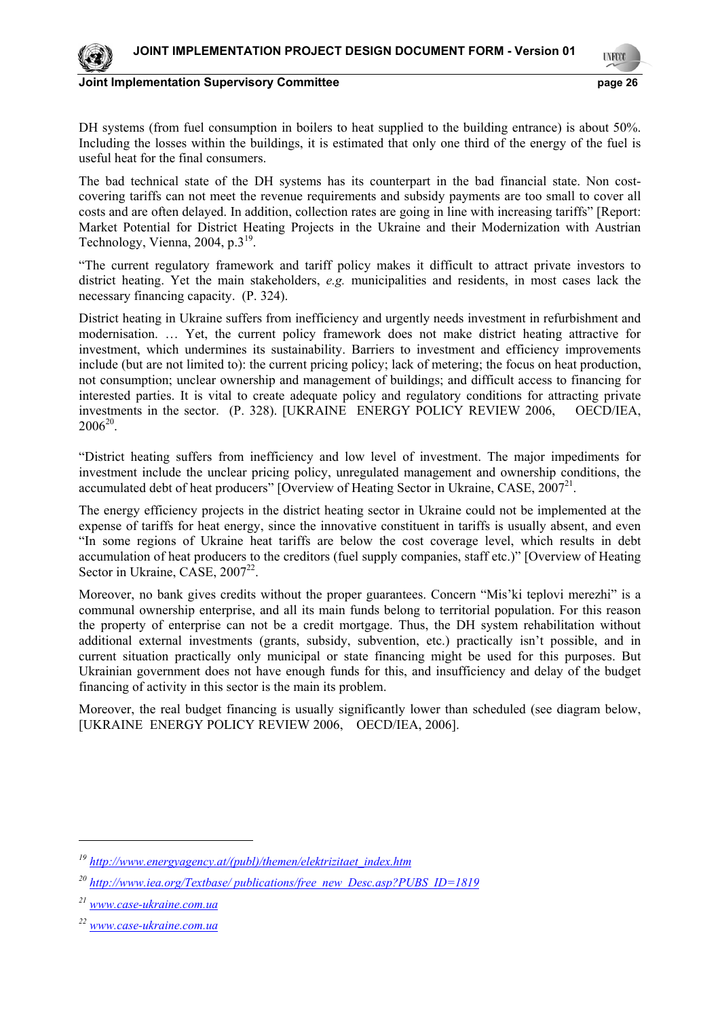

**UNFOCO** 

26

DH systems (from fuel consumption in boilers to heat supplied to the building entrance) is about 50%. Including the losses within the buildings, it is estimated that only one third of the energy of the fuel is useful heat for the final consumers.

The bad technical state of the DH systems has its counterpart in the bad financial state. Non costcovering tariffs can not meet the revenue requirements and subsidy payments are too small to cover all costs and are often delayed. In addition, collection rates are going in line with increasing tariffs" [Report: Market Potential for District Heating Projects in the Ukraine and their Modernization with Austrian Technology, Vienna,  $2004$ , p. $3^{19}$ .

"The current regulatory framework and tariff policy makes it difficult to attract private investors to district heating. Yet the main stakeholders, *e.g.* municipalities and residents, in most cases lack the necessary financing capacity. (P. 324).

District heating in Ukraine suffers from inefficiency and urgently needs investment in refurbishment and modernisation. … Yet, the current policy framework does not make district heating attractive for investment, which undermines its sustainability. Barriers to investment and efficiency improvements include (but are not limited to): the current pricing policy; lack of metering; the focus on heat production, not consumption; unclear ownership and management of buildings; and difficult access to financing for interested parties. It is vital to create adequate policy and regulatory conditions for attracting private investments in the sector. (P. 328). [UKRAINE ENERGY POLICY REVIEW 2006, OECD/IEA,  $2006^{20}$ .

"District heating suffers from inefficiency and low level of investment. The major impediments for investment include the unclear pricing policy, unregulated management and ownership conditions, the accumulated debt of heat producers" [Overview of Heating Sector in Ukraine, CASE,  $2007^{21}$ .

The energy efficiency projects in the district heating sector in Ukraine could not be implemented at the expense of tariffs for heat energy, since the innovative constituent in tariffs is usually absent, and even "In some regions of Ukraine heat tariffs are below the cost coverage level, which results in debt accumulation of heat producers to the creditors (fuel supply companies, staff etc.)" [Overview of Heating Sector in Ukraine, CASE,  $2007^{22}$ .

Moreover, no bank gives credits without the proper guarantees. Concern "Mis'ki teplovi merezhi" is a communal ownership enterprise, and all its main funds belong to territorial population. For this reason the property of enterprise can not be a credit mortgage. Thus, the DH system rehabilitation without additional external investments (grants, subsidy, subvention, etc.) practically isn't possible, and in current situation practically only municipal or state financing might be used for this purposes. But Ukrainian government does not have enough funds for this, and insufficiency and delay of the budget financing of activity in this sector is the main its problem.

Moreover, the real budget financing is usually significantly lower than scheduled (see diagram below, [UKRAINE ENERGY POLICY REVIEW 2006, OECD/IEA, 2006].

-

*<sup>19</sup> http://www.energyagency.at/(publ)/themen/elektrizitaet\_index.htm*

*<sup>20</sup> http://www.iea.org/Textbase/ publications/free\_new\_Desc.asp?PUBS\_ID=1819*

*<sup>21</sup> www.case-ukraine.com.ua*

*<sup>22</sup> www.case-ukraine.com.ua*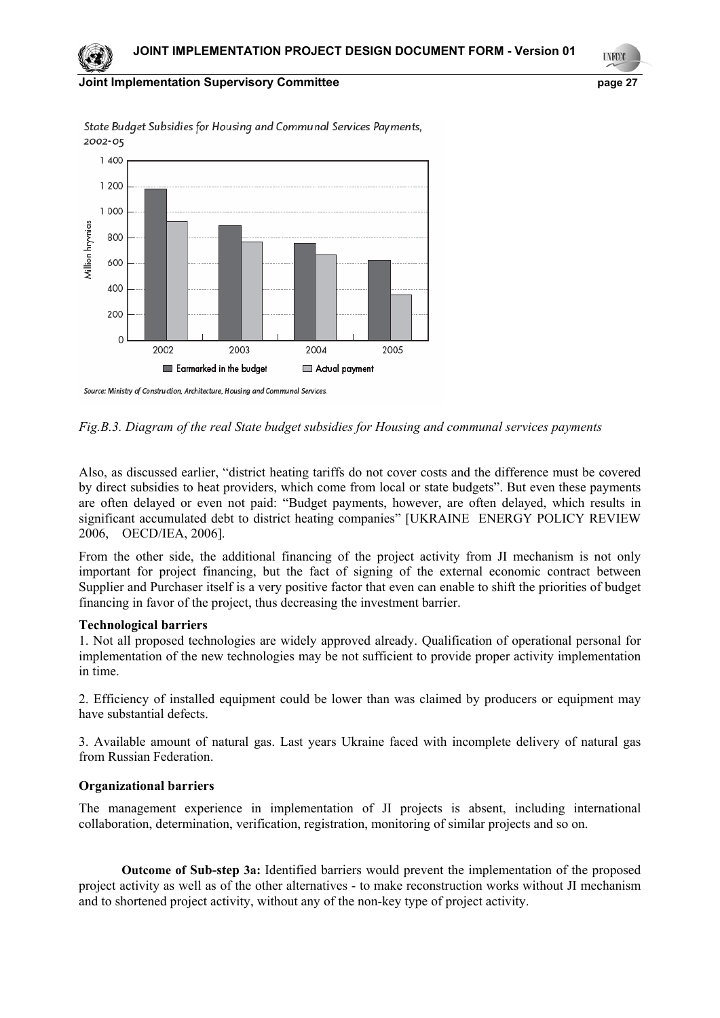#### **Joint Implementation Supervisory Committee example 27** and 27



State Budget Subsidies for Housing and Communal Services Payments, 2002-05

*Fig.В.3. Diagram of the real State budget subsidies for Housing and communal services payments* 

Also, as discussed earlier, "district heating tariffs do not cover costs and the difference must be covered by direct subsidies to heat providers, which come from local or state budgets". But even these payments are often delayed or even not paid: "Budget payments, however, are often delayed, which results in significant accumulated debt to district heating companies" [UKRAINE ENERGY POLICY REVIEW 2006, OECD/IEA, 2006].

From the other side, the additional financing of the project activity from JI mechanism is not only important for project financing, but the fact of signing of the external economic contract between Supplier and Purchaser itself is a very positive factor that even can enable to shift the priorities of budget financing in favor of the project, thus decreasing the investment barrier.

#### **Technological barriers**

1. Not all proposed technologies are widely approved already. Qualification of operational personal for implementation of the new technologies may be not sufficient to provide proper activity implementation in time.

2. Efficiency of installed equipment could be lower than was claimed by producers or equipment may have substantial defects.

3. Available amount of natural gas. Last years Ukraine faced with incomplete delivery of natural gas from Russian Federation.

### **Organizational barriers**

The management experience in implementation of JI projects is absent, including international collaboration, determination, verification, registration, monitoring of similar projects and so on.

**Outcome of Sub-step 3a:** Identified barriers would prevent the implementation of the proposed project activity as well as of the other alternatives - to make reconstruction works without JI mechanism and to shortened project activity, without any of the non-key type of project activity.

27 **UNFCO** 

Source: Ministry of Construction, Architecture, Housing and Communal Services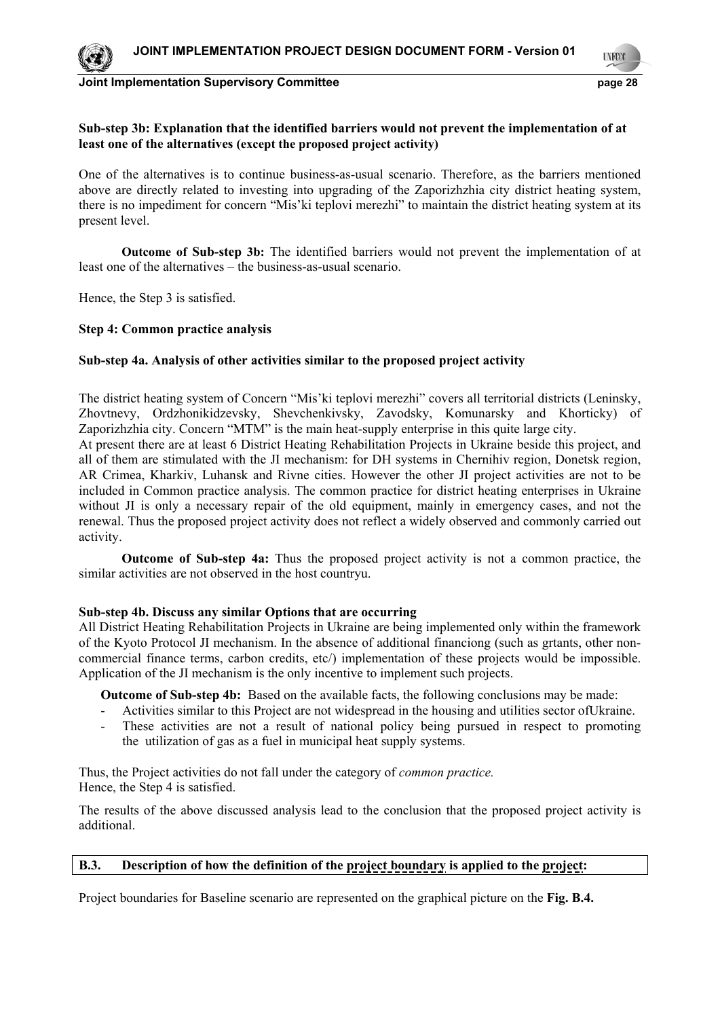

**LYFCO** 

28

## **Sub-step 3b: Explanation that the identified barriers would not prevent the implementation of at least one of the alternatives (except the proposed project activity)**

One of the alternatives is to continue business-as-usual scenario. Therefore, as the barriers mentioned above are directly related to investing into upgrading of the Zaporizhzhia city district heating system, there is no impediment for concern "Mis'ki teplovi merezhi" to maintain the district heating system at its present level.

**Outcome of Sub-step 3b:** The identified barriers would not prevent the implementation of at least one of the alternatives – the business-as-usual scenario.

Hence, the Step 3 is satisfied.

### **Step 4: Common practice analysis**

### **Sub-step 4a. Analysis of other activities similar to the proposed project activity**

The district heating system of Concern "Mis'ki teplovi merezhi" covers all territorial districts (Leninsky, Zhovtnevy, Ordzhonikidzevsky, Shevchenkivsky, Zavodsky, Komunarsky and Khorticky) of Zaporizhzhia city. Concern "MTM" is the main heat-supply enterprise in this quite large city.

At present there are at least 6 District Heating Rehabilitation Projects in Ukraine beside this project, and all of them are stimulated with the JI mechanism: for DH systems in Chernihiv region, Donetsk region, AR Crimea, Kharkiv, Luhansk and Rivne cities. However the other JI project activities are not to be included in Common practice analysis. The common practice for district heating enterprises in Ukraine without JI is only a necessary repair of the old equipment, mainly in emergency cases, and not the renewal. Thus the proposed project activity does not reflect a widely observed and commonly carried out activity.

**Outcome of Sub-step 4a:** Thus the proposed project activity is not a common practice, the similar activities are not observed in the host countryu.

### **Sub-step 4b. Discuss any similar Options that are occurring**

All District Heating Rehabilitation Projects in Ukraine are being implemented only within the framework of the Kyoto Protocol JI mechanism. In the absence of additional financiong (such as grtants, other noncommercial finance terms, carbon credits, etc/) implementation of these projects would be impossible. Application of the JI mechanism is the only incentive to implement such projects.

**Outcome of Sub-step 4b:** Based on the available facts, the following conclusions may be made:

- Activities similar to this Project are not widespread in the housing and utilities sector ofUkraine.
- These activities are not a result of national policy being pursued in respect to promoting the utilization of gas as a fuel in municipal heat supply systems.

Thus, the Project activities do not fall under the category of *common practice.*  Hence, the Step 4 is satisfied.

The results of the above discussed analysis lead to the conclusion that the proposed project activity is additional.

# **B.3. Description of how the definition of the project boundary is applied to the project:**

Project boundaries for Baseline scenario are represented on the graphical picture on the **Fig. В.4.**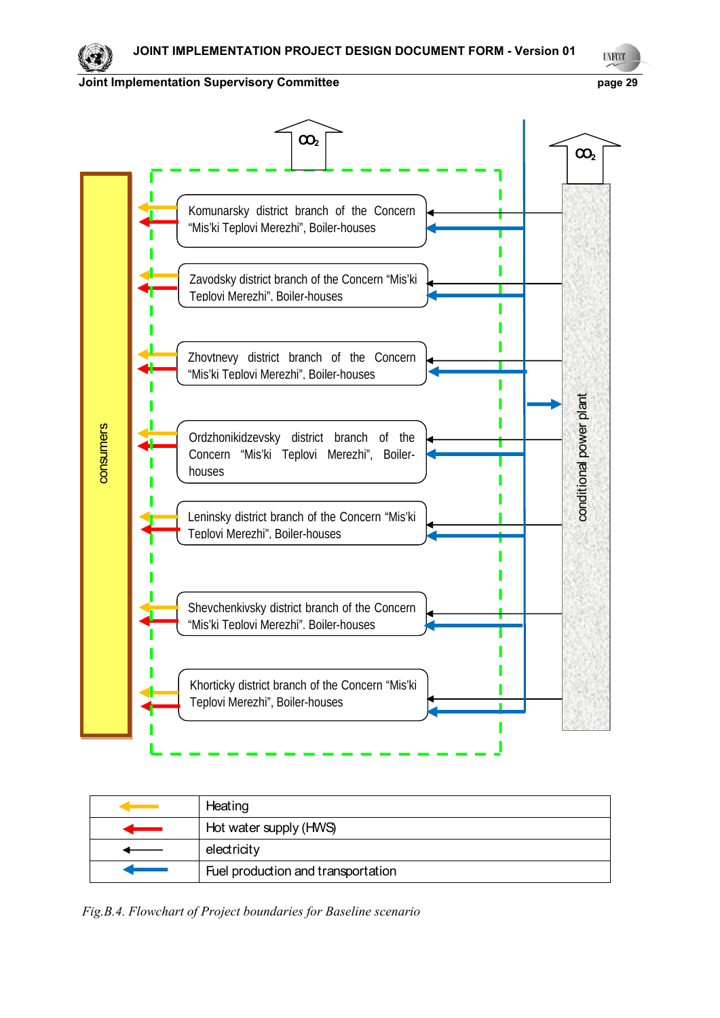

| Heating                            |
|------------------------------------|
| Hot water supply (HWS)             |
| electricity                        |
| Fuel production and transportation |

 *Fig.В.4. Flowchart of Project boundaries for Baseline scenario*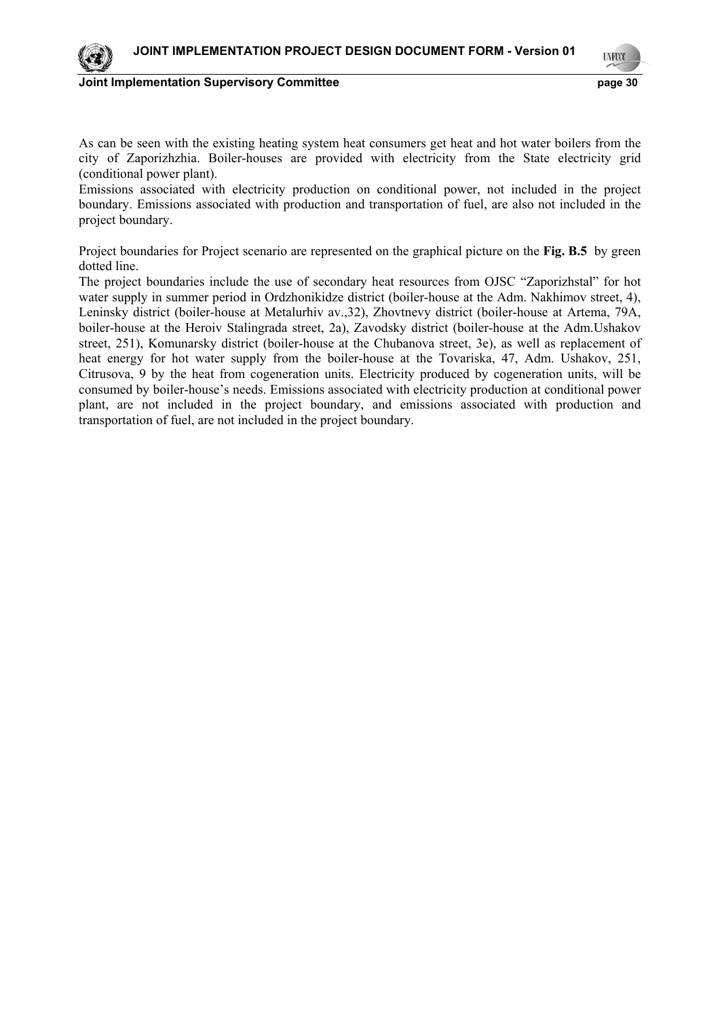

**UNFCO** 

30

As can be seen with the existing heating system heat consumers get heat and hot water boilers from the city of Zaporizhzhia. Boiler-houses are provided with electricity from the State electricity grid (conditional power plant).

Emissions associated with electricity production on conditional power, not included in the project boundary. Emissions associated with production and transportation of fuel, are also not included in the project boundary.

Project boundaries for Project scenario are represented on the graphical picture on the **Fig. В.5** by green dotted line.

The project boundaries include the use of secondary heat resources from OJSC "Zaporizhstal" for hot water supply in summer period in Ordzhonikidze district (boiler-house at the Adm. Nakhimov street, 4), Leninsky district (boiler-house at Metalurhiv av.,32), Zhovtnevy district (boiler-house at Artema, 79A, boiler-house at the Heroiv Stalingrada street, 2a), Zavodsky district (boiler-house at the Adm.Ushakov street, 251), Komunarsky district (boiler-house at the Chubanova street, 3e), as well as replacement of heat energy for hot water supply from the boiler-house at the Tovariska, 47, Adm. Ushakov, 251, Citrusova, 9 by the heat from cogeneration units. Electricity produced by cogeneration units, will be consumed by boiler-house's needs. Emissions associated with electricity production at conditional power plant, are not included in the project boundary, and emissions associated with production and transportation of fuel, are not included in the project boundary.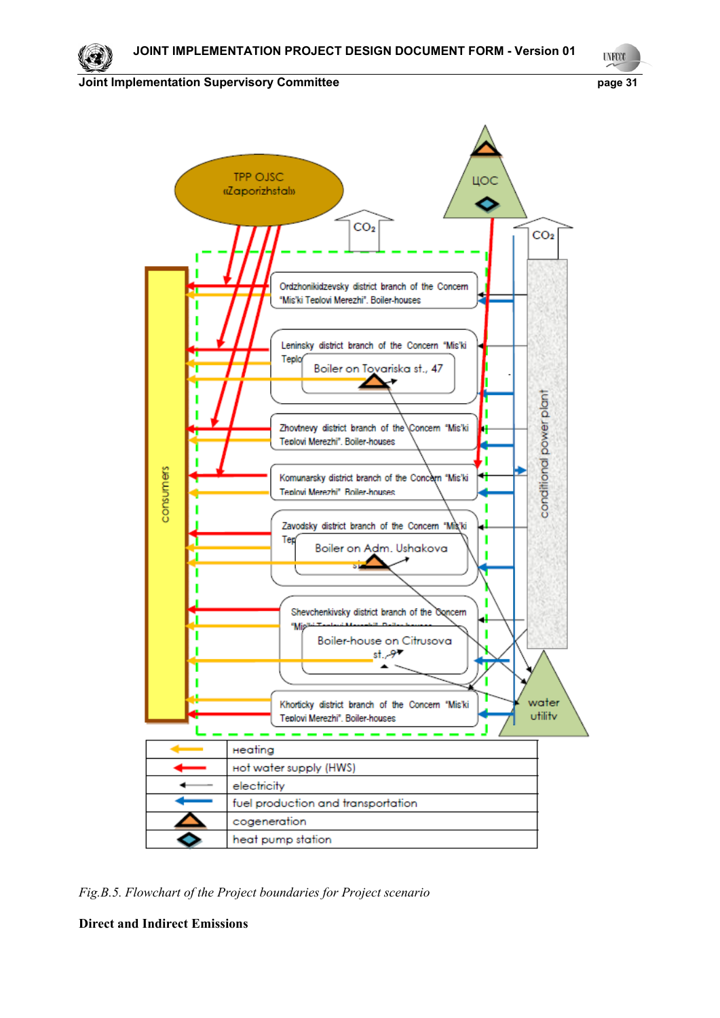31

**Joint Implementation Supervisory Committee**  page 31



*Fig.В.5. Flowchart of the Project boundaries for Project scenario*

**Direct and Indirect Emissions**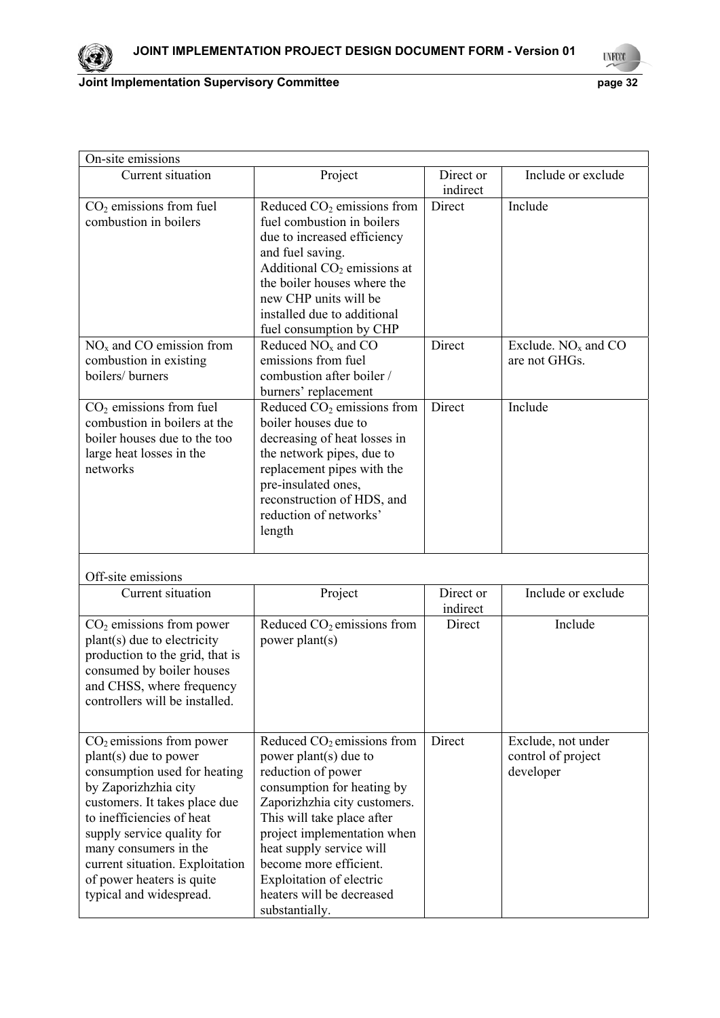

| On-site emissions                                                                                                                                                                                                                                                                                                             |                                                                                                                                                                                                                                                                                                                                         |                       |                                                       |
|-------------------------------------------------------------------------------------------------------------------------------------------------------------------------------------------------------------------------------------------------------------------------------------------------------------------------------|-----------------------------------------------------------------------------------------------------------------------------------------------------------------------------------------------------------------------------------------------------------------------------------------------------------------------------------------|-----------------------|-------------------------------------------------------|
| Current situation                                                                                                                                                                                                                                                                                                             | Project                                                                                                                                                                                                                                                                                                                                 | Direct or<br>indirect | Include or exclude                                    |
| $CO2$ emissions from fuel<br>combustion in boilers                                                                                                                                                                                                                                                                            | Reduced $CO2$ emissions from<br>fuel combustion in boilers<br>due to increased efficiency<br>and fuel saving.<br>Additional $CO2$ emissions at<br>the boiler houses where the<br>new CHP units will be<br>installed due to additional<br>fuel consumption by CHP                                                                        | Direct                | Include                                               |
| $NOx$ and CO emission from<br>combustion in existing<br>boilers/ burners                                                                                                                                                                                                                                                      | Reduced $NOx$ and $CO$<br>emissions from fuel<br>combustion after boiler /<br>burners' replacement                                                                                                                                                                                                                                      | Direct                | Exclude. $NOx$ and $CO$<br>are not GHGs.              |
| $CO2$ emissions from fuel<br>combustion in boilers at the<br>boiler houses due to the too<br>large heat losses in the<br>networks                                                                                                                                                                                             | Reduced $CO2$ emissions from<br>boiler houses due to<br>decreasing of heat losses in<br>the network pipes, due to<br>replacement pipes with the<br>pre-insulated ones,<br>reconstruction of HDS, and<br>reduction of networks'<br>length                                                                                                | Direct                | Include                                               |
| Off-site emissions                                                                                                                                                                                                                                                                                                            |                                                                                                                                                                                                                                                                                                                                         |                       |                                                       |
| Current situation                                                                                                                                                                                                                                                                                                             | Project                                                                                                                                                                                                                                                                                                                                 | Direct or<br>indirect | Include or exclude                                    |
| $CO2$ emissions from power<br>plant(s) due to electricity<br>production to the grid, that is<br>consumed by boiler houses<br>and CHSS, where frequency<br>controllers will be installed.                                                                                                                                      | Reduced $CO2$ emissions from<br>power plant(s)                                                                                                                                                                                                                                                                                          | Direct                | Include                                               |
| $CO2$ emissions from power<br>$plant(s)$ due to power<br>consumption used for heating<br>by Zaporizhzhia city<br>customers. It takes place due<br>to inefficiencies of heat<br>supply service quality for<br>many consumers in the<br>current situation. Exploitation<br>of power heaters is quite<br>typical and widespread. | Reduced $CO2$ emissions from<br>power plant(s) due to<br>reduction of power<br>consumption for heating by<br>Zaporizhzhia city customers.<br>This will take place after<br>project implementation when<br>heat supply service will<br>become more efficient.<br>Exploitation of electric<br>heaters will be decreased<br>substantially. | Direct                | Exclude, not under<br>control of project<br>developer |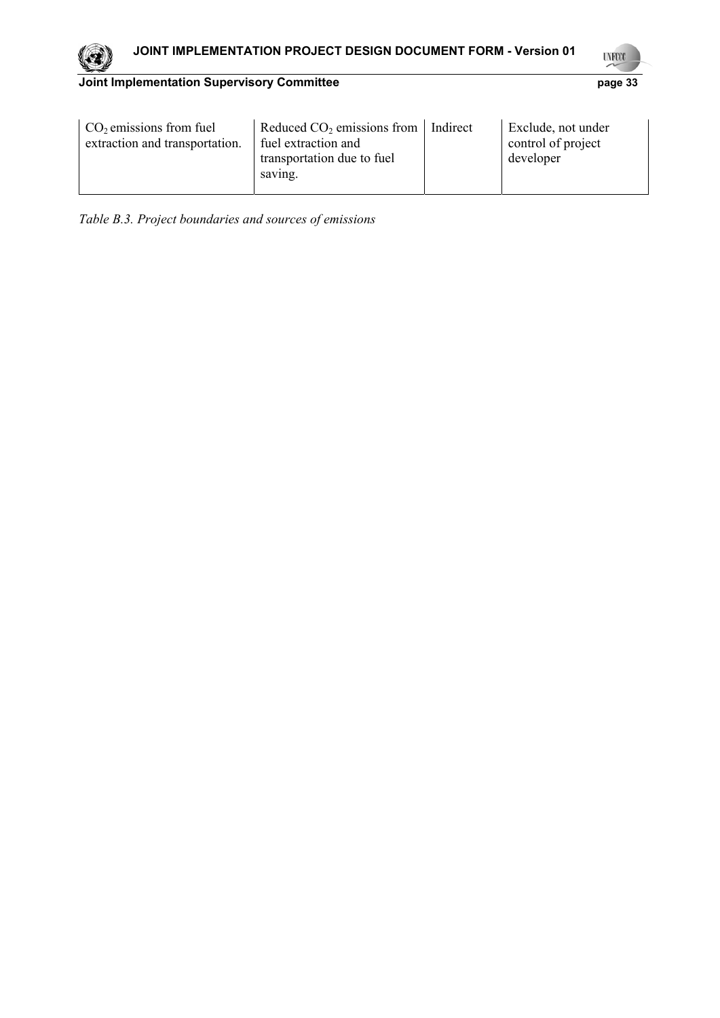33

| $CO2$ emissions from fuel<br>extraction and transportation. | Reduced $CO2$ emissions from<br>fuel extraction and<br>transportation due to fuel<br>saving. | Indirect | Exclude, not under<br>control of project<br>developer |
|-------------------------------------------------------------|----------------------------------------------------------------------------------------------|----------|-------------------------------------------------------|
|-------------------------------------------------------------|----------------------------------------------------------------------------------------------|----------|-------------------------------------------------------|

*Table В.3. Project boundaries and sources of emissions* 

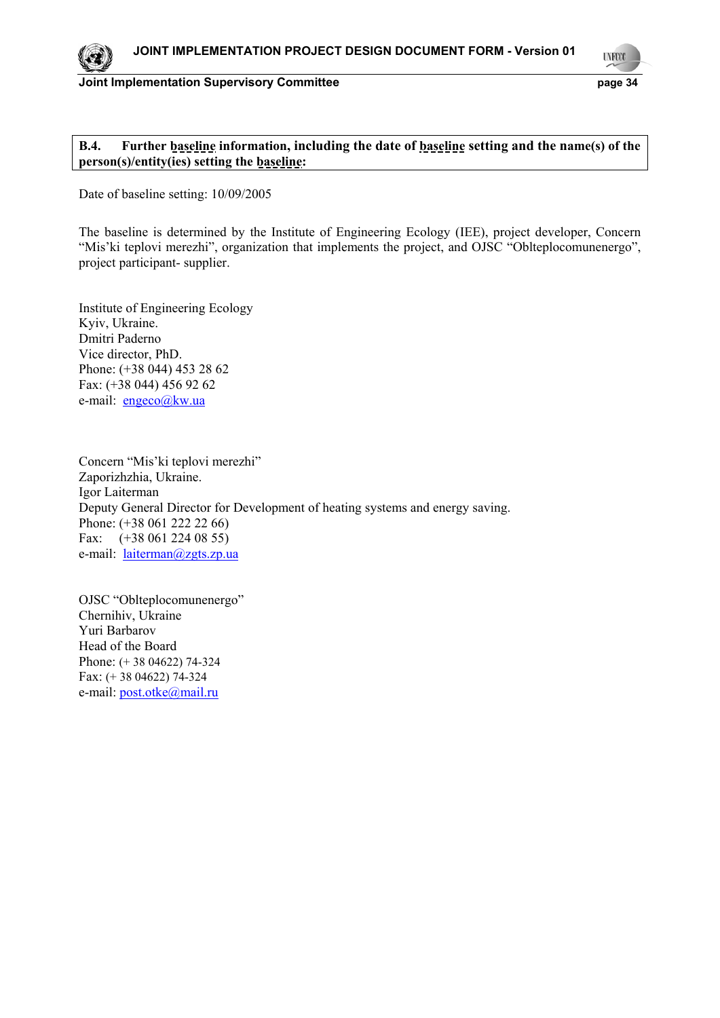

**UYECCO** 

34

### **B.4. Further baseline information, including the date of baseline setting and the name(s) of the person(s)/entity(ies) setting the baseline:**

Date of baseline setting: 10/09/2005

The baseline is determined by the Institute of Engineering Ecology (IEE), project developer, Сoncern "Mis'ki teplovi merezhi", organization that implements the project, and OJSC "Oblteplocomunenergo", project participant- supplier.

Institute of Engineering Ecology Kyiv, Ukraine. Dmitri Paderno Vice director, PhD. Phone: (+38 044) 453 28 62 Fax: (+38 044) 456 92 62 e-mail: engeco@kw.ua

Concern "Mis'ki teplovi merezhi" Zaporizhzhia, Ukraine. Igor Laiterman Deputy General Director for Development of heating systems and energy saving. Phone: (+38 061 222 22 66) Fax: (+38 061 224 08 55) e-mail: <u>laiterman@zgts.zp.ua</u>

OJSC "Oblteplocomunenergo" Chernihiv, Ukraine Yuri Barbarov Head of the Board Phone: (+ 38 04622) 74-324 Fax: (+ 38 04622) 74-324 e-mail: post.otke@mail.ru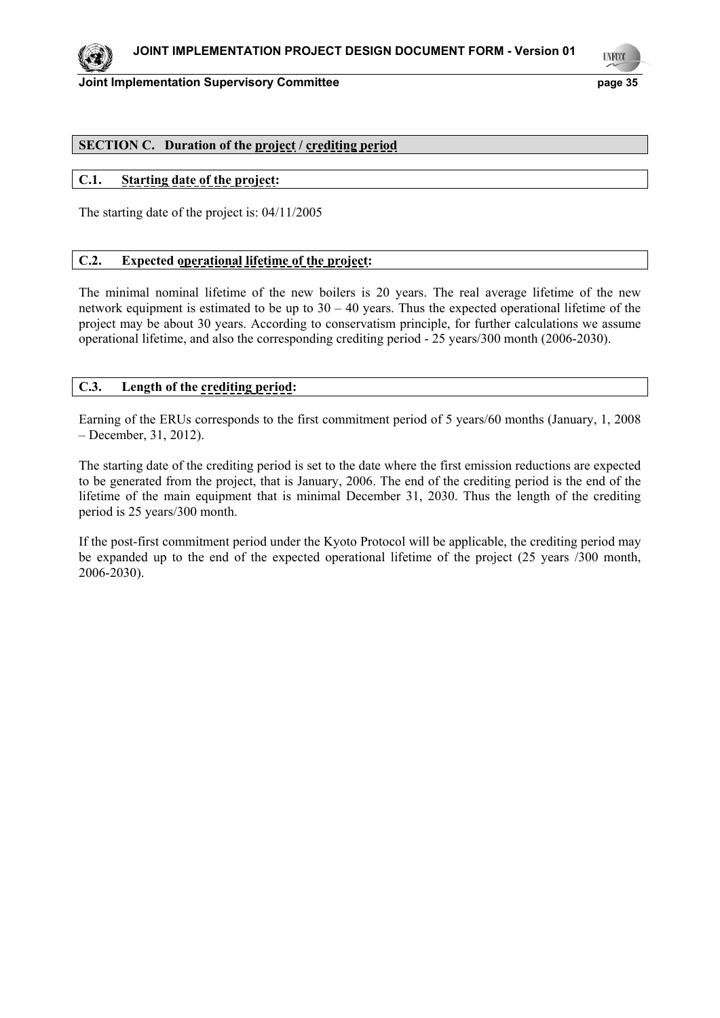

**UNFCO** 

35

## **SECTION C. Duration of the project / crediting period**

# **C.1. Starting date of the project:**

The starting date of the project is: 04/11/2005

# **C.2. Expected operational lifetime of the project:**

The minimal nominal lifetime of the new boilers is 20 years. The real average lifetime of the new network equipment is estimated to be up to  $30 - 40$  years. Thus the expected operational lifetime of the project may be about 30 years. According to conservatism principle, for further calculations we assume operational lifetime, and also the corresponding crediting period - 25 years/300 month (2006-2030).

# **C.3. Length of the crediting period:**

Earning of the ERUs corresponds to the first commitment period of 5 years/60 months (January, 1, 2008 – December, 31, 2012).

The starting date of the crediting period is set to the date where the first emission reductions are expected to be generated from the project, that is January, 2006. The end of the crediting period is the end of the lifetime of the main equipment that is minimal December 31, 2030. Thus the length of the crediting period is 25 years/300 month.

If the post-first commitment period under the Kyoto Protocol will be applicable, the crediting period may be expanded up to the end of the expected operational lifetime of the project (25 years /300 month, 2006-2030).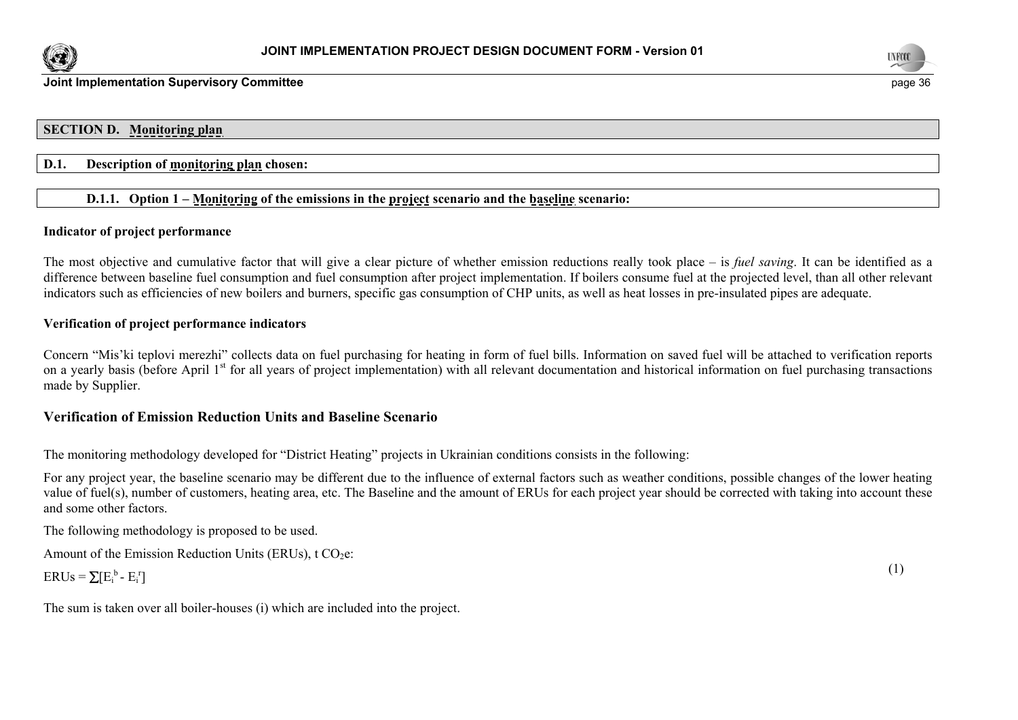



### **SECTION D. Monitoring plan**

### **D.1. Description of monitoring plan chosen:**

# **D.1.1. Option 1 – Monitoring of the emissions in the project scenario and the baseline scenario:**

### **Indicator of project performance**

The most objective and cumulative factor that will give a clear picture of whether emission reductions really took place – is *fuel saving*. It can be identified as a difference between baseline fuel consumption and fuel consumption after project implementation. If boilers consume fuel at the projected level, than all other relevant indicators such as efficiencies of new boilers and burners, specific gas consumption of CHP units, as well as heat losses in pre-insulated pipes are adequate.

### **Verification of project performance indicators**

Concern "Mis'ki teplovi merezhi" collects data on fuel purchasing for heating in form of fuel bills. Information on saved fuel will be attached to verification reports on a yearly basis (before April 1<sup>st</sup> for all years of project implementation) with all relevant documentation and historical information on fuel purchasing transactions made by Supplier.

### **Verification of Emission Reduction Units and Baseline Scenario**

The monitoring methodology developed for "District Heating" projects in Ukrainian conditions consists in the following:

For any project year, the baseline scenario may be different due to the influence of external factors such as weather conditions, possible changes of the lower heating value of fuel(s), number of customers, heating area, etc. The Baseline and the amount of ERUs for each project year should be corrected with taking into account these and some other factors.

The following methodology is proposed to be used.

Amount of the Emission Reduction Units (ERUs),  $t CO<sub>2</sub>e$ :

$$
ERUs = \sum [E_i^b - E_i^r] \tag{1}
$$

The sum is taken over all boiler-houses (i) which are included into the project.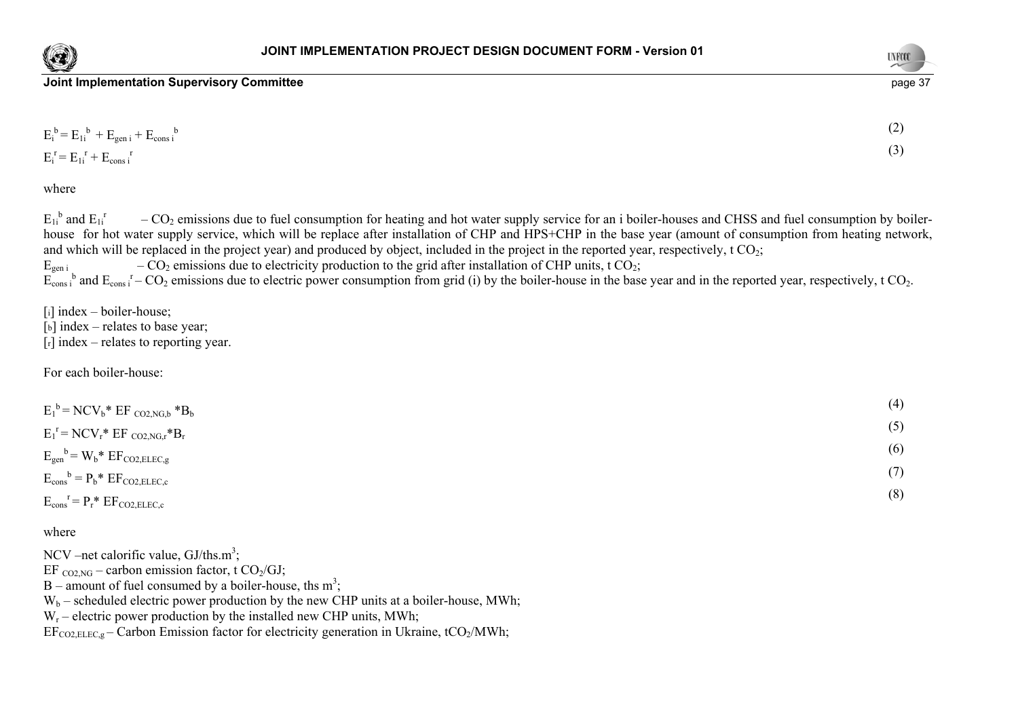



| $E_i^b = E_{1i}^b + E_{gen i} + E_{cons i}^b$ | (2) |
|-----------------------------------------------|-----|
| $E_i^r = E_{1i}^r + E_{cons}^r$               | (3) |

where

 $E_{1i}^{b}$  and  $E_{1i}^{r}$  – CO<sub>2</sub> emissions due to fuel consumption for heating and hot water supply service for an i boiler-houses and CHSS and fuel consumption by boilerhouse for hot water supply service, which will be replace after installation of CHP and HPS+CHP in the base year (amount of consumption from heating network, and which will be replaced in the project year) and produced by object, included in the project in the reported year, respectively, t  $CO_2$ ;<br> $E_{gen i}$  –  $CO_2$  emissions due to electricity production to the grid after instal  $E_{\text{gen i}}$  –  $CO_2$  emissions due to electricity production to the grid after installation of CHP units, t  $CO_2$ ;

 $E_{\text{cons i}}^{\text{b}}$  and  $E_{\text{cons i}}^{\text{r}}$  – CO<sub>2</sub> emissions due to electric power consumption from grid (i) by the boiler-house in the base year and in the reported year, respectively, t CO<sub>2</sub>.

 $[i]$  index – boiler-house;  $[b]$  index – relates to base year;  $[r]$  index – relates to reporting year.

For each boiler-house:

| $E_1^b$ = NCV <sub>b</sub> * EF <sub>CO2,NG,b</sub> *B <sub>b</sub>   | (4) |
|-----------------------------------------------------------------------|-----|
| $E_1^r = NCV_r^* EF_{CO2, NG,r}^* B_r$                                | (5) |
| $E_{gen}^{\ b} = W_b^* E F_{CO2, ELEC,g}$                             | (6) |
| $E_{\text{cons}}^{\text{b}} = P_{\text{b}}^* E F_{\text{CO2,ELEC,c}}$ | (7) |
| $E_{\text{cons}}^{\text{r}} = P_{\text{r}}^* E F_{\text{CO2,ELEC,c}}$ | (8) |

### where

NCV –net calorific value,  $GI/ths.m^3$ ;

EF  $_{CO2,NG}$  – carbon emission factor, t CO<sub>2</sub>/GJ;

 $B$  – amount of fuel consumed by a boiler-house, ths m<sup>3</sup>;

 $W_b$  – scheduled electric power production by the new CHP units at a boiler-house, MWh;

 $W_r$  – electric power production by the installed new CHP units, MWh;

 $EF_{CO2 ELEC\varrho}$  – Carbon Emission factor for electricity generation in Ukraine, tCO<sub>2</sub>/MWh;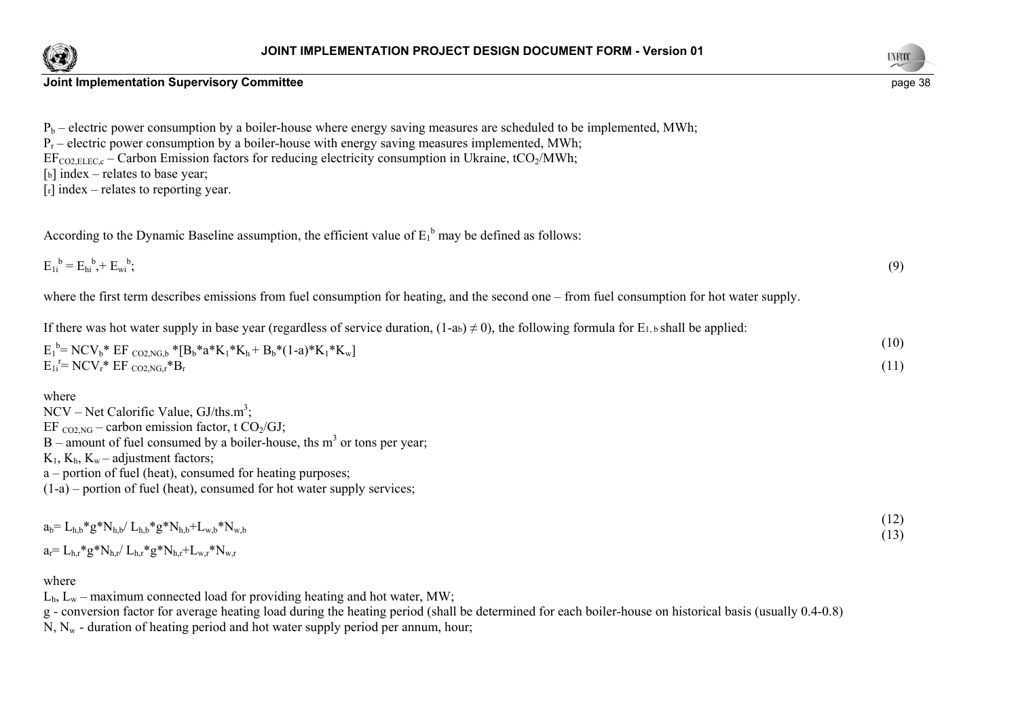



| $P_b$ – electric power consumption by a boiler-house where energy saving measures are scheduled to be implemented, MWh; |  |
|-------------------------------------------------------------------------------------------------------------------------|--|
|-------------------------------------------------------------------------------------------------------------------------|--|

 $P_r$  – electric power consumption by a boiler-house with energy saving measures implemented, MWh;

 $EF_{CO2 ELEC,c}$  – Carbon Emission factors for reducing electricity consumption in Ukraine, tCO<sub>2</sub>/MWh;

[b] index – relates to base year;

 $[r]$  index – relates to reporting year.

According to the Dynamic Baseline assumption, the efficient value of  $E_1^b$  may be defined as follows:

 $E_1{}^b = E_{bi}{}^b + E_{wi}{}^b;$  (9)

where the first term describes emissions from fuel consumption for heating, and the second one – from fuel consumption for hot water supply.

If there was hot water supply in base year (regardless of service duration,  $(1-a_b) \neq 0$ ), the following formula for E<sub>1, b</sub> shall be applied:

| $E_1^b$ = NCV <sub>b</sub> * EF <sub>CO2,NG,b</sub> * [B <sub>b</sub> *a*K <sub>1</sub> *K <sub>h</sub> + B <sub>b</sub> *(1-a)*K <sub>1</sub> *K <sub>w</sub> ] |  |
|------------------------------------------------------------------------------------------------------------------------------------------------------------------|--|
| $E_{1i}^{\rceil} = NCV_r^* EF_{CO2, NG_r}^*B_r$                                                                                                                  |  |

where

NCV – Net Calorific Value,  $GI/ths.m^3$ ;

EF  $_{CO2,NG}$  – carbon emission factor, t CO<sub>2</sub>/GJ;

 $B$  – amount of fuel consumed by a boiler-house, ths m<sup>3</sup> or tons per year;

 $K_1$ ,  $K_b$ ,  $K_w$  – adjustment factors;

a – portion of fuel (heat), consumed for heating purposes;

 $(1-a)$  – portion of fuel (heat), consumed for hot water supply services;

| $a_b = L_{h,b} * g * N_{h,b} / L_{h,b} * g * N_{h,b} + L_{w,b} * N_{w,b}$ | (12)<br>(13) |
|---------------------------------------------------------------------------|--------------|
| $a_r = L_{h,r} * g * N_{h,r} / L_{h,r} * g * N_{h,r} + L_{w,r} * N_{w,r}$ |              |

### where

 $L<sub>h</sub>$ ,  $L<sub>w</sub>$  – maximum connected load for providing heating and hot water, MW;

g - conversion factor for average heating load during the heating period (shall be determined for each boiler-house on historical basis (usually 0.4-0.8)

 $N, N_w$  - duration of heating period and hot water supply period per annum, hour;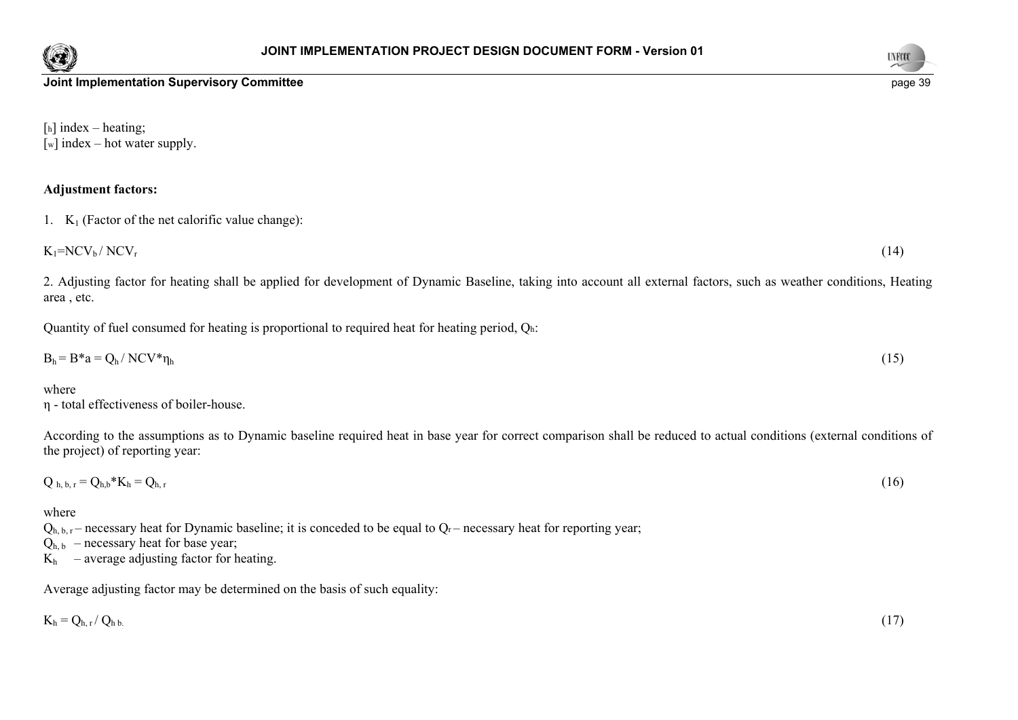



[h] index – heating;  $\lceil w \rceil$  index – hot water supply.

### **Adjustment factors:**

1.  $K_1$  (Factor of the net calorific value change):

 $K_1=NCV_b/NCV_r$  (14)

2. Adjusting factor for heating shall be applied for development of Dynamic Baseline, taking into account all external factors, such as weather conditions, Heating area , etc.

Quantity of fuel consumed for heating is proportional to required heat for heating period, Qh:

$$
B_h = B^* a = Q_h / NCV^* \eta_h
$$
 (15)

where

η - total effectiveness of boiler-house.

According to the assumptions as to Dynamic baseline required heat in base year for correct comparison shall be reduced to actual conditions (external conditions of the project) of reporting year:

$$
Q_{h,b,r} = Q_{h,b} * K_h = Q_{h,r} \tag{16}
$$

### where

 $Q_{h, b, r}$  – necessary heat for Dynamic baseline; it is conceded to be equal to  $Q_r$  – necessary heat for reporting year;

 $Q_{h, b}$  – necessary heat for base year;

 $K_h$  – average adjusting factor for heating.

Average adjusting factor may be determined on the basis of such equality:

$$
K_h = Q_{h,r}/Q_{h\,b.}
$$
\n
$$
(17)
$$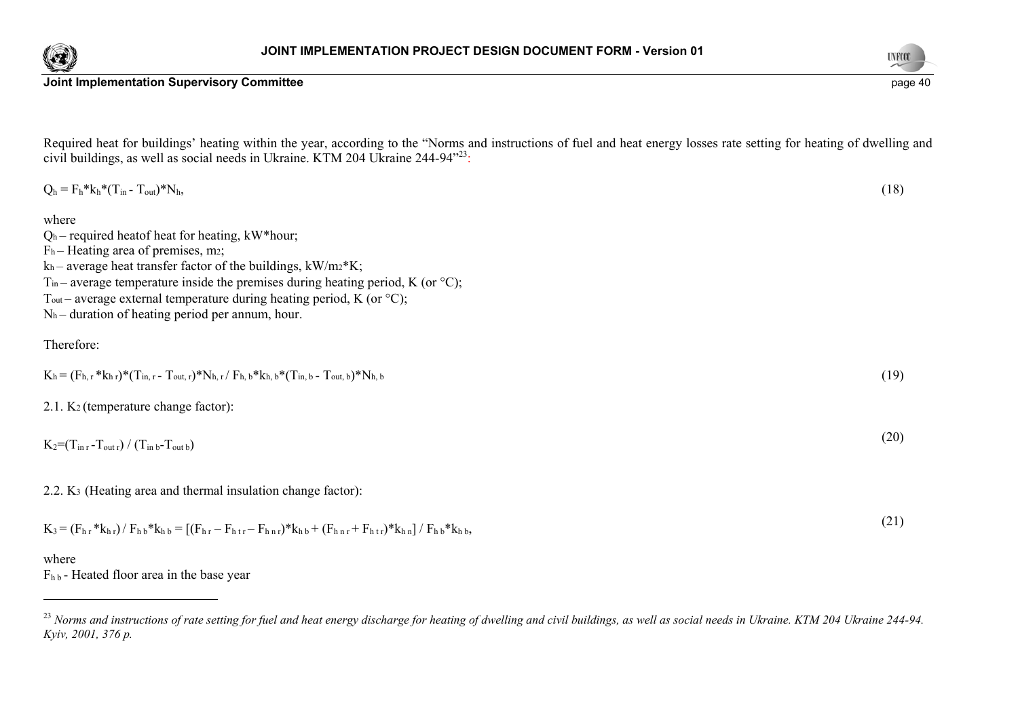

Required heat for buildings' heating within the year, according to the "Norms and instructions of fuel and heat energy losses rate setting for heating of dwelling and civil buildings, as well as social needs in Ukraine. KTM 204 Ukraine 244-94"23:

| $Q_h = F_h * k_h * (T_{in} - T_{out}) * N_h,$                                                                                                                                                                                                                                                                                                                                                                                                                     | (18) |
|-------------------------------------------------------------------------------------------------------------------------------------------------------------------------------------------------------------------------------------------------------------------------------------------------------------------------------------------------------------------------------------------------------------------------------------------------------------------|------|
| where<br>$Qh$ – required heat of heat for heating, kW*hour;<br>$Fh$ – Heating area of premises, m2;<br>$k_h$ – average heat transfer factor of the buildings, $kW/mz$ <sup>*</sup> K;<br>T <sub>in</sub> – average temperature inside the premises during heating period, K (or $\rm{^{\circ}C}$ );<br>T <sub>out</sub> – average external temperature during heating period, K (or $\mathrm{^{\circ}C}$ );<br>$Nh$ – duration of heating period per annum, hour. |      |
| Therefore:                                                                                                                                                                                                                                                                                                                                                                                                                                                        |      |
| $K_h = (F_{h,r} * k_{h,r}) * (T_{in,r} - T_{out,r}) * N_{h,r} / F_{h,b} * k_{h,b} * (T_{in,b} - T_{out,b}) * N_{h,b}$                                                                                                                                                                                                                                                                                                                                             | (19) |
| 2.1. K <sub>2</sub> (temperature change factor):                                                                                                                                                                                                                                                                                                                                                                                                                  |      |
| $K_2 = (T_{\text{in }r} - T_{\text{out }r}) / (T_{\text{in }b} - T_{\text{out }b})$                                                                                                                                                                                                                                                                                                                                                                               | (20) |
| 2.2. K <sub>3</sub> (Heating area and thermal insulation change factor):                                                                                                                                                                                                                                                                                                                                                                                          |      |
| $K_3 = (F_{h,r} * k_{h,r}) / F_{h,b} * k_{h,b} = [(F_{h,r} - F_{h,r} - F_{h,r}) * k_{h,b} + (F_{h,r} + F_{h,r}) * k_{h,n}] / F_{h,b} * k_{h,b}$                                                                                                                                                                                                                                                                                                                   | (21) |
| where                                                                                                                                                                                                                                                                                                                                                                                                                                                             |      |

 $F_{h\,b}$  - Heated floor area in the base year



<sup>&</sup>lt;sup>23</sup> Norms and instructions of rate setting for fuel and heat energy discharge for heating of dwelling and civil buildings, as well as social needs in Ukraine. KTM 204 Ukraine 244-94. *Kyiv, 2001, 376 p.*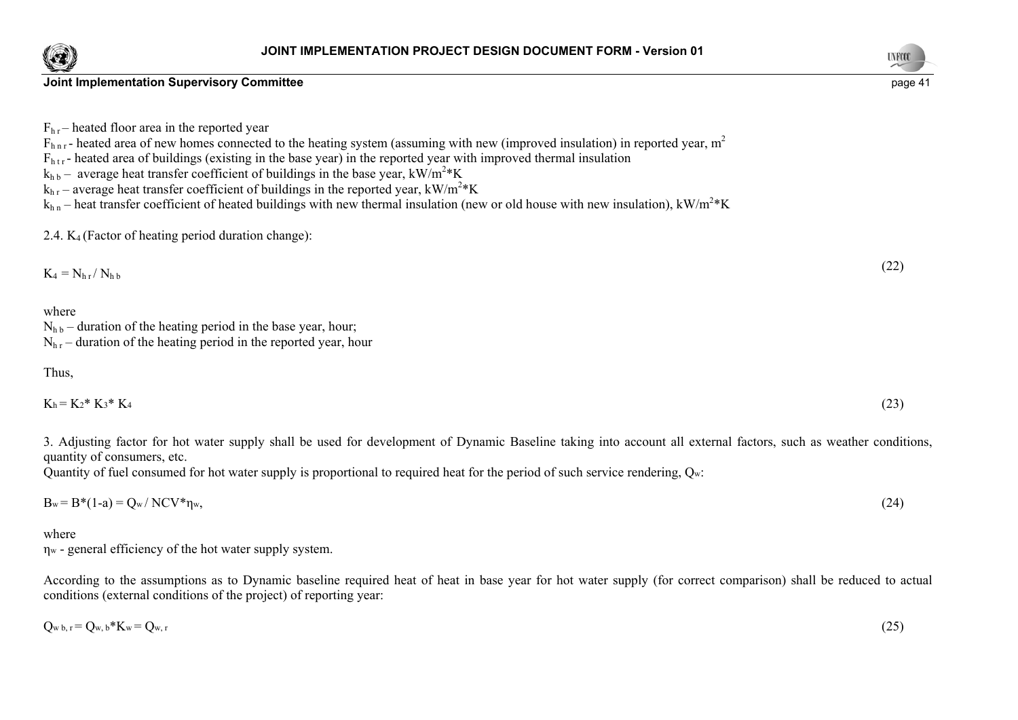



**Joint Implementation Supervisory Committee** <br> **Joint Implementation Supervisory Committee** 

 $F_{hr}$  – heated floor area in the reported year

 $F_{h n r}$ - heated area of new homes connected to the heating system (assuming with new (improved insulation) in reported year, m<sup>2</sup>

 $F<sub>htr</sub>$  - heated area of buildings (existing in the base year) in the reported year with improved thermal insulation

 $k_{hb}$  – average heat transfer coefficient of buildings in the base year, kW/m<sup>2</sup>\*K

 $k<sub>hr</sub>$  – average heat transfer coefficient of buildings in the reported year, kW/m<sup>2\*</sup>K

 $k_{h n}$  – heat transfer coefficient of heated buildings with new thermal insulation (new or old house with new insulation), kW/m<sup>2</sup> K

2.4.  $K_4$  (Factor of heating period duration change):

$$
K_4 = N_{hr}/N_{hb} \tag{22}
$$

where

 $N_{hh}$  – duration of the heating period in the base year, hour;  $N<sub>hr</sub>$  – duration of the heating period in the reported year, hour

## Thus,

| Кh | $K_2$ * $K_3$ * 1 | V |  |
|----|-------------------|---|--|
|----|-------------------|---|--|

3. Adjusting factor for hot water supply shall be used for development of Dynamic Baseline taking into account all external factors, such as weather conditions, quantity of consumers, etc.

Quantity of fuel consumed for hot water supply is proportional to required heat for the period of such service rendering, Qw:

 $B_w = B^*(1-a) = Q_w / NCV^* \eta_w$  (24)

where

ηw - general efficiency of the hot water supply system.

According to the assumptions as to Dynamic baseline required heat of heat in base year for hot water supply (for correct comparison) shall be reduced to actual conditions (external conditions of the project) of reporting year:

$$
Q_{w\,b,r} = Q_{w,b} * K_w = Q_{w,r} \tag{25}
$$

 $^{4}$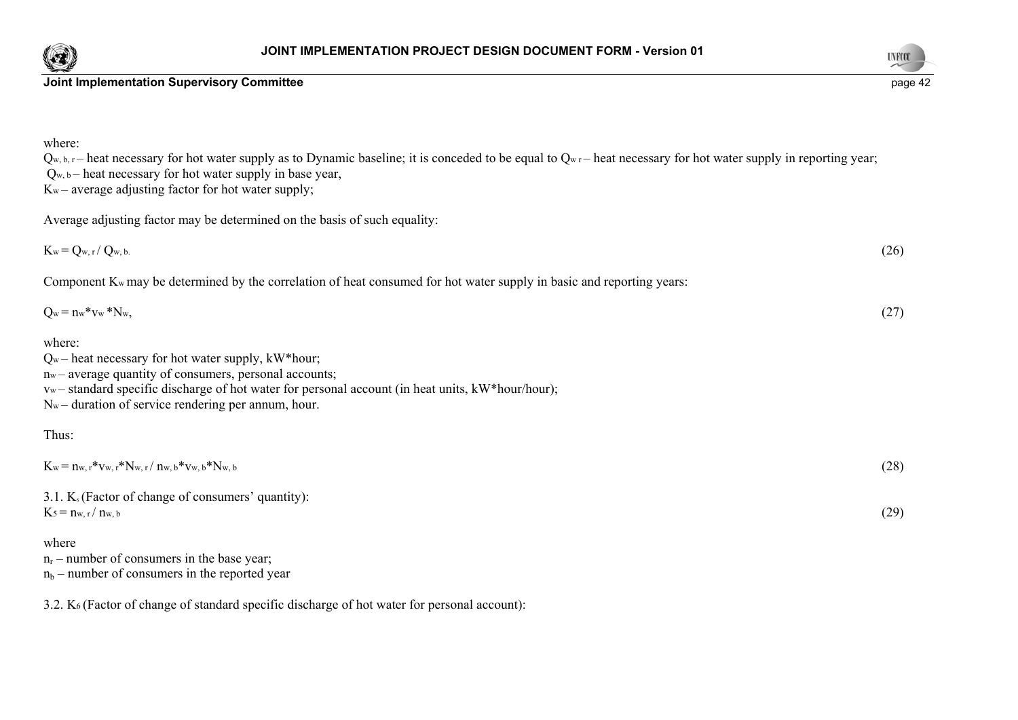



| where:<br>$Q_{w, b, r}$ heat necessary for hot water supply as to Dynamic baseline; it is conceded to be equal to $Q_{w,r}$ heat necessary for hot water supply in reporting year;<br>$Q_{w, b}$ – heat necessary for hot water supply in base year,<br>$K_w$ – average adjusting factor for hot water supply; |      |
|----------------------------------------------------------------------------------------------------------------------------------------------------------------------------------------------------------------------------------------------------------------------------------------------------------------|------|
| Average adjusting factor may be determined on the basis of such equality:                                                                                                                                                                                                                                      |      |
| $K_w = Q_{w, r}/ Q_{w, b}$                                                                                                                                                                                                                                                                                     | (26) |
| Component $K_w$ may be determined by the correlation of heat consumed for hot water supply in basic and reporting years:                                                                                                                                                                                       |      |
| $Q_w = n_w * v_w * N_w$                                                                                                                                                                                                                                                                                        | (27) |
| where:<br>$Q_w$ – heat necessary for hot water supply, kW*hour;<br>n <sub>w</sub> – average quantity of consumers, personal accounts;<br>vw-standard specific discharge of hot water for personal account (in heat units, kW*hour/hour);<br>$N_w$ – duration of service rendering per annum, hour.             |      |
| Thus:                                                                                                                                                                                                                                                                                                          |      |
| $K_w = n_{w, r} * v_{w, r} * N_{w, r} / n_{w, b} * v_{w, b} * N_{w, b}$                                                                                                                                                                                                                                        | (28) |
| 3.1. $K_s$ (Factor of change of consumers' quantity):<br>$K_5 = n_{w, r}/n_{w, b}$                                                                                                                                                                                                                             | (29) |
| where<br>$n_r$ – number of consumers in the base year;<br>$n_b$ – number of consumers in the reported year                                                                                                                                                                                                     |      |

3.2. K6 (Factor of change of standard specific discharge of hot water for personal account):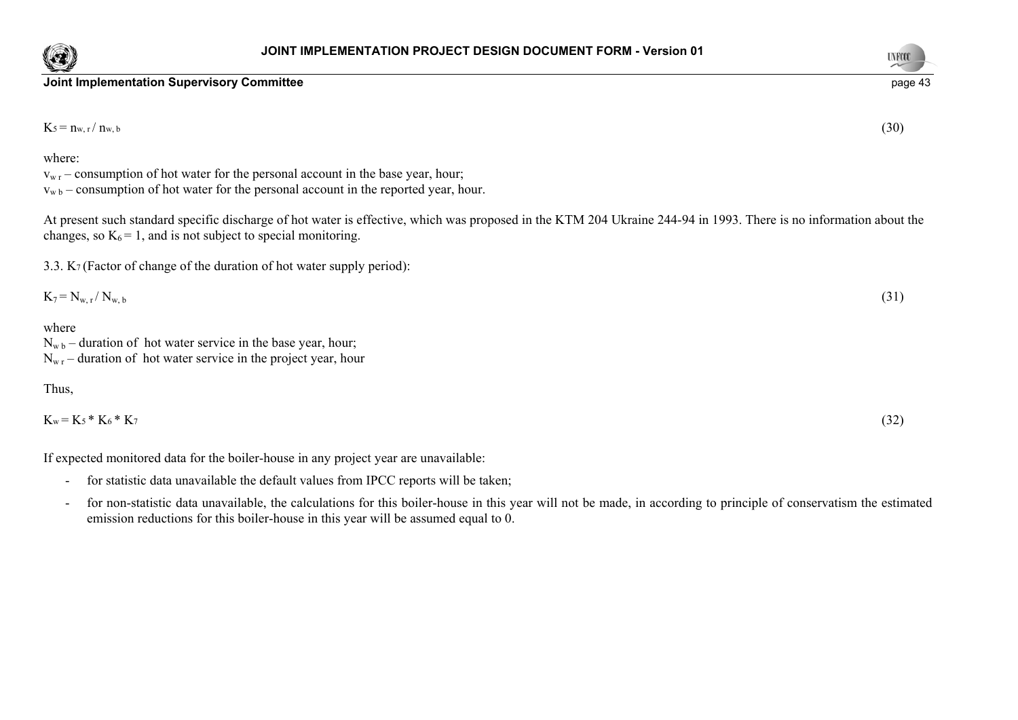





 $K_5 = n_{w,r}/n_{w,b}$  (30)

where:

 $v_{wr}$  – consumption of hot water for the personal account in the base year, hour;  $v_{wb}$  – consumption of hot water for the personal account in the reported year, hour.

At present such standard specific discharge of hot water is effective, which was proposed in the KTM 204 Ukraine 244-94 in 1993. There is no information about the changes, so  $K_6 = 1$ , and is not subject to special monitoring.

3.3. K7 (Factor of change of the duration of hot water supply period):

$$
K_7 = N_{w,r} / N_{w,b} \tag{31}
$$

where

 $N_{\rm wb}$  – duration of hot water service in the base year, hour;

 $N_{\rm wr}$  – duration of hot water service in the project year, hour

### Thus,

| $K_w = K_5 * K_6 * K_7$ | (32) |
|-------------------------|------|
|-------------------------|------|

If expected monitored data for the boiler-house in any project year are unavailable:

- for statistic data unavailable the default values from IPCC reports will be taken;
- for non-statistic data unavailable, the calculations for this boiler-house in this year will not be made, in according to principle of conservatism the estimated emission reductions for this boiler-house in this year will be assumed equal to 0.

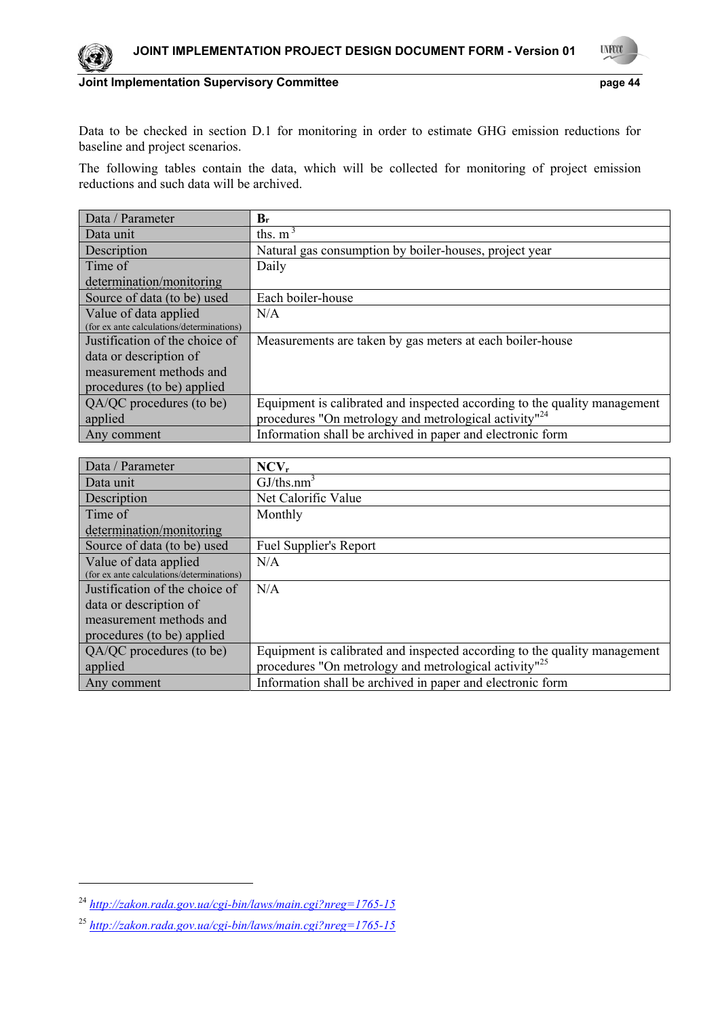

**UNFOOL** 

## **Joint Implementation Supervisory Committee**  page 44

Data to be checked in section D.1 for monitoring in order to estimate GHG emission reductions for baseline and project scenarios.

The following tables contain the data, which will be collected for monitoring of project emission reductions and such data will be archived.

| Data / Parameter                          | $\mathbf{B}_{\mathbf{r}}$                                                 |
|-------------------------------------------|---------------------------------------------------------------------------|
| Data unit                                 | ths. $m3$                                                                 |
| Description                               | Natural gas consumption by boiler-houses, project year                    |
| Time of                                   | Daily                                                                     |
| determination/monitoring                  |                                                                           |
| Source of data (to be) used               | Each boiler-house                                                         |
| Value of data applied                     | N/A                                                                       |
| (for ex ante calculations/determinations) |                                                                           |
| Justification of the choice of            | Measurements are taken by gas meters at each boiler-house                 |
| data or description of                    |                                                                           |
| measurement methods and                   |                                                                           |
| procedures (to be) applied                |                                                                           |
| QA/QC procedures (to be)                  | Equipment is calibrated and inspected according to the quality management |
| applied                                   | procedures "On metrology and metrological activity" <sup>24</sup>         |
| Any comment                               | Information shall be archived in paper and electronic form                |

| Data / Parameter                          | $NCV_r$                                                                   |
|-------------------------------------------|---------------------------------------------------------------------------|
| Data unit                                 | GJ/ths.nm <sup>3</sup>                                                    |
| Description                               | Net Calorific Value                                                       |
| Time of                                   | Monthly                                                                   |
| determination/monitoring                  |                                                                           |
| Source of data (to be) used               | <b>Fuel Supplier's Report</b>                                             |
| Value of data applied                     | N/A                                                                       |
| (for ex ante calculations/determinations) |                                                                           |
| Justification of the choice of            | N/A                                                                       |
| data or description of                    |                                                                           |
| measurement methods and                   |                                                                           |
| procedures (to be) applied                |                                                                           |
| QA/QC procedures (to be)                  | Equipment is calibrated and inspected according to the quality management |
| applied                                   | procedures "On metrology and metrological activity" <sup>25</sup>         |
| Any comment                               | Information shall be archived in paper and electronic form                |

1

<sup>24</sup> *http://zakon.rada.gov.ua/cgi-bin/laws/main.cgi?nreg=1765-15*

<sup>25</sup> *http://zakon.rada.gov.ua/cgi-bin/laws/main.cgi?nreg=1765-15*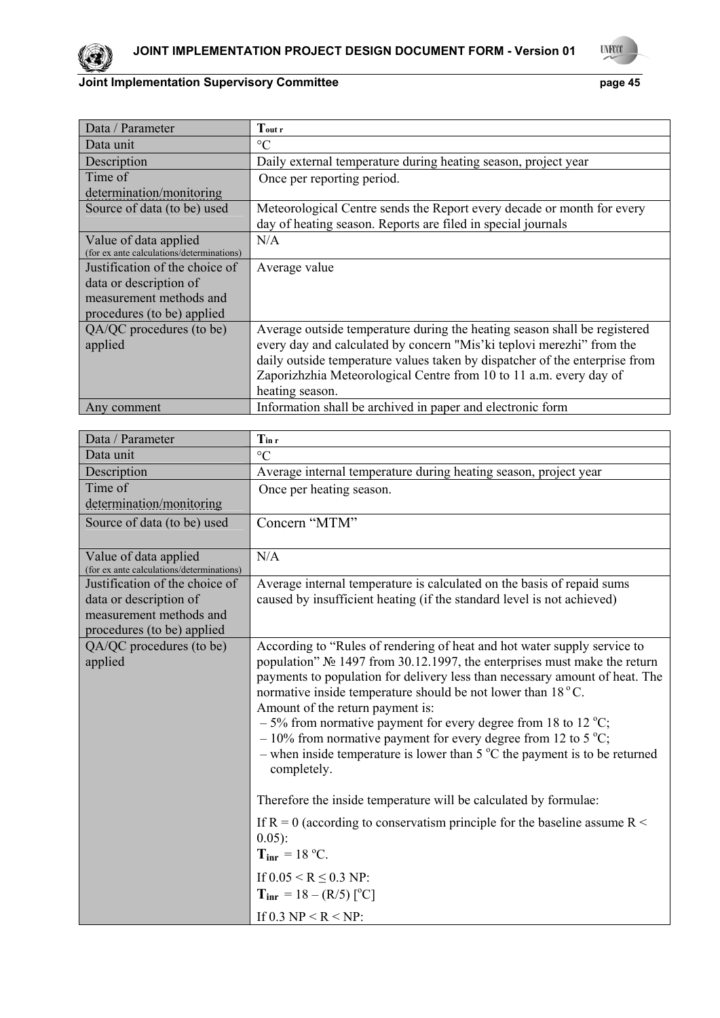



| Data / Parameter                          | $T_{\rm outr}$                                                              |
|-------------------------------------------|-----------------------------------------------------------------------------|
| Data unit                                 | $\rm ^{\circ}C$                                                             |
| Description                               | Daily external temperature during heating season, project year              |
| Time of                                   | Once per reporting period.                                                  |
| determination/monitoring                  |                                                                             |
| Source of data (to be) used               | Meteorological Centre sends the Report every decade or month for every      |
|                                           | day of heating season. Reports are filed in special journals                |
| Value of data applied                     | N/A                                                                         |
| (for ex ante calculations/determinations) |                                                                             |
| Justification of the choice of            | Average value                                                               |
| data or description of                    |                                                                             |
| measurement methods and                   |                                                                             |
| procedures (to be) applied                |                                                                             |
| QA/QC procedures (to be)                  | Average outside temperature during the heating season shall be registered   |
| applied                                   | every day and calculated by concern "Mis'ki teplovi merezhi" from the       |
|                                           | daily outside temperature values taken by dispatcher of the enterprise from |
|                                           | Zaporizhzhia Meteorological Centre from 10 to 11 a.m. every day of          |
|                                           | heating season.                                                             |
| Any comment                               | Information shall be archived in paper and electronic form                  |

| Data / Parameter                                                   | $T_{\rm in\,r}$                                                                                                                                                                                                                                                                                                                                                                                                                                                                                                                                                                       |
|--------------------------------------------------------------------|---------------------------------------------------------------------------------------------------------------------------------------------------------------------------------------------------------------------------------------------------------------------------------------------------------------------------------------------------------------------------------------------------------------------------------------------------------------------------------------------------------------------------------------------------------------------------------------|
| Data unit                                                          | $\rm ^{\circ}C$                                                                                                                                                                                                                                                                                                                                                                                                                                                                                                                                                                       |
| Description                                                        | Average internal temperature during heating season, project year                                                                                                                                                                                                                                                                                                                                                                                                                                                                                                                      |
| Time of                                                            | Once per heating season.                                                                                                                                                                                                                                                                                                                                                                                                                                                                                                                                                              |
| determination/monitoring                                           |                                                                                                                                                                                                                                                                                                                                                                                                                                                                                                                                                                                       |
| Source of data (to be) used                                        | Concern "MTM"                                                                                                                                                                                                                                                                                                                                                                                                                                                                                                                                                                         |
| Value of data applied<br>(for ex ante calculations/determinations) | N/A                                                                                                                                                                                                                                                                                                                                                                                                                                                                                                                                                                                   |
| Justification of the choice of                                     | Average internal temperature is calculated on the basis of repaid sums                                                                                                                                                                                                                                                                                                                                                                                                                                                                                                                |
| data or description of<br>measurement methods and                  | caused by insufficient heating (if the standard level is not achieved)                                                                                                                                                                                                                                                                                                                                                                                                                                                                                                                |
| procedures (to be) applied                                         |                                                                                                                                                                                                                                                                                                                                                                                                                                                                                                                                                                                       |
| QA/QC procedures (to be)<br>applied                                | According to "Rules of rendering of heat and hot water supply service to<br>population" № 1497 from 30.12.1997, the enterprises must make the return<br>payments to population for delivery less than necessary amount of heat. The<br>normative inside temperature should be not lower than 18 °C.<br>Amount of the return payment is:<br>$-5\%$ from normative payment for every degree from 18 to 12 °C;<br>$-10\%$ from normative payment for every degree from 12 to 5 °C;<br>- when inside temperature is lower than $5^{\circ}$ C the payment is to be returned<br>completely. |
|                                                                    | Therefore the inside temperature will be calculated by formulae:                                                                                                                                                                                                                                                                                                                                                                                                                                                                                                                      |
|                                                                    | If R = 0 (according to conservatism principle for the baseline assume R $\leq$<br>$0.05$ :<br>$T_{\text{inr}} = 18 \text{ °C}.$                                                                                                                                                                                                                                                                                                                                                                                                                                                       |
|                                                                    | If $0.05 \le R \le 0.3$ NP:<br>$T_{\text{intr}} = 18 - (R/5)$ [ <sup>o</sup> C]                                                                                                                                                                                                                                                                                                                                                                                                                                                                                                       |
|                                                                    | If 0.3 NP < R < NP:                                                                                                                                                                                                                                                                                                                                                                                                                                                                                                                                                                   |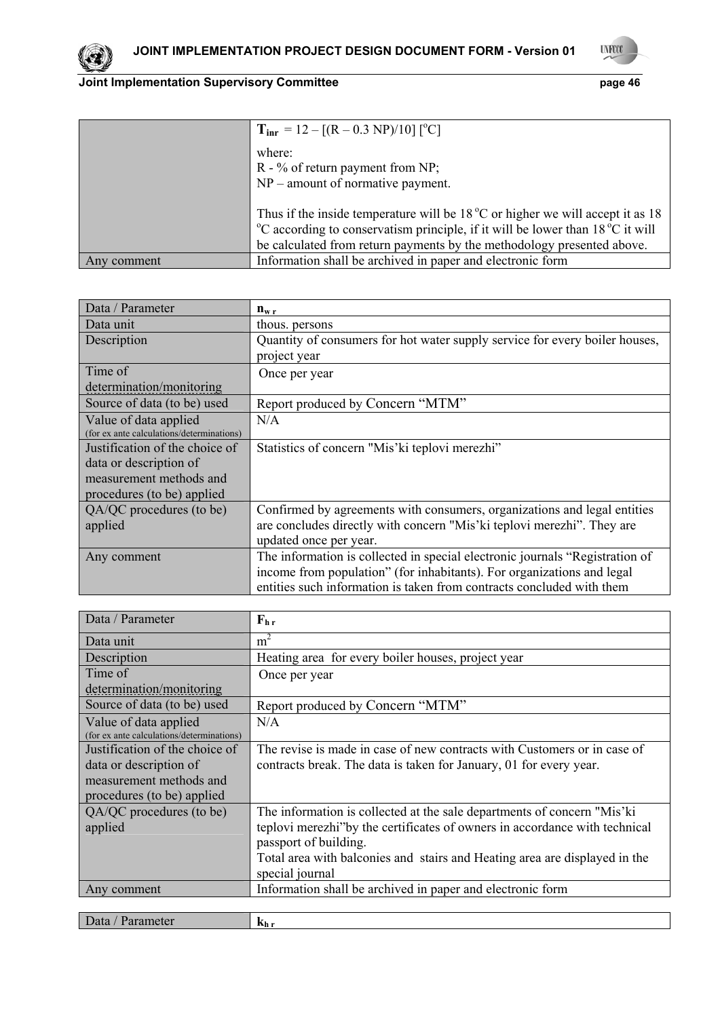

**UYFOOT** 

|             | $T_{\text{inr}} = 12 - [(R - 0.3 \text{ NP})/10] [^{\circ}\text{C}]$                                                                                                                                                                                                        |
|-------------|-----------------------------------------------------------------------------------------------------------------------------------------------------------------------------------------------------------------------------------------------------------------------------|
|             | where:<br>$R - %$ of return payment from NP;<br>$NP$ – amount of normative payment.                                                                                                                                                                                         |
|             | Thus if the inside temperature will be $18^{\circ}$ C or higher we will accept it as 18<br><sup>o</sup> C according to conservatism principle, if it will be lower than 18 <sup>o</sup> C it will<br>be calculated from return payments by the methodology presented above. |
| Any comment | Information shall be archived in paper and electronic form                                                                                                                                                                                                                  |

| Data / Parameter                          | $n_{w,r}$                                                                    |
|-------------------------------------------|------------------------------------------------------------------------------|
| Data unit                                 | thous. persons                                                               |
| Description                               | Quantity of consumers for hot water supply service for every boiler houses,  |
|                                           | project year                                                                 |
| Time of                                   | Once per year                                                                |
| determination/monitoring                  |                                                                              |
| Source of data (to be) used               | Report produced by Concern "MTM"                                             |
| Value of data applied                     | N/A                                                                          |
| (for ex ante calculations/determinations) |                                                                              |
| Justification of the choice of            | Statistics of concern "Mis' ki teplovi merezhi"                              |
| data or description of                    |                                                                              |
| measurement methods and                   |                                                                              |
| procedures (to be) applied                |                                                                              |
| $QA/QC$ procedures (to be)                | Confirmed by agreements with consumers, organizations and legal entities     |
| applied                                   | are concludes directly with concern "Mis'ki teplovi merezhi". They are       |
|                                           | updated once per year.                                                       |
| Any comment                               | The information is collected in special electronic journals "Registration of |
|                                           | income from population" (for inhabitants). For organizations and legal       |
|                                           | entities such information is taken from contracts concluded with them        |

| Data / Parameter                          | $F_{hr}$                                                                    |
|-------------------------------------------|-----------------------------------------------------------------------------|
| Data unit                                 | m <sup>2</sup>                                                              |
| Description                               | Heating area for every boiler houses, project year                          |
| Time of                                   | Once per year                                                               |
| determination/monitoring                  |                                                                             |
| Source of data (to be) used               | Report produced by Concern "MTM"                                            |
| Value of data applied                     | N/A                                                                         |
| (for ex ante calculations/determinations) |                                                                             |
| Justification of the choice of            | The revise is made in case of new contracts with Customers or in case of    |
| data or description of                    | contracts break. The data is taken for January, 01 for every year.          |
| measurement methods and                   |                                                                             |
| procedures (to be) applied                |                                                                             |
| QA/QC procedures (to be)                  | The information is collected at the sale departments of concern "Mis'ki     |
| applied                                   | teplovi merezhi" by the certificates of owners in accordance with technical |
|                                           | passport of building.                                                       |
|                                           | Total area with balconies and stairs and Heating area are displayed in the  |
|                                           | special journal                                                             |
| Any comment                               | Information shall be archived in paper and electronic form                  |
|                                           |                                                                             |
| Data / Parameter                          | $k_{h r}$                                                                   |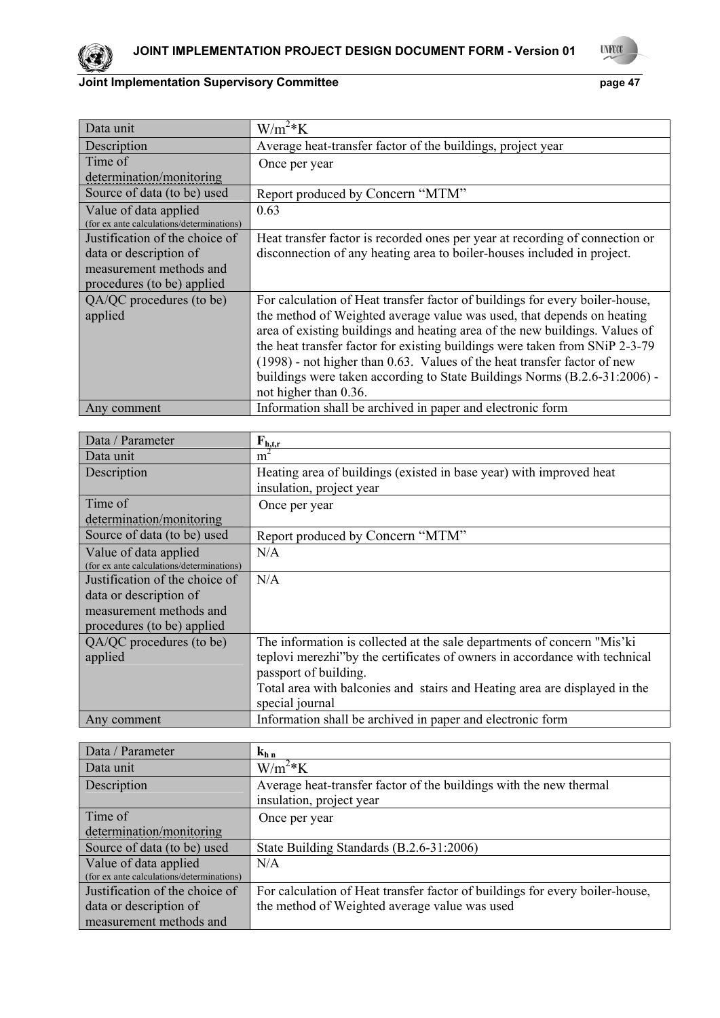



| Data unit                                 | $W/m^2*K$                                                                    |
|-------------------------------------------|------------------------------------------------------------------------------|
| Description                               | Average heat-transfer factor of the buildings, project year                  |
| Time of                                   | Once per year                                                                |
| determination/monitoring                  |                                                                              |
| Source of data (to be) used               | Report produced by Concern "MTM"                                             |
| Value of data applied                     | 0.63                                                                         |
| (for ex ante calculations/determinations) |                                                                              |
| Justification of the choice of            | Heat transfer factor is recorded ones per year at recording of connection or |
| data or description of                    | disconnection of any heating area to boiler-houses included in project.      |
| measurement methods and                   |                                                                              |
| procedures (to be) applied                |                                                                              |
| QA/QC procedures (to be)                  | For calculation of Heat transfer factor of buildings for every boiler-house, |
| applied                                   | the method of Weighted average value was used, that depends on heating       |
|                                           | area of existing buildings and heating area of the new buildings. Values of  |
|                                           | the heat transfer factor for existing buildings were taken from SNiP 2-3-79  |
|                                           | (1998) - not higher than 0.63. Values of the heat transfer factor of new     |
|                                           | buildings were taken according to State Buildings Norms (B.2.6-31:2006) -    |
|                                           | not higher than 0.36.                                                        |
| Any comment                               | Information shall be archived in paper and electronic form                   |

| Data / Parameter                          | $F_{h,tr}$                                                                 |
|-------------------------------------------|----------------------------------------------------------------------------|
| Data unit                                 | m <sup>2</sup>                                                             |
| Description                               | Heating area of buildings (existed in base year) with improved heat        |
|                                           | insulation, project year                                                   |
| Time of                                   | Once per year                                                              |
| determination/monitoring                  |                                                                            |
| Source of data (to be) used               | Report produced by Concern "MTM"                                           |
| Value of data applied                     | N/A                                                                        |
| (for ex ante calculations/determinations) |                                                                            |
| Justification of the choice of            | N/A                                                                        |
| data or description of                    |                                                                            |
| measurement methods and                   |                                                                            |
| procedures (to be) applied                |                                                                            |
| QA/QC procedures (to be)                  | The information is collected at the sale departments of concern "Mis'ki    |
| applied                                   | teplovi merezhi"by the certificates of owners in accordance with technical |
|                                           | passport of building.                                                      |
|                                           | Total area with balconies and stairs and Heating area are displayed in the |
|                                           | special journal                                                            |
| Any comment                               | Information shall be archived in paper and electronic form                 |

| Data / Parameter                          | $k_{h,n}$                                                                    |
|-------------------------------------------|------------------------------------------------------------------------------|
| Data unit                                 | $W/m^2*K$                                                                    |
| Description                               | Average heat-transfer factor of the buildings with the new thermal           |
|                                           | insulation, project year                                                     |
| Time of                                   | Once per year                                                                |
| determination/monitoring                  |                                                                              |
| Source of data (to be) used               | State Building Standards (B.2.6-31:2006)                                     |
| Value of data applied                     | N/A                                                                          |
| (for ex ante calculations/determinations) |                                                                              |
| Justification of the choice of            | For calculation of Heat transfer factor of buildings for every boiler-house, |
| data or description of                    | the method of Weighted average value was used                                |
| measurement methods and                   |                                                                              |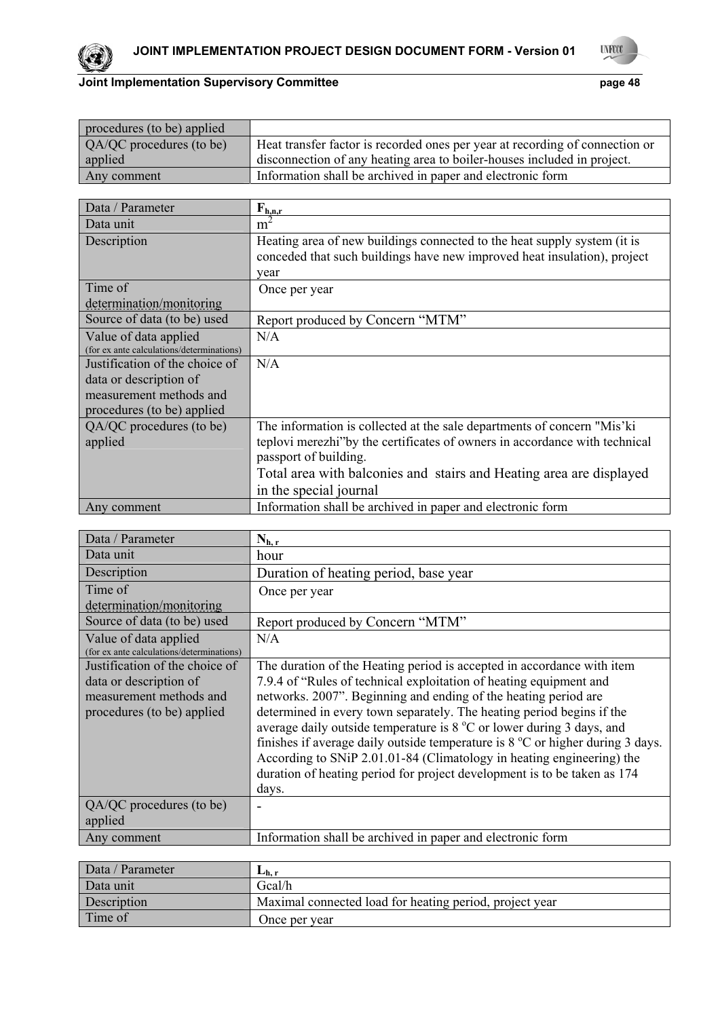



| procedures (to be) applied |                                                                              |
|----------------------------|------------------------------------------------------------------------------|
| QA/QC procedures (to be)   | Heat transfer factor is recorded ones per year at recording of connection or |
| applied                    | disconnection of any heating area to boiler-houses included in project.      |
| Any comment                | Information shall be archived in paper and electronic form                   |

| Data / Parameter                          | $F_{h,n,r}$                                                                |
|-------------------------------------------|----------------------------------------------------------------------------|
| Data unit                                 | m                                                                          |
| Description                               | Heating area of new buildings connected to the heat supply system (it is   |
|                                           | conceded that such buildings have new improved heat insulation), project   |
|                                           | year                                                                       |
| Time of                                   | Once per year                                                              |
| determination/monitoring                  |                                                                            |
| Source of data (to be) used               | Report produced by Concern "MTM"                                           |
| Value of data applied                     | N/A                                                                        |
| (for ex ante calculations/determinations) |                                                                            |
| Justification of the choice of            | N/A                                                                        |
| data or description of                    |                                                                            |
| measurement methods and                   |                                                                            |
| procedures (to be) applied                |                                                                            |
| QA/QC procedures (to be)                  | The information is collected at the sale departments of concern "Mis'ki"   |
| applied                                   | teplovi merezhi"by the certificates of owners in accordance with technical |
|                                           | passport of building.                                                      |
|                                           | Total area with balconies and stairs and Heating area are displayed        |
|                                           | in the special journal                                                     |
| Any comment                               | Information shall be archived in paper and electronic form                 |

| Data / Parameter                                                   | $N_{h,r}$                                                                               |
|--------------------------------------------------------------------|-----------------------------------------------------------------------------------------|
| Data unit                                                          | hour                                                                                    |
| Description                                                        | Duration of heating period, base year                                                   |
| Time of                                                            | Once per year                                                                           |
| determination/monitoring                                           |                                                                                         |
| Source of data (to be) used                                        | Report produced by Concern "MTM"                                                        |
| Value of data applied<br>(for ex ante calculations/determinations) | N/A                                                                                     |
| Justification of the choice of                                     | The duration of the Heating period is accepted in accordance with item                  |
| data or description of                                             | 7.9.4 of "Rules of technical exploitation of heating equipment and                      |
| measurement methods and                                            | networks. 2007". Beginning and ending of the heating period are                         |
| procedures (to be) applied                                         | determined in every town separately. The heating period begins if the                   |
|                                                                    | average daily outside temperature is $8^{\circ}$ C or lower during 3 days, and          |
|                                                                    | finishes if average daily outside temperature is $8^{\circ}$ C or higher during 3 days. |
|                                                                    | According to SNiP 2.01.01-84 (Climatology in heating engineering) the                   |
|                                                                    | duration of heating period for project development is to be taken as 174                |
|                                                                    | days.                                                                                   |
| QA/QC procedures (to be)                                           |                                                                                         |
| applied                                                            |                                                                                         |
| Any comment                                                        | Information shall be archived in paper and electronic form                              |

| Data / Parameter | $L_{h,r}$                                               |
|------------------|---------------------------------------------------------|
| Data unit        | Gcal/h                                                  |
| Description      | Maximal connected load for heating period, project year |
| Time of          | Once per vear                                           |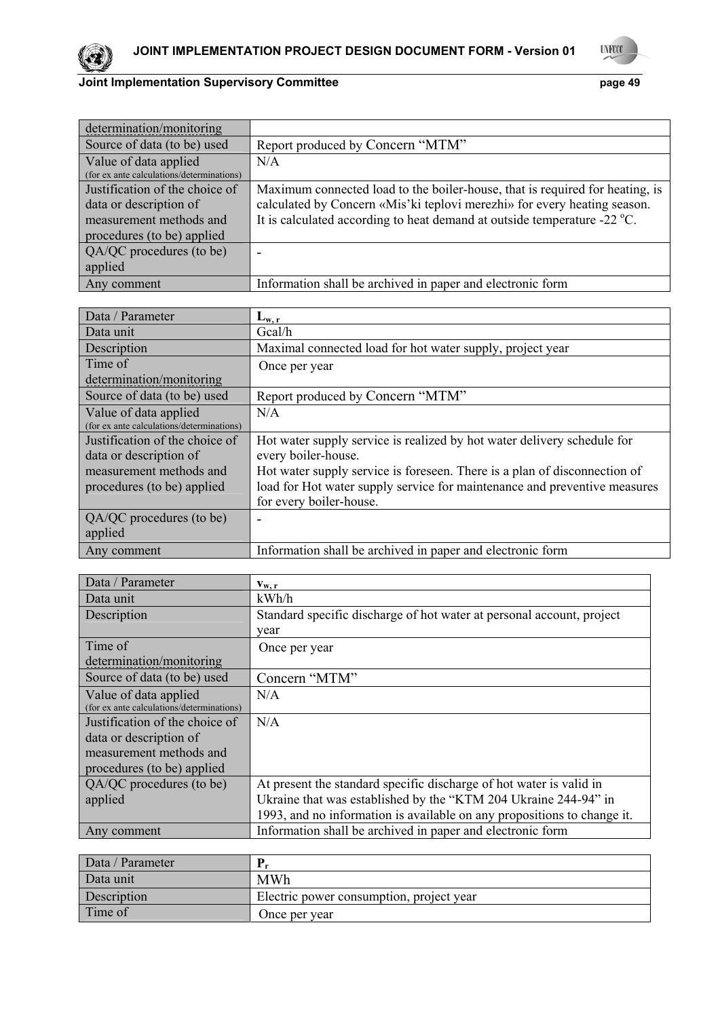



| determination/monitoring                                           |                                                                                    |
|--------------------------------------------------------------------|------------------------------------------------------------------------------------|
| Source of data (to be) used                                        | Report produced by Concern "MTM"                                                   |
| Value of data applied<br>(for ex ante calculations/determinations) | N/A                                                                                |
| Justification of the choice of                                     | Maximum connected load to the boiler-house, that is required for heating, is       |
| data or description of                                             | calculated by Concern «Mis'ki teplovi merezhi» for every heating season.           |
| measurement methods and                                            | It is calculated according to heat demand at outside temperature -22 $^{\circ}$ C. |
| procedures (to be) applied                                         |                                                                                    |
| QA/QC procedures (to be)                                           | -                                                                                  |
| applied                                                            |                                                                                    |
| Any comment                                                        | Information shall be archived in paper and electronic form                         |

| Data / Parameter                          | $L_{w, r}$                                                                |
|-------------------------------------------|---------------------------------------------------------------------------|
| Data unit                                 | Gcal/h                                                                    |
| Description                               | Maximal connected load for hot water supply, project year                 |
| Time of                                   | Once per year                                                             |
| determination/monitoring                  |                                                                           |
| Source of data (to be) used               | Report produced by Concern "MTM"                                          |
| Value of data applied                     | N/A                                                                       |
| (for ex ante calculations/determinations) |                                                                           |
| Justification of the choice of            | Hot water supply service is realized by hot water delivery schedule for   |
| data or description of                    | every boiler-house.                                                       |
| measurement methods and                   | Hot water supply service is foreseen. There is a plan of disconnection of |
| procedures (to be) applied                | load for Hot water supply service for maintenance and preventive measures |
|                                           | for every boiler-house.                                                   |
| QA/QC procedures (to be)                  |                                                                           |
| applied                                   |                                                                           |
| Any comment                               | Information shall be archived in paper and electronic form                |

| Data / Parameter                          | $V_{W, r}$                                                              |
|-------------------------------------------|-------------------------------------------------------------------------|
| Data unit                                 | kWh/h                                                                   |
| Description                               | Standard specific discharge of hot water at personal account, project   |
|                                           | year                                                                    |
| Time of                                   | Once per year                                                           |
| determination/monitoring                  |                                                                         |
| Source of data (to be) used               | Concern "MTM"                                                           |
| Value of data applied                     | N/A                                                                     |
| (for ex ante calculations/determinations) |                                                                         |
| Justification of the choice of            | N/A                                                                     |
| data or description of                    |                                                                         |
| measurement methods and                   |                                                                         |
| procedures (to be) applied                |                                                                         |
| QA/QC procedures (to be)                  | At present the standard specific discharge of hot water is valid in     |
| applied                                   | Ukraine that was established by the "KTM 204 Ukraine 244-94" in         |
|                                           | 1993, and no information is available on any propositions to change it. |
| Any comment                               | Information shall be archived in paper and electronic form              |

| Data / Parameter |                                          |
|------------------|------------------------------------------|
| Data unit        | <b>MWh</b>                               |
| Description      | Electric power consumption, project year |
| Time of          | Once per year                            |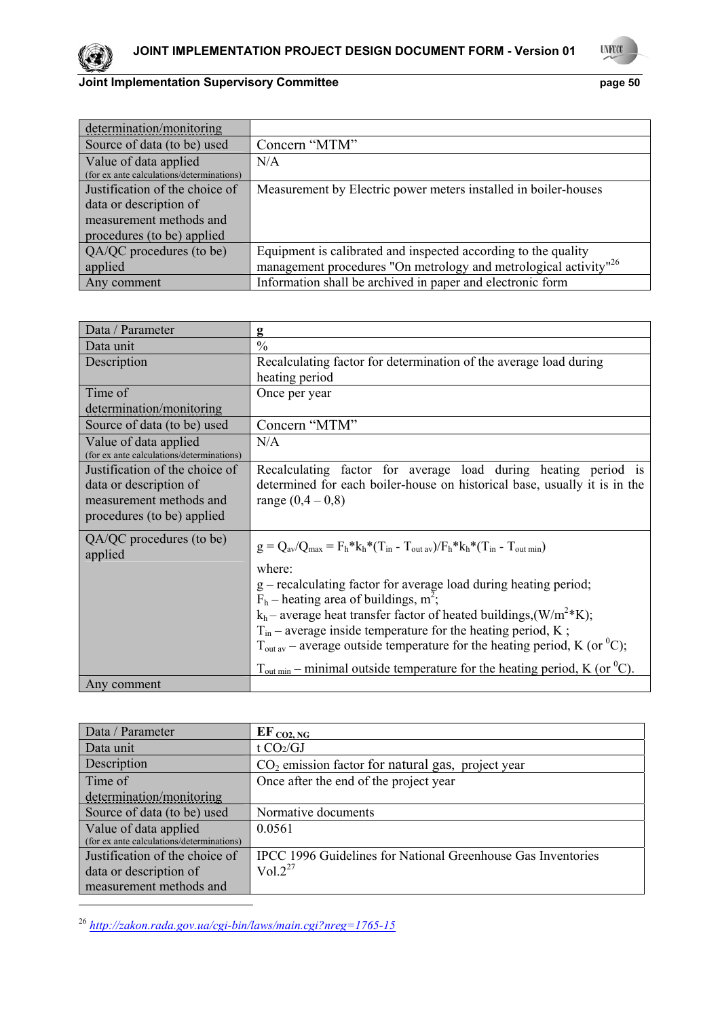



| determination/monitoring                                           |                                                                              |
|--------------------------------------------------------------------|------------------------------------------------------------------------------|
| Source of data (to be) used                                        | Concern "MTM"                                                                |
| Value of data applied<br>(for ex ante calculations/determinations) | N/A                                                                          |
| Justification of the choice of                                     | Measurement by Electric power meters installed in boiler-houses              |
| data or description of                                             |                                                                              |
| measurement methods and                                            |                                                                              |
| procedures (to be) applied                                         |                                                                              |
| QA/QC procedures (to be)                                           | Equipment is calibrated and inspected according to the quality               |
| applied                                                            | management procedures "On metrology and metrological activity" <sup>26</sup> |
| Any comment                                                        | Information shall be archived in paper and electronic form                   |

| Data / Parameter                                                                                                  | g                                                                                                                                                                                                                                                                                                                                                                                                                                                                                                                                                                                                 |
|-------------------------------------------------------------------------------------------------------------------|---------------------------------------------------------------------------------------------------------------------------------------------------------------------------------------------------------------------------------------------------------------------------------------------------------------------------------------------------------------------------------------------------------------------------------------------------------------------------------------------------------------------------------------------------------------------------------------------------|
| Data unit                                                                                                         | $\frac{0}{0}$                                                                                                                                                                                                                                                                                                                                                                                                                                                                                                                                                                                     |
| Description                                                                                                       | Recalculating factor for determination of the average load during                                                                                                                                                                                                                                                                                                                                                                                                                                                                                                                                 |
|                                                                                                                   | heating period                                                                                                                                                                                                                                                                                                                                                                                                                                                                                                                                                                                    |
| Time of                                                                                                           | Once per year                                                                                                                                                                                                                                                                                                                                                                                                                                                                                                                                                                                     |
| determination/monitoring                                                                                          |                                                                                                                                                                                                                                                                                                                                                                                                                                                                                                                                                                                                   |
| Source of data (to be) used                                                                                       | Concern "MTM"                                                                                                                                                                                                                                                                                                                                                                                                                                                                                                                                                                                     |
| Value of data applied<br>(for ex ante calculations/determinations)                                                | N/A                                                                                                                                                                                                                                                                                                                                                                                                                                                                                                                                                                                               |
| Justification of the choice of<br>data or description of<br>measurement methods and<br>procedures (to be) applied | Recalculating factor for average load during heating period is<br>determined for each boiler-house on historical base, usually it is in the<br>range $(0,4-0,8)$                                                                                                                                                                                                                                                                                                                                                                                                                                  |
| QA/QC procedures (to be)<br>applied                                                                               | $g = Q_{av}/Q_{max} = F_h * k_h * (T_{in} - T_{out av})/F_h * k_h * (T_{in} - T_{out min})$<br>where:<br>g – recalculating factor for average load during heating period;<br>$F_h$ – heating area of buildings, m <sup>2</sup> ;<br>$k_h$ – average heat transfer factor of heated buildings, (W/m <sup>2</sup> *K);<br>$T_{in}$ – average inside temperature for the heating period, K;<br>$T_{\text{out av}}$ – average outside temperature for the heating period, K (or <sup>0</sup> C);<br>$T_{\text{out min}}$ – minimal outside temperature for the heating period, K (or <sup>0</sup> C). |
| Any comment                                                                                                       |                                                                                                                                                                                                                                                                                                                                                                                                                                                                                                                                                                                                   |

| Data / Parameter                          | $EF_{CO2,NG}$                                                |
|-------------------------------------------|--------------------------------------------------------------|
| Data unit                                 | t $CO2/GI$                                                   |
| Description                               | $CO2$ emission factor for natural gas, project year          |
| Time of                                   | Once after the end of the project year                       |
| determination/monitoring                  |                                                              |
| Source of data (to be) used               | Normative documents                                          |
| Value of data applied                     | 0.0561                                                       |
| (for ex ante calculations/determinations) |                                                              |
| Justification of the choice of            | IPCC 1996 Guidelines for National Greenhouse Gas Inventories |
| data or description of                    | $Vol.2^{27}$                                                 |
| measurement methods and                   |                                                              |

<sup>26</sup> *http://zakon.rada.gov.ua/cgi-bin/laws/main.cgi?nreg=1765-15*

1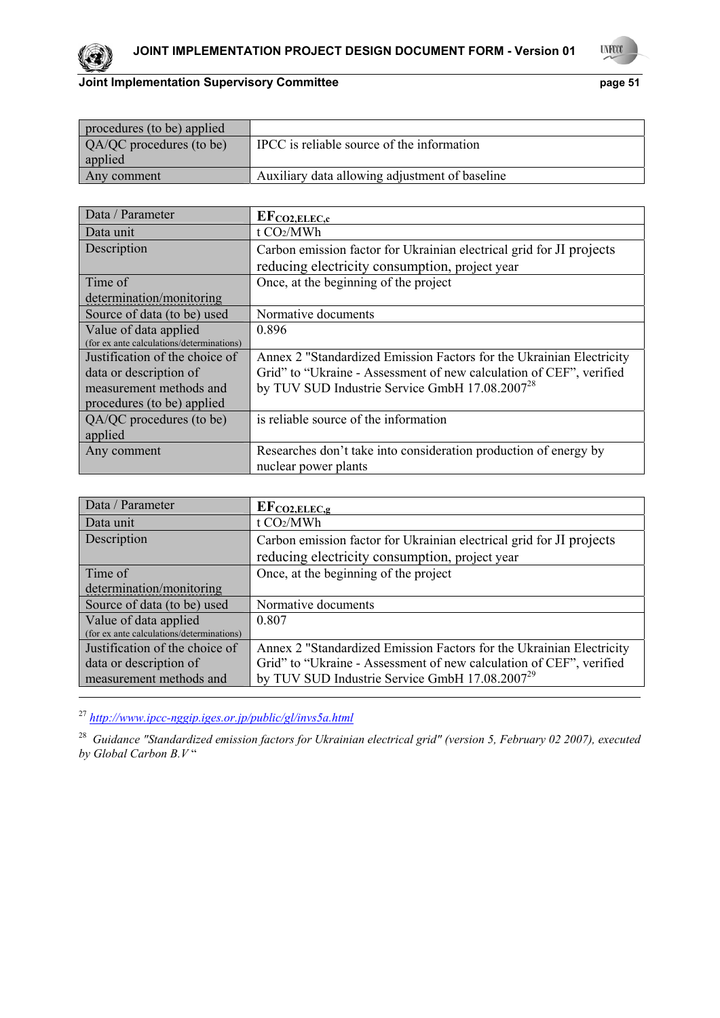



| procedures (to be) applied |                                                |
|----------------------------|------------------------------------------------|
| QA/QC procedures (to be)   | IPCC is reliable source of the information     |
| applied                    |                                                |
| Any comment                | Auxiliary data allowing adjustment of baseline |

| Data / Parameter                          | $EF_{CO2, ELEC, c}$                                                  |  |  |  |
|-------------------------------------------|----------------------------------------------------------------------|--|--|--|
| Data unit                                 | t CO2/MWh                                                            |  |  |  |
| Description                               | Carbon emission factor for Ukrainian electrical grid for JI projects |  |  |  |
|                                           | reducing electricity consumption, project year                       |  |  |  |
| Time of                                   | Once, at the beginning of the project                                |  |  |  |
| determination/monitoring                  |                                                                      |  |  |  |
| Source of data (to be) used               | Normative documents                                                  |  |  |  |
| Value of data applied                     | 0.896                                                                |  |  |  |
| (for ex ante calculations/determinations) |                                                                      |  |  |  |
| Justification of the choice of            | Annex 2 "Standardized Emission Factors for the Ukrainian Electricity |  |  |  |
| data or description of                    | Grid" to "Ukraine - Assessment of new calculation of CEF", verified  |  |  |  |
| measurement methods and                   | by TUV SUD Industrie Service GmbH 17.08.2007 <sup>28</sup>           |  |  |  |
| procedures (to be) applied                |                                                                      |  |  |  |
| QA/QC procedures (to be)                  | is reliable source of the information                                |  |  |  |
| applied                                   |                                                                      |  |  |  |
| Any comment                               | Researches don't take into consideration production of energy by     |  |  |  |
|                                           | nuclear power plants                                                 |  |  |  |

| Data / Parameter                                                   | $EF_{CO2, ELEC, g}$                                                  |  |  |  |
|--------------------------------------------------------------------|----------------------------------------------------------------------|--|--|--|
| Data unit                                                          | t CO2/MWh                                                            |  |  |  |
| Description                                                        | Carbon emission factor for Ukrainian electrical grid for JI projects |  |  |  |
|                                                                    | reducing electricity consumption, project year                       |  |  |  |
| Time of                                                            | Once, at the beginning of the project                                |  |  |  |
| determination/monitoring                                           |                                                                      |  |  |  |
| Source of data (to be) used                                        | Normative documents                                                  |  |  |  |
| Value of data applied<br>(for ex ante calculations/determinations) | 0.807                                                                |  |  |  |
| Justification of the choice of                                     | Annex 2 "Standardized Emission Factors for the Ukrainian Electricity |  |  |  |
| data or description of                                             | Grid" to "Ukraine - Assessment of new calculation of CEF", verified  |  |  |  |
| measurement methods and                                            | by TUV SUD Industrie Service GmbH 17.08.2007 <sup>29</sup>           |  |  |  |
|                                                                    |                                                                      |  |  |  |

<sup>27</sup> *http://www.ipcc-nggip.iges.or.jp/public/gl/invs5a.html*

28 *Guidance "Standardized emission factors for Ukrainian electrical grid" (version 5, February 02 2007), executed by Global Carbon B.V* "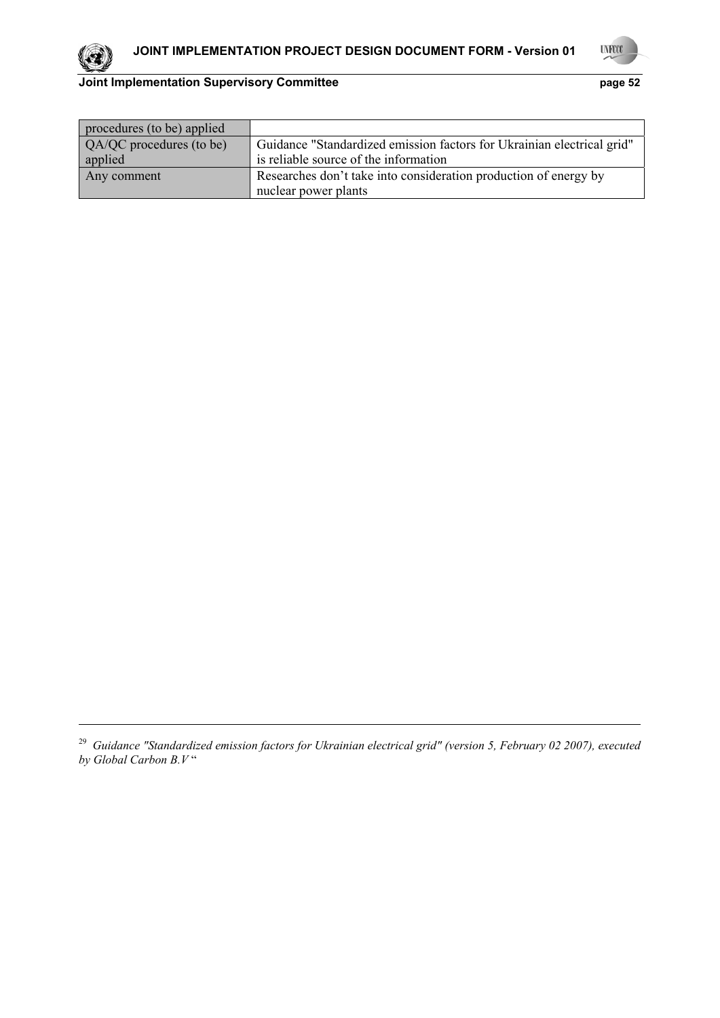

1



# **Joint Implementation Supervisory Committee page 52**

| procedures (to be) applied |                                                                        |  |  |  |  |
|----------------------------|------------------------------------------------------------------------|--|--|--|--|
| QA/QC procedures (to be)   | Guidance "Standardized emission factors for Ukrainian electrical grid" |  |  |  |  |
| applied                    | is reliable source of the information                                  |  |  |  |  |
| Any comment                | Researches don't take into consideration production of energy by       |  |  |  |  |
|                            | nuclear power plants                                                   |  |  |  |  |

<sup>&</sup>lt;sup>29</sup> Guidance "Standardized emission factors for Ukrainian electrical grid" (version 5, February 02 2007), executed *by Global Carbon B.V* "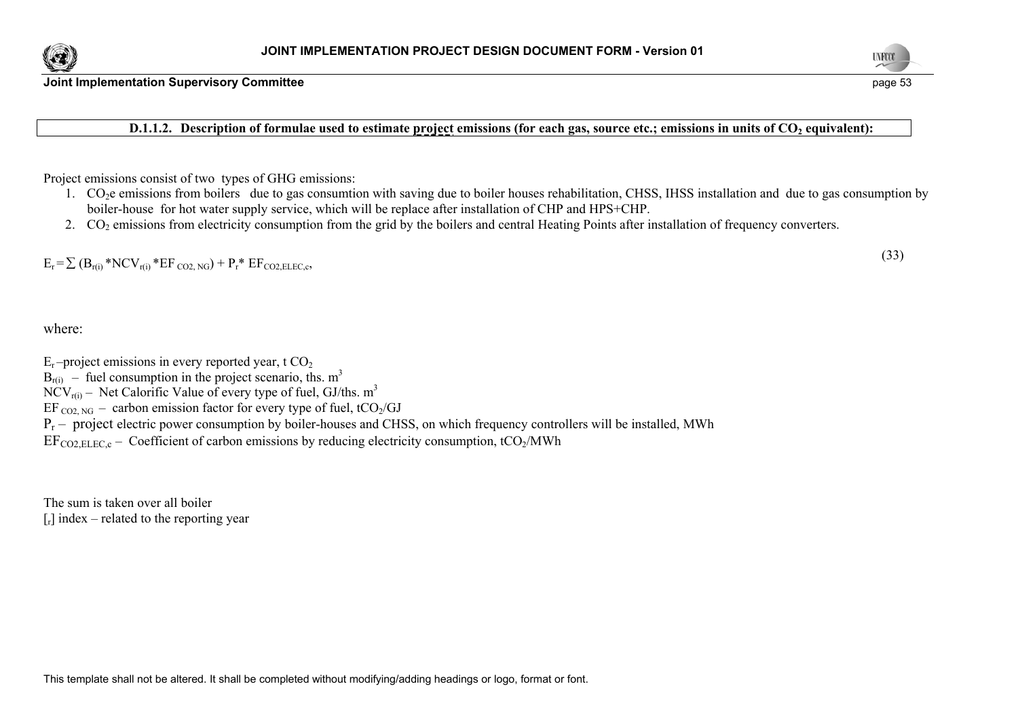



**D.1.1.2.** Description of formulae used to estimate project emissions (for each gas, source etc.; emissions in units of CO<sub>2</sub> equivalent):

Project emissions consist of two types of GHG emissions:

- 1. CO2e emissions from boilers due to gas consumtion with saving due to boiler houses rehabilitation, CHSS, IHSS installation and due to gas consumption by boiler-house for hot water supply service, which will be replace after installation of CHP and HPS+CHP.
- 2.  $CO<sub>2</sub>$  emissions from electricity consumption from the grid by the boilers and central Heating Points after installation of frequency converters.

 $E_r = \sum (B_{r(i)} * NCV_{r(i)} * EF_{CO2, NG}) + P_r * EF_{CO2 EIEC.c}$ , (33)

where:

- $E_r$ -project emissions in every reported year, t  $CO_2$
- $B_{r(i)}$  fuel consumption in the project scenario, ths. m<sup>3</sup>

 $NCV_{r(i)}$  – Net Calorific Value of every type of fuel, GJ/ths. m<sup>3</sup>

- EF  $_{CO2, NG}$  carbon emission factor for every type of fuel, tCO<sub>2</sub>/GJ
- $P_r$  project electric power consumption by boiler-houses and CHSS, on which frequency controllers will be installed, MWh

 $EF_{\text{CO2 EIEC C}}$  – Coefficient of carbon emissions by reducing electricity consumption, tCO<sub>2</sub>/MWh

The sum is taken over all boiler  $\lceil r \rceil$  index – related to the reporting year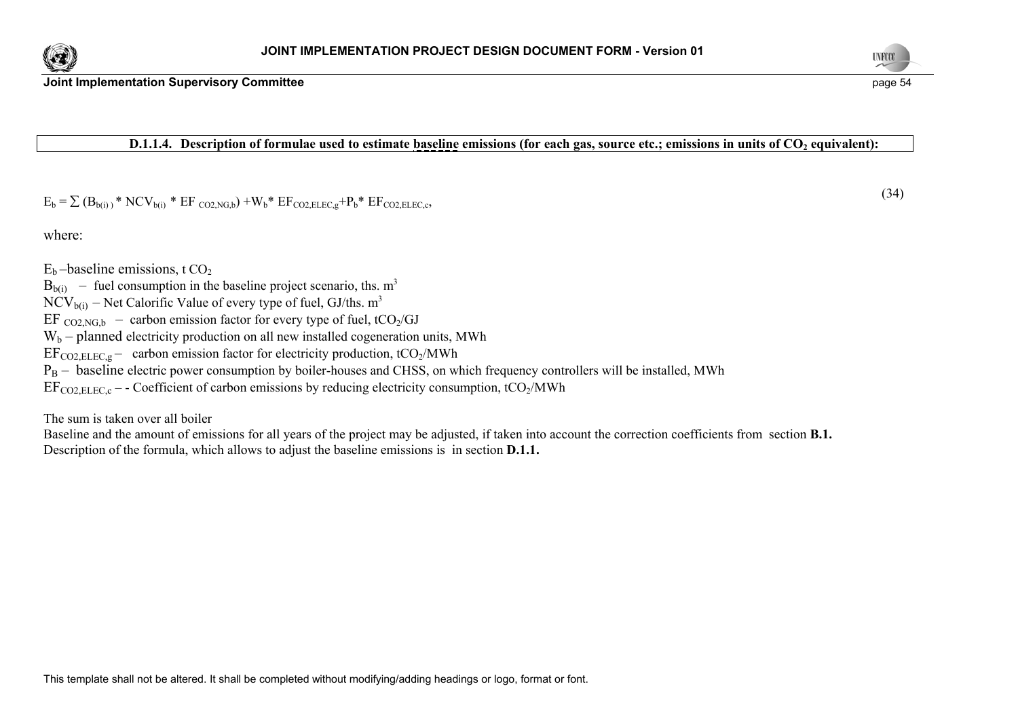



### **D.1.1.4.** Description of formulae used to estimate baseline emissions (for each gas, source etc.; emissions in units of CO<sub>2</sub> equivalent):

 $E_b = \sum (\mathbf{B}_{b(i)})^* \text{NCV}_{b(i)} * \text{EF}_{CO2, NGb}) + W_b * \text{EF}_{CO2, ELEC,e} + \mathbf{P}_b * \text{EF}_{CO2, ELEC,e}$  (34)

where:

 $E<sub>b</sub>$  –baseline emissions, t CO<sub>2</sub>

 $B<sub>b(i)</sub>$  – fuel consumption in the baseline project scenario, ths. m<sup>3</sup>

 $NCV_{b(i)}$  – Net Calorific Value of every type of fuel, GJ/ths. m<sup>3</sup>

EF  $CO<sub>2</sub>NG<sub>b</sub>$  – carbon emission factor for every type of fuel, tCO<sub>2</sub>/GJ

 $W_b$  – planned electricity production on all new installed cogeneration units, MWh

 $EF_{CO2, ELEC,g}$  – carbon emission factor for electricity production, tCO<sub>2</sub>/MWh

 $P_B$  – baseline electric power consumption by boiler-houses and CHSS, on which frequency controllers will be installed, MWh

 $EF_{CO2 ELEC,c}$  – - Coefficient of carbon emissions by reducing electricity consumption, tCO<sub>2</sub>/MWh

The sum is taken over all boiler

Baseline and the amount of emissions for all years of the project may be adjusted, if taken into account the correction coefficients from section **B.1.** Description of the formula, which allows to adjust the baseline emissions is in section **D.1.1.**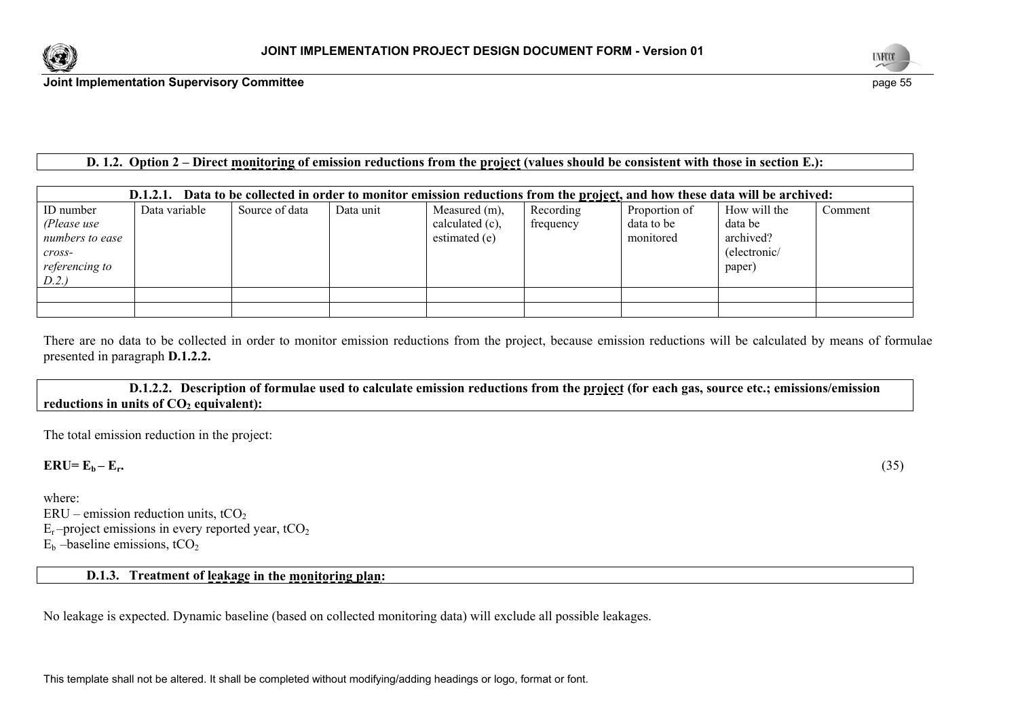



## **D. 1.2. Option 2 – Direct monitoring of emission reductions from the project (values should be consistent with those in section E.):**

| Data to be collected in order to monitor emission reductions from the project, and how these data will be archived:<br>D.1.2.1. |               |                |           |                 |           |               |              |         |
|---------------------------------------------------------------------------------------------------------------------------------|---------------|----------------|-----------|-----------------|-----------|---------------|--------------|---------|
| ID number                                                                                                                       | Data variable | Source of data | Data unit | Measured (m),   | Recording | Proportion of | How will the | Comment |
| (Please use                                                                                                                     |               |                |           | calculated (c), | frequency | data to be    | data be      |         |
| numbers to ease                                                                                                                 |               |                |           | estimated (e)   |           | monitored     | archived?    |         |
| $\mathit{cross}$ -                                                                                                              |               |                |           |                 |           |               | (electronic/ |         |
| referencing to                                                                                                                  |               |                |           |                 |           |               | paper)       |         |
| D.2.)                                                                                                                           |               |                |           |                 |           |               |              |         |
|                                                                                                                                 |               |                |           |                 |           |               |              |         |
|                                                                                                                                 |               |                |           |                 |           |               |              |         |

There are no data to be collected in order to monitor emission reductions from the project, because emission reductions will be calculated by means of formulae presented in paragraph **D.1.2.2.** 

 **D.1.2.2. Description of formulae used to calculate emission reductions from the project (for each gas, source etc.; emissions/emission**  reductions in units of  $CO<sub>2</sub>$  equivalent):

The total emission reduction in the project:

 $\mathbf{ERU} = \mathbf{E_b} - \mathbf{E_r}$ . (35)

where:  $ERU$  – emission reduction units, tCO<sub>2</sub>  $E_r$ -project emissions in every reported year, tCO<sub>2</sub>

 $E<sub>b</sub>$  –baseline emissions, tCO<sub>2</sub>

## **D.1.3. Treatment of leakage in the monitoring plan:**

No leakage is expected. Dynamic baseline (based on collected monitoring data) will exclude all possible leakages.

This template shall not be altered. It shall be completed without modifying/adding headings or logo, format or font.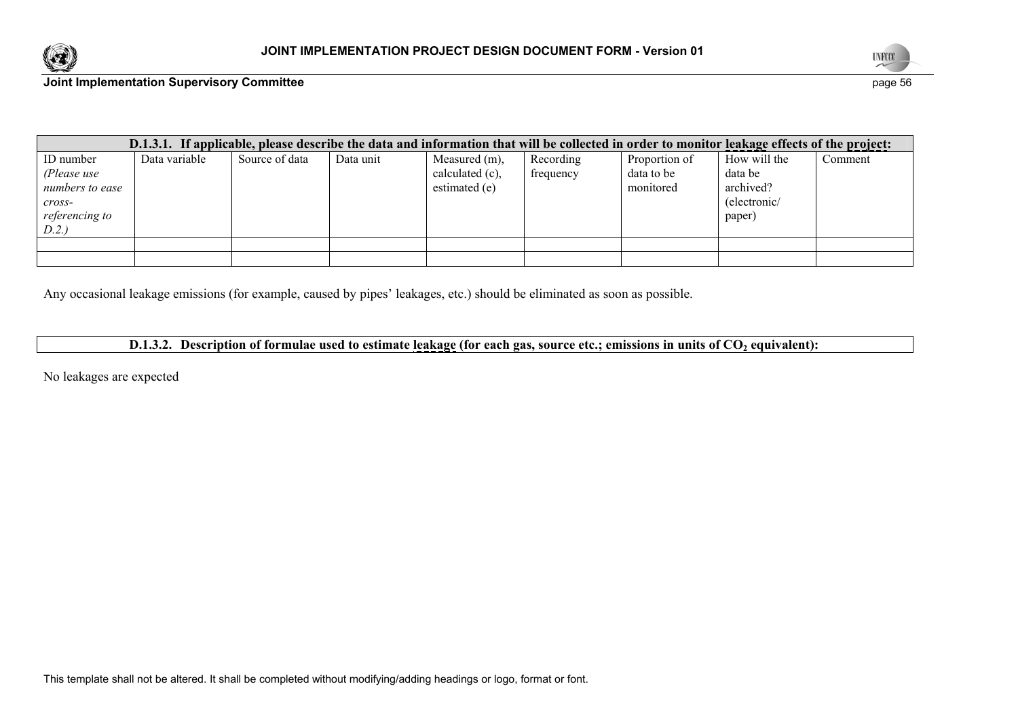



| D.1.3.1. If applicable, please describe the data and information that will be collected in order to monitor leakage effects of the project: |               |                |           |                 |           |               |              |         |
|---------------------------------------------------------------------------------------------------------------------------------------------|---------------|----------------|-----------|-----------------|-----------|---------------|--------------|---------|
| ID number                                                                                                                                   | Data variable | Source of data | Data unit | Measured (m),   | Recording | Proportion of | How will the | Comment |
| (Please use                                                                                                                                 |               |                |           | calculated (c), | frequency | data to be    | data be      |         |
| numbers to ease                                                                                                                             |               |                |           | estimated (e)   |           | monitored     | archived?    |         |
| cross-                                                                                                                                      |               |                |           |                 |           |               | (electronic/ |         |
| <i>referencing to</i>                                                                                                                       |               |                |           |                 |           |               | paper)       |         |
| D.2.                                                                                                                                        |               |                |           |                 |           |               |              |         |
|                                                                                                                                             |               |                |           |                 |           |               |              |         |
|                                                                                                                                             |               |                |           |                 |           |               |              |         |

Any occasional leakage emissions (for example, caused by pipes' leakages, etc.) should be eliminated as soon as possible.

# **D.1.3.2.** Description of formulae used to estimate leakage (for each gas, source etc.; emissions in units of CO<sub>2</sub> equivalent):

No leakages are expected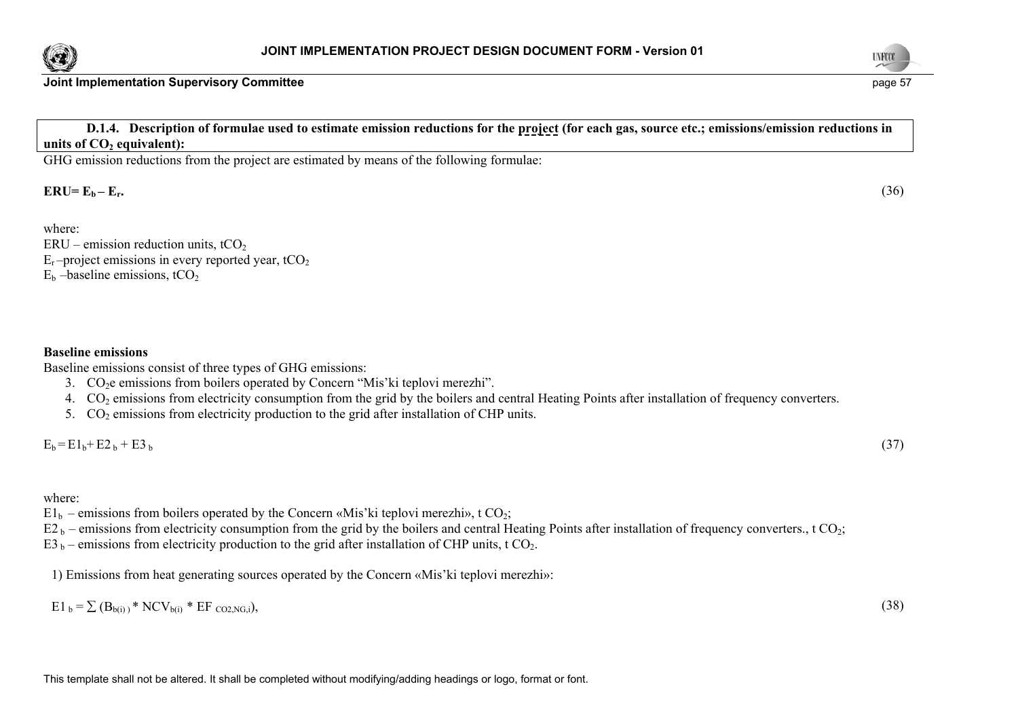



 **D.1.4. Description of formulae used to estimate emission reductions for the project (for each gas, source etc.; emissions/emission reductions in**  units of CO<sub>2</sub> equivalent):

GHG emission reductions from the project are estimated by means of the following formulae:

 $\text{ERU} = \text{E}_{\text{b}} - \text{E}_{\text{r}}.$  (36)

where:

- $ERU$  emission reduction units, tCO<sub>2</sub>  $E_r$ -project emissions in every reported year, tCO<sub>2</sub>
- $E<sub>b</sub>$  –baseline emissions, tCO<sub>2</sub>

#### **Baseline emissions**

Baseline emissions consist of three types of GHG emissions:

- 3.  $CO<sub>2</sub>e$  emissions from boilers operated by Concern "Mis'ki teplovi merezhi".
- 4.  $CO<sub>2</sub>$  emissions from electricity consumption from the grid by the boilers and central Heating Points after installation of frequency converters.
- 5.  $CO<sub>2</sub>$  emissions from electricity production to the grid after installation of CHP units.

 $E_b = E1_b + E2_b + E3_b$ 

### where:

 $E1_b$  – emissions from boilers operated by the Concern «Mis'ki teplovi merezhi», t CO<sub>2</sub>;

 $E2_b$  – emissions from electricity consumption from the grid by the boilers and central Heating Points after installation of frequency converters., t CO<sub>2</sub>;

 $E_3$  b – emissions from electricity production to the grid after installation of CHP units, t CO<sub>2</sub>.

1) Emissions from heat generating sources operated by the Concern «Mis'ki teplovi merezhi»:

 $E1_b = \sum (B_{b(i)})^* NCV_{b(i)} * EF_{CO2NGi}),$  (38)



 $_{\rm b}$  (37)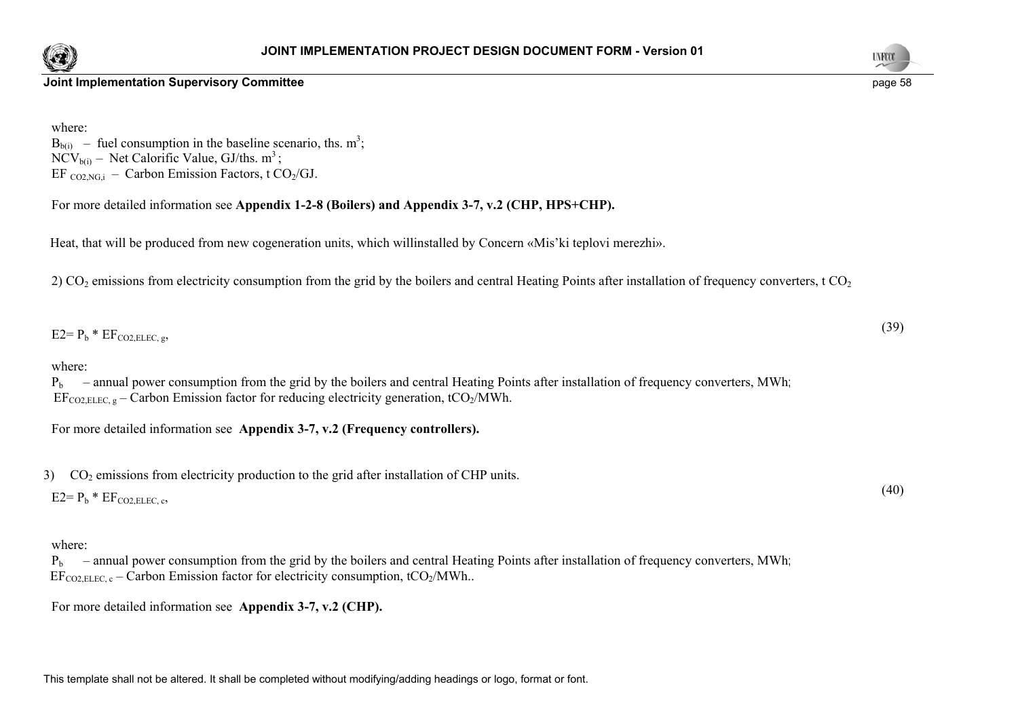



where:  $B<sub>b(i)</sub>$  – fuel consumption in the baseline scenario, ths. m<sup>3</sup>;  $NCV_{b(i)}$  – Net Calorific Value, GJ/ths. m<sup>3</sup>; EF  $_{CO2,NG,i}$  – Carbon Emission Factors, t CO<sub>2</sub>/GJ.

For more detailed information see **Appendix 1-2-8 (Boilers) and Appendix 3-7, v.2 (CHP, HPS+CHP).** 

Heat, that will be produced from new cogeneration units, which willinstalled by Concern «Mis'ki teplovi merezhi».

2) CO<sub>2</sub> emissions from electricity consumption from the grid by the boilers and central Heating Points after installation of frequency converters, t CO<sub>2</sub>

 $E2 = P_b * EF_{CO2, ELEC, g}$ , (39)

### where:

 $P_b$  – annual power consumption from the grid by the boilers and central Heating Points after installation of frequency converters, MWh; EF<sub>CO2</sub> ELEC, g – Carbon Emission factor for reducing electricity generation, tCO<sub>2</sub>/MWh.

For more detailed information see **Appendix 3-7, v.2 (Frequency controllers).** 

 $3)$  CO<sub>2</sub> emissions from electricity production to the grid after installation of CHP units.

 $E2 = P_b * EF_{CO2, ELEC, c}$ , (40)

### where:

 $P<sub>b</sub>$  – annual power consumption from the grid by the boilers and central Heating Points after installation of frequency converters. MWh: EF<sub>CO2</sub> ELEC<sub>s</sub> – Carbon Emission factor for electricity consumption, tCO<sub>2</sub>/MWh...

For more detailed information see **Appendix 3-7, v.2 (CHP).** 

This template shall not be altered. It shall be completed without modifying/adding headings or logo, format or font.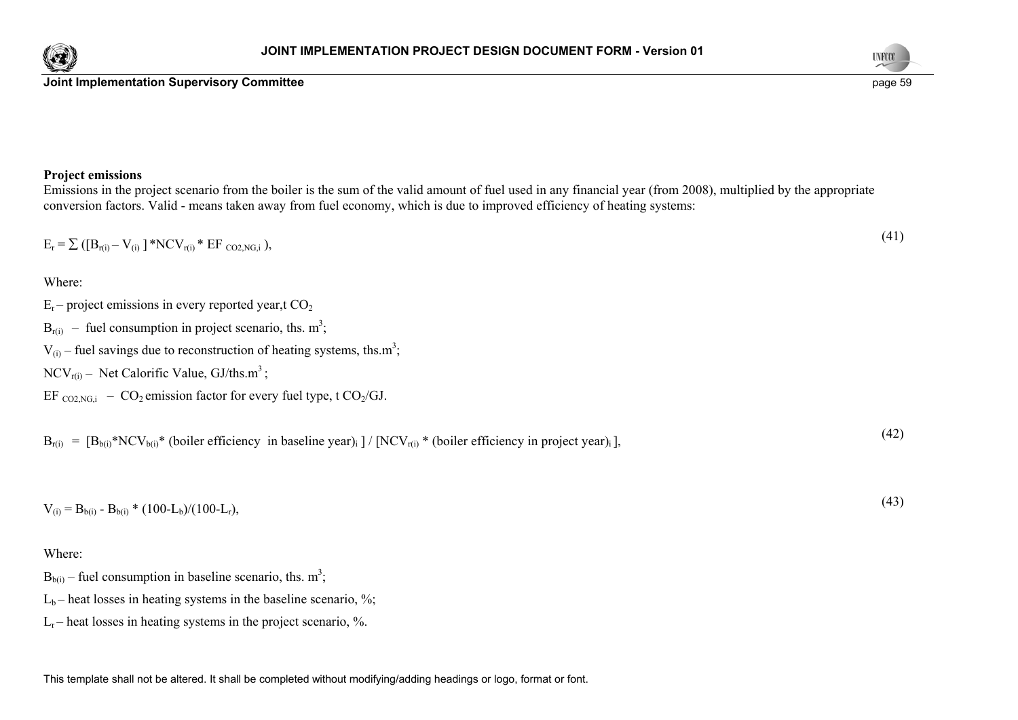



# **Project emissions**

Emissions in the project scenario from the boiler is the sum of the valid amount of fuel used in any financial year (from 2008), multiplied by the appropriate conversion factors. Valid - means taken away from fuel economy, which is due to improved efficiency of heating systems:

| $E_r = \sum ([B_{r(i)} - V_{(i)}] * NCV_{r(i)} * EF_{CO2, NG,i}),$                                                               | (41) |
|----------------------------------------------------------------------------------------------------------------------------------|------|
| Where:                                                                                                                           |      |
| $E_r$ – project emissions in every reported year, t CO <sub>2</sub>                                                              |      |
| $B_{r(i)}$ – fuel consumption in project scenario, ths. m <sup>3</sup> ;                                                         |      |
| $V_{(i)}$ – fuel savings due to reconstruction of heating systems, ths.m <sup>3</sup> ;                                          |      |
| $NCV_{r(i)}$ – Net Calorific Value, GJ/ths.m <sup>3</sup> ;                                                                      |      |
| EF $_{CO2NG,i}$ – $CO_2$ emission factor for every fuel type, t $CO_2/GJ$ .                                                      |      |
| $B_{r(i)} = [B_{b(i)} * NCV_{b(i)} * (boiler efficiency in baseline year)] / [NCV_{r(i)} * (boiler efficiency in project year)]$ | (42) |
| $V_{(i)} = B_{b(i)} - B_{b(i)} * (100-L_b)/(100-L_r),$                                                                           | (43) |
| Where:                                                                                                                           |      |
| $B_{b(i)}$ – fuel consumption in baseline scenario, ths. m <sup>3</sup> ;                                                        |      |

 $L_b$  – heat losses in heating systems in the baseline scenario, %;

 $L_r$  – heat losses in heating systems in the project scenario, %.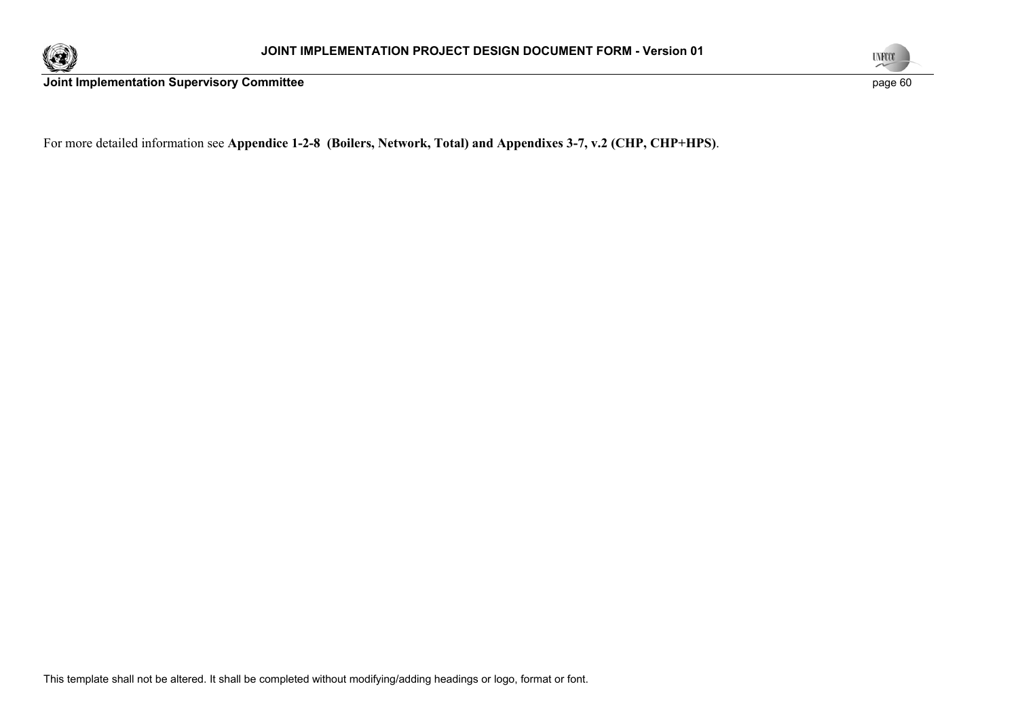



For more detailed information see **Appendice 1-2-8 (Boilers, Network, Total) and Appendixes 3-7, v.2 (CHP, CHP+HPS)**.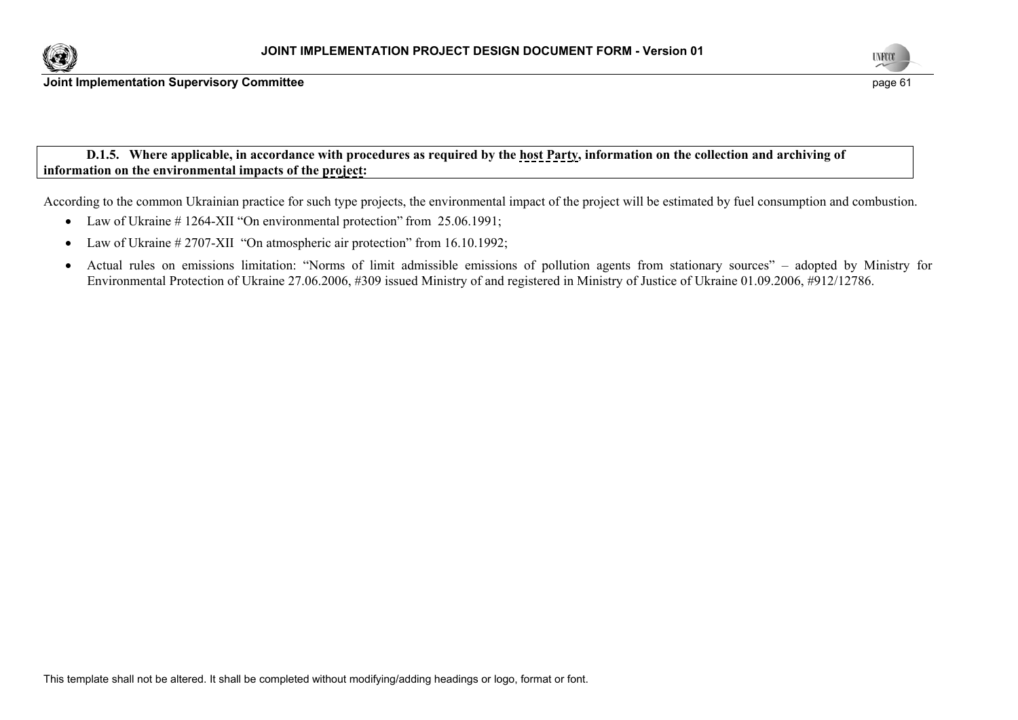



 **D.1.5. Where applicable, in accordance with procedures as required by the host Party, information on the collection and archiving of information on the environmental impacts of the project:** 

According to the common Ukrainian practice for such type projects, the environmental impact of the project will be estimated by fuel consumption and combustion.

- Law of Ukraine # 1264-XII "On environmental protection" from 25.06.1991;
- $\bullet$ Law of Ukraine # 2707-XII "On atmospheric air protection" from 16.10.1992;
- $\bullet$  Actual rules on emissions limitation: "Norms of limit admissible emissions of pollution agents from stationary sources" – adopted by Ministry for Environmental Protection of Ukraine 27.06.2006, #309 issued Ministry of and registered in Ministry of Justice of Ukraine 01.09.2006, #912/12786.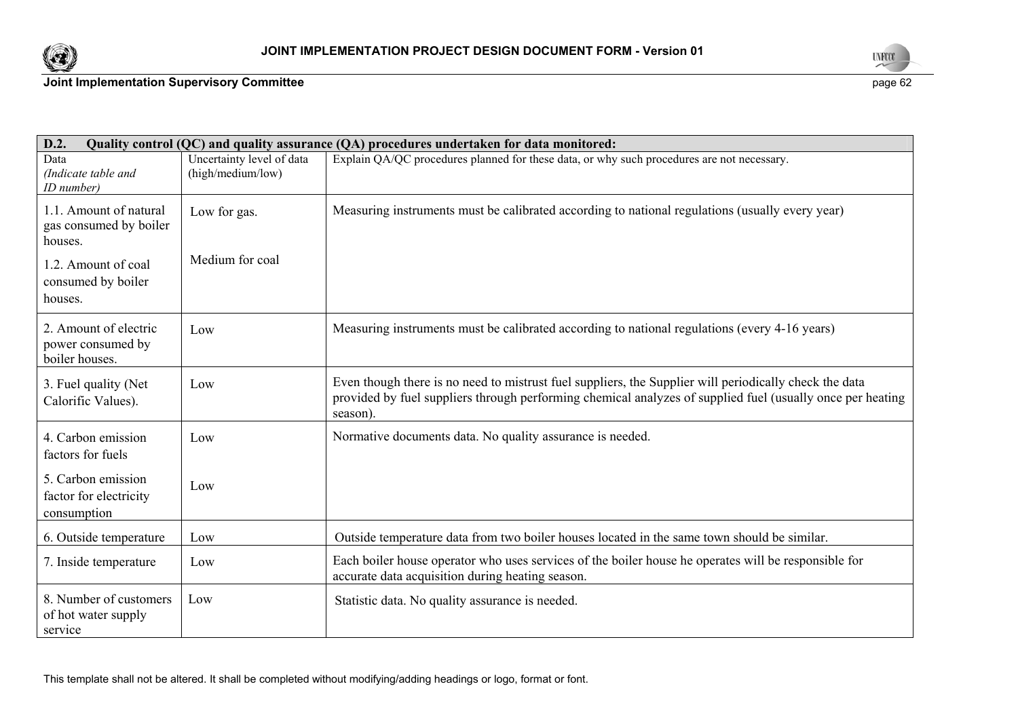



| D.2.<br>Quality control (QC) and quality assurance (QA) procedures undertaken for data monitored:                   |                                                |                                                                                                                                                                                                                                  |  |  |
|---------------------------------------------------------------------------------------------------------------------|------------------------------------------------|----------------------------------------------------------------------------------------------------------------------------------------------------------------------------------------------------------------------------------|--|--|
| Data<br>(Indicate table and<br>ID number)                                                                           | Uncertainty level of data<br>(high/medium/low) | Explain QA/QC procedures planned for these data, or why such procedures are not necessary.                                                                                                                                       |  |  |
| 1.1. Amount of natural<br>gas consumed by boiler<br>houses.<br>1.2. Amount of coal<br>consumed by boiler<br>houses. | Low for gas.<br>Medium for coal                | Measuring instruments must be calibrated according to national regulations (usually every year)                                                                                                                                  |  |  |
| 2. Amount of electric<br>power consumed by<br>boiler houses.                                                        | Low                                            | Measuring instruments must be calibrated according to national regulations (every 4-16 years)                                                                                                                                    |  |  |
| 3. Fuel quality (Net<br>Calorific Values).                                                                          | Low                                            | Even though there is no need to mistrust fuel suppliers, the Supplier will periodically check the data<br>provided by fuel suppliers through performing chemical analyzes of supplied fuel (usually once per heating<br>season). |  |  |
| 4. Carbon emission<br>factors for fuels                                                                             | Low                                            | Normative documents data. No quality assurance is needed.                                                                                                                                                                        |  |  |
| 5. Carbon emission<br>factor for electricity<br>consumption                                                         | Low                                            |                                                                                                                                                                                                                                  |  |  |
| 6. Outside temperature                                                                                              | Low                                            | Outside temperature data from two boiler houses located in the same town should be similar.                                                                                                                                      |  |  |
| 7. Inside temperature                                                                                               | Low                                            | Each boiler house operator who uses services of the boiler house he operates will be responsible for<br>accurate data acquisition during heating season.                                                                         |  |  |
| 8. Number of customers<br>of hot water supply<br>service                                                            | Low                                            | Statistic data. No quality assurance is needed.                                                                                                                                                                                  |  |  |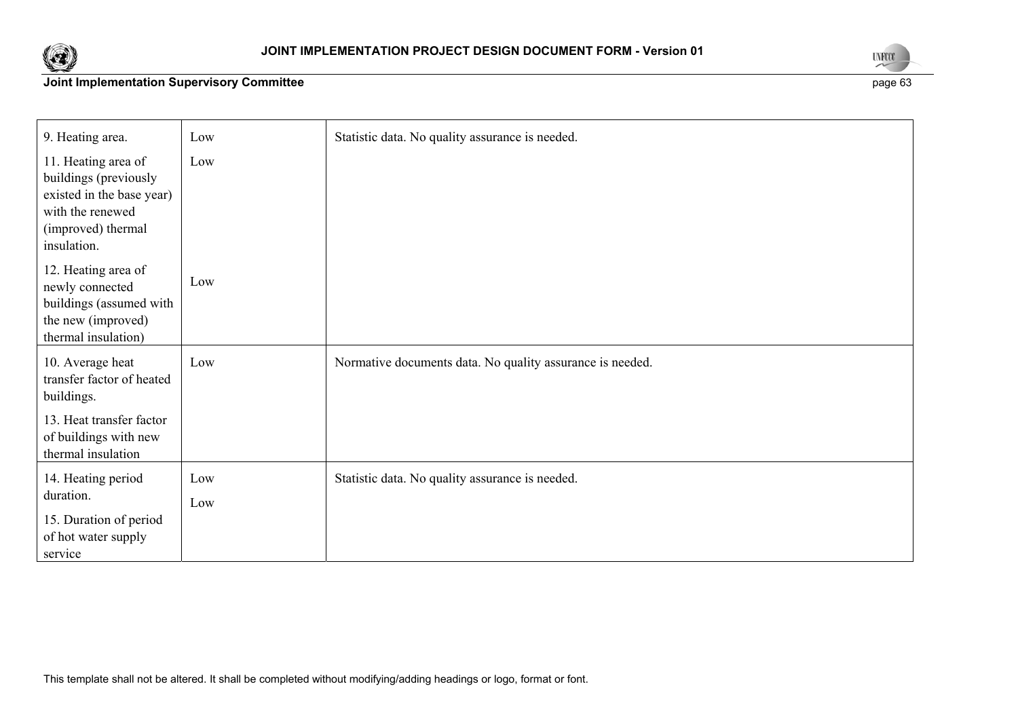



| 9. Heating area.                                                                                                                   | Low        | Statistic data. No quality assurance is needed.           |
|------------------------------------------------------------------------------------------------------------------------------------|------------|-----------------------------------------------------------|
| 11. Heating area of<br>buildings (previously<br>existed in the base year)<br>with the renewed<br>(improved) thermal<br>insulation. | Low        |                                                           |
| 12. Heating area of<br>newly connected<br>buildings (assumed with<br>the new (improved)<br>thermal insulation)                     | Low        |                                                           |
| 10. Average heat<br>transfer factor of heated<br>buildings.                                                                        | Low        | Normative documents data. No quality assurance is needed. |
| 13. Heat transfer factor<br>of buildings with new<br>thermal insulation                                                            |            |                                                           |
| 14. Heating period<br>duration.<br>15. Duration of period<br>of hot water supply<br>service                                        | Low<br>Low | Statistic data. No quality assurance is needed.           |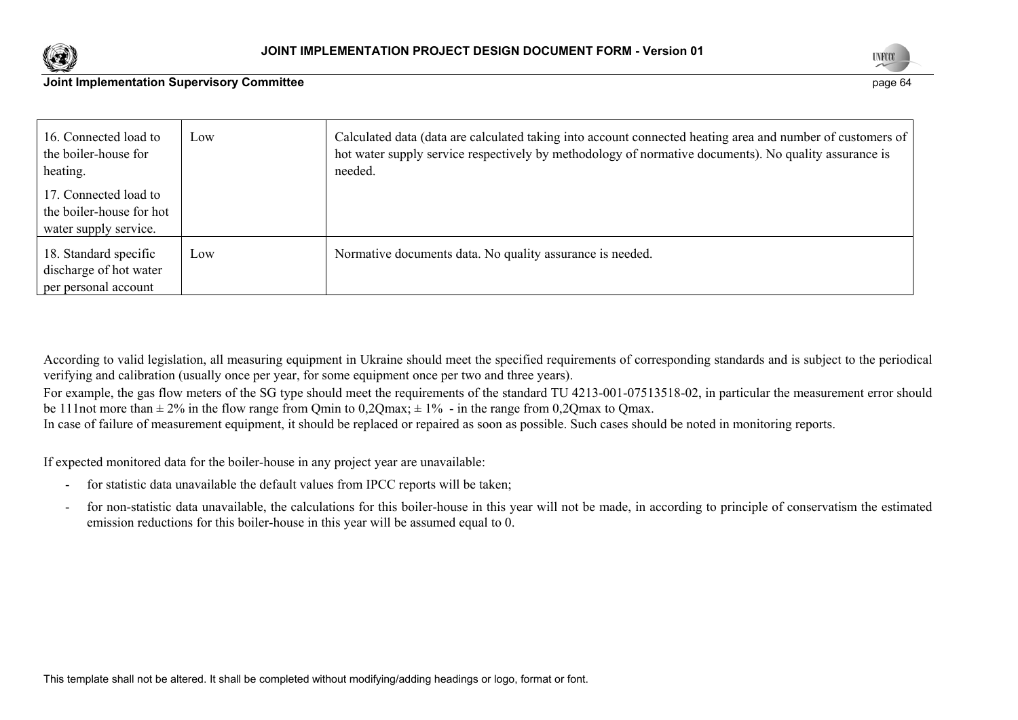



| 16. Connected load to<br>the boiler-house for<br>heating. | Low | Calculated data (data are calculated taking into account connected heating area and number of customers of<br>hot water supply service respectively by methodology of normative documents). No quality assurance is<br>needed. |
|-----------------------------------------------------------|-----|--------------------------------------------------------------------------------------------------------------------------------------------------------------------------------------------------------------------------------|
|                                                           |     |                                                                                                                                                                                                                                |
| 17. Connected load to                                     |     |                                                                                                                                                                                                                                |
| the boiler-house for hot                                  |     |                                                                                                                                                                                                                                |
| water supply service.                                     |     |                                                                                                                                                                                                                                |
| 18. Standard specific                                     | Low | Normative documents data. No quality assurance is needed.                                                                                                                                                                      |
| discharge of hot water                                    |     |                                                                                                                                                                                                                                |
| per personal account                                      |     |                                                                                                                                                                                                                                |

According to valid legislation, all measuring equipment in Ukraine should meet the specified requirements of corresponding standards and is subject to the periodical verifying and calibration (usually once per year, for some equipment once per two and three years).

For example, the gas flow meters of the SG type should meet the requirements of the standard TU 4213-001-07513518-02, in particular the measurement error should be 111not more than  $\pm$  2% in the flow range from Qmin to 0,2Qmax;  $\pm$  1% - in the range from 0,2Qmax to Qmax.

In case of failure of measurement equipment, it should be replaced or repaired as soon as possible. Such cases should be noted in monitoring reports.

If expected monitored data for the boiler-house in any project year are unavailable:

- for statistic data unavailable the default values from IPCC reports will be taken;
- for non-statistic data unavailable, the calculations for this boiler-house in this year will not be made, in according to principle of conservatism the estimated emission reductions for this boiler-house in this year will be assumed equal to 0.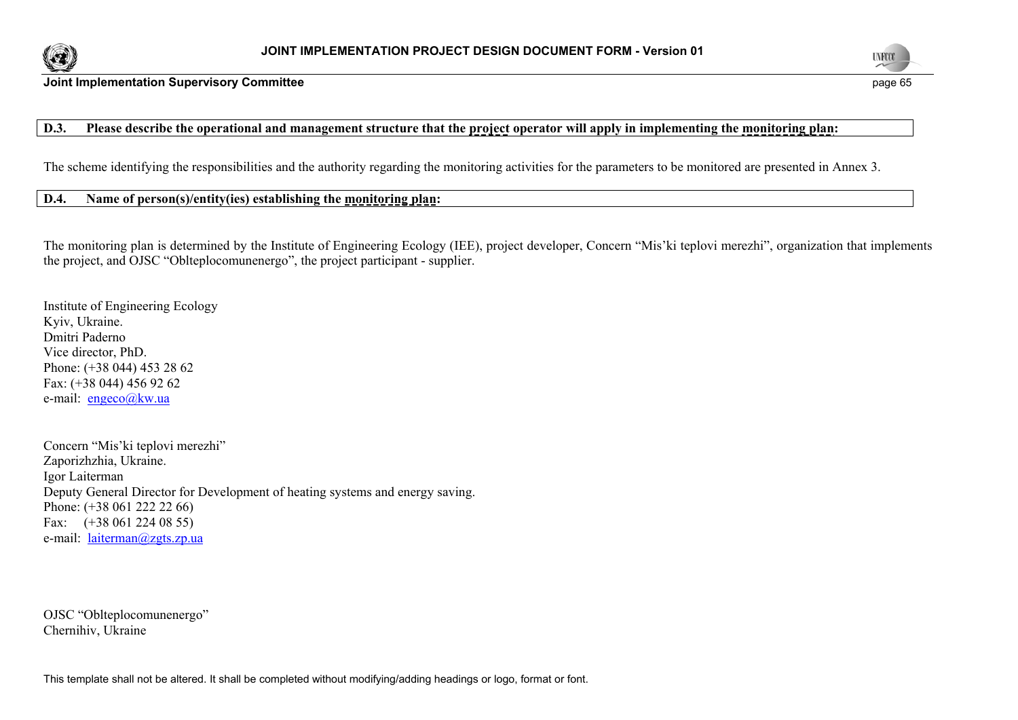



## **D.3. Please describe the operational and management structure that the project operator will apply in implementing the monitoring plan:**

The scheme identifying the responsibilities and the authority regarding the monitoring activities for the parameters to be monitored are presented in Annex 3.

### **D.4. Name of person(s)/entity(ies) establishing the monitoring plan:**

The monitoring plan is determined by the Institute of Engineering Ecology (IEE), project developer, Concern "Mis'ki teplovi merezhi", organization that implements the project, and OJSC "Oblteplocomunenergo", the project participant - supplier.

Institute of Engineering Ecology Kyiv, Ukraine. Dmitri Paderno Vice director, PhD. Phone: (+38 044) 453 28 62 Fax: (+38 044) 456 92 62 e-mail: engeco@kw.ua

Concern "Mis'ki teplovi merezhi" Zaporizhzhia, Ukraine. Igor Laiterman Deputy General Director for Development of heating systems and energy saving. Phone: (+38 061 222 22 66) Fax: (+38 061 224 08 55) e-mail: laiterman@zgts.zp.ua

OJSC "Oblteplocomunenergo" Chernihiv, Ukraine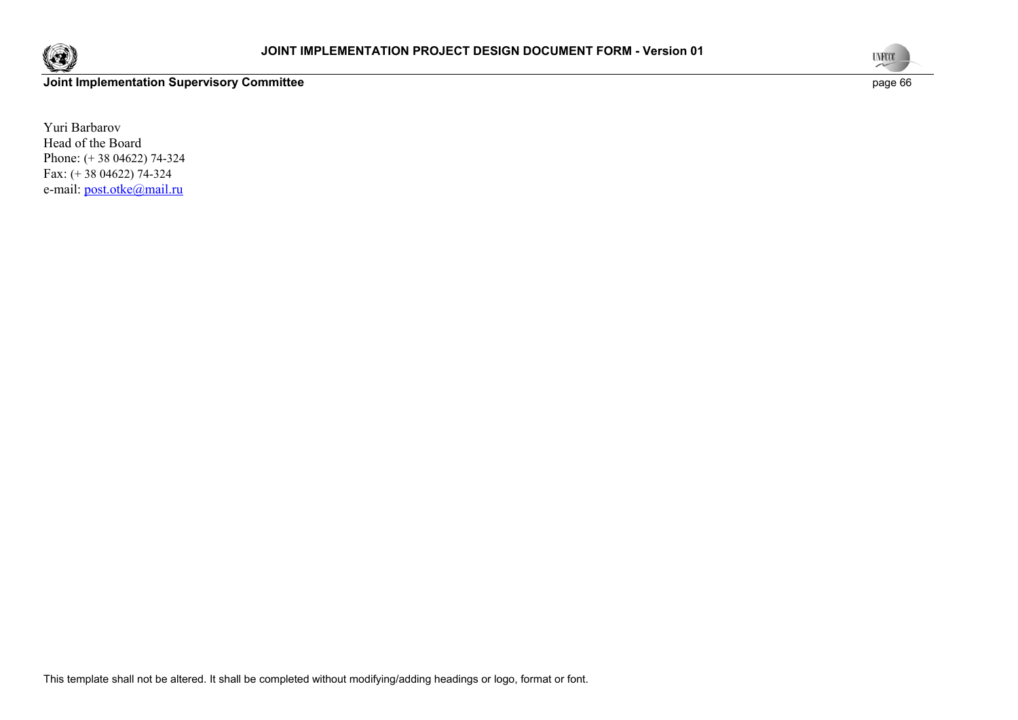



Yuri Barbarov Head of the Board Phone: (+ 38 04622) 74-324 Fax: (+ 38 04622) 74-324 e-mail: post.otke@mail.ru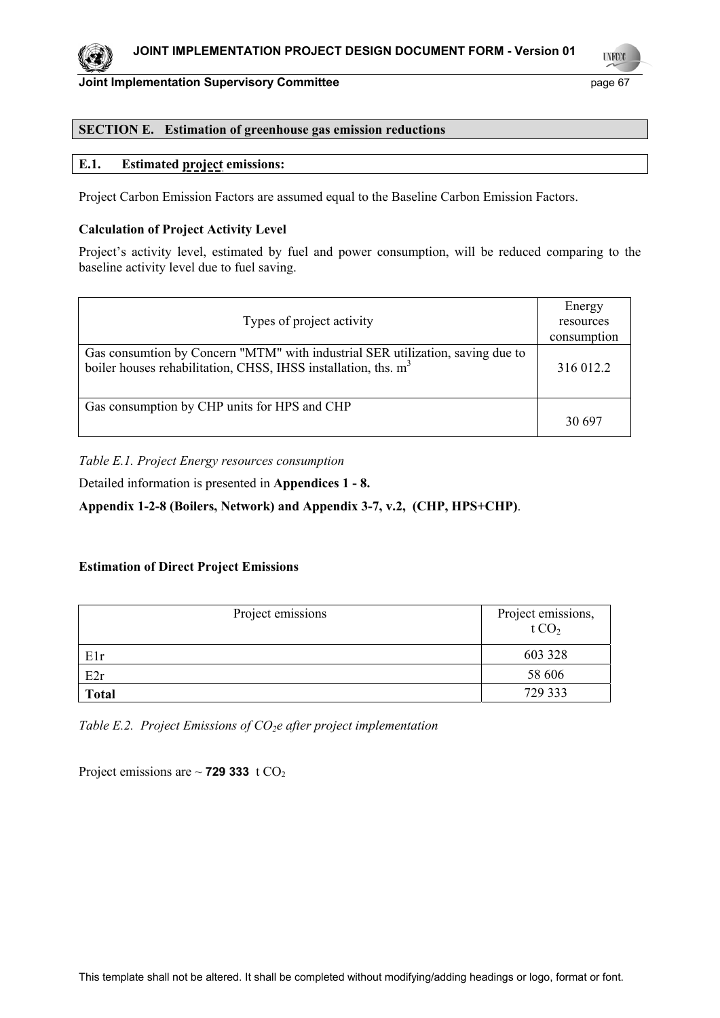

### **SECTION E. Estimation of greenhouse gas emission reductions**

### **E.1. Estimated project emissions:**

Project Carbon Emission Factors are assumed equal to the Baseline Carbon Emission Factors.

### **Calculation of Project Activity Level**

Project's activity level, estimated by fuel and power consumption, will be reduced comparing to the baseline activity level due to fuel saving.

|                                                                                | Energy      |
|--------------------------------------------------------------------------------|-------------|
| Types of project activity                                                      | resources   |
|                                                                                | consumption |
| Gas consumtion by Concern "MTM" with industrial SER utilization, saving due to |             |
| boiler houses rehabilitation, CHSS, IHSS installation, ths. m <sup>3</sup>     | 316 012.2   |
|                                                                                |             |
| Gas consumption by CHP units for HPS and CHP                                   |             |
|                                                                                | 30.697      |

*Table Е.1. Project Energy resources consumption* 

Detailed information is presented in **Appendices 1 - 8.** 

**Appendix 1-2-8 (Boilers, Network) and Appendix 3-7, v.2, (CHP, HPS+CHP)**.

#### **Estimation of Direct Project Emissions**

| Project emissions | Project emissions,<br>t CO <sub>2</sub> |
|-------------------|-----------------------------------------|
| E1r               | 603 328                                 |
| E2r               | 58 606                                  |
| <b>Total</b>      | 729 333                                 |

*Table Е.2. Project Emissions of CO2e after project implementation* 

Project emissions are  $\sim$  **729 333**  $t CO<sub>2</sub>$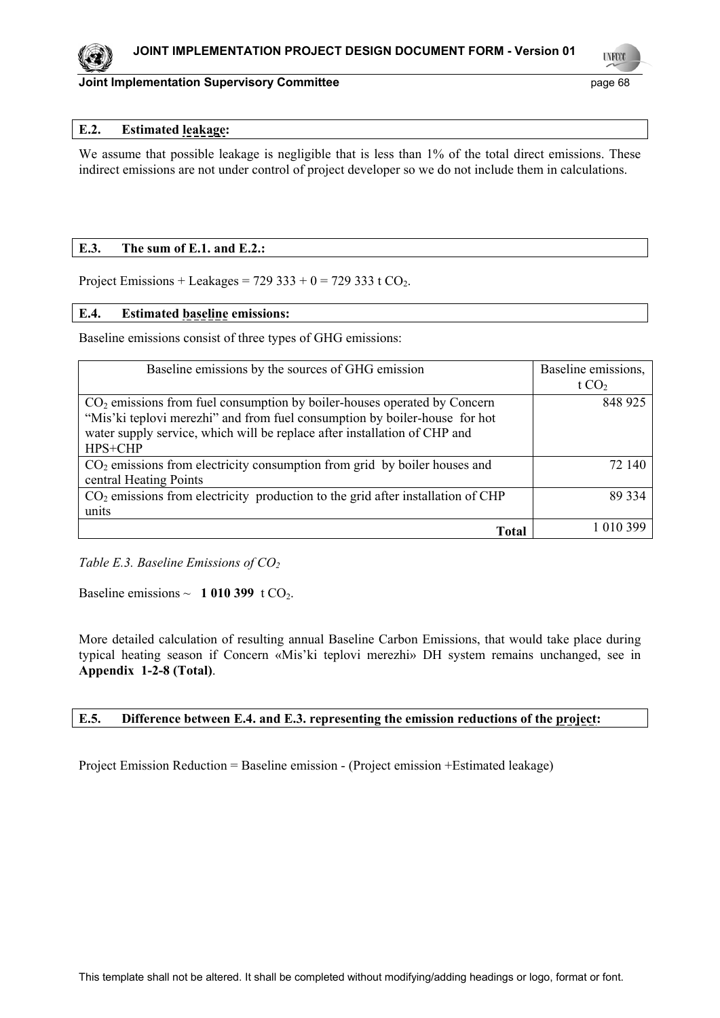

**LYFCO** 

### **E.2. Estimated leakage:**

We assume that possible leakage is negligible that is less than 1% of the total direct emissions. These indirect emissions are not under control of project developer so we do not include them in calculations.

### **E.3. The sum of E.1. and E.2.:**

Project Emissions + Leakages =  $729\,333 + 0 = 729\,333$  t CO<sub>2</sub>.

### **E.4. Estimated baseline emissions:**

Baseline emissions consist of three types of GHG emissions:

| Baseline emissions by the sources of GHG emission                                 | Baseline emissions, |
|-----------------------------------------------------------------------------------|---------------------|
|                                                                                   | t $CO2$             |
| $CO2$ emissions from fuel consumption by boiler-houses operated by Concern        | 848 925             |
| "Mis'ki teplovi merezhi" and from fuel consumption by boiler-house for hot        |                     |
| water supply service, which will be replace after installation of CHP and         |                     |
| HPS+CHP                                                                           |                     |
| $CO2$ emissions from electricity consumption from grid by boiler houses and       | 72 140              |
| central Heating Points                                                            |                     |
| $CO2$ emissions from electricity production to the grid after installation of CHP | 89 334              |
| units                                                                             |                     |
| Total                                                                             | 1 010 399           |

*Table E.3. Baseline Emissions of CO<sub>2</sub>* 

Baseline emissions  $\sim 1010399$  t CO<sub>2</sub>.

More detailed calculation of resulting annual Baseline Carbon Emissions, that would take place during typical heating season if Concern «Mis'ki teplovi merezhi» DH system remains unchanged, see in **Appendix 1-2-8 (Total)**.

### **E.5. Difference between E.4. and E.3. representing the emission reductions of the project:**

Project Emission Reduction = Baseline emission - (Project emission +Estimated leakage)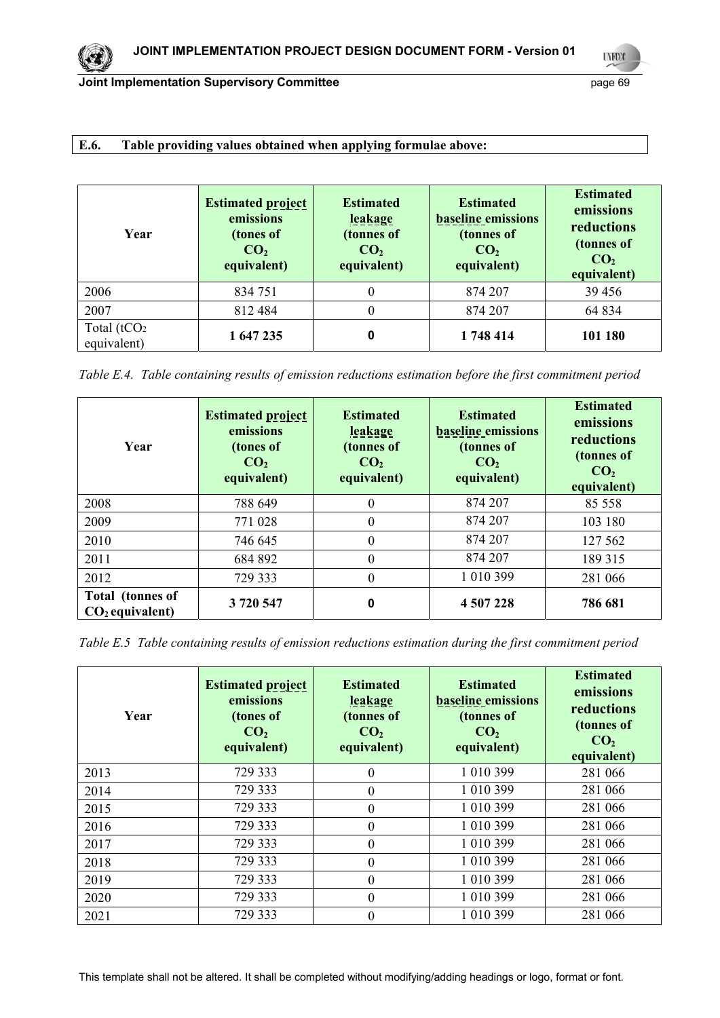# **E.6. Table providing values obtained when applying formulae above:**

| Year                          | <b>Estimated project</b><br>emissions<br>(tones of<br>CO <sub>2</sub><br>equivalent) | <b>Estimated</b><br><b>leakage</b><br>(tonnes of<br>CO <sub>2</sub><br>equivalent) | <b>Estimated</b><br><b>baseline</b> emissions<br>(tonnes of<br>CO <sub>2</sub><br>equivalent) | <b>Estimated</b><br>emissions<br>reductions<br>(tonnes of<br>CO <sub>2</sub><br>equivalent) |
|-------------------------------|--------------------------------------------------------------------------------------|------------------------------------------------------------------------------------|-----------------------------------------------------------------------------------------------|---------------------------------------------------------------------------------------------|
| 2006                          | 834 751                                                                              |                                                                                    | 874 207                                                                                       | 39 45 6                                                                                     |
| 2007                          | 812 484                                                                              |                                                                                    | 874 207                                                                                       | 64 834                                                                                      |
| Total $(tCO2)$<br>equivalent) | 1 647 235                                                                            | 0                                                                                  | 1748414                                                                                       | 101 180                                                                                     |

*Table Е.4. Table containing results of emission reductions estimation before the first commitment period* 

| Year                                         | <b>Estimated project</b><br>emissions<br>(tones of<br>CO <sub>2</sub><br>equivalent) | <b>Estimated</b><br>leakage<br>(tonnes of<br>CO <sub>2</sub><br>equivalent) | <b>Estimated</b><br><b>baseline</b> emissions<br>(tonnes of<br>CO <sub>2</sub><br>equivalent) | <b>Estimated</b><br>emissions<br>reductions<br>(tonnes of<br>CO <sub>2</sub><br>equivalent) |
|----------------------------------------------|--------------------------------------------------------------------------------------|-----------------------------------------------------------------------------|-----------------------------------------------------------------------------------------------|---------------------------------------------------------------------------------------------|
| 2008                                         | 788 649                                                                              | 0                                                                           | 874 207                                                                                       | 85 558                                                                                      |
| 2009                                         | 771 028                                                                              | $\theta$                                                                    | 874 207                                                                                       | 103 180                                                                                     |
| 2010                                         | 746 645                                                                              | $\theta$                                                                    | 874 207                                                                                       | 127 562                                                                                     |
| 2011                                         | 684 892                                                                              | $\theta$                                                                    | 874 207                                                                                       | 189 315                                                                                     |
| 2012                                         | 729 333                                                                              | $\theta$                                                                    | 1 010 399                                                                                     | 281 066                                                                                     |
| <b>Total</b> (tonnes of<br>$CO2$ equivalent) | 3720547                                                                              | 0                                                                           | 4 507 228                                                                                     | 786 681                                                                                     |

*Table Е.5 Table containing results of emission reductions estimation during the first commitment period* 

| Year | <b>Estimated project</b><br>emissions<br>(tones of<br>CO <sub>2</sub><br>equivalent) | <b>Estimated</b><br>leakage<br>(tonnes of<br>CO <sub>2</sub><br>equivalent) | <b>Estimated</b><br><b>baseline emissions</b><br>(tonnes of<br>CO <sub>2</sub><br>equivalent) | <b>Estimated</b><br>emissions<br>reductions<br>(tonnes of<br>CO <sub>2</sub><br>equivalent) |
|------|--------------------------------------------------------------------------------------|-----------------------------------------------------------------------------|-----------------------------------------------------------------------------------------------|---------------------------------------------------------------------------------------------|
| 2013 | 729 333                                                                              | 0                                                                           | 1 010 399                                                                                     | 281 066                                                                                     |
| 2014 | 729 333                                                                              | $\theta$                                                                    | 1 010 399                                                                                     | 281 066                                                                                     |
| 2015 | 729 333                                                                              | $\theta$                                                                    | 1 010 399                                                                                     | 281 066                                                                                     |
| 2016 | 729 333                                                                              | $\theta$                                                                    | 1 010 399                                                                                     | 281 066                                                                                     |
| 2017 | 729 333                                                                              | $\theta$                                                                    | 1 010 399                                                                                     | 281 066                                                                                     |
| 2018 | 729 333                                                                              | $\theta$                                                                    | 1 010 399                                                                                     | 281 066                                                                                     |
| 2019 | 729 333                                                                              | $\Omega$                                                                    | 1 010 399                                                                                     | 281 066                                                                                     |
| 2020 | 729 333                                                                              | $\theta$                                                                    | 1 010 399                                                                                     | 281 066                                                                                     |
| 2021 | 729 333                                                                              | $\theta$                                                                    | 1 010 399                                                                                     | 281 066                                                                                     |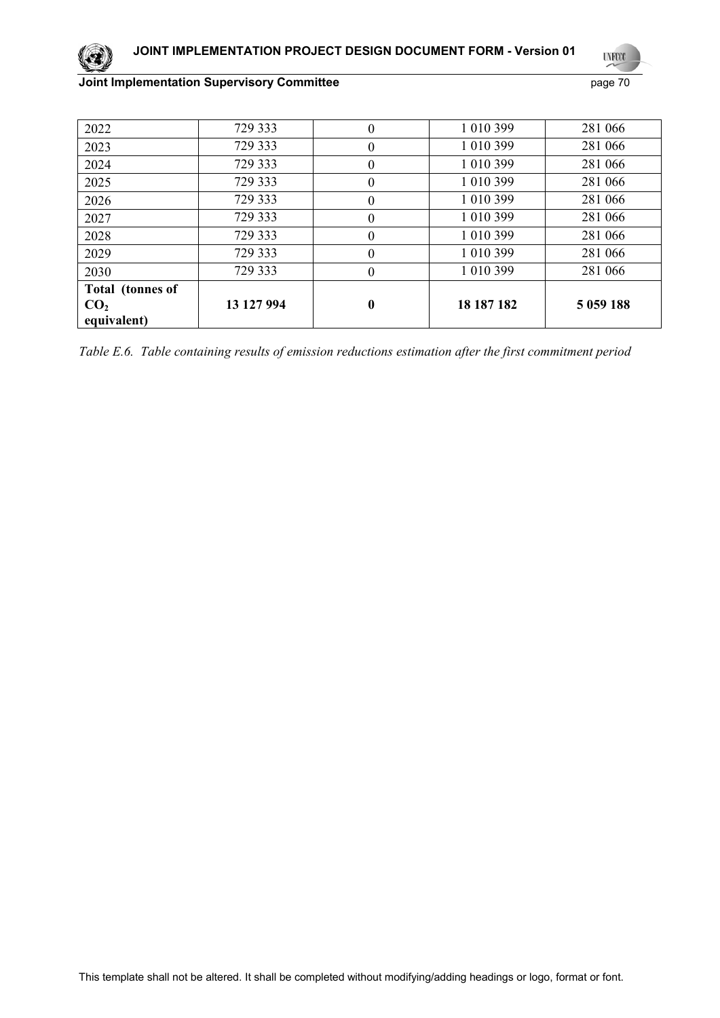# **UYFOO**

## **Joint Implementation Supervisory Committee** page 70

| 2022             | 729 333    | $\theta$ | 1 010 399  | 281 066     |
|------------------|------------|----------|------------|-------------|
| 2023             | 729 333    | $\theta$ | 1 010 399  | 281 066     |
| 2024             | 729 333    | $\theta$ | 1 010 399  | 281 066     |
| 2025             | 729 333    | $\theta$ | 1 010 399  | 281 066     |
| 2026             | 729 333    | $\theta$ | 1 010 399  | 281 066     |
| 2027             | 729 333    | $\theta$ | 1 010 399  | 281 066     |
| 2028             | 729 333    | $\theta$ | 1 010 399  | 281 066     |
| 2029             | 729 333    | $\Omega$ | 1 010 399  | 281 066     |
| 2030             | 729 333    | $\Omega$ | 1 010 399  | 281 066     |
| Total (tonnes of |            |          |            |             |
| CO <sub>2</sub>  | 13 127 994 | $\bf{0}$ | 18 187 182 | 5 0 59 1 88 |
| equivalent)      |            |          |            |             |

*Table Е.6. Table containing results of emission reductions estimation after the first commitment period*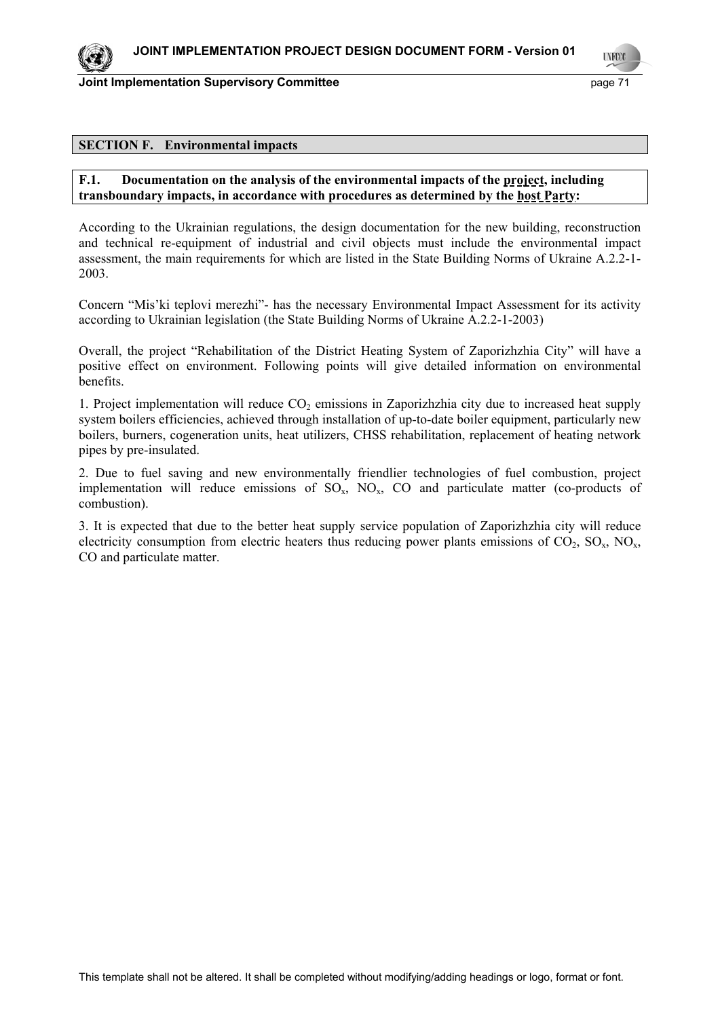**LYFCO** 

### **SECTION F. Environmental impacts**

### **F.1. Documentation on the analysis of the environmental impacts of the project, including transboundary impacts, in accordance with procedures as determined by the host Party:**

According to the Ukrainian regulations, the design documentation for the new building, reconstruction and technical re-equipment of industrial and civil objects must include the environmental impact assessment, the main requirements for which are listed in the State Building Norms of Ukraine A.2.2-1- 2003.

Concern "Mis'ki teplovi merezhi"- has the necessary Environmental Impact Assessment for its activity according to Ukrainian legislation (the State Building Norms of Ukraine A.2.2-1-2003)

Overall, the project "Rehabilitation of the District Heating System of Zaporizhzhia City" will have a positive effect on environment. Following points will give detailed information on environmental benefits.

1. Project implementation will reduce  $CO<sub>2</sub>$  emissions in Zaporizhzhia city due to increased heat supply system boilers efficiencies, achieved through installation of up-to-date boiler equipment, particularly new boilers, burners, cogeneration units, heat utilizers, CHSS rehabilitation, replacement of heating network pipes by pre-insulated.

2. Due to fuel saving and new environmentally friendlier technologies of fuel combustion, project implementation will reduce emissions of SO<sub>x</sub>. NO<sub>x</sub>. CO and particulate matter (co-products of combustion).

3. It is expected that due to the better heat supply service population of Zaporizhzhia city will reduce electricity consumption from electric heaters thus reducing power plants emissions of  $CO_2$ ,  $SO_x$ ,  $NO_x$ , CO and particulate matter.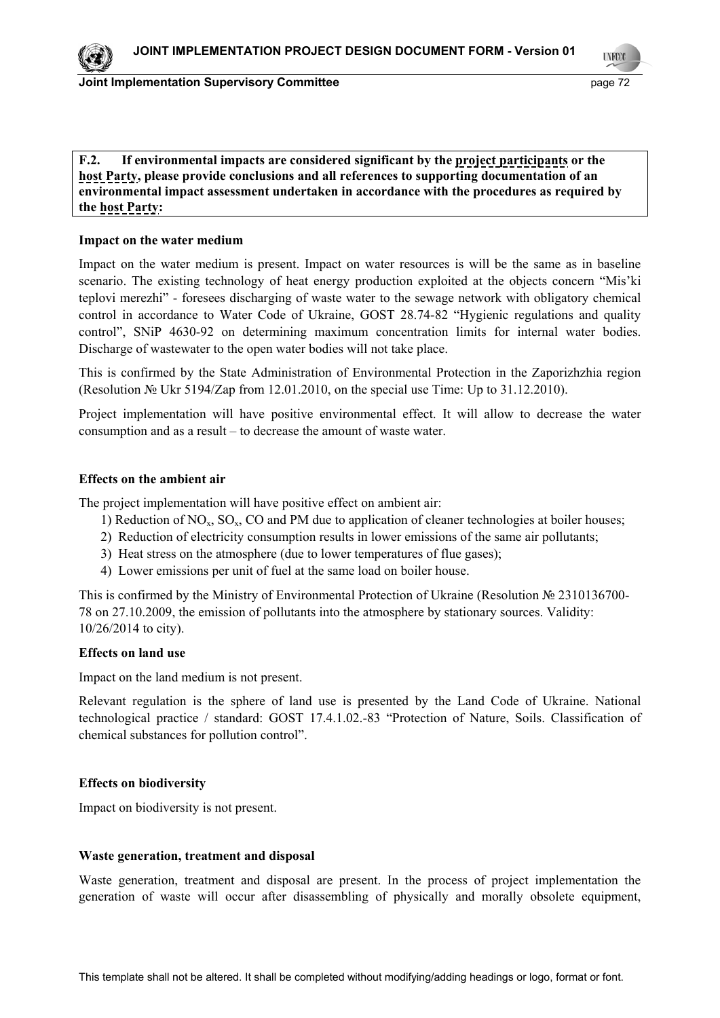

**LYFCO** 

## **F.2. If environmental impacts are considered significant by the project participants or the host Party, please provide conclusions and all references to supporting documentation of an environmental impact assessment undertaken in accordance with the procedures as required by the host Party:**

### **Impact on the water medium**

Impact on the water medium is present. Impact on water resources is will be the same as in baseline scenario. The existing technology of heat energy production exploited at the objects concern "Mis'ki teplovi merezhi" - foresees discharging of waste water to the sewage network with obligatory chemical control in accordance to Water Code of Ukraine, GOST 28.74-82 "Hygienic regulations and quality control", SNiP 4630-92 on determining maximum concentration limits for internal water bodies. Discharge of wastewater to the open water bodies will not take place.

This is confirmed by the State Administration of Environmental Protection in the Zaporizhzhia region (Resolution № Ukr 5194/Zap from 12.01.2010, on the special use Time: Up to 31.12.2010).

Project implementation will have positive environmental effect. It will allow to decrease the water consumption and as a result – to decrease the amount of waste water.

### **Effects on the ambient air**

The project implementation will have positive effect on ambient air:

- 1) Reduction of  $NO<sub>x</sub>$ ,  $SO<sub>x</sub>$ ,  $CO$  and PM due to application of cleaner technologies at boiler houses;
- 2) Reduction of electricity consumption results in lower emissions of the same air pollutants;
- 3) Heat stress on the atmosphere (due to lower temperatures of flue gases);
- 4) Lower emissions per unit of fuel at the same load on boiler house.

This is confirmed by the Ministry of Environmental Protection of Ukraine (Resolution № 2310136700- 78 on 27.10.2009, the emission of pollutants into the atmosphere by stationary sources. Validity: 10/26/2014 to city).

### **Effects on land use**

Impact on the land medium is not present.

Relevant regulation is the sphere of land use is presented by the Land Code of Ukraine. National technological practice / standard: GOST 17.4.1.02.-83 "Protection of Nature, Soils. Classification of chemical substances for pollution control".

### **Effects on biodiversity**

Impact on biodiversity is not present.

### **Waste generation, treatment and disposal**

Waste generation, treatment and disposal are present. In the process of project implementation the generation of waste will occur after disassembling of physically and morally obsolete equipment,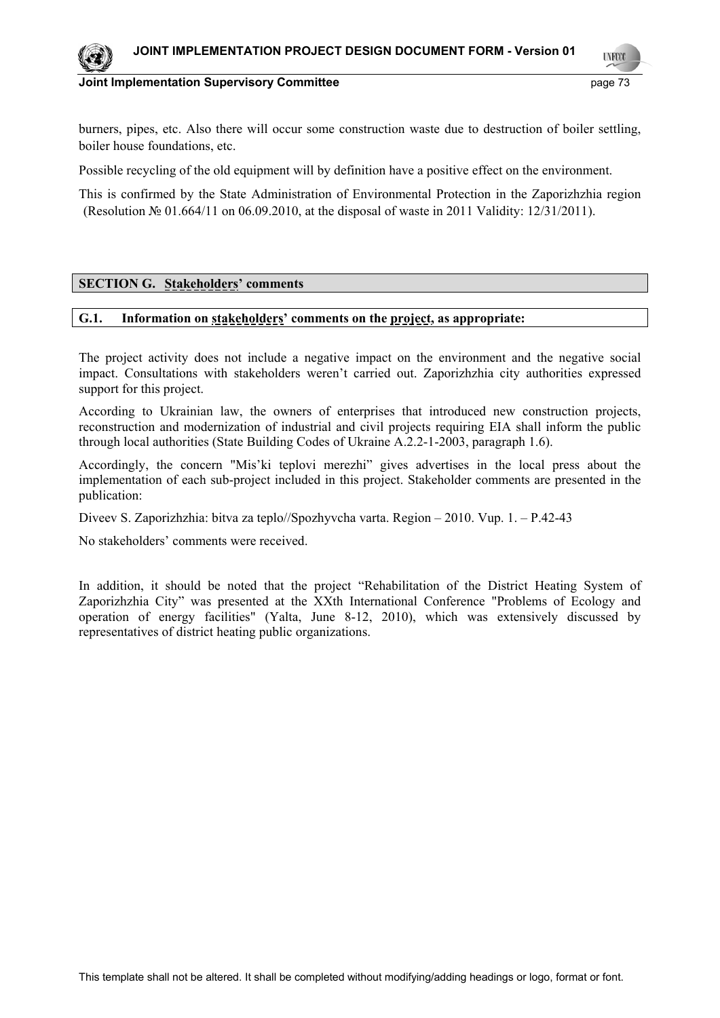**INFO** 



**Joint Implementation Supervisory Committee**  page 73

burners, pipes, etc. Also there will occur some construction waste due to destruction of boiler settling, boiler house foundations, etc.

Possible recycling of the old equipment will by definition have a positive effect on the environment.

This is confirmed by the State Administration of Environmental Protection in the Zaporizhzhia region (Resolution № 01.664/11 on 06.09.2010, at the disposal of waste in 2011 Validity: 12/31/2011).

#### **SECTION G. Stakeholders' comments**

#### **G.1. Information on stakeholders' comments on the project, as appropriate:**

The project activity does not include a negative impact on the environment and the negative social impact. Consultations with stakeholders weren't carried out. Zaporizhzhia city authorities expressed support for this project.

According to Ukrainian law, the owners of enterprises that introduced new construction projects, reconstruction and modernization of industrial and civil projects requiring EIA shall inform the public through local authorities (State Building Codes of Ukraine A.2.2-1-2003, paragraph 1.6).

Accordingly, the concern "Mis'ki teplovi merezhi" gives advertises in the local press about the implementation of each sub-project included in this project. Stakeholder comments are presented in the publication:

Diveev S. Zaporizhzhia: bitva za teplo//Spozhyvcha varta. Region – 2010. Vup. 1. – P.42-43

No stakeholders' comments were received.

In addition, it should be noted that the project "Rehabilitation of the District Heating System of Zaporizhzhia City" was presented at the XXth International Conference "Problems of Ecology and operation of energy facilities" (Yalta, June 8-12, 2010), which was extensively discussed by representatives of district heating public organizations.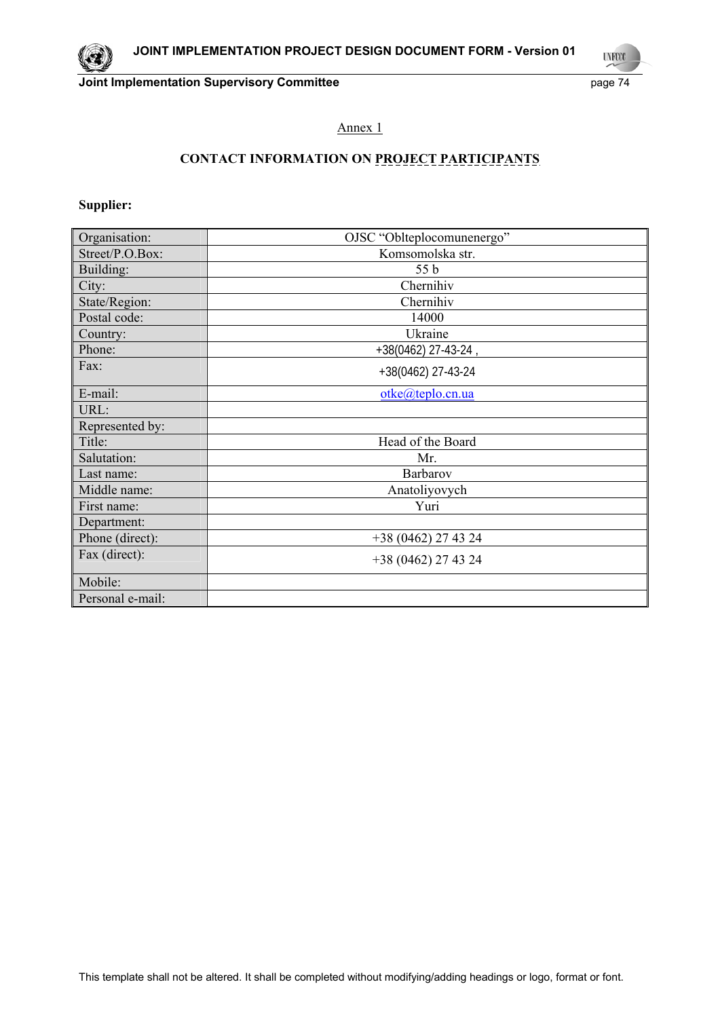**Joint Implementation Supervisory Committee Access 24 page 74** page 74

**UNFOOT** 

## Annex 1

# **CONTACT INFORMATION ON PROJECT PARTICIPANTS**

## **Supplier:**

| Organisation:    | OJSC "Oblteplocomunenergo" |  |
|------------------|----------------------------|--|
| Street/P.O.Box:  | Komsomolska str.           |  |
| Building:        | 55 b                       |  |
| City:            | Chernihiv                  |  |
| State/Region:    | Chernihiv                  |  |
| Postal code:     | 14000                      |  |
| Country:         | Ukraine                    |  |
| Phone:           | +38(0462) 27-43-24,        |  |
| Fax:             | +38(0462) 27-43-24         |  |
| E-mail:          | otke@teplo.cn.ua           |  |
| URL:             |                            |  |
| Represented by:  |                            |  |
| Title:           | Head of the Board          |  |
| Salutation:      | Mr.                        |  |
| Last name:       | Barbarov                   |  |
| Middle name:     | Anatoliyovych              |  |
| First name:      | Yuri                       |  |
| Department:      |                            |  |
| Phone (direct):  | $+38(0462)$ 27 43 24       |  |
| Fax (direct):    | +38 (0462) 27 43 24        |  |
| Mobile:          |                            |  |
| Personal e-mail: |                            |  |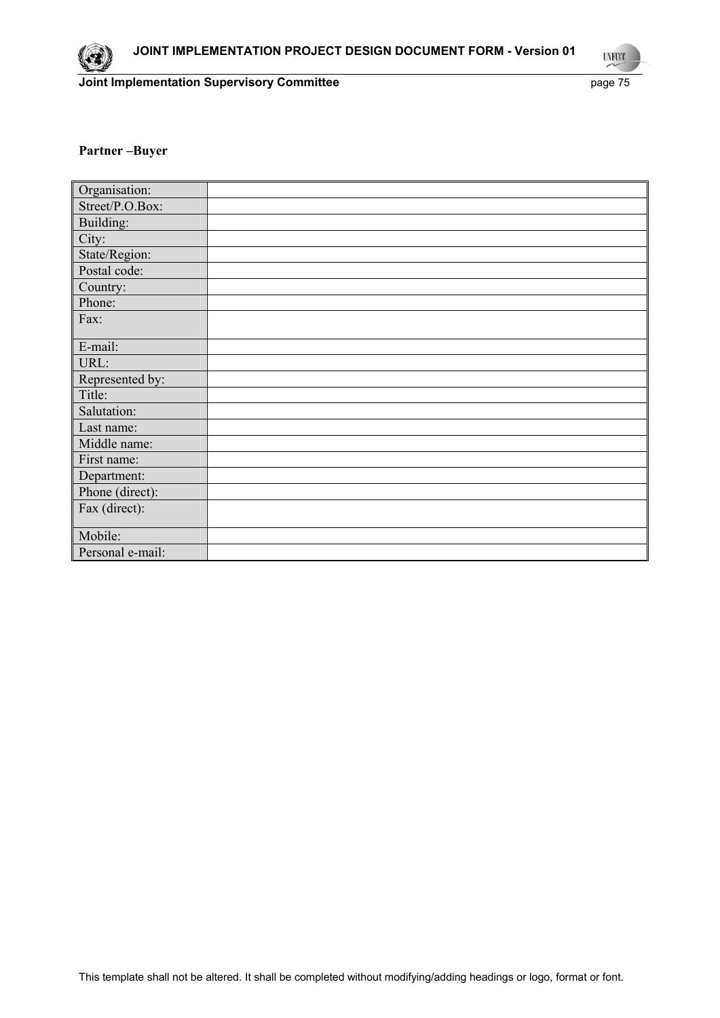**UNFOOT** 

#### **Partner –Buyer**

| Organisation:    |  |
|------------------|--|
| Street/P.O.Box:  |  |
| Building:        |  |
| City:            |  |
| State/Region:    |  |
| Postal code:     |  |
| Country:         |  |
| Phone:           |  |
| Fax:             |  |
|                  |  |
| E-mail:          |  |
| URL:             |  |
| Represented by:  |  |
| Title:           |  |
| Salutation:      |  |
| Last name:       |  |
| Middle name:     |  |
| First name:      |  |
| Department:      |  |
| Phone (direct):  |  |
| Fax (direct):    |  |
|                  |  |
| Mobile:          |  |
| Personal e-mail: |  |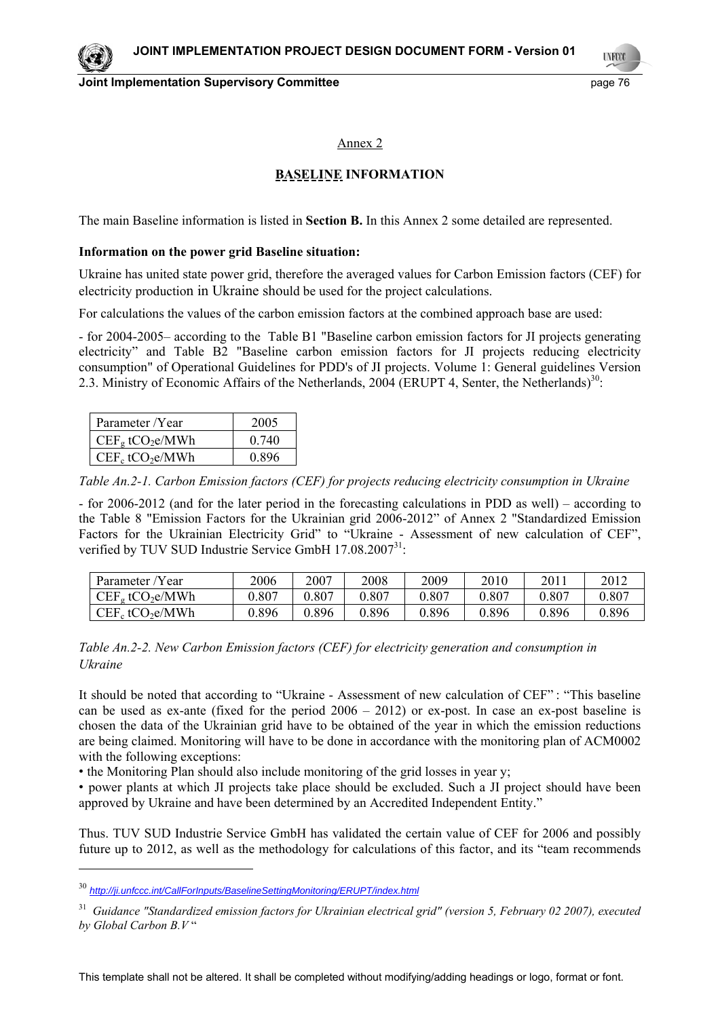**Joint Implementation Supervisory Committee Access 2008 120 and 2009 120 and 2009 120 and 2009 120 and 2009 130** 

**LYFOO** 

#### Annex 2

## **BASELINE INFORMATION**

The main Baseline information is listed in **Section B.** In this Annex 2 some detailed are represented.

#### **Information on the power grid Baseline situation:**

Ukraine has united state power grid, therefore the averaged values for Carbon Emission factors (CEF) for electricity production in Ukraine should be used for the project calculations.

For calculations the values of the carbon emission factors at the combined approach base are used:

- for 2004-2005– according to the Table B1 "Baseline carbon emission factors for JI projects generating electricity" and Table B2 "Baseline carbon emission factors for JI projects reducing electricity consumption" of Operational Guidelines for PDD's of JI projects. Volume 1: General guidelines Version 2.3. Ministry of Economic Affairs of the Netherlands, 2004 (ERUPT 4, Senter, the Netherlands)<sup>30</sup>:

| Parameter /Year                | 2005  |
|--------------------------------|-------|
| $CEFg$ tCO <sub>2</sub> e/MWh  | 0.740 |
| $CEF_c$ tCO <sub>2</sub> e/MWh | 0.896 |

*Table An.2-1. Carbon Emission factors (CEF) for projects reducing electricity consumption in Ukraine* 

- for 2006-2012 (and for the later period in the forecasting calculations in PDD as well) – according to the Table 8 "Emission Factors for the Ukrainian grid 2006-2012" of Annex 2 "Standardized Emission Factors for the Ukrainian Electricity Grid" to "Ukraine - Assessment of new calculation of CEF", verified by TUV SUD Industrie Service GmbH 17.08.2007<sup>31</sup>:

| Parameter /Year                | 2006      | 2007      | 2008  | 2009      | 2010      | 2011      | 2012      |
|--------------------------------|-----------|-----------|-------|-----------|-----------|-----------|-----------|
| $CEFg$ tCO <sub>2</sub> e/MWh  | ${0.807}$ | ${0.807}$ | 0.807 | ${0.807}$ | ${0.807}$ | $0.807\,$ | ${0.807}$ |
| $CEF_c$ tCO <sub>2</sub> e/MWh | 9.896     | 9.896     | 0.896 | 9.896     | 0.896     | 0.896     | 0.896     |

*Table An.2-2. New Carbon Emission factors (CEF) for electricity generation and consumption in Ukraine* 

It should be noted that according to "Ukraine - Assessment of new calculation of CEF" : "This baseline can be used as ex-ante (fixed for the period  $2006 - 2012$ ) or ex-post. In case an ex-post baseline is chosen the data of the Ukrainian grid have to be obtained of the year in which the emission reductions are being claimed. Monitoring will have to be done in accordance with the monitoring plan of ACM0002 with the following exceptions:

• the Monitoring Plan should also include monitoring of the grid losses in year y;

• power plants at which JI projects take place should be excluded. Such a JI project should have been approved by Ukraine and have been determined by an Accredited Independent Entity."

Thus. TUV SUD Industrie Service GmbH has validated the certain value of CEF for 2006 and possibly future up to 2012, as well as the methodology for calculations of this factor, and its "team recommends

1

<sup>30</sup> *http://ji.unfccc.int/CallForInputs/BaselineSettingMonitoring/ERUPT/index.html*

<sup>31</sup> *Guidance "Standardized emission factors for Ukrainian electrical grid" (version 5, February 02 2007), executed by Global Carbon B.V* "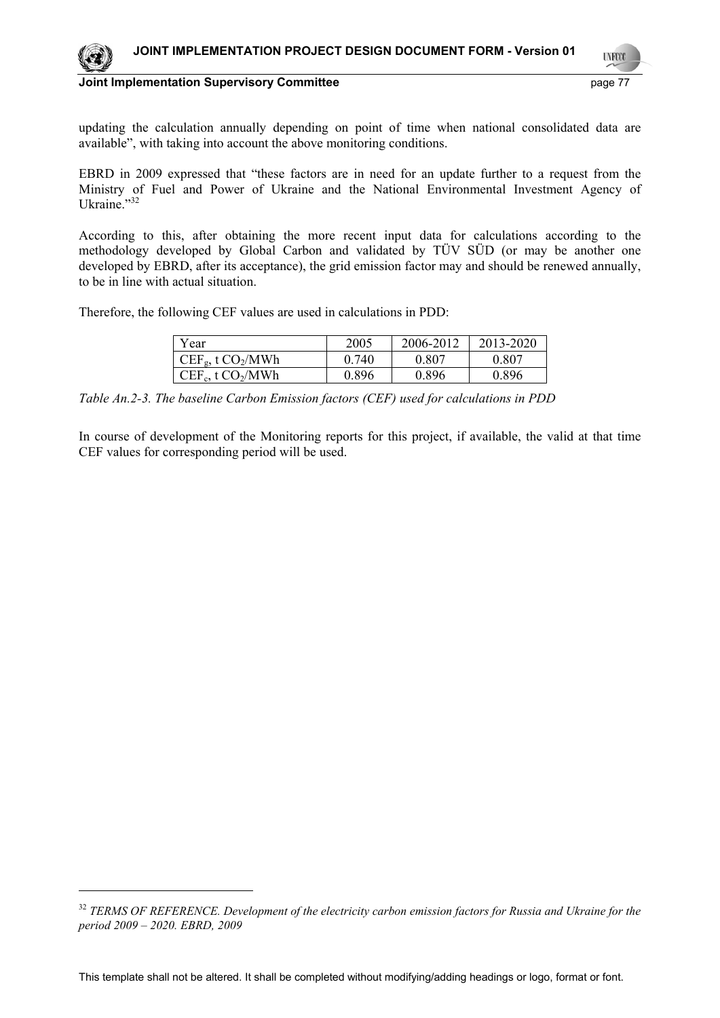

1

**Joint Implementation Supervisory Committee** *page 77* **and the page 77** 

updating the calculation annually depending on point of time when national consolidated data are available", with taking into account the above monitoring conditions.

EBRD in 2009 expressed that "these factors are in need for an update further to a request from the Ministry of Fuel and Power of Ukraine and the National Environmental Investment Agency of Ukraine."<sup>32</sup>

According to this, after obtaining the more recent input data for calculations according to the methodology developed by Global Carbon and validated by TÜV SÜD (or may be another one developed by EBRD, after its acceptance), the grid emission factor may and should be renewed annually, to be in line with actual situation.

Therefore, the following CEF values are used in calculations in PDD:

| Year                   | 2005  | 2006-2012 | 2013-2020 |
|------------------------|-------|-----------|-----------|
| $CEF_g$ , t $CO_2/MWh$ | 0.740 | 0.807     | 0.807     |
| $CEF_c$ , t $CO_2/MWh$ | 0.896 | 0.896     | 0.896     |

*Table An.2-3. The baseline Carbon Emission factors (CEF) used for calculations in PDD* 

In course of development of the Monitoring reports for this project, if available, the valid at that time CEF values for corresponding period will be used.

<sup>32</sup> *TERMS OF REFERENCE. Development of the electricity carbon emission factors for Russia and Ukraine for the period 2009 – 2020. EBRD, 2009*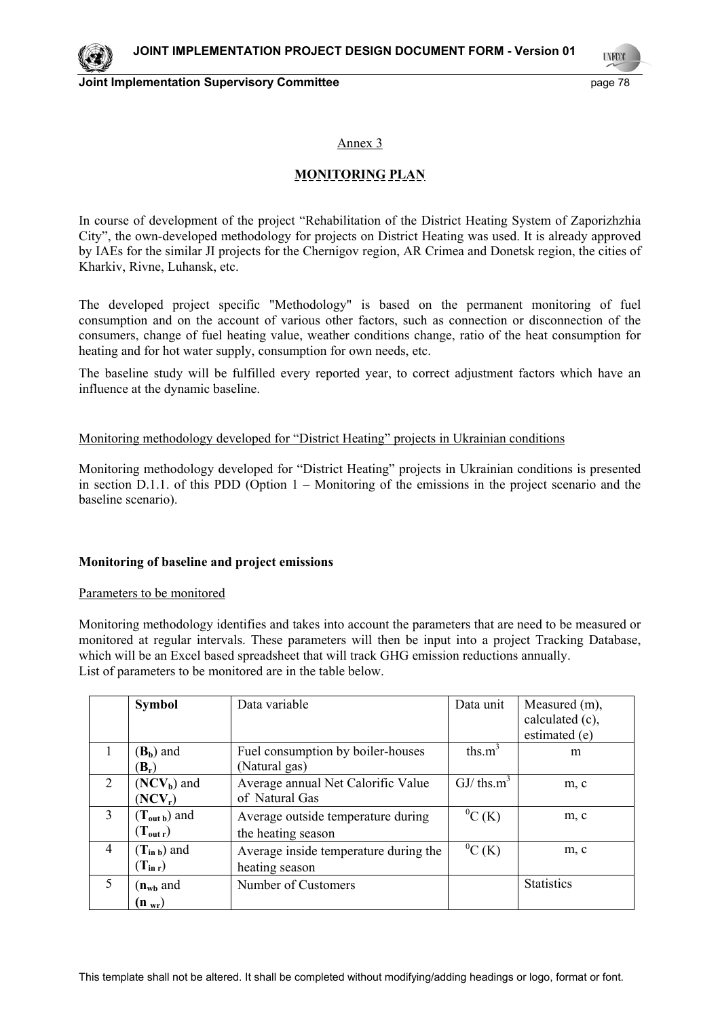**Joint Implementation Supervisory Committee Access 20 and 20 and 20 and 20 and 20 and 20 and 20 and 20 and 20 and 20 and 20 and 20 and 20 and 20 and 20 and 20 and 20 and 20 and 20 and 20 and 20 and 20 and 20 and 20 and 20** 

**LYFCO** 

Annex 3

## **MONITORING PLAN**

In course of development of the project "Rehabilitation of the District Heating System of Zaporizhzhia City", the own-developed methodology for projects on District Heating was used. It is already approved by IAEs for the similar JI projects for the Chernigov region, AR Crimea and Donetsk region, the cities of Kharkiv, Rivne, Luhansk, etc.

The developed project specific "Methodology" is based on the permanent monitoring of fuel consumption and on the account of various other factors, such as connection or disconnection of the consumers, change of fuel heating value, weather conditions change, ratio of the heat consumption for heating and for hot water supply, consumption for own needs, etc.

The baseline study will be fulfilled every reported year, to correct adjustment factors which have an influence at the dynamic baseline.

#### Monitoring methodology developed for "District Heating" projects in Ukrainian conditions

Monitoring methodology developed for "District Heating" projects in Ukrainian conditions is presented in section D.1.1. of this PDD (Option 1 – Monitoring of the emissions in the project scenario and the baseline scenario).

#### **Monitoring of baseline and project emissions**

#### Parameters to be monitored

Monitoring methodology identifies and takes into account the parameters that are need to be measured or monitored at regular intervals. These parameters will then be input into a project Tracking Database, which will be an Excel based spreadsheet that will track GHG emission reductions annually. List of parameters to be monitored are in the table below.

|                | <b>Symbol</b>            | Data variable                         | Data unit      | Measured (m),<br>calculated (c),<br>estimated (e) |
|----------------|--------------------------|---------------------------------------|----------------|---------------------------------------------------|
|                | $(\mathbf{B}_b)$ and     | Fuel consumption by boiler-houses     | ths. $m^3$     | m                                                 |
|                | $(\mathbf{B}_r)$         | (Natural gas)                         |                |                                                   |
| $\overline{2}$ | $(NCV_b)$ and            | Average annual Net Calorific Value    | $GJ/\th s.m^3$ | m, c                                              |
|                | $(NCV_r)$                | of Natural Gas                        |                |                                                   |
| 3              | $(T_{\text{out }b})$ and | Average outside temperature during    | ${}^{0}C(K)$   | m, c                                              |
|                | $(T_{\text{out }r})$     | the heating season                    |                |                                                   |
| 4              | $(T_{in b})$ and         | Average inside temperature during the | ${}^{0}C(K)$   | m, c                                              |
|                | $(T_{\rm in r})$         | heating season                        |                |                                                   |
| 5              | $(n_{\rm wb}$ and        | Number of Customers                   |                | <b>Statistics</b>                                 |
|                | $(n_{wr})$               |                                       |                |                                                   |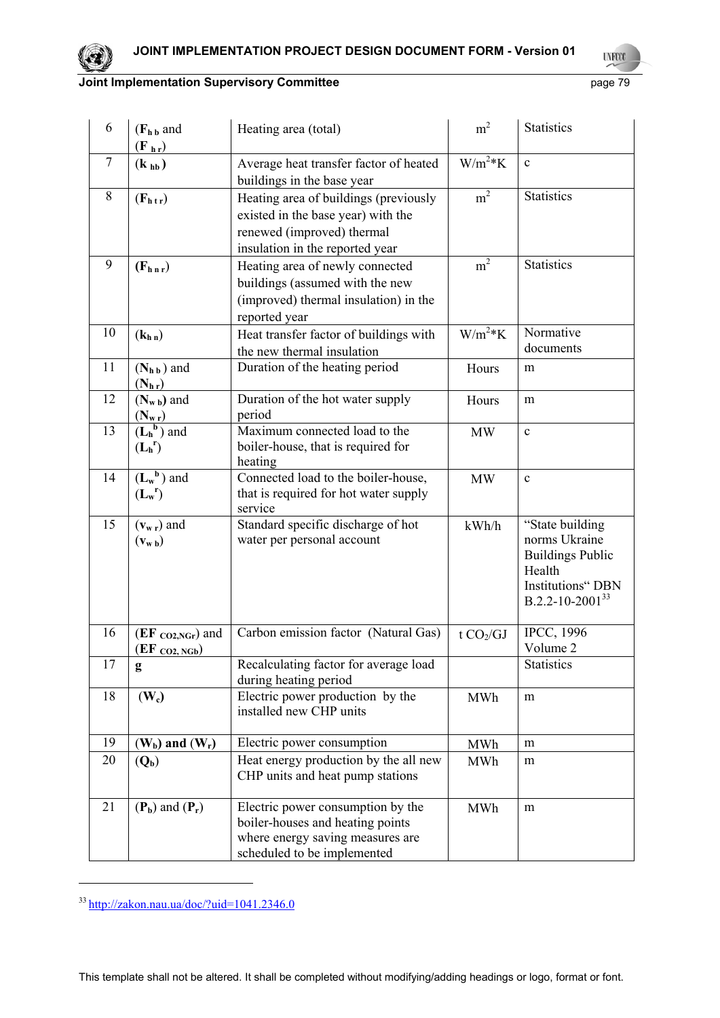

**UNFOOT** 

## **Joint Implementation Supervisory Committee Access 20 page 79 page 79**

| 6      | $(Fh b$ and<br>$(\mathbf{F}_{\mathbf{h}\mathbf{r}})$           | Heating area (total)                                                                                                                         | m <sup>2</sup> | <b>Statistics</b>                                                                                                             |
|--------|----------------------------------------------------------------|----------------------------------------------------------------------------------------------------------------------------------------------|----------------|-------------------------------------------------------------------------------------------------------------------------------|
| $\tau$ | (k <sub>hb</sub> )                                             | Average heat transfer factor of heated<br>buildings in the base year                                                                         | $W/m^2*K$      | $\mathbf c$                                                                                                                   |
| 8      | $(F_{h\,tr})$                                                  | Heating area of buildings (previously<br>existed in the base year) with the<br>renewed (improved) thermal<br>insulation in the reported year | m <sup>2</sup> | <b>Statistics</b>                                                                                                             |
| 9      | $(F_{h n r})$                                                  | Heating area of newly connected<br>buildings (assumed with the new<br>(improved) thermal insulation) in the<br>reported year                 | m <sup>2</sup> | <b>Statistics</b>                                                                                                             |
| 10     | (k <sub>h n</sub> )                                            | Heat transfer factor of buildings with<br>the new thermal insulation                                                                         | $W/m^2*K$      | Normative<br>documents                                                                                                        |
| 11     | $(N_{h\,b})$ and<br>$(N_{h r})$                                | Duration of the heating period                                                                                                               | Hours          | m                                                                                                                             |
| 12     | $(N_{w b})$ and                                                | Duration of the hot water supply<br>period                                                                                                   | Hours          | m                                                                                                                             |
| 13     | $\frac{(\mathbf{N_{w\,r}})}{(\mathbf{L_h}^b)$ and<br>$(L_h^r)$ | Maximum connected load to the<br>boiler-house, that is required for<br>heating                                                               | <b>MW</b>      | $\mathbf c$                                                                                                                   |
| 14     | $(L_w^b)$ and<br>$(L_w^r)$                                     | Connected load to the boiler-house,<br>that is required for hot water supply<br>service                                                      | <b>MW</b>      | $\mathbf c$                                                                                                                   |
| 15     | $(v_{w r})$ and<br>$(v_{w\,b})$                                | Standard specific discharge of hot<br>water per personal account                                                                             | kWh/h          | "State building<br>norms Ukraine<br><b>Buildings Public</b><br>Health<br><b>Institutions" DBN</b><br>$B.2.2 - 10 - 2001^{33}$ |
| 16     | (EF co2,NGr) and<br>$(EF_{CO2, NGb})$                          | Carbon emission factor (Natural Gas)                                                                                                         | t $CO2/GI$     | <b>IPCC, 1996</b><br>Volume 2                                                                                                 |
| 17     | g                                                              | Recalculating factor for average load<br>during heating period                                                                               |                | <b>Statistics</b>                                                                                                             |
| 18     | $(\mathbf{W}_c)$                                               | Electric power production by the<br>installed new CHP units                                                                                  | MWh            | m                                                                                                                             |
| 19     | $(W_b)$ and $(W_r)$                                            | Electric power consumption                                                                                                                   | MWh            | m                                                                                                                             |
| 20     | $(Q_b)$                                                        | Heat energy production by the all new<br>CHP units and heat pump stations                                                                    | MWh            | m                                                                                                                             |
| 21     | $(P_b)$ and $(P_r)$                                            | Electric power consumption by the<br>boiler-houses and heating points<br>where energy saving measures are<br>scheduled to be implemented     | <b>MWh</b>     | m                                                                                                                             |

<sup>33</sup> http://zakon.nau.ua/doc/?uid=1041.2346.0

1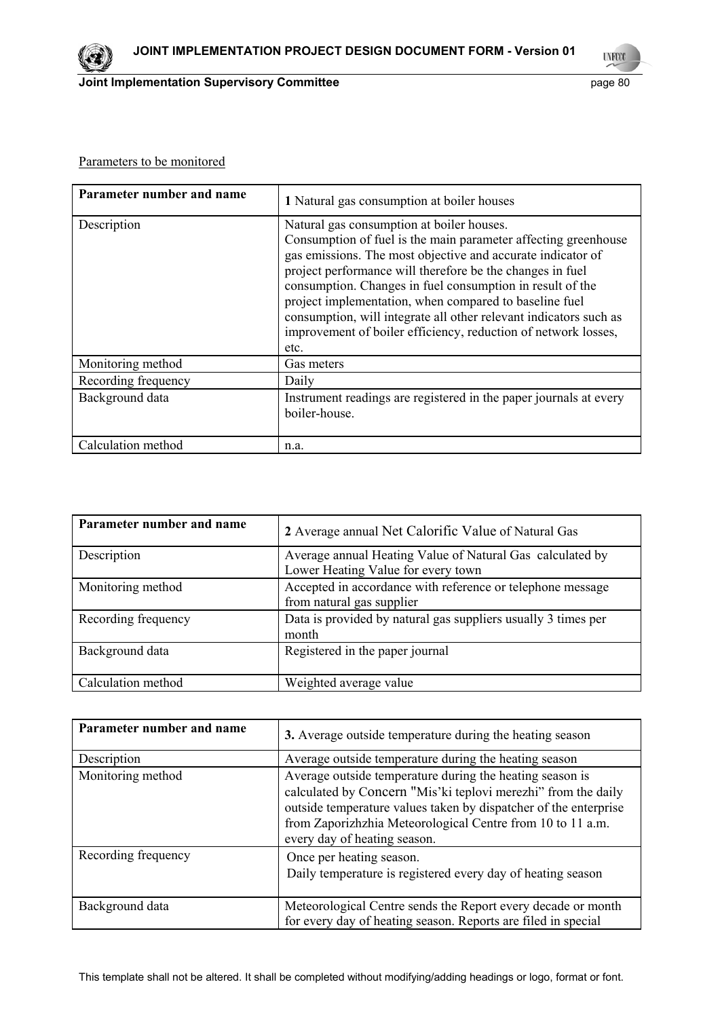

**Joint Implementation Supervisory Committee Access 20 page 80** page 80

#### Parameters to be monitored

| Parameter number and name | 1 Natural gas consumption at boiler houses                                                                                                                                                                                                                                                                                                                                                                                                                                                                    |
|---------------------------|---------------------------------------------------------------------------------------------------------------------------------------------------------------------------------------------------------------------------------------------------------------------------------------------------------------------------------------------------------------------------------------------------------------------------------------------------------------------------------------------------------------|
| Description               | Natural gas consumption at boiler houses.<br>Consumption of fuel is the main parameter affecting greenhouse<br>gas emissions. The most objective and accurate indicator of<br>project performance will therefore be the changes in fuel<br>consumption. Changes in fuel consumption in result of the<br>project implementation, when compared to baseline fuel<br>consumption, will integrate all other relevant indicators such as<br>improvement of boiler efficiency, reduction of network losses,<br>etc. |
| Monitoring method         | Gas meters                                                                                                                                                                                                                                                                                                                                                                                                                                                                                                    |
| Recording frequency       | Daily                                                                                                                                                                                                                                                                                                                                                                                                                                                                                                         |
| Background data           | Instrument readings are registered in the paper journals at every<br>boiler-house.                                                                                                                                                                                                                                                                                                                                                                                                                            |
| Calculation method        | n.a.                                                                                                                                                                                                                                                                                                                                                                                                                                                                                                          |

| Parameter number and name | 2 Average annual Net Calorific Value of Natural Gas                                             |
|---------------------------|-------------------------------------------------------------------------------------------------|
| Description               | Average annual Heating Value of Natural Gas calculated by<br>Lower Heating Value for every town |
| Monitoring method         | Accepted in accordance with reference or telephone message<br>from natural gas supplier         |
| Recording frequency       | Data is provided by natural gas suppliers usually 3 times per<br>month                          |
| Background data           | Registered in the paper journal                                                                 |
| Calculation method        | Weighted average value                                                                          |

| Parameter number and name | 3. Average outside temperature during the heating season                                                                                                                                                                                                                                    |
|---------------------------|---------------------------------------------------------------------------------------------------------------------------------------------------------------------------------------------------------------------------------------------------------------------------------------------|
| Description               | Average outside temperature during the heating season                                                                                                                                                                                                                                       |
| Monitoring method         | Average outside temperature during the heating season is<br>calculated by Concern "Mis'ki teplovi merezhi" from the daily<br>outside temperature values taken by dispatcher of the enterprise<br>from Zaporizhzhia Meteorological Centre from 10 to 11 a.m.<br>every day of heating season. |
| Recording frequency       | Once per heating season.<br>Daily temperature is registered every day of heating season                                                                                                                                                                                                     |
| Background data           | Meteorological Centre sends the Report every decade or month<br>for every day of heating season. Reports are filed in special                                                                                                                                                               |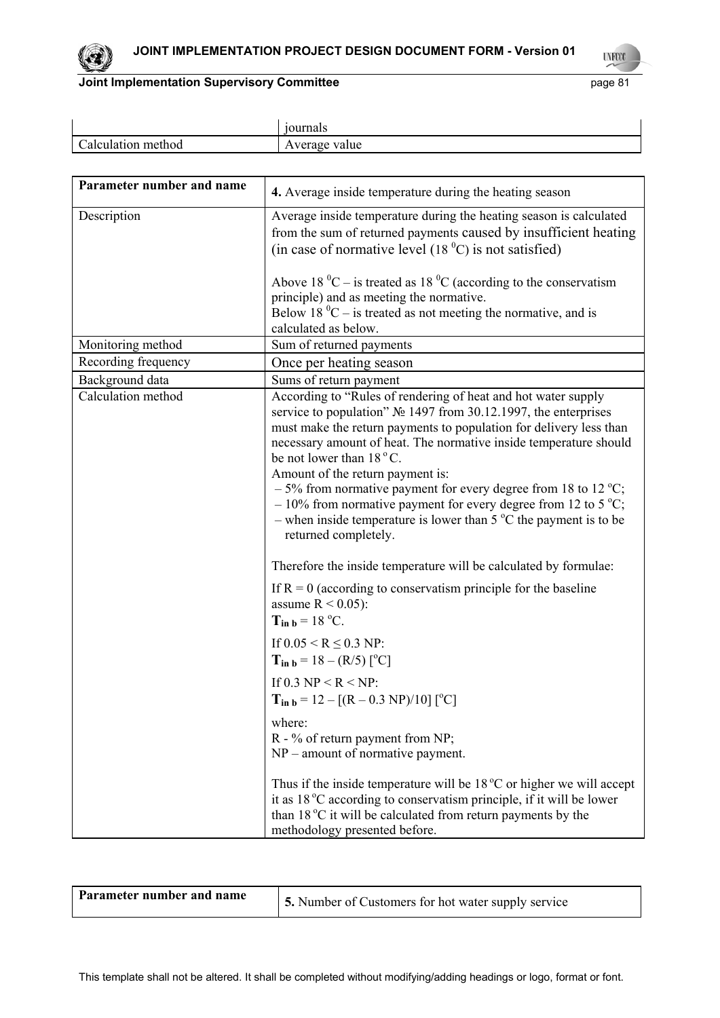

**UNFOOT** 

## **Joint Implementation Supervisory Committee Access 2016 2017 10:41 Page 81**

|                      | ournals       |
|----------------------|---------------|
| alculation<br>method | Average value |

| Parameter number and name | 4. Average inside temperature during the heating season                                                                                                                                                                                                                                                                                                                                                                                                                                                                                                                                           |
|---------------------------|---------------------------------------------------------------------------------------------------------------------------------------------------------------------------------------------------------------------------------------------------------------------------------------------------------------------------------------------------------------------------------------------------------------------------------------------------------------------------------------------------------------------------------------------------------------------------------------------------|
| Description               | Average inside temperature during the heating season is calculated<br>from the sum of returned payments caused by insufficient heating<br>(in case of normative level $(180C)$ is not satisfied)                                                                                                                                                                                                                                                                                                                                                                                                  |
|                           | Above 18 $^0C$ – is treated as 18 $^0C$ (according to the conservatism<br>principle) and as meeting the normative.<br>Below 18 $^0C$ – is treated as not meeting the normative, and is<br>calculated as below.                                                                                                                                                                                                                                                                                                                                                                                    |
| Monitoring method         | Sum of returned payments                                                                                                                                                                                                                                                                                                                                                                                                                                                                                                                                                                          |
| Recording frequency       | Once per heating season                                                                                                                                                                                                                                                                                                                                                                                                                                                                                                                                                                           |
| Background data           | Sums of return payment                                                                                                                                                                                                                                                                                                                                                                                                                                                                                                                                                                            |
| Calculation method        | According to "Rules of rendering of heat and hot water supply<br>service to population" № 1497 from 30.12.1997, the enterprises<br>must make the return payments to population for delivery less than<br>necessary amount of heat. The normative inside temperature should<br>be not lower than $18^{\circ}$ C.<br>Amount of the return payment is:<br>$-5\%$ from normative payment for every degree from 18 to 12 °C;<br>$-10\%$ from normative payment for every degree from 12 to 5 °C;<br>- when inside temperature is lower than $5^{\circ}$ C the payment is to be<br>returned completely. |
|                           | Therefore the inside temperature will be calculated by formulae:                                                                                                                                                                                                                                                                                                                                                                                                                                                                                                                                  |
|                           | If $R = 0$ (according to conservatism principle for the baseline<br>assume $R < 0.05$ :<br>$T_{in b} = 18 \degree C$ .<br>If $0.05 \le R \le 0.3$ NP:                                                                                                                                                                                                                                                                                                                                                                                                                                             |
|                           | $T_{in b} = 18 - (R/5)$ [ <sup>o</sup> C]                                                                                                                                                                                                                                                                                                                                                                                                                                                                                                                                                         |
|                           | If 0.3 NP < R < NP:<br>$T_{in b} = 12 - [(R - 0.3 \text{ NP})/10] [^{\circ}C]$                                                                                                                                                                                                                                                                                                                                                                                                                                                                                                                    |
|                           | where:<br>R - % of return payment from NP;<br>$NP$ – amount of normative payment.                                                                                                                                                                                                                                                                                                                                                                                                                                                                                                                 |
|                           | Thus if the inside temperature will be $18\degree C$ or higher we will accept<br>it as 18 °C according to conservatism principle, if it will be lower<br>than 18 °C it will be calculated from return payments by the<br>methodology presented before.                                                                                                                                                                                                                                                                                                                                            |

| Parameter number and name<br>5. Number of Customers for hot water supply service |  |
|----------------------------------------------------------------------------------|--|
|----------------------------------------------------------------------------------|--|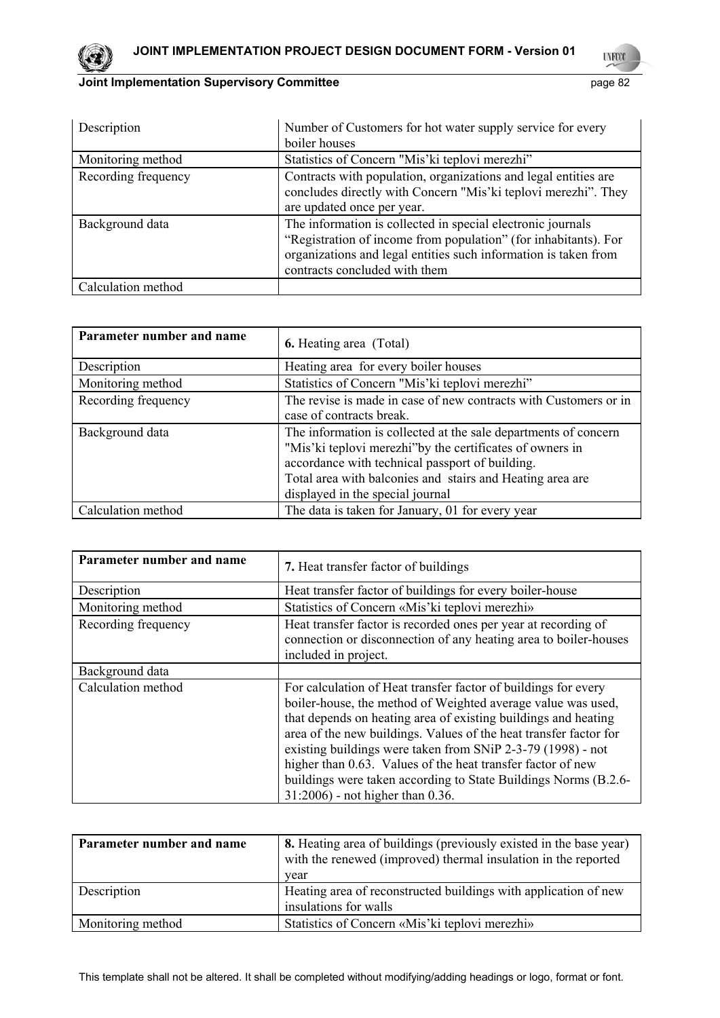

## **Joint Implementation Supervisory Committee Access 20 page 82** page 82

**UNFOOT** 

| Description         | Number of Customers for hot water supply service for every                                                                                                                                                                         |
|---------------------|------------------------------------------------------------------------------------------------------------------------------------------------------------------------------------------------------------------------------------|
|                     | boiler houses                                                                                                                                                                                                                      |
| Monitoring method   | Statistics of Concern "Mis' ki teplovi merezhi"                                                                                                                                                                                    |
| Recording frequency | Contracts with population, organizations and legal entities are<br>concludes directly with Concern "Mis'ki teplovi merezhi". They<br>are updated once per year.                                                                    |
| Background data     | The information is collected in special electronic journals<br>"Registration of income from population" (for inhabitants). For<br>organizations and legal entities such information is taken from<br>contracts concluded with them |
| Calculation method  |                                                                                                                                                                                                                                    |

| Parameter number and name | <b>6.</b> Heating area (Total)                                                                                                                                                                                                                                                   |
|---------------------------|----------------------------------------------------------------------------------------------------------------------------------------------------------------------------------------------------------------------------------------------------------------------------------|
| Description               | Heating area for every boiler houses                                                                                                                                                                                                                                             |
| Monitoring method         | Statistics of Concern "Mis'ki teplovi merezhi"                                                                                                                                                                                                                                   |
| Recording frequency       | The revise is made in case of new contracts with Customers or in<br>case of contracts break.                                                                                                                                                                                     |
| Background data           | The information is collected at the sale departments of concern<br>"Mis'ki teplovi merezhi" by the certificates of owners in<br>accordance with technical passport of building.<br>Total area with balconies and stairs and Heating area are<br>displayed in the special journal |
| Calculation method        | The data is taken for January, 01 for every year                                                                                                                                                                                                                                 |

| Parameter number and name | 7. Heat transfer factor of buildings                                                                                                                                                                                                                                                                                                                                                                                                                                                                       |
|---------------------------|------------------------------------------------------------------------------------------------------------------------------------------------------------------------------------------------------------------------------------------------------------------------------------------------------------------------------------------------------------------------------------------------------------------------------------------------------------------------------------------------------------|
| Description               | Heat transfer factor of buildings for every boiler-house                                                                                                                                                                                                                                                                                                                                                                                                                                                   |
| Monitoring method         | Statistics of Concern «Mis'ki teplovi merezhi»                                                                                                                                                                                                                                                                                                                                                                                                                                                             |
| Recording frequency       | Heat transfer factor is recorded ones per year at recording of<br>connection or disconnection of any heating area to boiler-houses<br>included in project.                                                                                                                                                                                                                                                                                                                                                 |
| Background data           |                                                                                                                                                                                                                                                                                                                                                                                                                                                                                                            |
| Calculation method        | For calculation of Heat transfer factor of buildings for every<br>boiler-house, the method of Weighted average value was used,<br>that depends on heating area of existing buildings and heating<br>area of the new buildings. Values of the heat transfer factor for<br>existing buildings were taken from SNiP 2-3-79 (1998) - not<br>higher than 0.63. Values of the heat transfer factor of new<br>buildings were taken according to State Buildings Norms (B.2.6-<br>31:2006) - not higher than 0.36. |

| Parameter number and name | 8. Heating area of buildings (previously existed in the base year)<br>with the renewed (improved) thermal insulation in the reported<br>year |
|---------------------------|----------------------------------------------------------------------------------------------------------------------------------------------|
| Description               | Heating area of reconstructed buildings with application of new<br>insulations for walls                                                     |
| Monitoring method         | Statistics of Concern «Mis'ki teplovi merezhi»                                                                                               |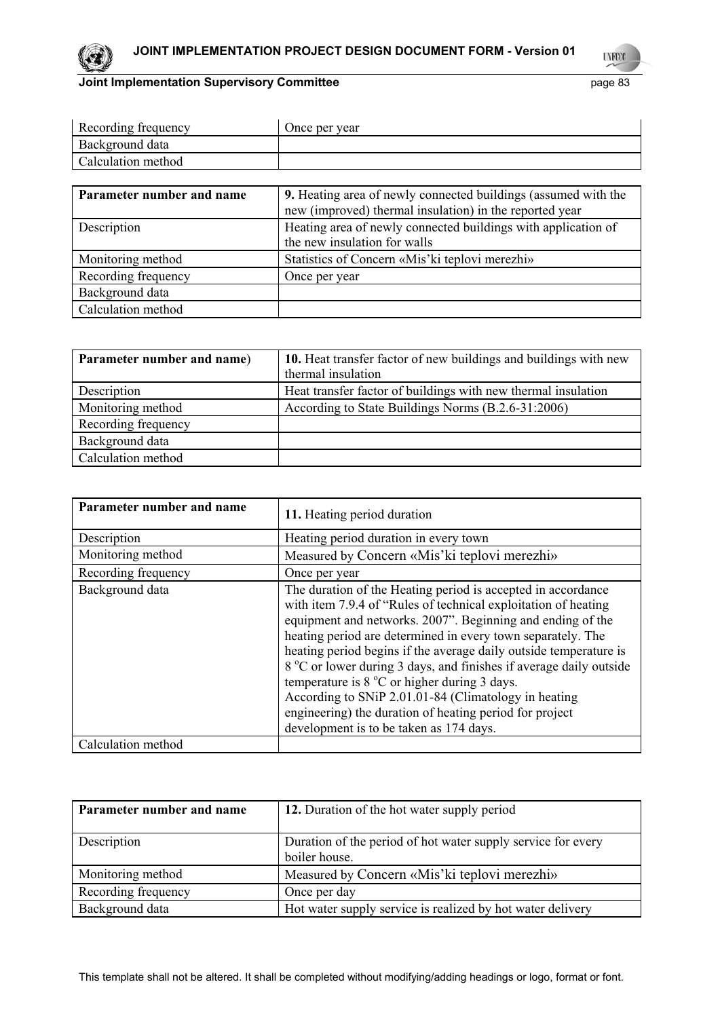

**UNFOOT** 

| Recording frequency | Once per year |
|---------------------|---------------|
| Background data     |               |
| Calculation method  |               |

| Parameter number and name | <b>9.</b> Heating area of newly connected buildings (assumed with the<br>new (improved) thermal insulation) in the reported year |
|---------------------------|----------------------------------------------------------------------------------------------------------------------------------|
| Description               | Heating area of newly connected buildings with application of<br>the new insulation for walls                                    |
| Monitoring method         | Statistics of Concern «Mis'ki teplovi merezhi»                                                                                   |
| Recording frequency       | Once per year                                                                                                                    |
| Background data           |                                                                                                                                  |
| Calculation method        |                                                                                                                                  |

| Parameter number and name) | 10. Heat transfer factor of new buildings and buildings with new<br>thermal insulation |
|----------------------------|----------------------------------------------------------------------------------------|
| Description                | Heat transfer factor of buildings with new thermal insulation                          |
| Monitoring method          | According to State Buildings Norms (B.2.6-31:2006)                                     |
| Recording frequency        |                                                                                        |
| Background data            |                                                                                        |
| Calculation method         |                                                                                        |

| Parameter number and name | 11. Heating period duration                                                                                                                                                                                                                                                                                                                                                                                                                                                                                                                                                                                                   |
|---------------------------|-------------------------------------------------------------------------------------------------------------------------------------------------------------------------------------------------------------------------------------------------------------------------------------------------------------------------------------------------------------------------------------------------------------------------------------------------------------------------------------------------------------------------------------------------------------------------------------------------------------------------------|
| Description               | Heating period duration in every town                                                                                                                                                                                                                                                                                                                                                                                                                                                                                                                                                                                         |
| Monitoring method         | Measured by Concern «Mis'ki teplovi merezhi»                                                                                                                                                                                                                                                                                                                                                                                                                                                                                                                                                                                  |
| Recording frequency       | Once per year                                                                                                                                                                                                                                                                                                                                                                                                                                                                                                                                                                                                                 |
| Background data           | The duration of the Heating period is accepted in accordance<br>with item 7.9.4 of "Rules of technical exploitation of heating<br>equipment and networks. 2007". Beginning and ending of the<br>heating period are determined in every town separately. The<br>heating period begins if the average daily outside temperature is<br>8 °C or lower during 3 days, and finishes if average daily outside<br>temperature is $8^{\circ}$ C or higher during 3 days.<br>According to SNiP 2.01.01-84 (Climatology in heating<br>engineering) the duration of heating period for project<br>development is to be taken as 174 days. |
| Calculation method        |                                                                                                                                                                                                                                                                                                                                                                                                                                                                                                                                                                                                                               |

| Parameter number and name | 12. Duration of the hot water supply period                                   |
|---------------------------|-------------------------------------------------------------------------------|
| Description               | Duration of the period of hot water supply service for every<br>boiler house. |
| Monitoring method         | Measured by Concern «Mis'ki teplovi merezhi»                                  |
| Recording frequency       | Once per day                                                                  |
| Background data           | Hot water supply service is realized by hot water delivery                    |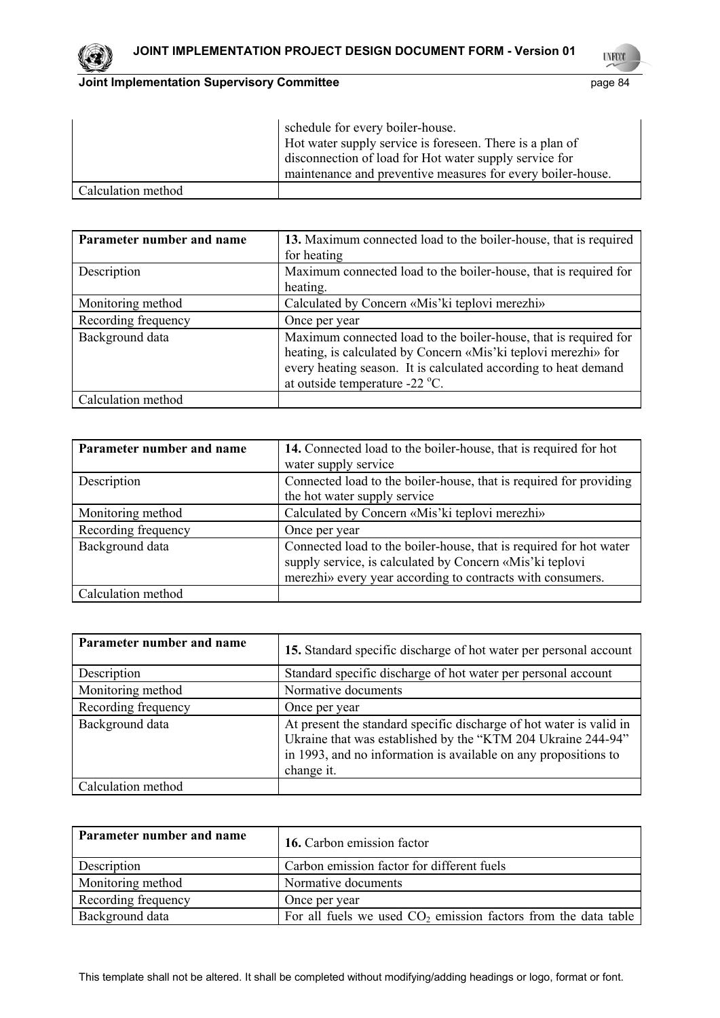

**UNFOOT** 

## **Joint Implementation Supervisory Committee Accord Physics 24 and 24 and 24 and 24 and 25 and 26 and 26 and 26 and 26 and 26 and 26 and 26 and 26 and 26 and 26 and 26 and 26 and 26 and 26 and 26 and 26 and 26 and 26 and 26**

|                    | schedule for every boiler-house.<br>Hot water supply service is foreseen. There is a plan of<br>disconnection of load for Hot water supply service for<br>maintenance and preventive measures for every boiler-house. |
|--------------------|-----------------------------------------------------------------------------------------------------------------------------------------------------------------------------------------------------------------------|
| Calculation method |                                                                                                                                                                                                                       |

| Parameter number and name | 13. Maximum connected load to the boiler-house, that is required<br>for heating                                                                                                                                                         |
|---------------------------|-----------------------------------------------------------------------------------------------------------------------------------------------------------------------------------------------------------------------------------------|
| Description               | Maximum connected load to the boiler-house, that is required for<br>heating.                                                                                                                                                            |
| Monitoring method         | Calculated by Concern «Mis'ki teplovi merezhi»                                                                                                                                                                                          |
| Recording frequency       | Once per year                                                                                                                                                                                                                           |
| Background data           | Maximum connected load to the boiler-house, that is required for<br>heating, is calculated by Concern «Mis'ki teplovi merezhi» for<br>every heating season. It is calculated according to heat demand<br>at outside temperature -22 °C. |
| Calculation method        |                                                                                                                                                                                                                                         |

| Parameter number and name | 14. Connected load to the boiler-house, that is required for hot<br>water supply service                                                                                                     |
|---------------------------|----------------------------------------------------------------------------------------------------------------------------------------------------------------------------------------------|
| Description               | Connected load to the boiler-house, that is required for providing<br>the hot water supply service                                                                                           |
| Monitoring method         | Calculated by Concern «Mis'ki teplovi merezhi»                                                                                                                                               |
| Recording frequency       | Once per year                                                                                                                                                                                |
| Background data           | Connected load to the boiler-house, that is required for hot water<br>supply service, is calculated by Concern «Mis'ki teplovi<br>merezhi» every year according to contracts with consumers. |
| Calculation method        |                                                                                                                                                                                              |

| Parameter number and name | 15. Standard specific discharge of hot water per personal account                                                                                                                                                    |
|---------------------------|----------------------------------------------------------------------------------------------------------------------------------------------------------------------------------------------------------------------|
| Description               | Standard specific discharge of hot water per personal account                                                                                                                                                        |
| Monitoring method         | Normative documents                                                                                                                                                                                                  |
| Recording frequency       | Once per year                                                                                                                                                                                                        |
| Background data           | At present the standard specific discharge of hot water is valid in<br>Ukraine that was established by the "KTM 204 Ukraine 244-94"<br>in 1993, and no information is available on any propositions to<br>change it. |
| Calculation method        |                                                                                                                                                                                                                      |

| Parameter number and name | 16. Carbon emission factor                                       |
|---------------------------|------------------------------------------------------------------|
| Description               | Carbon emission factor for different fuels                       |
| Monitoring method         | Normative documents                                              |
| Recording frequency       | Once per year                                                    |
| Background data           | For all fuels we used $CO2$ emission factors from the data table |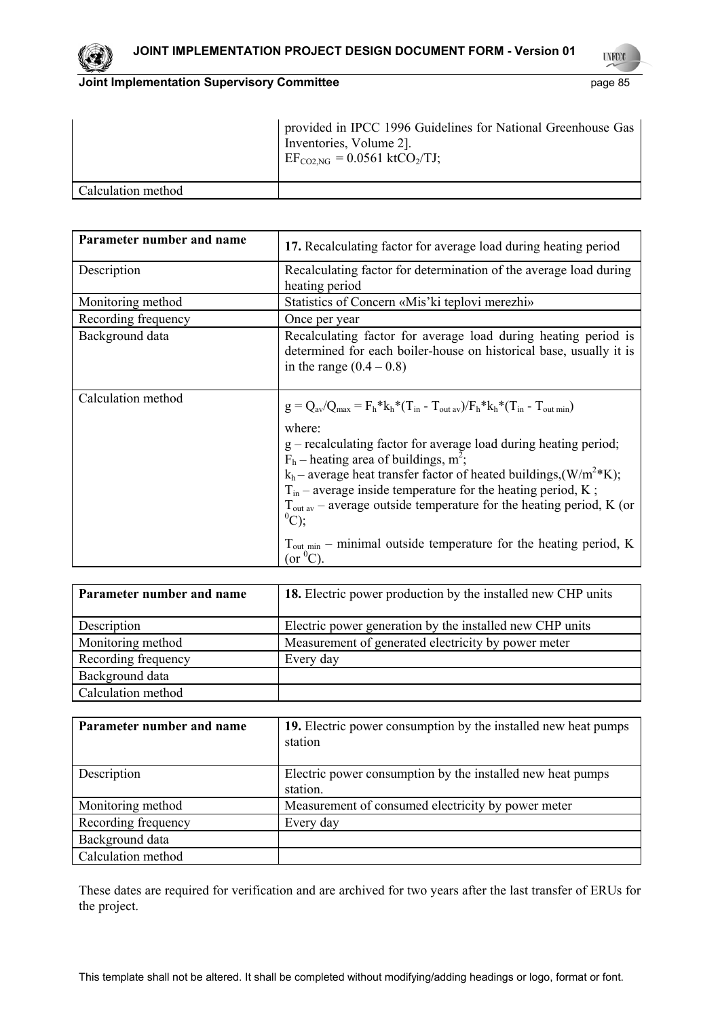

**UYFOO** 

#### **Joint Implementation Supervisory Committee** page 85

|                    | provided in IPCC 1996 Guidelines for National Greenhouse Gas<br>Inventories, Volume 2].<br>$E_{\text{CO2,NG}} = 0.0561 \text{ ktCO}_2/\text{TJ}$ ; |
|--------------------|----------------------------------------------------------------------------------------------------------------------------------------------------|
| Calculation method |                                                                                                                                                    |

| Parameter number and name | 17. Recalculating factor for average load during heating period                                                                                                                                                                                                                                                                                                                                                                                                                                                                                                                              |  |  |  |  |
|---------------------------|----------------------------------------------------------------------------------------------------------------------------------------------------------------------------------------------------------------------------------------------------------------------------------------------------------------------------------------------------------------------------------------------------------------------------------------------------------------------------------------------------------------------------------------------------------------------------------------------|--|--|--|--|
| Description               | Recalculating factor for determination of the average load during<br>heating period                                                                                                                                                                                                                                                                                                                                                                                                                                                                                                          |  |  |  |  |
| Monitoring method         | Statistics of Concern «Mis'ki teplovi merezhi»                                                                                                                                                                                                                                                                                                                                                                                                                                                                                                                                               |  |  |  |  |
| Recording frequency       | Once per year                                                                                                                                                                                                                                                                                                                                                                                                                                                                                                                                                                                |  |  |  |  |
| Background data           | Recalculating factor for average load during heating period is<br>determined for each boiler-house on historical base, usually it is<br>in the range $(0.4 - 0.8)$                                                                                                                                                                                                                                                                                                                                                                                                                           |  |  |  |  |
| Calculation method        | $g = Q_{av}/Q_{max} = F_h * k_h * (T_{in} - T_{out av})/F_h * k_h * (T_{in} - T_{out min})$<br>where:<br>g - recalculating factor for average load during heating period;<br>$F_h$ – heating area of buildings, m <sup>2</sup> ;<br>$k_h$ – average heat transfer factor of heated buildings, (W/m <sup>2*</sup> K);<br>$T_{in}$ – average inside temperature for the heating period, K;<br>$T_{\text{out av}}$ – average outside temperature for the heating period, K (or<br>$^{0}C$ );<br>$T_{\text{out min}}$ – minimal outside temperature for the heating period, K<br>$(or {}^{0}C).$ |  |  |  |  |

| Parameter number and name | <b>18.</b> Electric power production by the installed new CHP units |
|---------------------------|---------------------------------------------------------------------|
|                           |                                                                     |
| Description               | Electric power generation by the installed new CHP units            |
| Monitoring method         | Measurement of generated electricity by power meter                 |
| Recording frequency       | Every day                                                           |
| Background data           |                                                                     |
| Calculation method        |                                                                     |

| Parameter number and name | 19. Electric power consumption by the installed new heat pumps<br>station |
|---------------------------|---------------------------------------------------------------------------|
| Description               | Electric power consumption by the installed new heat pumps<br>station.    |
| Monitoring method         | Measurement of consumed electricity by power meter                        |
| Recording frequency       | Every day                                                                 |
| Background data           |                                                                           |
| Calculation method        |                                                                           |

These dates are required for verification and are archived for two years after the last transfer of ERUs for the project.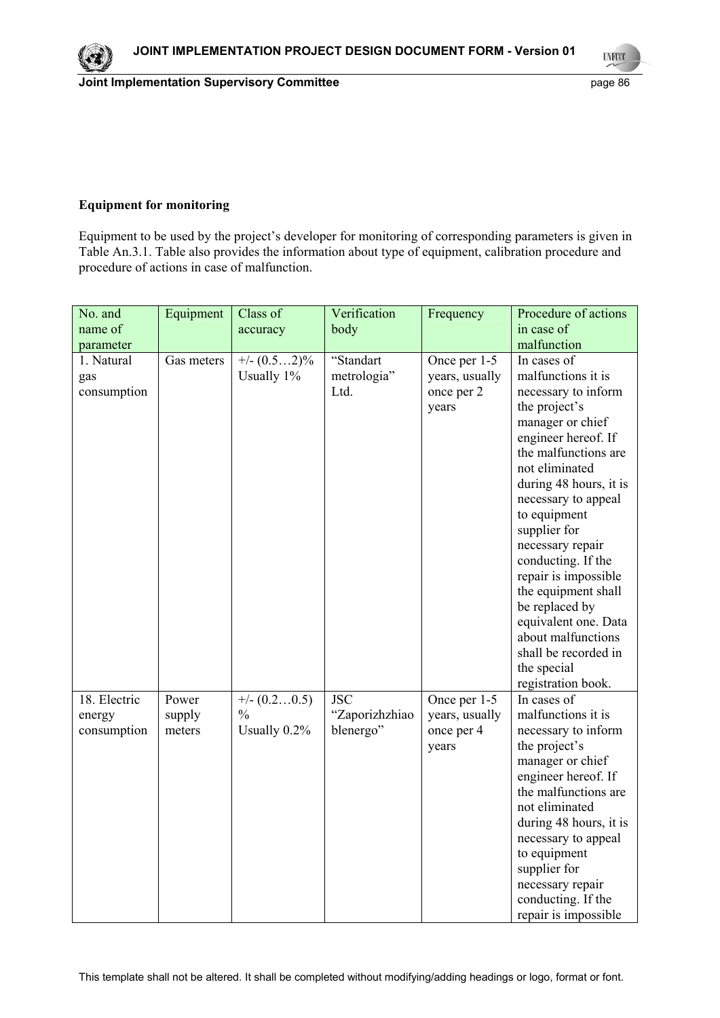**UYECCO** 

### **Equipment for monitoring**

Equipment to be used by the project's developer for monitoring of corresponding parameters is given in Table An.3.1. Table also provides the information about type of equipment, calibration procedure and procedure of actions in case of malfunction.

| No. and                               | Equipment                 | Class of                                        | Verification                              | Frequency                                             | Procedure of actions                                                                                                                                                                                                                                                                                                                                                                                                                            |
|---------------------------------------|---------------------------|-------------------------------------------------|-------------------------------------------|-------------------------------------------------------|-------------------------------------------------------------------------------------------------------------------------------------------------------------------------------------------------------------------------------------------------------------------------------------------------------------------------------------------------------------------------------------------------------------------------------------------------|
| name of                               |                           | accuracy                                        | body                                      |                                                       | in case of                                                                                                                                                                                                                                                                                                                                                                                                                                      |
| parameter                             |                           |                                                 |                                           |                                                       | malfunction                                                                                                                                                                                                                                                                                                                                                                                                                                     |
| 1. Natural<br>gas<br>consumption      | Gas meters                | $\frac{+}{-}$ (0.52)%<br>Usually 1%             | "Standart<br>metrologia"<br>Ltd.          | Once per 1-5<br>years, usually<br>once per 2<br>years | In cases of<br>malfunctions it is<br>necessary to inform<br>the project's<br>manager or chief<br>engineer hereof. If<br>the malfunctions are<br>not eliminated<br>during 48 hours, it is<br>necessary to appeal<br>to equipment<br>supplier for<br>necessary repair<br>conducting. If the<br>repair is impossible<br>the equipment shall<br>be replaced by<br>equivalent one. Data<br>about malfunctions<br>shall be recorded in<br>the special |
| 18. Electric<br>energy<br>consumption | Power<br>supply<br>meters | $+/- (0.20.5)$<br>$\frac{0}{0}$<br>Usually 0.2% | <b>JSC</b><br>"Zaporizhzhiao<br>blenergo" | Once per 1-5<br>years, usually<br>once per 4<br>years | registration book.<br>In cases of<br>malfunctions it is<br>necessary to inform<br>the project's<br>manager or chief<br>engineer hereof. If<br>the malfunctions are<br>not eliminated<br>during 48 hours, it is<br>necessary to appeal<br>to equipment<br>supplier for<br>necessary repair<br>conducting. If the<br>repair is impossible                                                                                                         |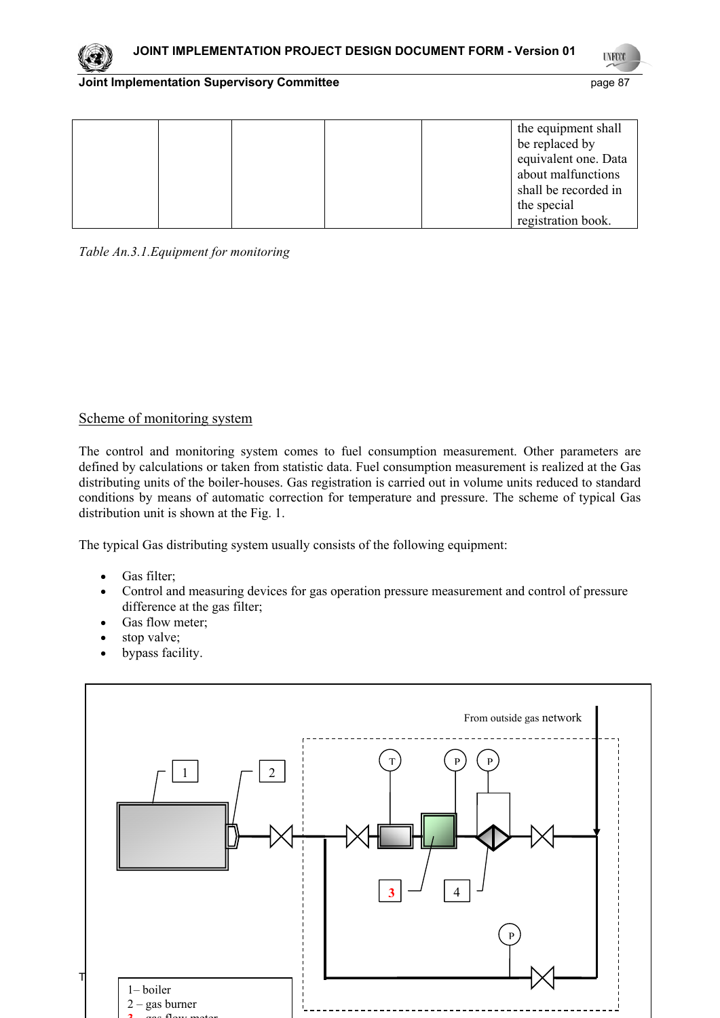**UNFCO** 

#### **Joint Implementation Supervisory Committee** *page 87* **page 87**

|  |  | the equipment shall  |
|--|--|----------------------|
|  |  | be replaced by       |
|  |  | equivalent one. Data |
|  |  | about malfunctions   |
|  |  | shall be recorded in |
|  |  | the special          |
|  |  | registration book.   |

*Table An.3.1.Equipment for monitoring* 

## Scheme of monitoring system

The control and monitoring system comes to fuel consumption measurement. Other parameters are defined by calculations or taken from statistic data. Fuel consumption measurement is realized at the Gas distributing units of the boiler-houses. Gas registration is carried out in volume units reduced to standard conditions by means of automatic correction for temperature and pressure. The scheme of typical Gas distribution unit is shown at the Fig. 1.

The typical Gas distributing system usually consists of the following equipment:

- Gas filter;
- Control and measuring devices for gas operation pressure measurement and control of pressure difference at the gas filter;
- Gas flow meter;
- stop valve;
- bypass facility.

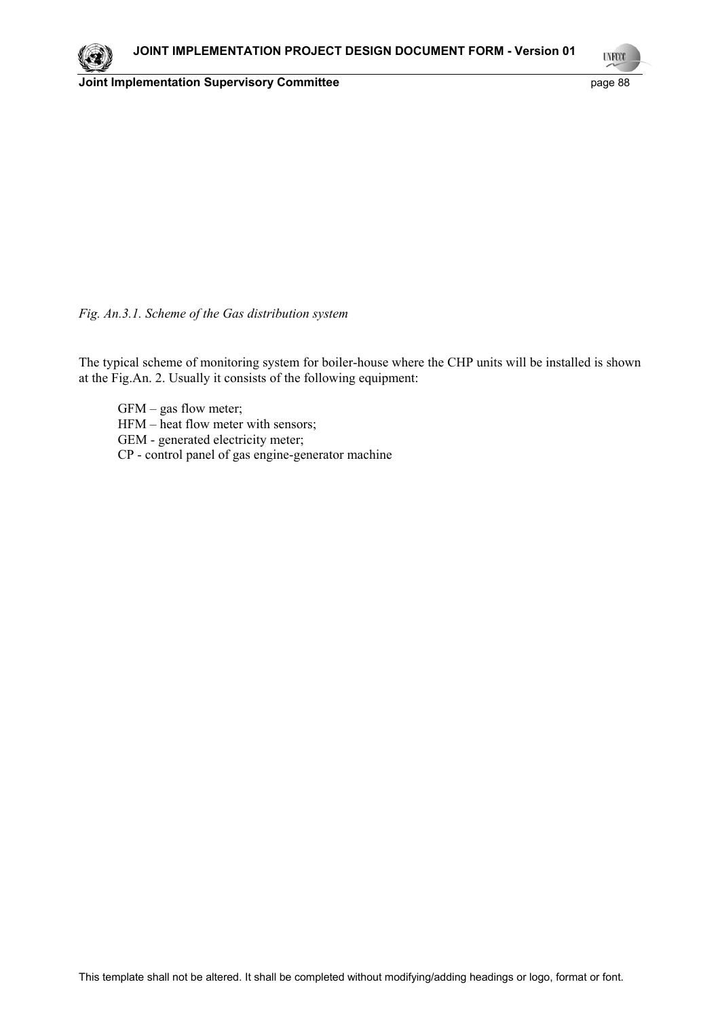**Joint Implementation Supervisory Committee Access 2018 2019 12:31 20:41 20:42 20:43 20:42 20:43 20:42 20:42 20:42 20:42 20:42 20:42 20:42 20:42 20:42 20:42 20:42 20:42 20:42 20:42 20:42 20:42 20:42 20:42 20:42 20:42 20:42** 

**UNFOO** 

*Fig. An.3.1. Scheme of the Gas distribution system* 

The typical scheme of monitoring system for boiler-house where the CHP units will be installed is shown at the Fig.An. 2. Usually it consists of the following equipment:

GFM – gas flow meter; HFM – heat flow meter with sensors; GEM - generated electricity meter; CP - control panel of gas engine-generator machine

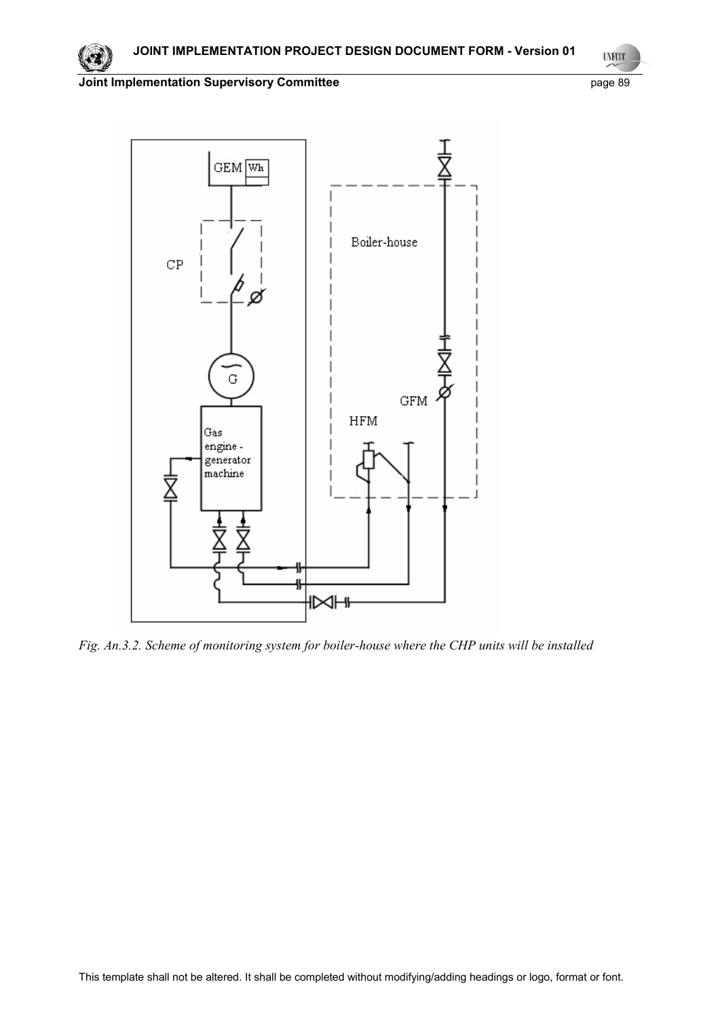**UNFCCC** 

**Joint Implementation Supervisory Committee** page 89



*Fig. An.3.2. Scheme of monitoring system for boiler-house where the CHP units will be installed* 

This template shall not be altered. It shall be completed without modifying/adding headings or logo, format or font.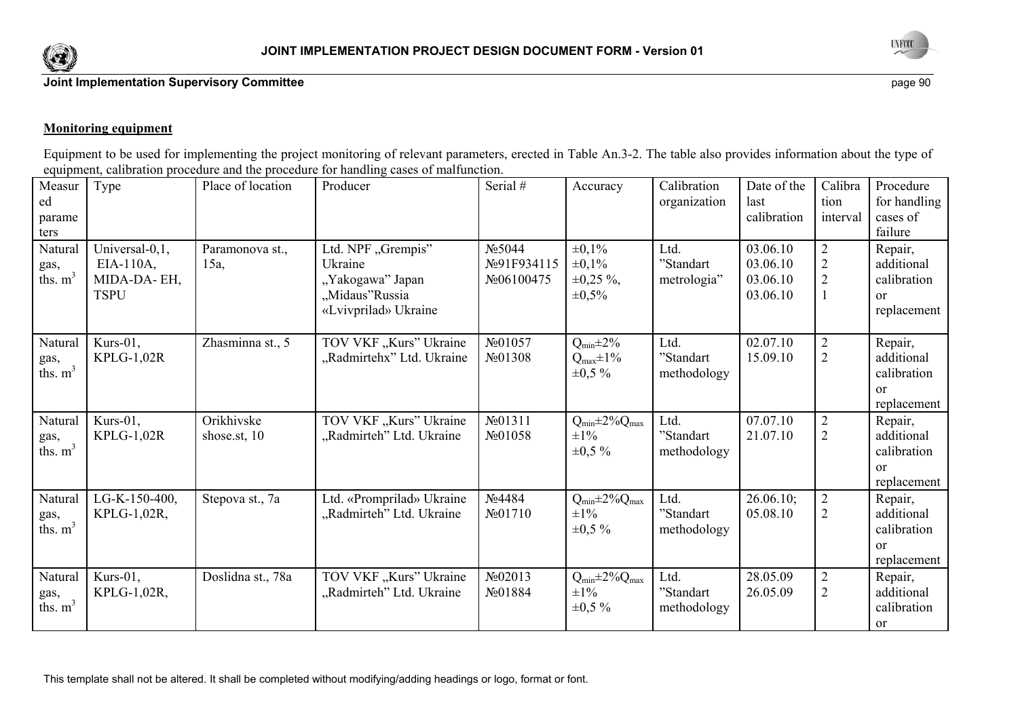



#### **Monitoring equipment**

Equipment to be used for implementing the project monitoring of relevant parameters, erected in Table An.3-2. The table also provides information about the type of equipment, calibration procedure and the procedure for handling cases of malfunction.

| Measur<br>ed<br>parame<br>ters<br>Natural | Type<br>Universal-0,1,                     | Place of location<br>Paramonova st., | Producer<br>Ltd. NPF "Grempis"                                        | Serial #<br>No 5044             | Accuracy<br>$\pm 0.1\%$                                      | Calibration<br>organization<br>Ltd. | Date of the<br>last<br>calibration<br>03.06.10 | Calibra<br>tion<br>interval<br>$\overline{2}$ | Procedure<br>for handling<br>cases of<br>failure<br>Repair,          |
|-------------------------------------------|--------------------------------------------|--------------------------------------|-----------------------------------------------------------------------|---------------------------------|--------------------------------------------------------------|-------------------------------------|------------------------------------------------|-----------------------------------------------|----------------------------------------------------------------------|
| gas,<br>ths. $m^3$                        | $EIA-110A$ ,<br>MIDA-DA-EH,<br><b>TSPU</b> | 15a                                  | Ukraine<br>"Yakogawa" Japan<br>"Midaus"Russia<br>«Lvivprilad» Ukraine | No91F934115<br>No06100475       | $\pm 0.1\%$<br>$\pm 0.25 \%$ ,<br>$\pm 0,5\%$                | "Standart<br>metrologia"            | 03.06.10<br>03.06.10<br>03.06.10               | $\overline{2}$<br>$\overline{2}$              | additional<br>calibration<br>$\alpha$<br>replacement                 |
| Natural<br>gas,<br>ths. $m3$              | Kurs-01,<br>$KPLG-1,02R$                   | Zhasminna st., 5                     | TOV VKF "Kurs" Ukraine<br>"Radmirtehx" Ltd. Ukraine                   | No01057<br>No01308              | $Q_{min} \pm 2\%$<br>$Q_{\text{max}}\pm 1\%$<br>$\pm 0.5 \%$ | Ltd.<br>"Standart<br>methodology    | 02.07.10<br>15.09.10                           | $\overline{2}$<br>$\overline{2}$              | Repair,<br>additional<br>calibration<br><sub>or</sub><br>replacement |
| Natural<br>gas,<br>ths. $m3$              | Kurs-01,<br>$KPLG-1,02R$                   | Orikhivske<br>shose.st, 10           | TOV VKF "Kurs" Ukraine<br>"Radmirteh" Ltd. Ukraine                    | $N_2$ 01311<br>No01058          | $Q_{min} \pm 2\% Q_{max}$<br>$\pm 1\%$<br>$\pm 0.5 \%$       | Ltd.<br>"Standart<br>methodology    | 07.07.10<br>21.07.10                           | $\overline{2}$<br>$\overline{2}$              | Repair,<br>additional<br>calibration<br>$\alpha$<br>replacement      |
| Natural<br>gas,<br>ths. $m3$              | $LG-K-150-400$ ,<br>KPLG-1,02R,            | Stepova st., 7a                      | Ltd. «Promprilad» Ukraine<br>"Radmirteh" Ltd. Ukraine                 | No4484<br>N <sub>2</sub> 01710  | $Q_{min} \pm 2\% Q_{max}$<br>$\pm 1\%$<br>$\pm 0.5 \%$       | Ltd.<br>"Standart<br>methodology    | $26.06.10$ ;<br>05.08.10                       | $\overline{2}$<br>$\overline{2}$              | Repair,<br>additional<br>calibration<br>$\alpha$<br>replacement      |
| Natural<br>gas,<br>ths. $m3$              | Kurs-01,<br>KPLG-1,02R,                    | Doslidna st., 78a                    | TOV VKF "Kurs" Ukraine<br>"Radmirteh" Ltd. Ukraine                    | No02013<br>N <sub>2</sub> 01884 | $Q_{min} \pm 2\% Q_{max}$<br>$\pm 1\%$<br>$\pm 0.5 \%$       | Ltd.<br>"Standart<br>methodology    | 28.05.09<br>26.05.09                           | $\overline{2}$<br>$\overline{2}$              | Repair,<br>additional<br>calibration<br><sub>or</sub>                |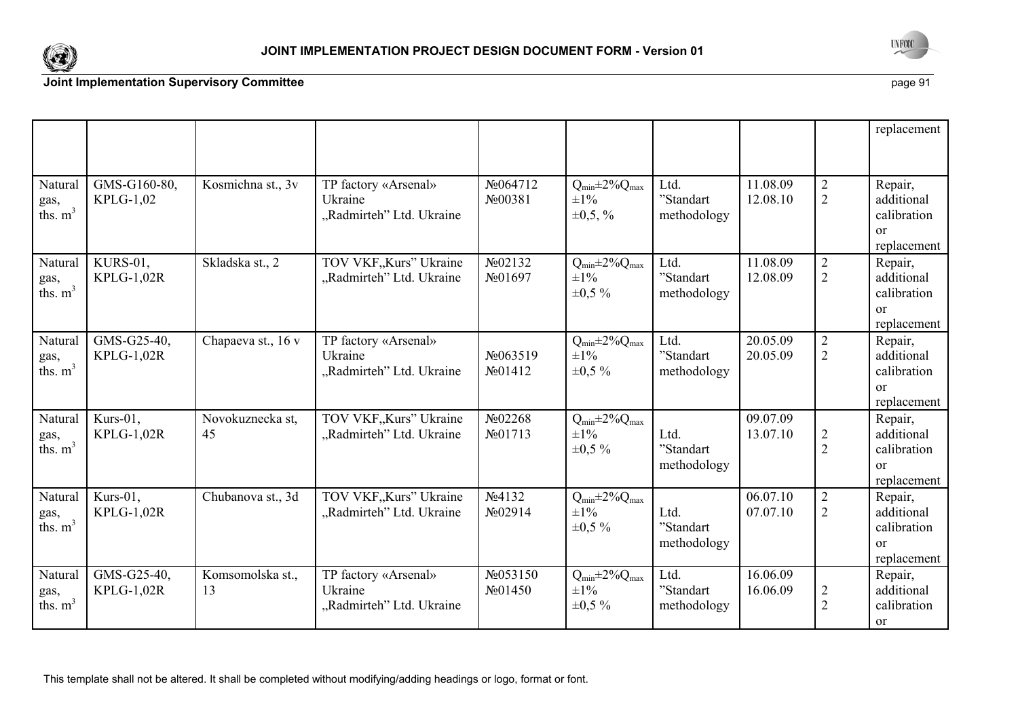



|                               |                                  |                        |                                                             |                                                |                                                         |                                  |                      |                                  | replacement                                                          |
|-------------------------------|----------------------------------|------------------------|-------------------------------------------------------------|------------------------------------------------|---------------------------------------------------------|----------------------------------|----------------------|----------------------------------|----------------------------------------------------------------------|
| Natural<br>gas,<br>ths. $m3$  | GMS-G160-80,<br>KPLG-1,02        | Kosmichna st., 3v      | TP factory «Arsenal»<br>Ukraine<br>"Radmirteh" Ltd. Ukraine | No064712<br>No00381                            | $Q_{min} \pm 2\% Q_{max}$<br>$\pm 1\%$<br>$\pm 0.5, \%$ | Ltd.<br>"Standart<br>methodology | 11.08.09<br>12.08.10 | $\overline{2}$<br>$\overline{2}$ | Repair,<br>additional<br>calibration<br><sub>or</sub><br>replacement |
| Natural<br>gas,<br>ths. $m3$  | KURS-01,<br><b>KPLG-1,02R</b>    | Skladska st., 2        | TOV VKF, Kurs" Ukraine<br>"Radmirteh" Ltd. Ukraine          | No02132<br>No01697                             | $Q_{min} \pm 2\% Q_{max}$<br>$\pm 1\%$<br>$\pm 0.5 \%$  | Ltd.<br>"Standart<br>methodology | 11.08.09<br>12.08.09 | $\overline{2}$<br>$\overline{2}$ | Repair,<br>additional<br>calibration<br>$\alpha$<br>replacement      |
| Natural<br>gas,<br>ths. $m3$  | GMS-G25-40,<br>KPLG-1,02R        | Chapaeva st., 16 v     | TP factory «Arsenal»<br>Ukraine<br>"Radmirteh" Ltd. Ukraine | No063519<br>N <sub>0</sub> 01412               | $Q_{min} \pm 2\% Q_{max}$<br>$\pm 1\%$<br>$\pm 0.5 \%$  | Ltd.<br>"Standart<br>methodology | 20.05.09<br>20.05.09 | $\overline{2}$<br>$\overline{2}$ | Repair,<br>additional<br>calibration<br><sub>or</sub><br>replacement |
| Natural<br>gas,<br>ths. $m3$  | Kurs-01,<br><b>KPLG-1,02R</b>    | Novokuznecka st,<br>45 | TOV VKF,,Kurs" Ukraine<br>"Radmirteh" Ltd. Ukraine          | No02268<br>N <sub>0</sub> 01713                | $Q_{min} \pm 2\% Q_{max}$<br>$\pm 1\%$<br>$\pm 0.5 \%$  | Ltd.<br>"Standart<br>methodology | 09.07.09<br>13.07.10 | $\overline{2}$<br>$\overline{2}$ | Repair,<br>additional<br>calibration<br>$\alpha$<br>replacement      |
| Natural<br>gas,<br>ths. $m^3$ | Kurs-01,<br><b>KPLG-1,02R</b>    | Chubanova st., 3d      | TOV VKF, Kurs" Ukraine<br>"Radmirteh" Ltd. Ukraine          | $N_2$ 4132<br>$\mathcal{N}$ <sup>0</sup> 2914  | $Q_{min} \pm 2\% Q_{max}$<br>$\pm 1\%$<br>$\pm 0.5 \%$  | Ltd.<br>"Standart<br>methodology | 06.07.10<br>07.07.10 | $\sqrt{2}$<br>$\overline{2}$     | Repair,<br>additional<br>calibration<br><sub>or</sub><br>replacement |
| Natural<br>gas,<br>ths. $m^3$ | GMS-G25-40,<br><b>KPLG-1,02R</b> | Komsomolska st.,<br>13 | TP factory «Arsenal»<br>Ukraine<br>"Radmirteh" Ltd. Ukraine | No053150<br>$\mathcal{N}$ <sup>o</sup> $01450$ | $Q_{min} \pm 2\% Q_{max}$<br>$\pm 1\%$<br>$\pm 0.5 \%$  | Ltd.<br>"Standart<br>methodology | 16.06.09<br>16.06.09 | $\overline{2}$<br>$\overline{2}$ | Repair,<br>additional<br>calibration<br><sub>or</sub>                |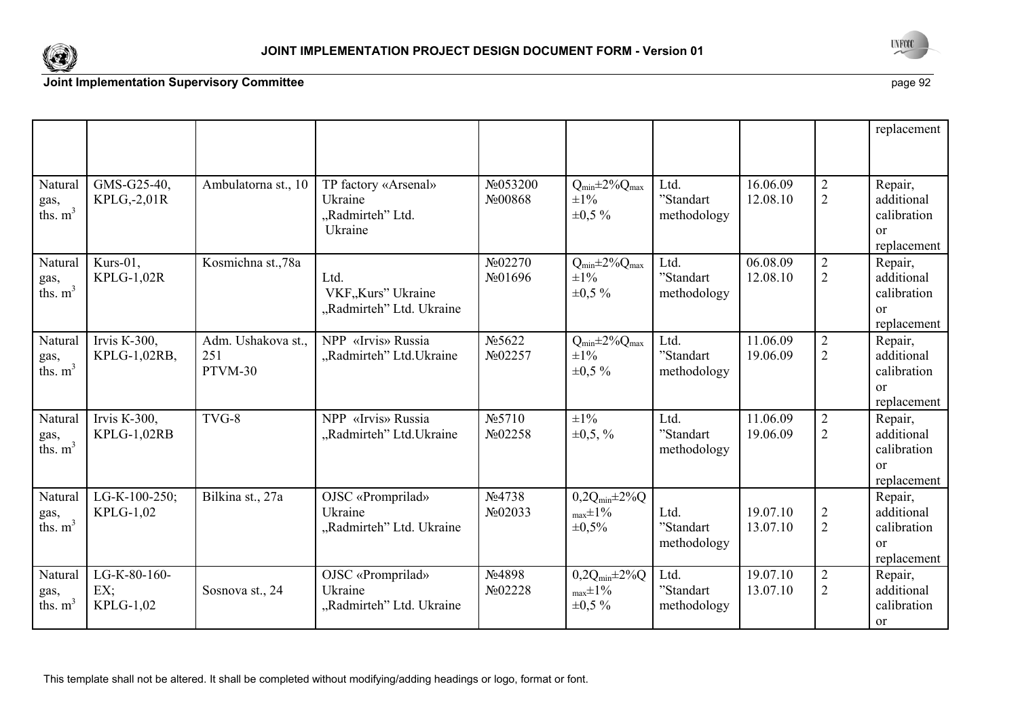



|                               |                                  |                                      |                                                                |                                 |                                                                |                                  |                      |                                  | replacement                                                     |
|-------------------------------|----------------------------------|--------------------------------------|----------------------------------------------------------------|---------------------------------|----------------------------------------------------------------|----------------------------------|----------------------|----------------------------------|-----------------------------------------------------------------|
| Natural<br>gas,<br>ths. $m3$  | GMS-G25-40,<br>KPLG,-2,01R       | Ambulatorna st., 10                  | TP factory «Arsenal»<br>Ukraine<br>"Radmirteh" Ltd.<br>Ukraine | No053200<br>No00868             | $Q_{min} \pm 2\% Q_{max}$<br>$\pm 1\%$<br>$\pm 0.5 \%$         | Ltd.<br>"Standart<br>methodology | 16.06.09<br>12.08.10 | $\overline{2}$<br>$\overline{2}$ | Repair,<br>additional<br>calibration<br>$\alpha$<br>replacement |
| Natural<br>gas,<br>ths. $m3$  | Kurs-01,<br><b>KPLG-1,02R</b>    | Kosmichna st.,78a                    | Ltd.<br>VKF"Kurs" Ukraine<br>"Radmirteh" Ltd. Ukraine          | No02270<br>N <sub>0</sub> 01696 | $Q_{min} \pm 2\% Q_{max}$<br>$\pm 1\%$<br>$\pm 0.5 \%$         | Ltd.<br>"Standart<br>methodology | 06.08.09<br>12.08.10 | $\overline{2}$<br>$\overline{2}$ | Repair,<br>additional<br>calibration<br>$\alpha$<br>replacement |
| Natural<br>gas,<br>ths. $m3$  | Irvis K-300,<br>KPLG-1,02RB,     | Adm. Ushakova st.,<br>251<br>PTVM-30 | NPP «Irvis» Russia<br>"Radmirteh" Ltd. Ukraine                 | No 5622<br>No02257              | $Q_{min} \pm 2\% Q_{max}$<br>$\pm 1\%$<br>$\pm 0.5 \%$         | Ltd.<br>"Standart<br>methodology | 11.06.09<br>19.06.09 | $\sqrt{2}$<br>$\overline{2}$     | Repair,<br>additional<br>calibration<br>$\alpha$<br>replacement |
| Natural<br>gas,<br>ths. $m3$  | Irvis $K-300$ ,<br>KPLG-1,02RB   | TVG-8                                | NPP «Irvis» Russia<br>"Radmirteh" Ltd. Ukraine                 | N <sub>2</sub> 5710<br>No02258  | $\pm 1\%$<br>$\pm 0.5, \%$                                     | Ltd.<br>"Standart<br>methodology | 11.06.09<br>19.06.09 | $\overline{2}$<br>$\overline{2}$ | Repair,<br>additional<br>calibration<br>$\alpha$<br>replacement |
| Natural<br>gas,<br>ths. $m^3$ | LG-K-100-250;<br>KPLG-1,02       | Bilkina st., 27a                     | OJSC «Promprilad»<br>Ukraine<br>"Radmirteh" Ltd. Ukraine       | No4738<br>No02033               | $0,2Q_{min} \pm 2\% Q$<br>$_{\text{max}}\pm1\%$<br>$\pm 0.5\%$ | Ltd.<br>"Standart<br>methodology | 19.07.10<br>13.07.10 | $\overline{2}$<br>$\overline{2}$ | Repair,<br>additional<br>calibration<br>$\alpha$<br>replacement |
| Natural<br>gas,<br>ths. $m3$  | LG-K-80-160-<br>EX;<br>KPLG-1,02 | Sosnova st., 24                      | OJSC «Promprilad»<br>Ukraine<br>"Radmirteh" Ltd. Ukraine       | No4898<br>No02228               | $0,2Q_{min} \pm 2\%Q$<br>$_{\text{max}}\pm1\%$<br>$\pm 0.5 \%$ | Ltd.<br>"Standart<br>methodology | 19.07.10<br>13.07.10 | $\overline{2}$<br>$\overline{2}$ | Repair,<br>additional<br>calibration<br><sub>or</sub>           |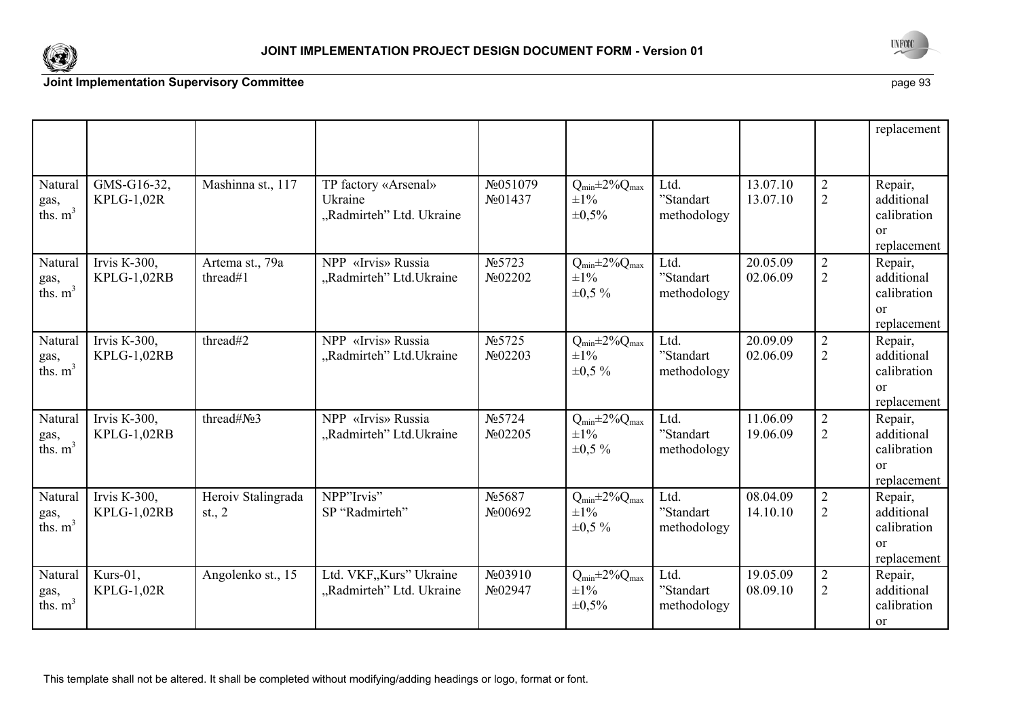



|                               |                                  |                                |                                                             |                                |                                                        |                                              |                      |                                  | replacement                                                          |
|-------------------------------|----------------------------------|--------------------------------|-------------------------------------------------------------|--------------------------------|--------------------------------------------------------|----------------------------------------------|----------------------|----------------------------------|----------------------------------------------------------------------|
| Natural<br>gas,<br>ths. $m3$  | GMS-G16-32,<br><b>KPLG-1,02R</b> | Mashinna st., 117              | TP factory «Arsenal»<br>Ukraine<br>"Radmirteh" Ltd. Ukraine | No051079<br>No01437            | $Q_{min} \pm 2\% Q_{max}$<br>$\pm 1\%$<br>$\pm 0.5\%$  | Ltd.<br>"Standart<br>methodology             | 13.07.10<br>13.07.10 | $\overline{2}$<br>$\overline{2}$ | Repair,<br>additional<br>calibration<br><sub>or</sub><br>replacement |
| Natural<br>gas,<br>ths. $m^3$ | Irvis K-300,<br>KPLG-1,02RB      | Artema st., 79a<br>thread#1    | NPP «Irvis» Russia<br>"Radmirteh" Ltd. Ukraine              | N <sub>0</sub> 5723<br>No02202 | $Q_{min} \pm 2\% Q_{max}$<br>$\pm 1\%$<br>$\pm 0.5 \%$ | Ltd.<br>$" \! {\bf Standard}$<br>methodology | 20.05.09<br>02.06.09 | $\overline{2}$<br>$\overline{2}$ | Repair,<br>additional<br>calibration<br>$\alpha$<br>replacement      |
| Natural<br>gas,<br>ths. $m3$  | Irvis K-300,<br>KPLG-1,02RB      | thread#2                       | NPP «Irvis» Russia<br>"Radmirteh" Ltd. Ukraine              | N <sub>0</sub> 5725<br>No02203 | $Q_{min} \pm 2\% Q_{max}$<br>$\pm 1\%$<br>$\pm 0.5 \%$ | Ltd.<br>"Standart<br>methodology             | 20.09.09<br>02.06.09 | $\overline{2}$<br>2              | Repair,<br>additional<br>calibration<br><sub>or</sub><br>replacement |
| Natural<br>gas,<br>ths. $m^3$ | Irvis K-300,<br>KPLG-1,02RB      | thread#No3                     | NPP «Irvis» Russia<br>"Radmirteh" Ltd. Ukraine              | N <sub>0</sub> 5724<br>No02205 | $Q_{min} \pm 2\% Q_{max}$<br>$\pm 1\%$<br>$\pm 0.5 \%$ | Ltd.<br>"Standart<br>methodology             | 11.06.09<br>19.06.09 | $\overline{2}$<br>$\overline{2}$ | Repair,<br>additional<br>calibration<br>$\alpha$<br>replacement      |
| Natural<br>gas,<br>ths. $m3$  | Irvis K-300,<br>KPLG-1,02RB      | Heroiv Stalingrada<br>st., $2$ | NPP"Irvis"<br>SP "Radmirteh"                                | No 5687<br>No00692             | $Q_{min} \pm 2\% Q_{max}$<br>$\pm 1\%$<br>$\pm 0.5 \%$ | Ltd.<br>"Standart<br>methodology             | 08.04.09<br>14.10.10 | $\overline{2}$<br>2              | Repair,<br>additional<br>calibration<br><sub>or</sub><br>replacement |
| Natural<br>gas,<br>ths. $m3$  | Kurs-01,<br>KPLG-1,02R           | Angolenko st., 15              | Ltd. VKF, Kurs" Ukraine<br>"Radmirteh" Ltd. Ukraine         | No03910<br>No02947             | $Q_{min} \pm 2\% Q_{max}$<br>$\pm 1\%$<br>$\pm 0,5\%$  | Ltd.<br>"Standart<br>methodology             | 19.05.09<br>08.09.10 | $\overline{2}$<br>$\overline{2}$ | Repair,<br>additional<br>calibration<br><sub>or</sub>                |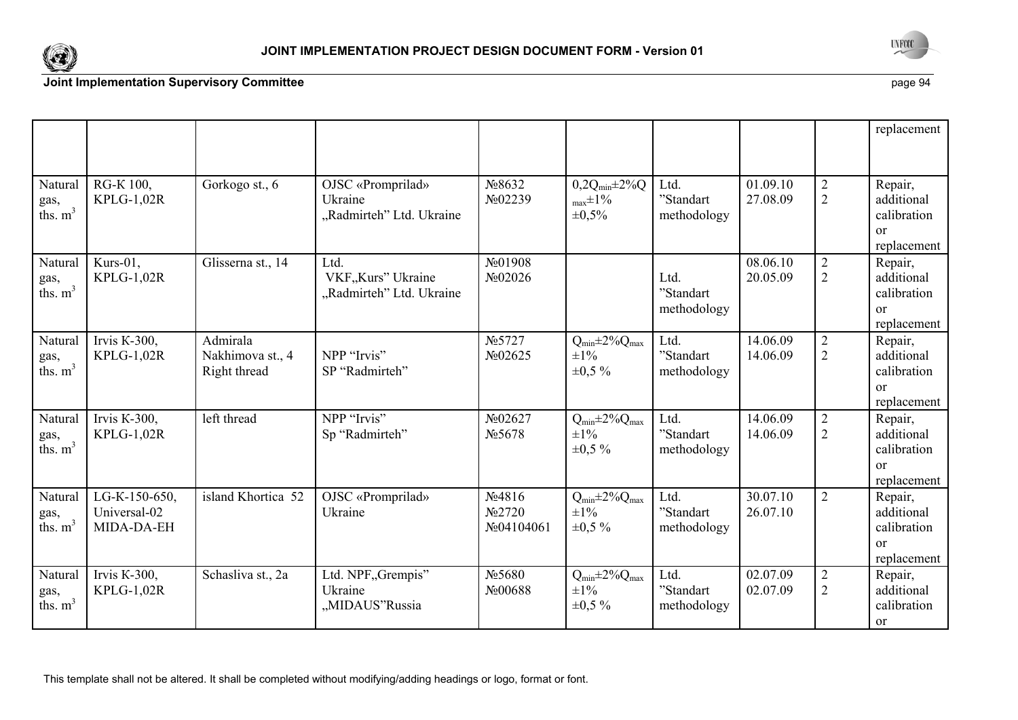



|                               |                                             |                                              |                                                          |                                                                        |                                                               |                                  |                      |                                  | replacement                                                          |
|-------------------------------|---------------------------------------------|----------------------------------------------|----------------------------------------------------------|------------------------------------------------------------------------|---------------------------------------------------------------|----------------------------------|----------------------|----------------------------------|----------------------------------------------------------------------|
| Natural<br>gas,<br>ths. $m^3$ | RG-K 100,<br>$KPLG-1,02R$                   | Gorkogo st., 6                               | OJSC «Promprilad»<br>Ukraine<br>"Radmirteh" Ltd. Ukraine | No8632<br>No02239                                                      | $0,2Q_{min} \pm 2\%Q$<br>$_{\text{max}}\pm1\%$<br>$\pm 0.5\%$ | Ltd.<br>"Standart<br>methodology | 01.09.10<br>27.08.09 | $\overline{2}$<br>$\overline{2}$ | Repair,<br>additional<br>calibration<br>$\alpha$<br>replacement      |
| Natural<br>gas,<br>ths. $m^3$ | Kurs-01,<br>$KPLG-1,02R$                    | Glisserna st., 14                            | Ltd.<br>VKF,,Kurs" Ukraine<br>"Radmirteh" Ltd. Ukraine   | $\mathcal{N}$ <sup>o</sup> $01908$<br>$\mathcal{N}$ <sup>o</sup> 02026 |                                                               | Ltd.<br>"Standart<br>methodology | 08.06.10<br>20.05.09 | $\overline{2}$<br>2              | Repair,<br>additional<br>calibration<br>$\alpha$<br>replacement      |
| Natural<br>gas,<br>ths. $m3$  | Irvis K-300,<br><b>KPLG-1,02R</b>           | Admirala<br>Nakhimova st., 4<br>Right thread | NPP "Irvis"<br>SP "Radmirteh"                            | N <sub>0</sub> 5727<br>No02625                                         | $Q_{min} \pm 2\% Q_{max}$<br>$\pm 1\%$<br>$\pm 0.5 \%$        | Ltd.<br>"Standart<br>methodology | 14.06.09<br>14.06.09 | $\overline{2}$<br>$\overline{2}$ | Repair,<br>additional<br>calibration<br><sub>or</sub><br>replacement |
| Natural<br>gas,<br>ths. $m3$  | Irvis K-300,<br>$KPLG-1,02R$                | left thread                                  | NPP "Irvis"<br>Sp "Radmirteh"                            | No02627<br>N <sub>0</sub> 5678                                         | $Q_{min} \pm 2\% Q_{max}$<br>$\pm 1\%$<br>$\pm 0.5 \%$        | Ltd.<br>"Standart<br>methodology | 14.06.09<br>14.06.09 | $\overline{2}$<br>$\overline{2}$ | Repair,<br>additional<br>calibration<br>$\alpha$<br>replacement      |
| Natural<br>gas,<br>ths. $m3$  | LG-K-150-650,<br>Universal-02<br>MIDA-DA-EH | island Khortica 52                           | OJSC «Promprilad»<br>Ukraine                             | $N_24816$<br>N <sub>0</sub> 2720<br>No04104061                         | $Q_{min} \pm 2\% Q_{max}$<br>$\pm 1\%$<br>$\pm 0.5 \%$        | Ltd.<br>"Standart<br>methodology | 30.07.10<br>26.07.10 | $\overline{2}$                   | Repair,<br>additional<br>calibration<br>or<br>replacement            |
| Natural<br>gas,<br>ths. $m3$  | Irvis $K-300$ ,<br>$KPLG-1,02R$             | Schasliva st., 2a                            | Ltd. NPF, Grempis"<br>Ukraine<br>"MIDAUS"Russia          | No 5680<br>No00688                                                     | $Q_{min} \pm 2\% Q_{max}$<br>$\pm 1\%$<br>$\pm 0.5 \%$        | Ltd.<br>"Standart<br>methodology | 02.07.09<br>02.07.09 | $\overline{2}$<br>$\overline{2}$ | Repair,<br>additional<br>calibration<br><sub>or</sub>                |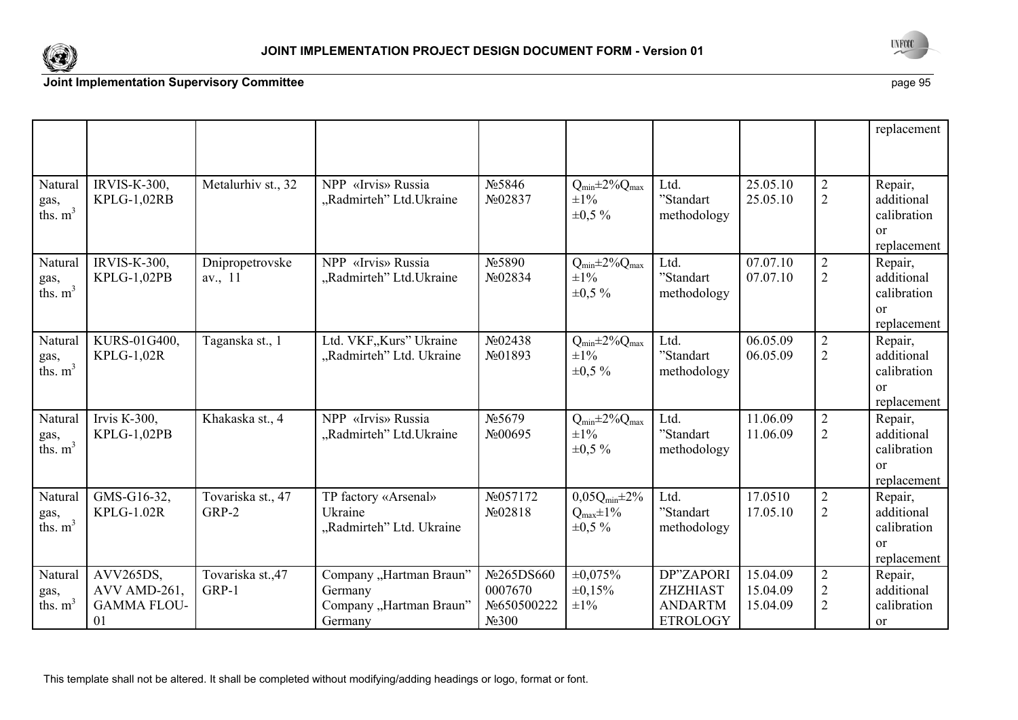



|                              |                                                       |                            |                                                                          |                                                            |                                                            |                                                                   |                                  |                                                    | replacement                                                          |
|------------------------------|-------------------------------------------------------|----------------------------|--------------------------------------------------------------------------|------------------------------------------------------------|------------------------------------------------------------|-------------------------------------------------------------------|----------------------------------|----------------------------------------------------|----------------------------------------------------------------------|
| Natural<br>gas,<br>ths. $m3$ | <b>IRVIS-K-300,</b><br>KPLG-1,02RB                    | Metalurhiv st., 32         | NPP «Irvis» Russia<br>"Radmirteh" Ltd. Ukraine                           | No 5846<br>No02837                                         | $Q_{min} \pm 2\% Q_{max}$<br>$\pm 1\%$<br>$\pm 0.5 \%$     | Ltd.<br>'Standart<br>methodology                                  | 25.05.10<br>25.05.10             | $\overline{2}$<br>$\overline{2}$                   | Repair,<br>additional<br>calibration<br><sub>or</sub><br>replacement |
| Natural<br>gas,<br>ths. $m3$ | <b>IRVIS-K-300,</b><br>KPLG-1,02PB                    | Dnipropetrovske<br>av., 11 | «Irvis» Russia<br><b>NPP</b><br>"Radmirteh" Ltd. Ukraine                 | N <sub>0</sub> 5890<br>No02834                             | $Q_{min} \pm 2\% Q_{max}$<br>$\pm 1\%$<br>$\pm 0.5 \%$     | Ltd.<br>"Standart<br>methodology                                  | 07.07.10<br>07.07.10             | $\overline{2}$<br>$\overline{2}$                   | Repair,<br>additional<br>calibration<br><sub>or</sub><br>replacement |
| Natural<br>gas,<br>ths. $m3$ | KURS-01G400,<br>KPLG-1,02R                            | Taganska st., 1            | Ltd. VKF, Kurs" Ukraine<br>"Radmirteh" Ltd. Ukraine                      | $N_2$ 02438<br>No01893                                     | $Q_{min} \pm 2\% Q_{max}$<br>$\pm 1\%$<br>$\pm 0.5 \%$     | Ltd.<br>"Standart<br>methodology                                  | 06.05.09<br>06.05.09             | $\overline{2}$<br>$\overline{2}$                   | Repair,<br>additional<br>calibration<br><sub>or</sub><br>replacement |
| Natural<br>gas,<br>ths. $m3$ | Irvis K-300,<br>KPLG-1,02PB                           | Khakaska st., 4            | NPP «Irvis» Russia<br>"Radmirteh" Ltd. Ukraine                           | N <sub>0</sub> 5679<br>$\mathcal{N}$ <sup>o</sup> 00695    | $Q_{min} \pm 2\% Q_{max}$<br>$\pm 1\%$<br>$\pm 0.5 \%$     | Ltd.<br>"Standart<br>methodology                                  | 11.06.09<br>11.06.09             | $\overline{2}$<br>$\overline{2}$                   | Repair,<br>additional<br>calibration<br><sub>or</sub><br>replacement |
| Natural<br>gas,<br>ths. $m3$ | GMS-G16-32,<br><b>KPLG-1.02R</b>                      | Tovariska st., 47<br>GRP-2 | TP factory «Arsenal»<br>Ukraine<br>"Radmirteh" Ltd. Ukraine              | No057172<br>N <sub>2</sub> 02818                           | $0,05Q_{min} \pm 2\%$<br>$Q_{max} \pm 1\%$<br>$\pm 0.5 \%$ | Ltd.<br>"Standart<br>methodology                                  | 17.0510<br>17.05.10              | $\overline{2}$<br>$\overline{2}$                   | Repair,<br>additional<br>calibration<br>$\alpha$<br>replacement      |
| Natural<br>gas,<br>ths. $m3$ | AVV265DS,<br>AVV AMD-261,<br><b>GAMMA FLOU-</b><br>01 | Tovariska st., 47<br>GRP-1 | Company "Hartman Braun"<br>Germany<br>Company "Hartman Braun"<br>Germany | No265DS660<br>0007670<br>No650500222<br>N <sub>2</sub> 300 | $\pm 0.075\%$<br>$\pm 0.15\%$<br>$\pm 1\%$                 | DP"ZAPORI<br><b>ZHZHIAST</b><br><b>ANDARTM</b><br><b>ETROLOGY</b> | 15.04.09<br>15.04.09<br>15.04.09 | $\overline{2}$<br>$\overline{2}$<br>$\overline{2}$ | Repair,<br>additional<br>calibration<br>or                           |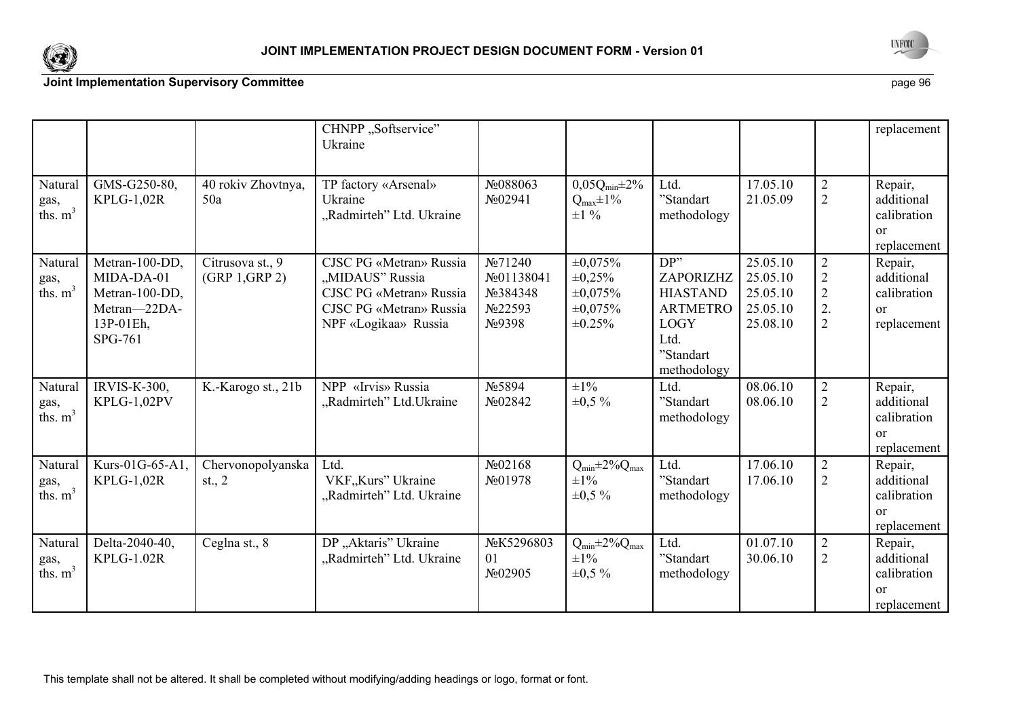



|                               |                                                                                        |                                    | CHNPP "Softservice"<br>Ukraine                                                                                           |                                                                       |                                                                                 |                                                                                                            |                                                          |                                                                            | replacement                                                          |
|-------------------------------|----------------------------------------------------------------------------------------|------------------------------------|--------------------------------------------------------------------------------------------------------------------------|-----------------------------------------------------------------------|---------------------------------------------------------------------------------|------------------------------------------------------------------------------------------------------------|----------------------------------------------------------|----------------------------------------------------------------------------|----------------------------------------------------------------------|
| Natural<br>gas,<br>ths. $m^3$ | GMS-G250-80,<br>$KPLG-1,02R$                                                           | 40 rokiv Zhovtnya,<br>50a          | TP factory «Arsenal»<br>Ukraine<br>"Radmirteh" Ltd. Ukraine                                                              | No088063<br>No02941                                                   | $0,05Q_{min} \pm 2\%$<br>$Q_{\text{max}} \pm 1\%$<br>$\pm 1\%$                  | Ltd.<br>"Standart<br>methodology                                                                           | 17.05.10<br>21.05.09                                     | $\overline{2}$<br>$\overline{2}$                                           | Repair,<br>additional<br>calibration<br>$\alpha$<br>replacement      |
| Natural<br>gas,<br>ths. $m^3$ | Metran-100-DD,<br>MIDA-DA-01<br>Metran-100-DD,<br>Metran-22DA-<br>13P-01Eh,<br>SPG-761 | Citrusova st., 9<br>(GRP 1, GRP 2) | CJSC PG «Metran» Russia<br>"MIDAUS" Russia<br>CJSC PG «Metran» Russia<br>CJSC PG «Metran» Russia<br>NPF «Logikaa» Russia | N <sub>2</sub> 71240<br>No01138041<br>No 384348<br>No22593<br>No.9398 | $\pm 0.075\%$<br>$\pm 0.25\%$<br>$\pm 0.075\%$<br>$\pm 0.075\%$<br>$\pm 0.25\%$ | DP''<br>ZAPORIZHZ<br><b>HIASTAND</b><br><b>ARTMETRO</b><br><b>LOGY</b><br>Ltd.<br>"Standart<br>methodology | 25.05.10<br>25.05.10<br>25.05.10<br>25.05.10<br>25.08.10 | $\overline{2}$<br>$\overline{2}$<br>$\overline{2}$<br>2.<br>$\overline{2}$ | Repair,<br>additional<br>calibration<br><sub>or</sub><br>replacement |
| Natural<br>gas,<br>ths. $m3$  | <b>IRVIS-K-300,</b><br>KPLG-1,02PV                                                     | K.-Karogo st., 21b                 | NPP «Irvis» Russia<br>"Radmirteh" Ltd. Ukraine                                                                           | No 5894<br>No02842                                                    | $\pm 1\%$<br>$\pm 0.5 \%$                                                       | Ltd.<br>"Standart<br>methodology                                                                           | 08.06.10<br>08.06.10                                     | $\overline{2}$<br>$\overline{2}$                                           | Repair,<br>additional<br>calibration<br>$\alpha$<br>replacement      |
| Natural<br>gas,<br>ths. $m3$  | Kurs-01G-65-A1,<br><b>KPLG-1,02R</b>                                                   | Chervonopolyanska<br>st., $2$      | Ltd.<br>VKF, Kurs" Ukraine<br>"Radmirteh" Ltd. Ukraine                                                                   | N <sub>2</sub> 02168<br>No01978                                       | $Q_{min} \pm 2\% Q_{max}$<br>$\pm 1\%$<br>$\pm 0.5 \%$                          | Ltd.<br>"Standart<br>methodology                                                                           | 17.06.10<br>17.06.10                                     | $\overline{2}$<br>2                                                        | Repair,<br>additional<br>calibration<br><sub>or</sub><br>replacement |
| Natural<br>gas,<br>ths. $m3$  | Delta-2040-40,<br><b>KPLG-1.02R</b>                                                    | Ceglna st., 8                      | DP "Aktaris" Ukraine<br>"Radmirteh" Ltd. Ukraine                                                                         | NoK5296803<br>01<br>$\mathcal{N}$ <sup>o</sup> 02905                  | $Q_{min} \pm 2\% Q_{max}$<br>$\pm 1\%$<br>$\pm 0.5 \%$                          | Ltd.<br>"Standart<br>methodology                                                                           | 01.07.10<br>30.06.10                                     | $\overline{2}$<br>$\overline{2}$                                           | Repair,<br>additional<br>calibration<br><sub>or</sub><br>replacement |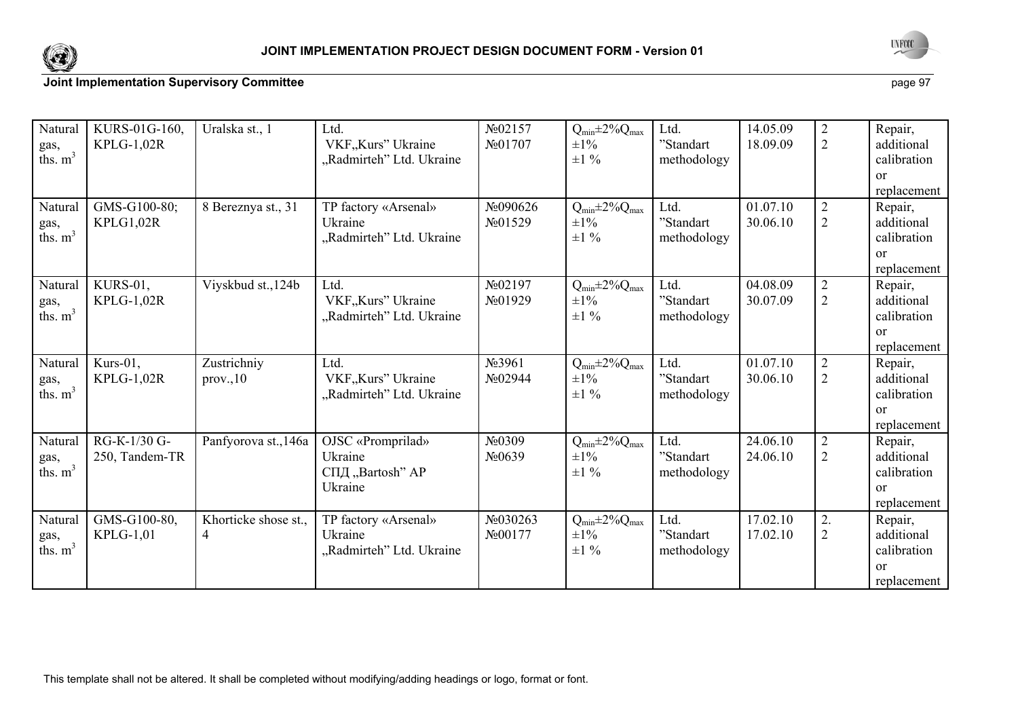



| Natural<br>gas,<br>ths. $m3$  | KURS-01G-160,<br>$KPLG-1,02R$    | Uralska st., 1            | Ltd.<br>VKF, Kurs" Ukraine<br>"Radmirteh" Ltd. Ukraine      | $N_202157$<br>N <sub>2</sub> 01707        | $Q_{min} \pm 2\% Q_{max}$<br>$\pm 1\%$<br>$\pm 1\%$ | Ltd.<br>"Standart<br>methodology | 14.05.09<br>18.09.09 | $\overline{2}$<br>$\overline{2}$ | Repair,<br>additional<br>calibration<br>$\alpha$<br>replacement      |
|-------------------------------|----------------------------------|---------------------------|-------------------------------------------------------------|-------------------------------------------|-----------------------------------------------------|----------------------------------|----------------------|----------------------------------|----------------------------------------------------------------------|
| Natural<br>gas,<br>ths. $m^3$ | GMS-G100-80;<br>KPLG1,02R        | 8 Bereznya st., 31        | TP factory «Arsenal»<br>Ukraine<br>"Radmirteh" Ltd. Ukraine | No090626<br>N <sub>2</sub> 01529          | $Q_{min} \pm 2\% Q_{max}$<br>$\pm 1\%$<br>$\pm 1\%$ | Ltd.<br>"Standart<br>methodology | 01.07.10<br>30.06.10 | $\overline{2}$<br>$\overline{2}$ | Repair,<br>additional<br>calibration<br>$\alpha$<br>replacement      |
| Natural<br>gas,<br>ths. $m^3$ | KURS-01,<br>KPLG-1,02R           | Viyskbud st., 124b        | Ltd.<br>VKF,,Kurs" Ukraine<br>"Radmirteh" Ltd. Ukraine      | $\text{N}_2$ 02197<br>No01929             | $Q_{min} \pm 2\% Q_{max}$<br>$\pm 1\%$<br>$\pm 1\%$ | Ltd.<br>"Standart<br>methodology | 04.08.09<br>30.07.09 | $\overline{2}$<br>$\overline{2}$ | Repair,<br>additional<br>calibration<br><sub>or</sub><br>replacement |
| Natural<br>gas,<br>ths. $m^3$ | Kurs-01,<br><b>KPLG-1,02R</b>    | Zustrichniy<br>prov. 10   | Ltd.<br>VKF,,Kurs" Ukraine<br>"Radmirteh" Ltd. Ukraine      | No 3961<br>No02944                        | $Q_{min} \pm 2\% Q_{max}$<br>$\pm 1\%$<br>$\pm 1\%$ | Ltd.<br>"Standart<br>methodology | 01.07.10<br>30.06.10 | $\overline{2}$<br>$\overline{2}$ | Repair,<br>additional<br>calibration<br>$\alpha$<br>replacement      |
| Natural<br>gas,<br>ths. $m3$  | RG-K-1/30 G-<br>250, Tandem-TR   | Panfyorova st., 146a      | OJSC «Promprilad»<br>Ukraine<br>СПД "Bartosh" AP<br>Ukraine | N <sub>0</sub> 0309<br>No <sub>0639</sub> | $Q_{min} \pm 2\% Q_{max}$<br>$\pm 1\%$<br>$\pm 1\%$ | Ltd.<br>"Standart<br>methodology | 24.06.10<br>24.06.10 | 2<br>$\overline{2}$              | Repair,<br>additional<br>calibration<br>$\alpha$<br>replacement      |
| Natural<br>gas,<br>ths. $m3$  | GMS-G100-80,<br><b>KPLG-1,01</b> | Khorticke shose st.,<br>4 | TP factory «Arsenal»<br>Ukraine<br>"Radmirteh" Ltd. Ukraine | No030263<br>N <sub>2</sub> 00177          | $Q_{min} \pm 2\% Q_{max}$<br>$\pm 1\%$<br>$\pm 1$ % | Ltd.<br>"Standart<br>methodology | 17.02.10<br>17.02.10 | 2.<br>$\overline{2}$             | Repair,<br>additional<br>calibration<br><sub>or</sub><br>replacement |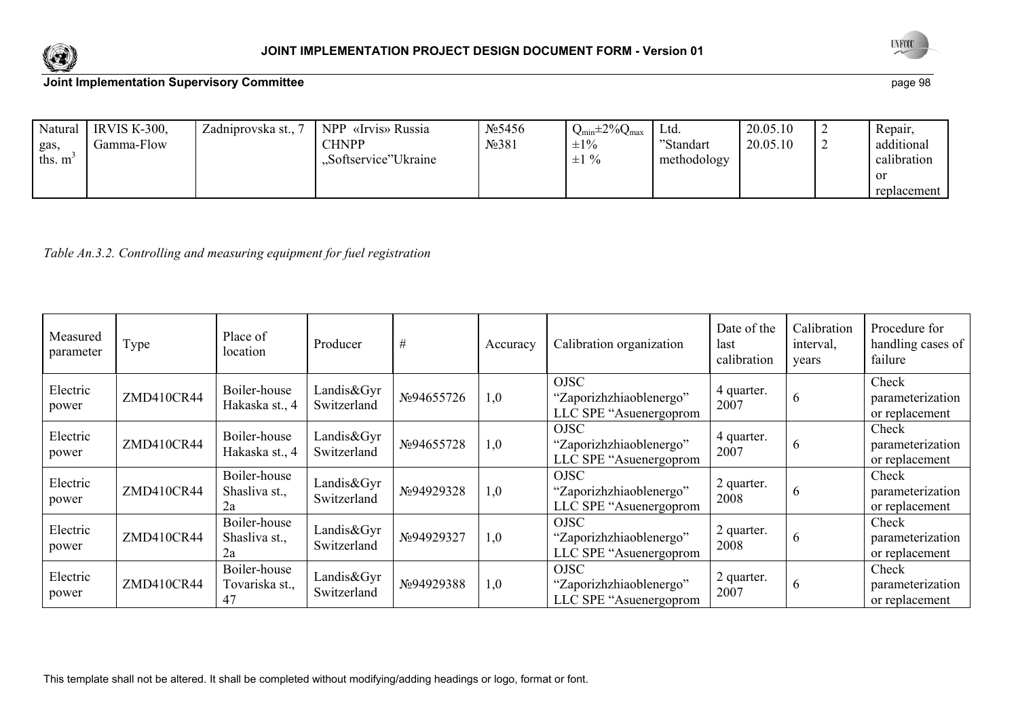



| Natural | <b>IRVIS K-300.</b> | Zadniprovska st., | NPP «Irvis» Russia    | N <sub>2</sub> 5456 | $Q_{min} \pm 2\% Q_{max}$ | Ltd.        | 20.05.10 | Repair,     |
|---------|---------------------|-------------------|-----------------------|---------------------|---------------------------|-------------|----------|-------------|
| gas,    | Gamma-Flow          |                   | <b>CHNPP</b>          | N <sub>2</sub> 381  | $\pm 1\%$                 | "Standart   | 20.05.10 | additional  |
| ths. m  |                     |                   | "Softservice" Ukraine |                     | $\pm 1\%$                 | methodology |          | calibration |
|         |                     |                   |                       |                     |                           |             |          | -or         |
|         |                     |                   |                       |                     |                           |             |          | replacement |

*Table An.3.2. Controlling and measuring equipment for fuel registration* 

| Measured<br>parameter | Type       | Place of<br>location                 | Producer                  | #          | Accuracy | Calibration organization                                         | Date of the<br>last<br>calibration | Calibration<br>interval,<br>years | Procedure for<br>handling cases of<br>failure |
|-----------------------|------------|--------------------------------------|---------------------------|------------|----------|------------------------------------------------------------------|------------------------------------|-----------------------------------|-----------------------------------------------|
| Electric<br>power     | ZMD410CR44 | Boiler-house<br>Hakaska st., 4       | Landis&Gyr<br>Switzerland | No94655726 | 1,0      | <b>OJSC</b><br>"Zaporizhzhiaoblenergo"<br>LLC SPE "Asuenergoprom | 4 quarter.<br>2007                 | O                                 | Check<br>parameterization<br>or replacement   |
| Electric<br>power     | ZMD410CR44 | Boiler-house<br>Hakaska st., 4       | Landis&Gyr<br>Switzerland | No94655728 | 1,0      | <b>OJSC</b><br>"Zaporizhzhiaoblenergo"<br>LLC SPE "Asuenergoprom | 4 quarter.<br>2007                 | b                                 | Check<br>parameterization<br>or replacement   |
| Electric<br>power     | ZMD410CR44 | Boiler-house<br>Shasliva st.,<br>2a  | Landis&Gyr<br>Switzerland | No94929328 | 1,0      | <b>OJSC</b><br>"Zaporizhzhiaoblenergo"<br>LLC SPE "Asuenergoprom | 2 quarter.<br>2008                 | $\mathfrak b$                     | Check<br>parameterization<br>or replacement   |
| Electric<br>power     | ZMD410CR44 | Boiler-house<br>Shasliva st.,<br>2a  | Landis&Gyr<br>Switzerland | No94929327 | 1,0      | <b>OJSC</b><br>"Zaporizhzhiaoblenergo"<br>LLC SPE "Asuenergoprom | 2 quarter.<br>2008                 | $\mathfrak b$                     | Check<br>parameterization<br>or replacement   |
| Electric<br>power     | ZMD410CR44 | Boiler-house<br>Tovariska st.,<br>47 | Landis&Gyr<br>Switzerland | No94929388 | 1,0      | <b>OJSC</b><br>"Zaporizhzhiaoblenergo"<br>LLC SPE "Asuenergoprom | 2 quarter.<br>2007                 | O                                 | Check<br>parameterization<br>or replacement   |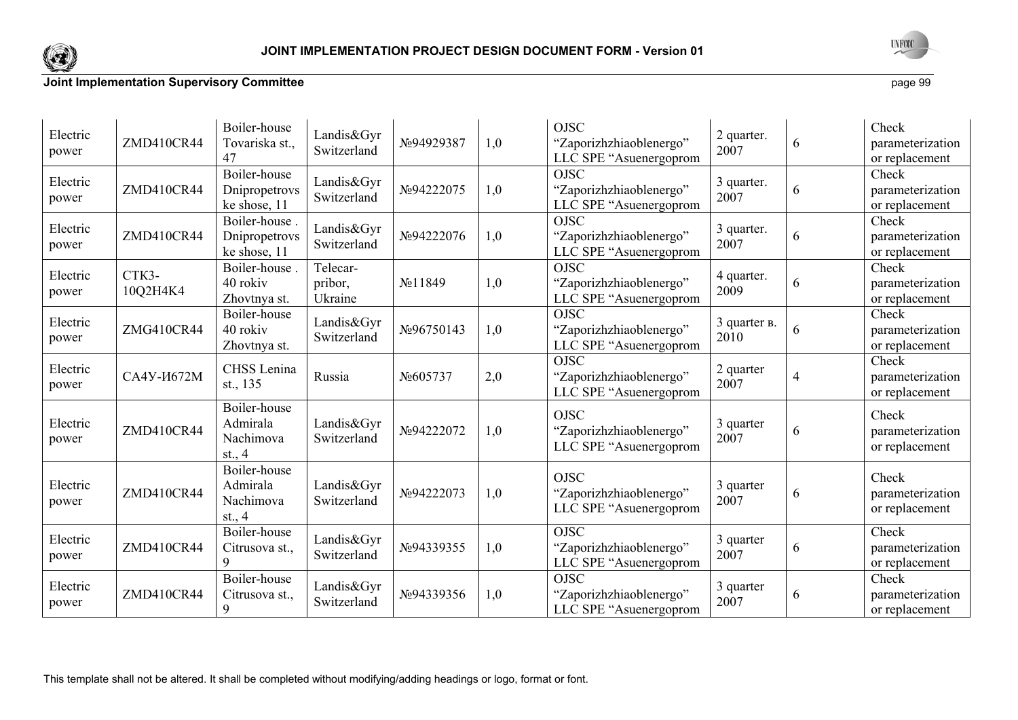



| Electric<br>power | ZMD410CR44          | Boiler-house<br>Tovariska st.,<br>47              | Landis&Gyr<br>Switzerland      | No94929387 | 1,0 | <b>OJSC</b><br>"Zaporizhzhiaoblenergo"<br>LLC SPE "Asuenergoprom | 2 quarter.<br>2007   | 6              | Check<br>parameterization<br>or replacement |
|-------------------|---------------------|---------------------------------------------------|--------------------------------|------------|-----|------------------------------------------------------------------|----------------------|----------------|---------------------------------------------|
| Electric<br>power | ZMD410CR44          | Boiler-house<br>Dnipropetrovs<br>ke shose, 11     | Landis&Gyr<br>Switzerland      | No94222075 | 1,0 | <b>OJSC</b><br>"Zaporizhzhiaoblenergo"<br>LLC SPE "Asuenergoprom | 3 quarter.<br>2007   | 6              | Check<br>parameterization<br>or replacement |
| Electric<br>power | ZMD410CR44          | Boiler-house.<br>Dnipropetrovs<br>ke shose, 11    | Landis&Gyr<br>Switzerland      | №94222076  | 1,0 | <b>OJSC</b><br>"Zaporizhzhiaoblenergo"<br>LLC SPE "Asuenergoprom | 3 quarter.<br>2007   | 6              | Check<br>parameterization<br>or replacement |
| Electric<br>power | CTK3-<br>10Q2H4K4   | Boiler-house.<br>40 rokiv<br>Zhovtnya st.         | Telecar-<br>pribor,<br>Ukraine | No 11849   | 1,0 | <b>OJSC</b><br>"Zaporizhzhiaoblenergo"<br>LLC SPE "Asuenergoprom | 4 quarter.<br>2009   | 6              | Check<br>parameterization<br>or replacement |
| Electric<br>power | ZMG410CR44          | Boiler-house<br>40 rokiv<br>Zhovtnya st.          | Landis&Gyr<br>Switzerland      | No96750143 | 1,0 | <b>OJSC</b><br>"Zaporizhzhiaoblenergo"<br>LLC SPE "Asuenergoprom | 3 quarter в.<br>2010 | 6              | Check<br>parameterization<br>or replacement |
| Electric<br>power | CA4Y- <i>H</i> 672M | CHSS Lenina<br>st., 135                           | Russia                         | No605737   | 2,0 | <b>OJSC</b><br>"Zaporizhzhiaoblenergo"<br>LLC SPE "Asuenergoprom | 2 quarter<br>2007    | $\overline{4}$ | Check<br>parameterization<br>or replacement |
| Electric<br>power | ZMD410CR44          | Boiler-house<br>Admirala<br>Nachimova<br>st., $4$ | Landis&Gyr<br>Switzerland      | №94222072  | 1,0 | <b>OJSC</b><br>"Zaporizhzhiaoblenergo"<br>LLC SPE "Asuenergoprom | 3 quarter<br>2007    | 6              | Check<br>parameterization<br>or replacement |
| Electric<br>power | ZMD410CR44          | Boiler-house<br>Admirala<br>Nachimova<br>st., $4$ | Landis&Gyr<br>Switzerland      | №94222073  | 1,0 | <b>OJSC</b><br>"Zaporizhzhiaoblenergo"<br>LLC SPE "Asuenergoprom | 3 quarter<br>2007    | 6              | Check<br>parameterization<br>or replacement |
| Electric<br>power | ZMD410CR44          | Boiler-house<br>Citrusova st.,                    | Landis&Gyr<br>Switzerland      | No94339355 | 1,0 | <b>OJSC</b><br>"Zaporizhzhiaoblenergo"<br>LLC SPE "Asuenergoprom | 3 quarter<br>2007    | 6              | Check<br>parameterization<br>or replacement |
| Electric<br>power | ZMD410CR44          | Boiler-house<br>Citrusova st.,                    | Landis&Gyr<br>Switzerland      | No94339356 | 1,0 | <b>OJSC</b><br>"Zaporizhzhiaoblenergo"<br>LLC SPE "Asuenergoprom | 3 quarter<br>2007    | 6              | Check<br>parameterization<br>or replacement |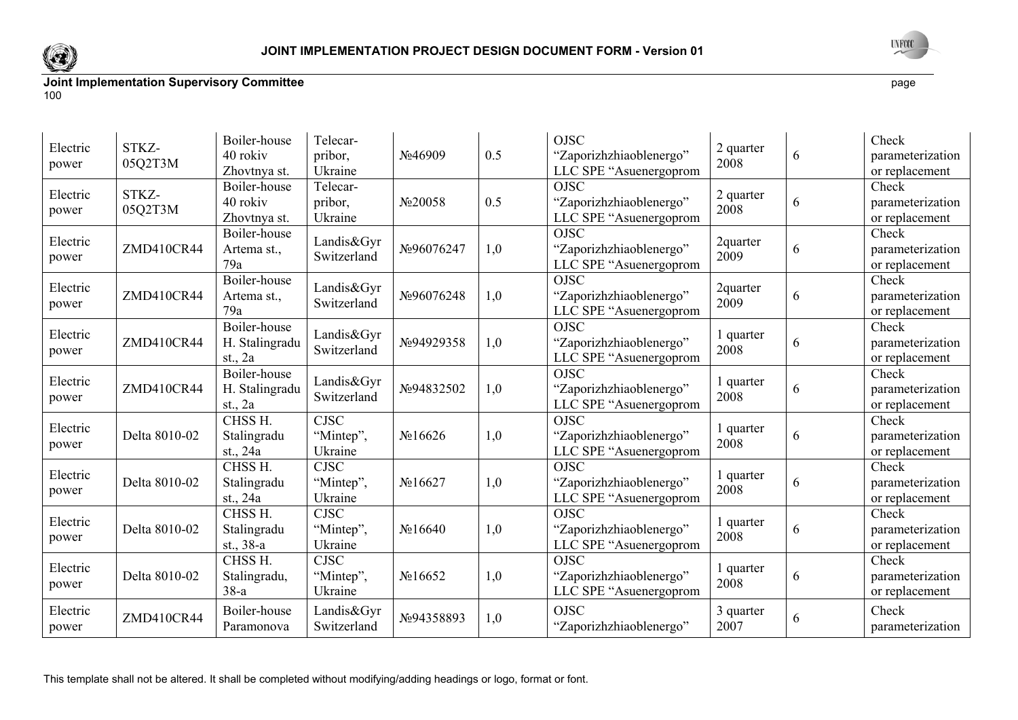



| Electric<br>power | STKZ-<br>05Q2T3M | Boiler-house<br>40 rokiv<br>Zhovtnya st.  | Telecar-<br>pribor,<br>Ukraine      | No46909              | 0.5 | <b>OJSC</b><br>"Zaporizhzhiaoblenergo"<br>LLC SPE "Asuenergoprom | 2 quarter<br>2008 | 6 | Check<br>parameterization<br>or replacement |
|-------------------|------------------|-------------------------------------------|-------------------------------------|----------------------|-----|------------------------------------------------------------------|-------------------|---|---------------------------------------------|
| Electric<br>power | STKZ-<br>05Q2T3M | Boiler-house<br>40 rokiv<br>Zhovtnya st.  | Telecar-<br>pribor,<br>Ukraine      | No20058              | 0.5 | <b>OJSC</b><br>"Zaporizhzhiaoblenergo"<br>LLC SPE "Asuenergoprom | 2 quarter<br>2008 | 6 | Check<br>parameterization<br>or replacement |
| Electric<br>power | ZMD410CR44       | Boiler-house<br>Artema st.,<br>79a        | Landis&Gyr<br>Switzerland           | No96076247           | 1,0 | <b>OJSC</b><br>"Zaporizhzhiaoblenergo"<br>LLC SPE "Asuenergoprom | 2quarter<br>2009  | 6 | Check<br>parameterization<br>or replacement |
| Electric<br>power | ZMD410CR44       | Boiler-house<br>Artema st.,<br>79a        | Landis&Gyr<br>Switzerland           | No96076248           | 1,0 | <b>OJSC</b><br>"Zaporizhzhiaoblenergo"<br>LLC SPE "Asuenergoprom | 2quarter<br>2009  | 6 | Check<br>parameterization<br>or replacement |
| Electric<br>power | ZMD410CR44       | Boiler-house<br>H. Stalingradu<br>st., 2a | Landis&Gyr<br>Switzerland           | No94929358           | 1,0 | <b>OJSC</b><br>"Zaporizhzhiaoblenergo"<br>LLC SPE "Asuenergoprom | 1 quarter<br>2008 | 6 | Check<br>parameterization<br>or replacement |
| Electric<br>power | ZMD410CR44       | Boiler-house<br>H. Stalingradu<br>st., 2a | Landis&Gyr<br>Switzerland           | №94832502            | 1,0 | <b>OJSC</b><br>"Zaporizhzhiaoblenergo"<br>LLC SPE "Asuenergoprom | 1 quarter<br>2008 | 6 | Check<br>parameterization<br>or replacement |
| Electric<br>power | Delta 8010-02    | CHSS H.<br>Stalingradu<br>st., 24a        | <b>CJSC</b><br>"Mintep",<br>Ukraine | N <sub>2</sub> 16626 | 1,0 | <b>OJSC</b><br>"Zaporizhzhiaoblenergo"<br>LLC SPE "Asuenergoprom | 1 quarter<br>2008 | 6 | Check<br>parameterization<br>or replacement |
| Electric<br>power | Delta 8010-02    | CHSS H.<br>Stalingradu<br>st., 24a        | CJSC<br>"Mintep",<br>Ukraine        | N <sub>2</sub> 16627 | 1,0 | <b>OJSC</b><br>"Zaporizhzhiaoblenergo"<br>LLC SPE "Asuenergoprom | 1 quarter<br>2008 | 6 | Check<br>parameterization<br>or replacement |
| Electric<br>power | Delta 8010-02    | CHSS H.<br>Stalingradu<br>st., 38-a       | <b>CJSC</b><br>"Mintep",<br>Ukraine | N <sub>2</sub> 16640 | 1,0 | <b>OJSC</b><br>"Zaporizhzhiaoblenergo"<br>LLC SPE "Asuenergoprom | quarter<br>2008   | 6 | Check<br>parameterization<br>or replacement |
| Electric<br>power | Delta 8010-02    | CHSS H.<br>Stalingradu,<br>$38-a$         | <b>CJSC</b><br>"Mintep",<br>Ukraine | N <sub>2</sub> 16652 | 1,0 | OJSC<br>"Zaporizhzhiaoblenergo"<br>LLC SPE "Asuenergoprom        | 1 quarter<br>2008 | 6 | Check<br>parameterization<br>or replacement |
| Electric<br>power | ZMD410CR44       | Boiler-house<br>Paramonova                | Landis&Gyr<br>Switzerland           | No94358893           | 1,0 | <b>OJSC</b><br>"Zaporizhzhiaoblenergo"                           | 3 quarter<br>2007 | 6 | Check<br>parameterization                   |

This template shall not be altered. It shall be completed without modifying/adding headings or logo, format or font.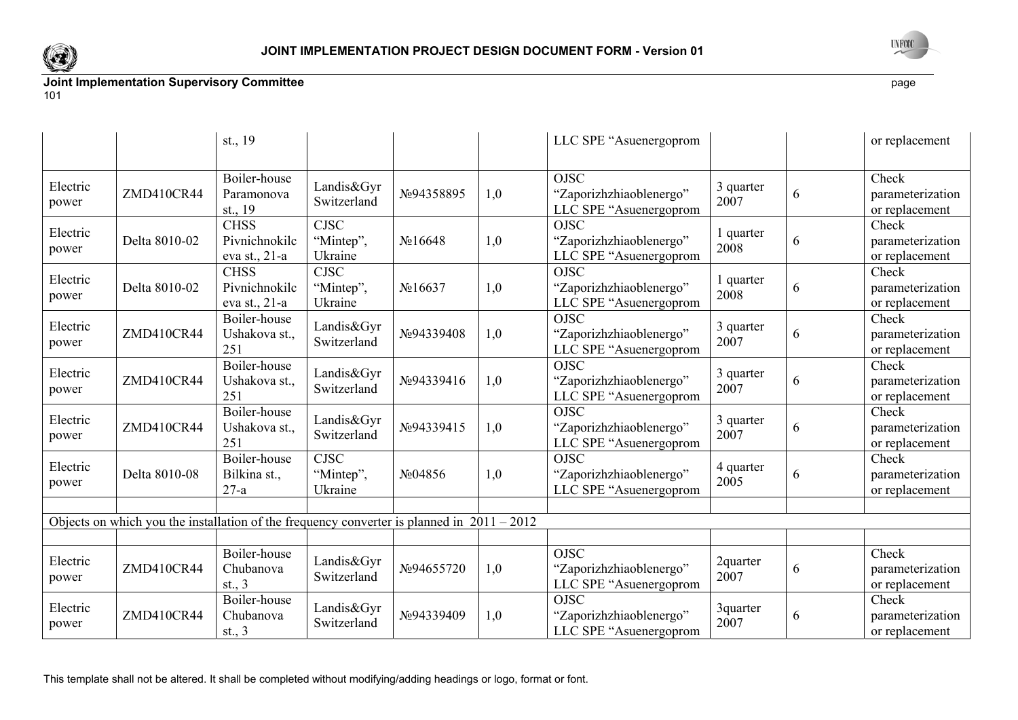



|                   |                                                                                              | st., 19                                       |                                     |                      |     | LLC SPE "Asuenergoprom                                           |                   |   | or replacement                              |
|-------------------|----------------------------------------------------------------------------------------------|-----------------------------------------------|-------------------------------------|----------------------|-----|------------------------------------------------------------------|-------------------|---|---------------------------------------------|
| Electric<br>power | ZMD410CR44                                                                                   | Boiler-house<br>Paramonova<br>st., 19         | Landis&Gyr<br>Switzerland           | №94358895            | 1,0 | <b>OJSC</b><br>"Zaporizhzhiaoblenergo"<br>LLC SPE "Asuenergoprom | 3 quarter<br>2007 | 6 | Check<br>parameterization<br>or replacement |
| Electric<br>power | Delta 8010-02                                                                                | <b>CHSS</b><br>Pivnichnokilc<br>eva st., 21-a | <b>CJSC</b><br>"Mintep",<br>Ukraine | N <sub>2</sub> 16648 | 1,0 | <b>OJSC</b><br>"Zaporizhzhiaoblenergo"<br>LLC SPE "Asuenergoprom | 1 quarter<br>2008 | 6 | Check<br>parameterization<br>or replacement |
| Electric<br>power | Delta 8010-02                                                                                | <b>CHSS</b><br>Pivnichnokilc<br>eva st., 21-a | <b>CJSC</b><br>"Mintep",<br>Ukraine | N <sub>2</sub> 16637 | 1,0 | <b>OJSC</b><br>"Zaporizhzhiaoblenergo"<br>LLC SPE "Asuenergoprom | 1 quarter<br>2008 | 6 | Check<br>parameterization<br>or replacement |
| Electric<br>power | ZMD410CR44                                                                                   | Boiler-house<br>Ushakova st.,<br>251          | Landis&Gyr<br>Switzerland           | No94339408           | 1,0 | <b>OJSC</b><br>"Zaporizhzhiaoblenergo"<br>LLC SPE "Asuenergoprom | 3 quarter<br>2007 | 6 | Check<br>parameterization<br>or replacement |
| Electric<br>power | ZMD410CR44                                                                                   | Boiler-house<br>Ushakova st.,<br>251          | Landis&Gyr<br>Switzerland           | No94339416           | 1,0 | <b>OJSC</b><br>"Zaporizhzhiaoblenergo"<br>LLC SPE "Asuenergoprom | 3 quarter<br>2007 | 6 | Check<br>parameterization<br>or replacement |
| Electric<br>power | ZMD410CR44                                                                                   | Boiler-house<br>Ushakova st.,<br>251          | Landis&Gyr<br>Switzerland           | No94339415           | 1,0 | <b>OJSC</b><br>"Zaporizhzhiaoblenergo"<br>LLC SPE "Asuenergoprom | 3 quarter<br>2007 | 6 | Check<br>parameterization<br>or replacement |
| Electric<br>power | Delta 8010-08                                                                                | Boiler-house<br>Bilkina st.,<br>$27-a$        | <b>CJSC</b><br>"Mintep",<br>Ukraine | No04856              | 1,0 | <b>OJSC</b><br>"Zaporizhzhiaoblenergo"<br>LLC SPE "Asuenergoprom | 4 quarter<br>2005 | 6 | Check<br>parameterization<br>or replacement |
|                   | Objects on which you the installation of the frequency converter is planned in $2011 - 2012$ |                                               |                                     |                      |     |                                                                  |                   |   |                                             |
|                   |                                                                                              |                                               |                                     |                      |     |                                                                  |                   |   |                                             |
| Electric<br>power | ZMD410CR44                                                                                   | Boiler-house<br>Chubanova<br>st., $3$         | Landis&Gyr<br>Switzerland           | №94655720            | 1,0 | <b>OJSC</b><br>"Zaporizhzhiaoblenergo"<br>LLC SPE "Asuenergoprom | 2quarter<br>2007  | 6 | Check<br>parameterization<br>or replacement |
| Electric<br>power | ZMD410CR44                                                                                   | Boiler-house<br>Chubanova<br>st., $3$         | Landis&Gyr<br>Switzerland           | No94339409           | 1,0 | <b>OJSC</b><br>"Zaporizhzhiaoblenergo"<br>LLC SPE "Asuenergoprom | 3quarter<br>2007  | 6 | Check<br>parameterization<br>or replacement |

This template shall not be altered. It shall be completed without modifying/adding headings or logo, format or font.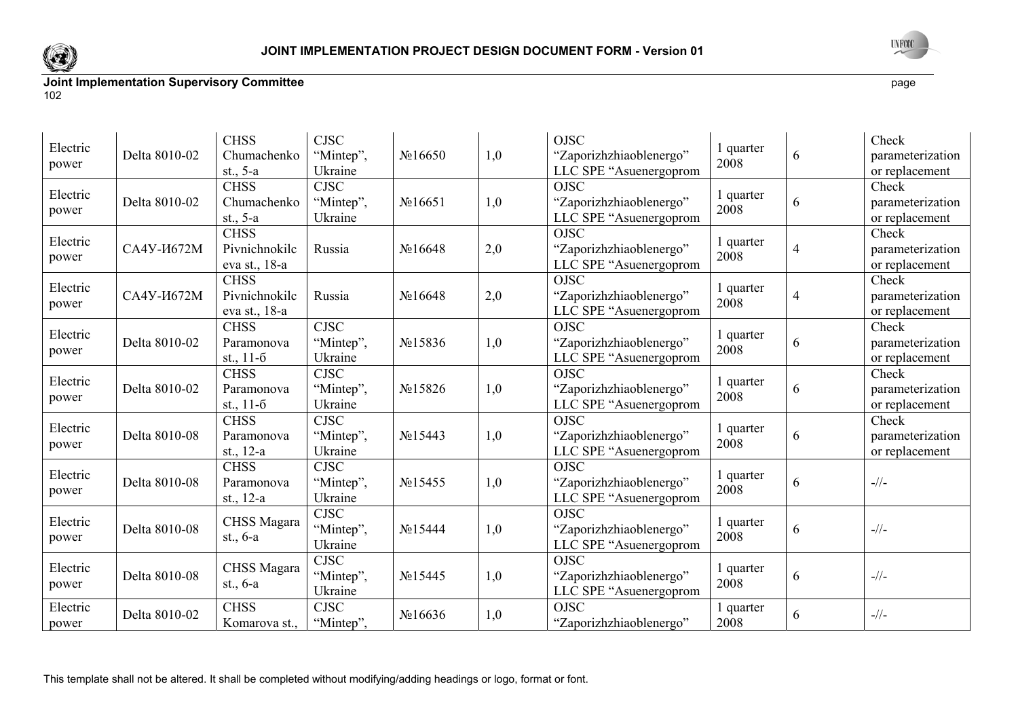



| Electric<br>power | Delta 8010-02       | <b>CHSS</b><br>Chumachenko<br>st., $5-a$      | <b>CJSC</b><br>"Mintep",<br>Ukraine | N <sub>2</sub> 16650 | 1,0 | <b>OJSC</b><br>"Zaporizhzhiaoblenergo"<br>LLC SPE "Asuenergoprom | 1 quarter<br>2008 | 6              | Check<br>parameterization<br>or replacement |
|-------------------|---------------------|-----------------------------------------------|-------------------------------------|----------------------|-----|------------------------------------------------------------------|-------------------|----------------|---------------------------------------------|
| Electric<br>power | Delta 8010-02       | <b>CHSS</b><br>Chumachenko<br>st., $5-a$      | <b>CJSC</b><br>"Mintep",<br>Ukraine | N <sub>2</sub> 16651 | 1,0 | <b>OJSC</b><br>"Zaporizhzhiaoblenergo"<br>LLC SPE "Asuenergoprom | 1 quarter<br>2008 | 6              | Check<br>parameterization<br>or replacement |
| Electric<br>power | CA4Y- <i>H</i> 672M | <b>CHSS</b><br>Pivnichnokilc<br>eva st., 18-a | Russia                              | N <sub>2</sub> 16648 | 2,0 | <b>OJSC</b><br>"Zaporizhzhiaoblenergo"<br>LLC SPE "Asuenergoprom | 1 quarter<br>2008 | $\overline{4}$ | Check<br>parameterization<br>or replacement |
| Electric<br>power | СА4У-И672М          | <b>CHSS</b><br>Pivnichnokilc<br>eva st., 18-a | Russia                              | N <sub>2</sub> 16648 | 2,0 | <b>OJSC</b><br>"Zaporizhzhiaoblenergo"<br>LLC SPE "Asuenergoprom | 1 quarter<br>2008 | $\overline{4}$ | Check<br>parameterization<br>or replacement |
| Electric<br>power | Delta 8010-02       | <b>CHSS</b><br>Paramonova<br>st., $11-6$      | <b>CJSC</b><br>"Mintep",<br>Ukraine | N <sub>2</sub> 15836 | 1,0 | <b>OJSC</b><br>"Zaporizhzhiaoblenergo"<br>LLC SPE "Asuenergoprom | l quarter<br>2008 | 6              | Check<br>parameterization<br>or replacement |
| Electric<br>power | Delta 8010-02       | <b>CHSS</b><br>Paramonova<br>st., $11-6$      | <b>CJSC</b><br>"Mintep",<br>Ukraine | N <sub>0</sub> 15826 | 1,0 | <b>OJSC</b><br>"Zaporizhzhiaoblenergo"<br>LLC SPE "Asuenergoprom | l quarter<br>2008 | 6              | Check<br>parameterization<br>or replacement |
| Electric<br>power | Delta 8010-08       | <b>CHSS</b><br>Paramonova<br>st., $12-a$      | <b>CJSC</b><br>"Mintep",<br>Ukraine | $N_2$ 15443          | 1,0 | <b>OJSC</b><br>"Zaporizhzhiaoblenergo"<br>LLC SPE "Asuenergoprom | 1 quarter<br>2008 | 6              | Check<br>parameterization<br>or replacement |
| Electric<br>power | Delta 8010-08       | <b>CHSS</b><br>Paramonova<br>st., $12-a$      | <b>CJSC</b><br>"Mintep",<br>Ukraine | No15455              | 1,0 | <b>OJSC</b><br>"Zaporizhzhiaoblenergo"<br>LLC SPE "Asuenergoprom | 1 quarter<br>2008 | 6              | $-1/1 -$                                    |
| Electric<br>power | Delta 8010-08       | CHSS Magara<br>st., $6-a$                     | <b>CJSC</b><br>"Mintep",<br>Ukraine | No15444              | 1,0 | <b>OJSC</b><br>"Zaporizhzhiaoblenergo"<br>LLC SPE "Asuenergoprom | 1 quarter<br>2008 | 6              | $-1/2$                                      |
| Electric<br>power | Delta 8010-08       | CHSS Magara<br>st., $6-a$                     | <b>CJSC</b><br>"Mintep",<br>Ukraine | N <sub>2</sub> 15445 | 1,0 | <b>OJSC</b><br>"Zaporizhzhiaoblenergo"<br>LLC SPE "Asuenergoprom | 1 quarter<br>2008 | 6              | $-1/1 -$                                    |
| Electric<br>power | Delta 8010-02       | <b>CHSS</b><br>Komarova st.,                  | <b>CJSC</b><br>"Mintep",            | N <sub>2</sub> 16636 | 1,0 | <b>OJSC</b><br>"Zaporizhzhiaoblenergo"                           | quarter<br>2008   | 6              | $-1/(-$                                     |

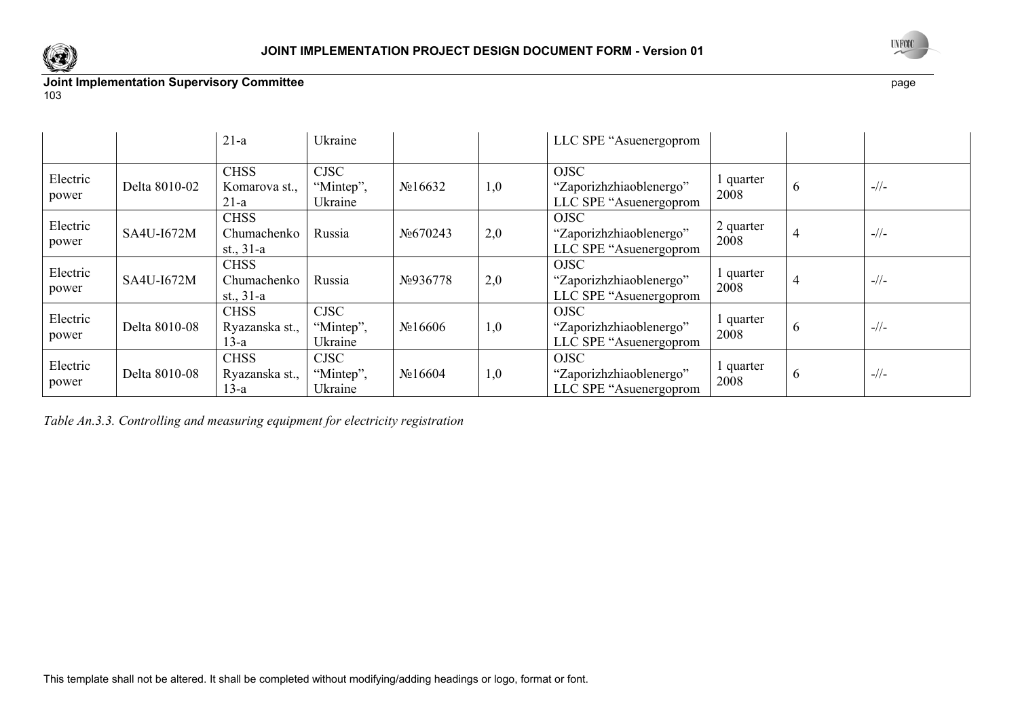



|  |  | ×<br>۰. |
|--|--|---------|
|--|--|---------|

|                   |               | $21-a$                                    | Ukraine                             |                      |     | LLC SPE "Asuenergoprom                                           |                   |          |         |
|-------------------|---------------|-------------------------------------------|-------------------------------------|----------------------|-----|------------------------------------------------------------------|-------------------|----------|---------|
| Electric<br>power | Delta 8010-02 | <b>CHSS</b><br>Komarova st.,<br>$21-a$    | <b>CJSC</b><br>"Mintep",<br>Ukraine | N <sub>2</sub> 16632 | 1,0 | <b>OJSC</b><br>"Zaporizhzhiaoblenergo"<br>LLC SPE "Asuenergoprom | quarter<br>2008   | $\sigma$ | $-1/$   |
| Electric<br>power | SA4U-I672M    | <b>CHSS</b><br>Chumachenko<br>st., $31-a$ | Russia                              | No670243             | 2,0 | <b>OJSC</b><br>"Zaporizhzhiaoblenergo"<br>LLC SPE "Asuenergoprom | 2 quarter<br>2008 | 4        | $-1/$   |
| Electric<br>power | SA4U-I672M    | <b>CHSS</b><br>Chumachenko<br>st., $31-a$ | Russia                              | No.936778            | 2,0 | <b>OJSC</b><br>"Zaporizhzhiaoblenergo"<br>LLC SPE "Asuenergoprom | quarter<br>2008   |          | $-1/$   |
| Electric<br>power | Delta 8010-08 | <b>CHSS</b><br>Ryazanska st.,<br>$13-a$   | <b>CJSC</b><br>"Mintep",<br>Ukraine | N <sub>2</sub> 16606 | 1,0 | <b>OJSC</b><br>"Zaporizhzhiaoblenergo"<br>LLC SPE "Asuenergoprom | quarter<br>2008   | $\sigma$ | $-1/$   |
| Electric<br>power | Delta 8010-08 | <b>CHSS</b><br>Ryazanska st.,<br>13-a     | <b>CJSC</b><br>"Mintep",<br>Ukraine | N <sub>2</sub> 16604 | 1,0 | <b>OJSC</b><br>"Zaporizhzhiaoblenergo"<br>LLC SPE "Asuenergoprom | quarter<br>2008   | $\sigma$ | $-1/1-$ |

*Table An.3.3. Controlling and measuring equipment for electricity registration*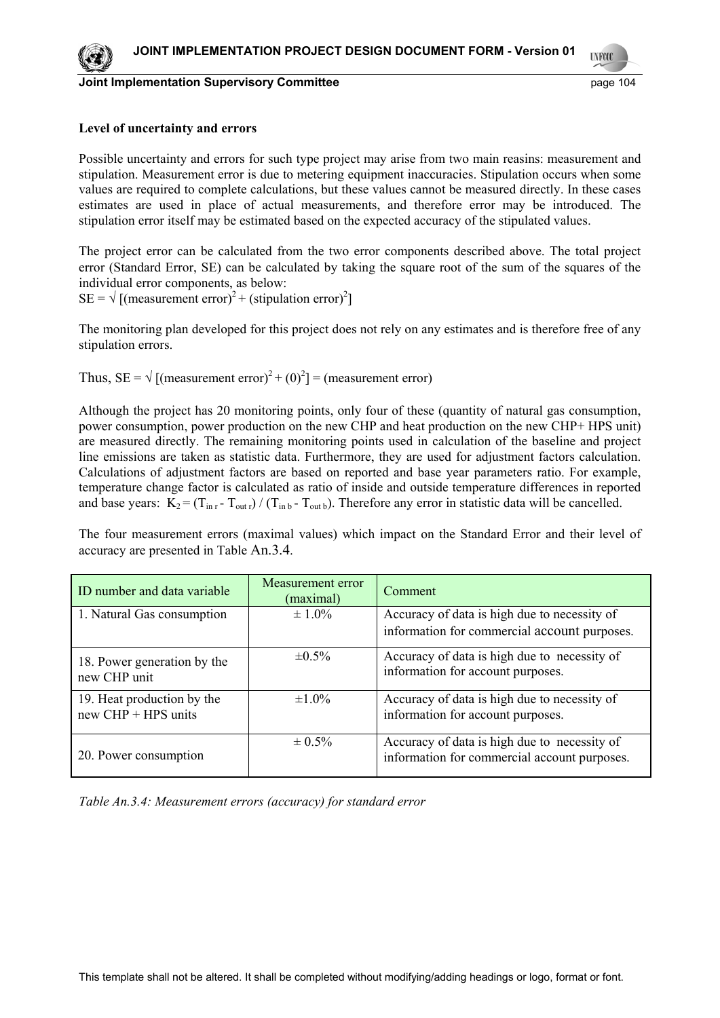

**Joint Implementation Supervisory Committee Example 2014** page 104



**TYFOX** 

#### **Level of uncertainty and errors**

Possible uncertainty and errors for such type project may arise from two main reasins: measurement and stipulation. Measurement error is due to metering equipment inaccuracies. Stipulation occurs when some values are required to complete calculations, but these values cannot be measured directly. In these cases estimates are used in place of actual measurements, and therefore error may be introduced. The stipulation error itself may be estimated based on the expected accuracy of the stipulated values.

The project error can be calculated from the two error components described above. The total project error (Standard Error, SE) can be calculated by taking the square root of the sum of the squares of the individual error components, as below:

 $SE = \sqrt{\text{(measurement error)}^2 + (\text{ stipulation error})^2}$ 

The monitoring plan developed for this project does not rely on any estimates and is therefore free of any stipulation errors.

Thus, SE =  $\sqrt{\text{(measurement error)}^2 + (0)^2} = \text{(measurement error)}$ 

Although the project has 20 monitoring points, only four of these (quantity of natural gas consumption, power consumption, power production on the new CHP and heat production on the new CHP+ HPS unit) are measured directly. The remaining monitoring points used in calculation of the baseline and project line emissions are taken as statistic data. Furthermore, they are used for adjustment factors calculation. Calculations of adjustment factors are based on reported and base year parameters ratio. For example, temperature change factor is calculated as ratio of inside and outside temperature differences in reported and base years:  $K_2 = (T_{\text{in }r} - T_{\text{out }r}) / (T_{\text{in }b} - T_{\text{out }b})$ . Therefore any error in statistic data will be cancelled.

The four measurement errors (maximal values) which impact on the Standard Error and their level of accuracy are presented in Table An.3.4.

| ID number and data variable                         | Measurement error<br>(maximal) | Comment                                                                                      |  |  |
|-----------------------------------------------------|--------------------------------|----------------------------------------------------------------------------------------------|--|--|
| 1. Natural Gas consumption                          | $\pm 1.0\%$                    | Accuracy of data is high due to necessity of<br>information for commercial account purposes. |  |  |
| 18. Power generation by the<br>new CHP unit         | $\pm 0.5\%$                    | Accuracy of data is high due to necessity of<br>information for account purposes.            |  |  |
| 19. Heat production by the<br>$new$ CHP + HPS units | $\pm 1.0\%$                    | Accuracy of data is high due to necessity of<br>information for account purposes.            |  |  |
| 20. Power consumption                               | $\pm 0.5\%$                    | Accuracy of data is high due to necessity of<br>information for commercial account purposes. |  |  |

*Table An.3.4: Measurement errors (accuracy) for standard error*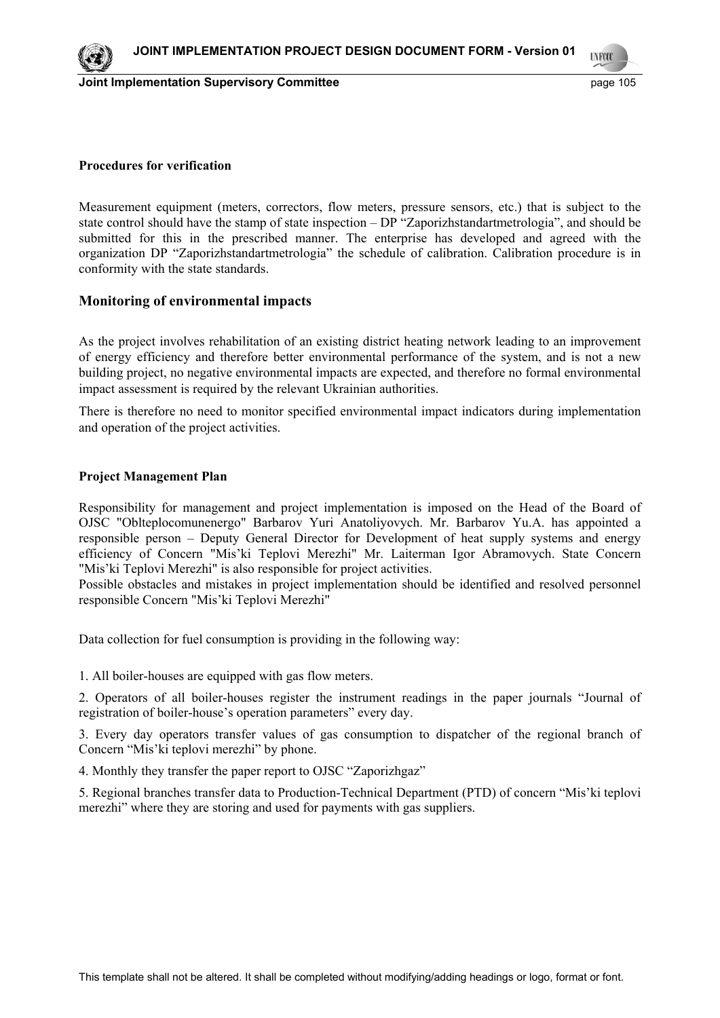



#### **Procedures for verification**

Measurement equipment (meters, correctors, flow meters, pressure sensors, etc.) that is subject to the state control should have the stamp of state inspection – DP "Zaporizhstandartmetrologia", and should be submitted for this in the prescribed manner. The enterprise has developed and agreed with the organization DP "Zaporizhstandartmetrologia" the schedule of calibration. Calibration procedure is in conformity with the state standards.

#### **Monitoring of environmental impacts**

As the project involves rehabilitation of an existing district heating network leading to an improvement of energy efficiency and therefore better environmental performance of the system, and is not a new building project, no negative environmental impacts are expected, and therefore no formal environmental impact assessment is required by the relevant Ukrainian authorities.

There is therefore no need to monitor specified environmental impact indicators during implementation and operation of the project activities.

#### **Project Management Plan**

Responsibility for management and project implementation is imposed on the Head of the Board of OJSC "Oblteplocomunenergo" Barbarov Yuri Anatoliyovych. Mr. Barbarov Yu.A. has appointed a responsible person – Deputy General Director for Development of heat supply systems and energy efficiency of Concern "Mis'ki Teplovi Merezhi" Mr. Laiterman Igor Abramovych. State Concern "Mis'ki Teplovi Merezhi" is also responsible for project activities.

Possible obstacles and mistakes in project implementation should be identified and resolved personnel responsible Concern "Mis'ki Teplovi Merezhi"

Data collection for fuel consumption is providing in the following way:

1. All boiler-houses are equipped with gas flow meters.

2. Operators of all boiler-houses register the instrument readings in the paper journals "Journal of registration of boiler-house's operation parameters" every day.

3. Every day operators transfer values of gas consumption to dispatcher of the regional branch of Concern "Mis'ki teplovi merezhi" by phone.

4. Monthly they transfer the paper report to OJSC "Zaporizhgaz"

5. Regional branches transfer data to Production-Technical Department (PTD) of concern "Mis'ki teplovi merezhi" where they are storing and used for payments with gas suppliers.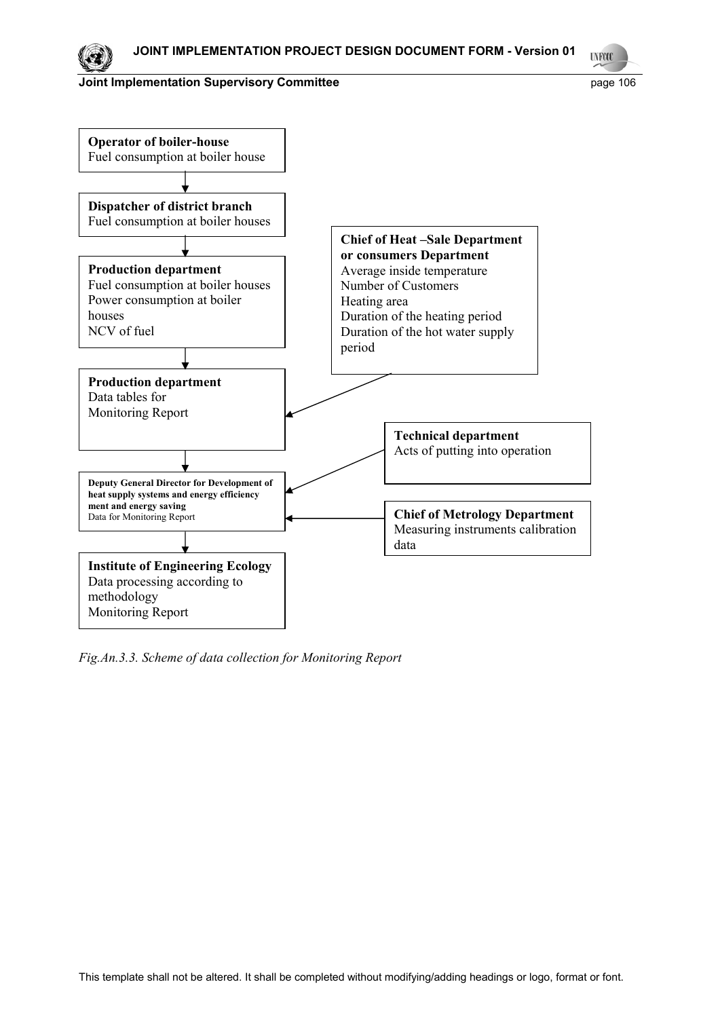

**UNFOOT** 



*Fig.An.3.3. Scheme of data collection for Monitoring Report*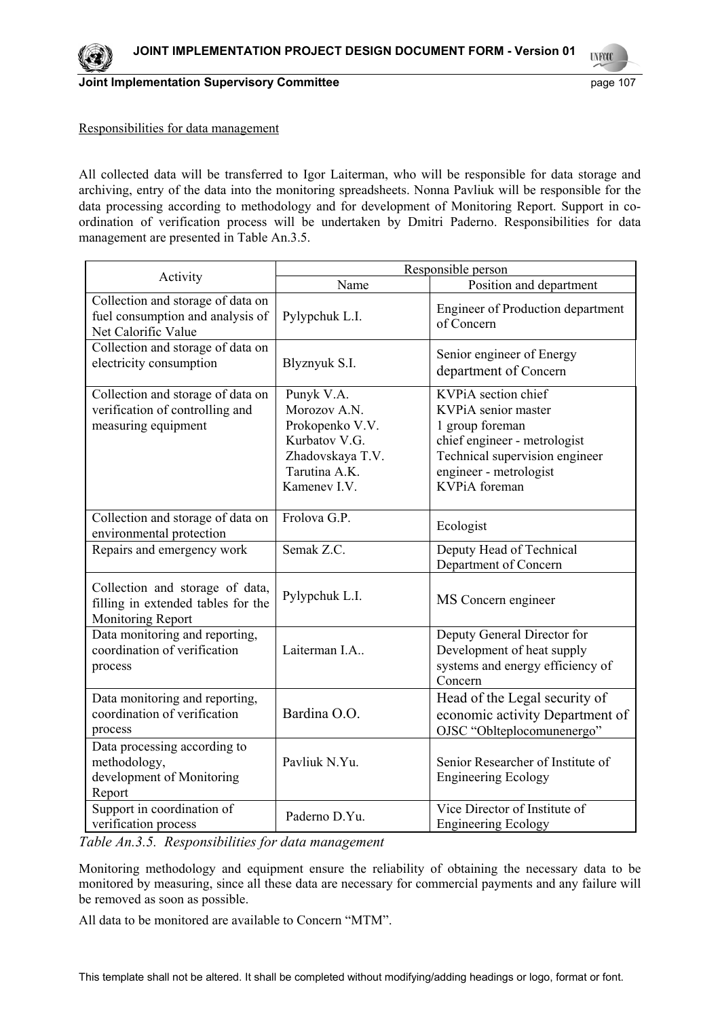

**UNFOOL** 

#### Responsibilities for data management

All collected data will be transferred to Igor Laiterman, who will be responsible for data storage and archiving, entry of the data into the monitoring spreadsheets. Nonna Pavliuk will be responsible for the data processing according to methodology and for development of Monitoring Report. Support in coordination of verification process will be undertaken by Dmitri Paderno. Responsibilities for data management are presented in Table An.3.5.

|                                                                                              | Responsible person                                                                                                  |                                                                                                                                                                            |  |  |
|----------------------------------------------------------------------------------------------|---------------------------------------------------------------------------------------------------------------------|----------------------------------------------------------------------------------------------------------------------------------------------------------------------------|--|--|
| Activity                                                                                     | Name                                                                                                                | Position and department                                                                                                                                                    |  |  |
| Collection and storage of data on<br>fuel consumption and analysis of<br>Net Calorific Value | Pylypchuk L.I.                                                                                                      | Engineer of Production department<br>of Concern                                                                                                                            |  |  |
| Collection and storage of data on<br>electricity consumption                                 | Blyznyuk S.I.                                                                                                       | Senior engineer of Energy<br>department of Concern                                                                                                                         |  |  |
| Collection and storage of data on<br>verification of controlling and<br>measuring equipment  | Punyk V.A.<br>Morozov A.N.<br>Prokopenko V.V.<br>Kurbatov V.G.<br>Zhadovskaya T.V.<br>Tarutina A.K.<br>Kamenev I.V. | KVPiA section chief<br>KVPiA senior master<br>1 group foreman<br>chief engineer - metrologist<br>Technical supervision engineer<br>engineer - metrologist<br>KVPiA foreman |  |  |
| Collection and storage of data on<br>environmental protection                                | Frolova G.P.                                                                                                        | Ecologist                                                                                                                                                                  |  |  |
| Repairs and emergency work                                                                   | Semak Z.C.                                                                                                          | Deputy Head of Technical<br>Department of Concern                                                                                                                          |  |  |
| Collection and storage of data,<br>filling in extended tables for the<br>Monitoring Report   | Pylypchuk L.I.                                                                                                      | MS Concern engineer                                                                                                                                                        |  |  |
| Data monitoring and reporting,<br>coordination of verification<br>process                    | Laiterman I.A                                                                                                       | Deputy General Director for<br>Development of heat supply<br>systems and energy efficiency of<br>Concern                                                                   |  |  |
| Data monitoring and reporting,<br>coordination of verification<br>process                    | Bardina O.O.                                                                                                        | Head of the Legal security of<br>economic activity Department of<br>OJSC "Oblteplocomunenergo"                                                                             |  |  |
| Data processing according to<br>methodology,<br>development of Monitoring<br>Report          | Pavliuk N.Yu.                                                                                                       | Senior Researcher of Institute of<br><b>Engineering Ecology</b>                                                                                                            |  |  |
| Support in coordination of<br>verification process                                           | Paderno D.Yu.                                                                                                       | Vice Director of Institute of<br><b>Engineering Ecology</b>                                                                                                                |  |  |

*Table An.3.5. Responsibilities for data management* 

Monitoring methodology and equipment ensure the reliability of obtaining the necessary data to be monitored by measuring, since all these data are necessary for commercial payments and any failure will be removed as soon as possible.

All data to be monitored are available to Concern "MTM".